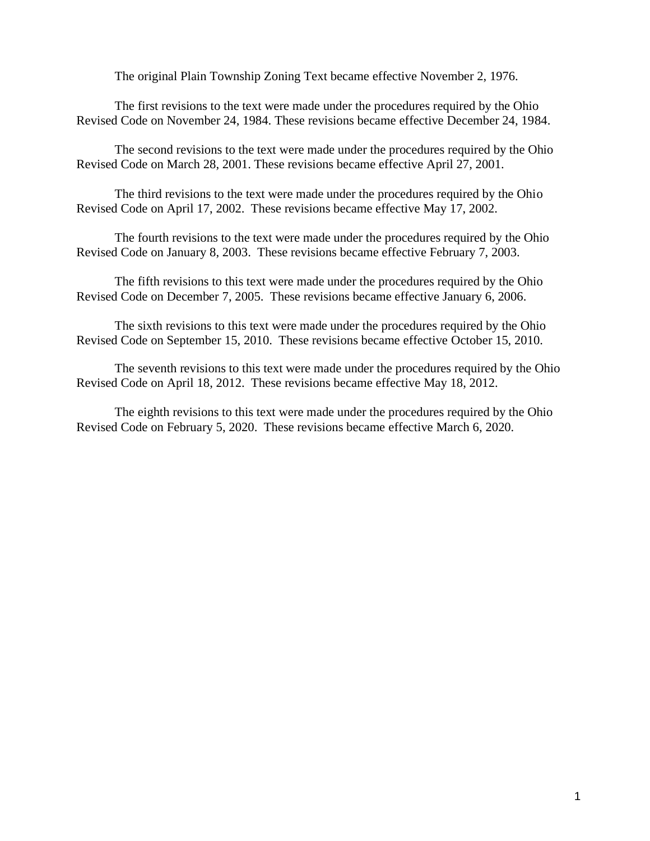The original Plain Township Zoning Text became effective November 2, 1976.

The first revisions to the text were made under the procedures required by the Ohio Revised Code on November 24, 1984. These revisions became effective December 24, 1984.

The second revisions to the text were made under the procedures required by the Ohio Revised Code on March 28, 2001. These revisions became effective April 27, 2001.

The third revisions to the text were made under the procedures required by the Ohio Revised Code on April 17, 2002. These revisions became effective May 17, 2002.

The fourth revisions to the text were made under the procedures required by the Ohio Revised Code on January 8, 2003. These revisions became effective February 7, 2003.

The fifth revisions to this text were made under the procedures required by the Ohio Revised Code on December 7, 2005. These revisions became effective January 6, 2006.

The sixth revisions to this text were made under the procedures required by the Ohio Revised Code on September 15, 2010. These revisions became effective October 15, 2010.

 The seventh revisions to this text were made under the procedures required by the Ohio Revised Code on April 18, 2012. These revisions became effective May 18, 2012.

The eighth revisions to this text were made under the procedures required by the Ohio Revised Code on February 5, 2020. These revisions became effective March 6, 2020.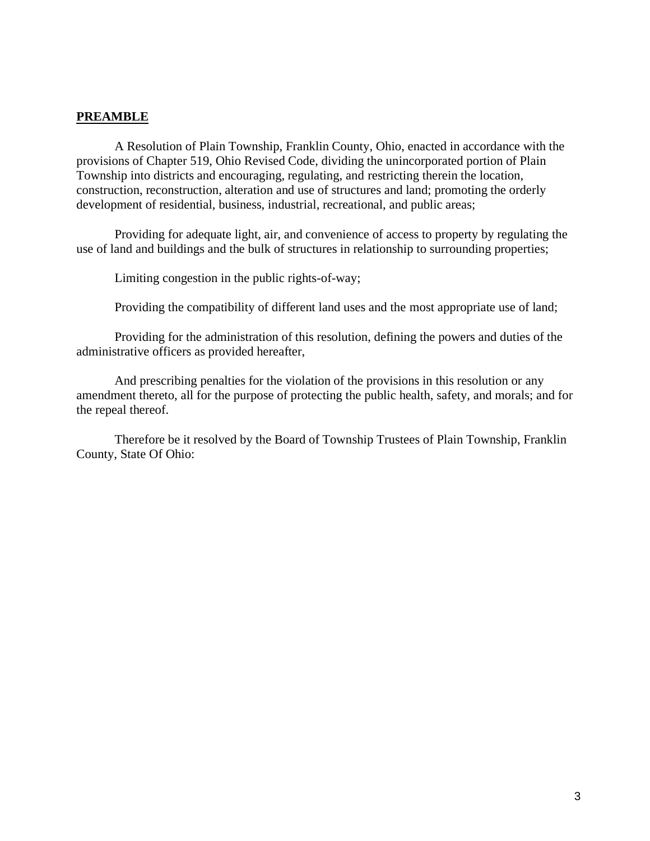#### **PREAMBLE**

A Resolution of Plain Township, Franklin County, Ohio, enacted in accordance with the provisions of Chapter 519, Ohio Revised Code, dividing the unincorporated portion of Plain Township into districts and encouraging, regulating, and restricting therein the location, construction, reconstruction, alteration and use of structures and land; promoting the orderly development of residential, business, industrial, recreational, and public areas;

Providing for adequate light, air, and convenience of access to property by regulating the use of land and buildings and the bulk of structures in relationship to surrounding properties;

Limiting congestion in the public rights-of-way;

Providing the compatibility of different land uses and the most appropriate use of land;

Providing for the administration of this resolution, defining the powers and duties of the administrative officers as provided hereafter,

And prescribing penalties for the violation of the provisions in this resolution or any amendment thereto, all for the purpose of protecting the public health, safety, and morals; and for the repeal thereof.

Therefore be it resolved by the Board of Township Trustees of Plain Township, Franklin County, State Of Ohio: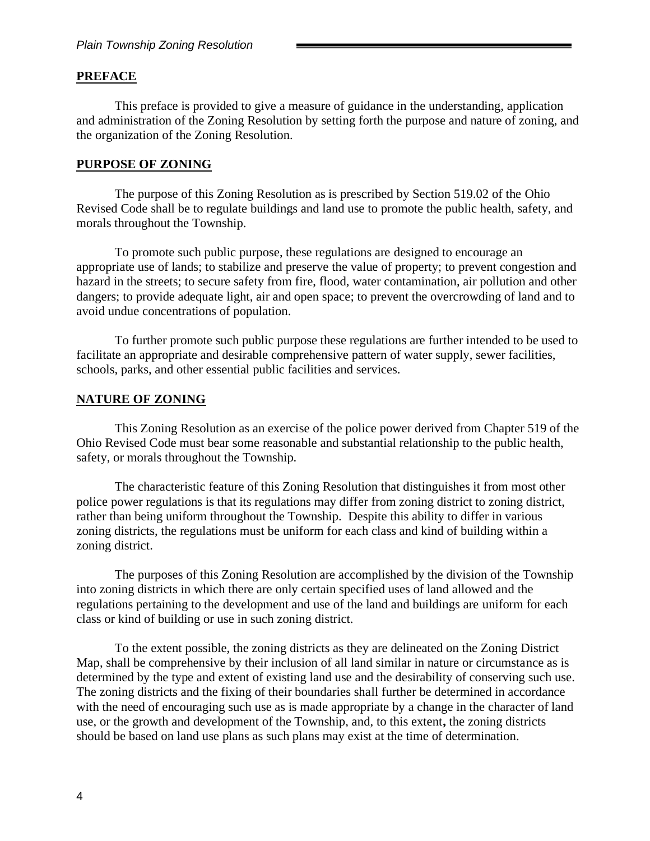#### **PREFACE**

This preface is provided to give a measure of guidance in the understanding, application and administration of the Zoning Resolution by setting forth the purpose and nature of zoning, and the organization of the Zoning Resolution.

#### **PURPOSE OF ZONING**

The purpose of this Zoning Resolution as is prescribed by Section 519.02 of the Ohio Revised Code shall be to regulate buildings and land use to promote the public health, safety, and morals throughout the Township.

To promote such public purpose, these regulations are designed to encourage an appropriate use of lands; to stabilize and preserve the value of property; to prevent congestion and hazard in the streets; to secure safety from fire, flood, water contamination, air pollution and other dangers; to provide adequate light, air and open space; to prevent the overcrowding of land and to avoid undue concentrations of population.

To further promote such public purpose these regulations are further intended to be used to facilitate an appropriate and desirable comprehensive pattern of water supply, sewer facilities, schools, parks, and other essential public facilities and services.

#### **NATURE OF ZONING**

This Zoning Resolution as an exercise of the police power derived from Chapter 519 of the Ohio Revised Code must bear some reasonable and substantial relationship to the public health, safety, or morals throughout the Township.

The characteristic feature of this Zoning Resolution that distinguishes it from most other police power regulations is that its regulations may differ from zoning district to zoning district, rather than being uniform throughout the Township. Despite this ability to differ in various zoning districts, the regulations must be uniform for each class and kind of building within a zoning district.

The purposes of this Zoning Resolution are accomplished by the division of the Township into zoning districts in which there are only certain specified uses of land allowed and the regulations pertaining to the development and use of the land and buildings are uniform for each class or kind of building or use in such zoning district.

To the extent possible, the zoning districts as they are delineated on the Zoning District Map, shall be comprehensive by their inclusion of all land similar in nature or circumstance as is determined by the type and extent of existing land use and the desirability of conserving such use. The zoning districts and the fixing of their boundaries shall further be determined in accordance with the need of encouraging such use as is made appropriate by a change in the character of land use, or the growth and development of the Township, and, to this extent**,** the zoning districts should be based on land use plans as such plans may exist at the time of determination.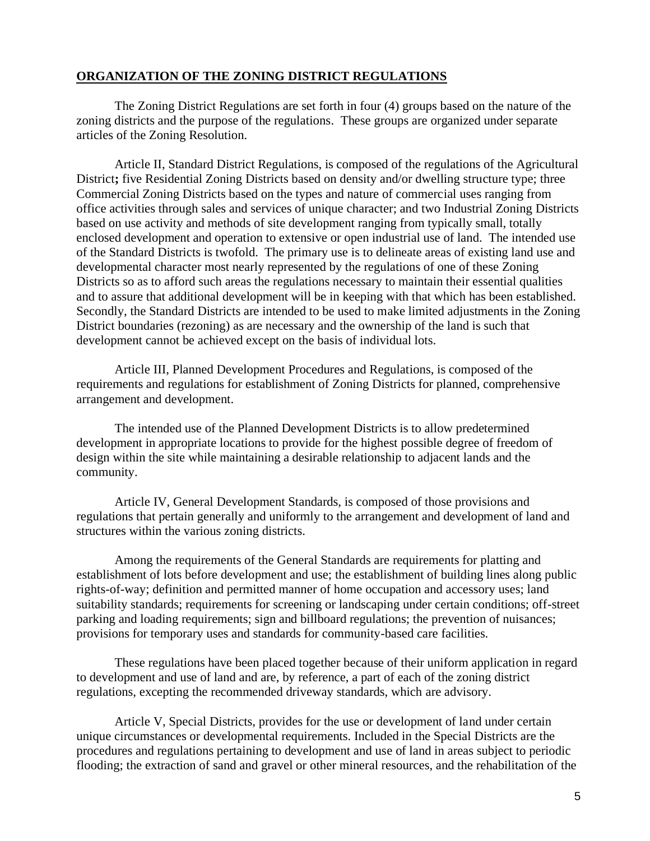### **ORGANIZATION OF THE ZONING DISTRICT REGULATIONS**

The Zoning District Regulations are set forth in four (4) groups based on the nature of the zoning districts and the purpose of the regulations. These groups are organized under separate articles of the Zoning Resolution.

Article II, Standard District Regulations, is composed of the regulations of the Agricultural District**;** five Residential Zoning Districts based on density and/or dwelling structure type; three Commercial Zoning Districts based on the types and nature of commercial uses ranging from office activities through sales and services of unique character; and two Industrial Zoning Districts based on use activity and methods of site development ranging from typically small, totally enclosed development and operation to extensive or open industrial use of land. The intended use of the Standard Districts is twofold. The primary use is to delineate areas of existing land use and developmental character most nearly represented by the regulations of one of these Zoning Districts so as to afford such areas the regulations necessary to maintain their essential qualities and to assure that additional development will be in keeping with that which has been established. Secondly, the Standard Districts are intended to be used to make limited adjustments in the Zoning District boundaries (rezoning) as are necessary and the ownership of the land is such that development cannot be achieved except on the basis of individual lots.

Article III, Planned Development Procedures and Regulations, is composed of the requirements and regulations for establishment of Zoning Districts for planned, comprehensive arrangement and development.

The intended use of the Planned Development Districts is to allow predetermined development in appropriate locations to provide for the highest possible degree of freedom of design within the site while maintaining a desirable relationship to adjacent lands and the community.

Article IV, General Development Standards, is composed of those provisions and regulations that pertain generally and uniformly to the arrangement and development of land and structures within the various zoning districts.

Among the requirements of the General Standards are requirements for platting and establishment of lots before development and use; the establishment of building lines along public rights-of-way; definition and permitted manner of home occupation and accessory uses; land suitability standards; requirements for screening or landscaping under certain conditions; off-street parking and loading requirements; sign and billboard regulations; the prevention of nuisances; provisions for temporary uses and standards for community-based care facilities.

These regulations have been placed together because of their uniform application in regard to development and use of land and are, by reference, a part of each of the zoning district regulations, excepting the recommended driveway standards, which are advisory.

Article V, Special Districts, provides for the use or development of land under certain unique circumstances or developmental requirements. Included in the Special Districts are the procedures and regulations pertaining to development and use of land in areas subject to periodic flooding; the extraction of sand and gravel or other mineral resources, and the rehabilitation of the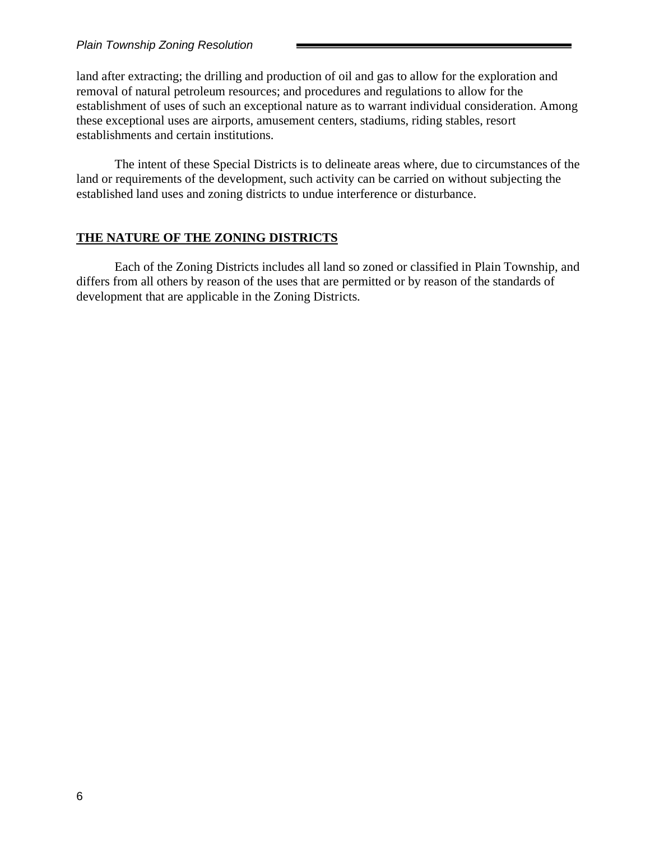land after extracting; the drilling and production of oil and gas to allow for the exploration and removal of natural petroleum resources; and procedures and regulations to allow for the establishment of uses of such an exceptional nature as to warrant individual consideration. Among these exceptional uses are airports, amusement centers, stadiums, riding stables, resort establishments and certain institutions.

The intent of these Special Districts is to delineate areas where, due to circumstances of the land or requirements of the development, such activity can be carried on without subjecting the established land uses and zoning districts to undue interference or disturbance.

### **THE NATURE OF THE ZONING DISTRICTS**

Each of the Zoning Districts includes all land so zoned or classified in Plain Township, and differs from all others by reason of the uses that are permitted or by reason of the standards of development that are applicable in the Zoning Districts.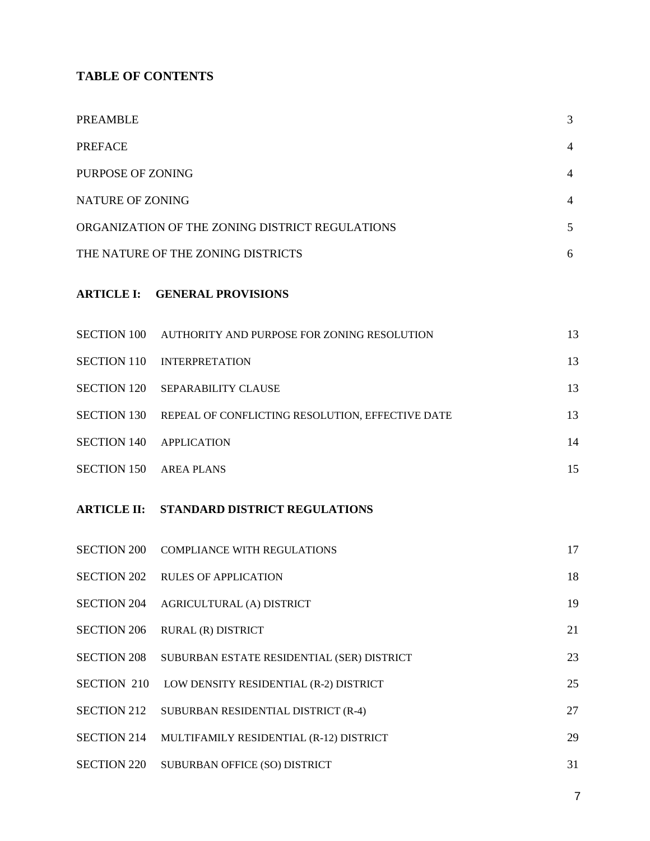# **TABLE OF CONTENTS**

| PREAMBLE                |                                                  | $\overline{3}$ |
|-------------------------|--------------------------------------------------|----------------|
| <b>PREFACE</b>          |                                                  | 4              |
| PURPOSE OF ZONING       |                                                  | 4              |
| <b>NATURE OF ZONING</b> |                                                  | 4              |
|                         | ORGANIZATION OF THE ZONING DISTRICT REGULATIONS  |                |
|                         | THE NATURE OF THE ZONING DISTRICTS               | 6              |
|                         | <b>ARTICLE I: GENERAL PROVISIONS</b>             |                |
| SECTION 100             | AUTHORITY AND PURPOSE FOR ZONING RESOLUTION      | 13             |
| <b>SECTION 110</b>      | <b>INTERPRETATION</b>                            | 13             |
| <b>SECTION 120</b>      | SEPARABILITY CLAUSE                              | 13             |
| <b>SECTION 130</b>      | REPEAL OF CONFLICTING RESOLUTION, EFFECTIVE DATE | 13             |
| <b>SECTION 140</b>      | <b>APPLICATION</b>                               | 14             |
| <b>SECTION 150</b>      | <b>AREA PLANS</b>                                | 15             |
|                         | <b>ARTICLE II: STANDARD DISTRICT REGULATIONS</b> |                |
|                         | SECTION 200 COMPLIANCE WITH REGULATIONS          | 17             |
|                         | SECTION 202 RULES OF APPLICATION                 | 18             |
| <b>SECTION 204</b>      | AGRICULTURAL (A) DISTRICT                        | 19             |
| <b>SECTION 206</b>      | RURAL (R) DISTRICT                               | 21             |
| <b>SECTION 208</b>      | SUBURBAN ESTATE RESIDENTIAL (SER) DISTRICT       | 23             |
| <b>SECTION 210</b>      | LOW DENSITY RESIDENTIAL (R-2) DISTRICT           | 25             |
| <b>SECTION 212</b>      | SUBURBAN RESIDENTIAL DISTRICT (R-4)              | 27             |
| <b>SECTION 214</b>      | MULTIFAMILY RESIDENTIAL (R-12) DISTRICT          | 29             |
| <b>SECTION 220</b>      | SUBURBAN OFFICE (SO) DISTRICT                    | 31             |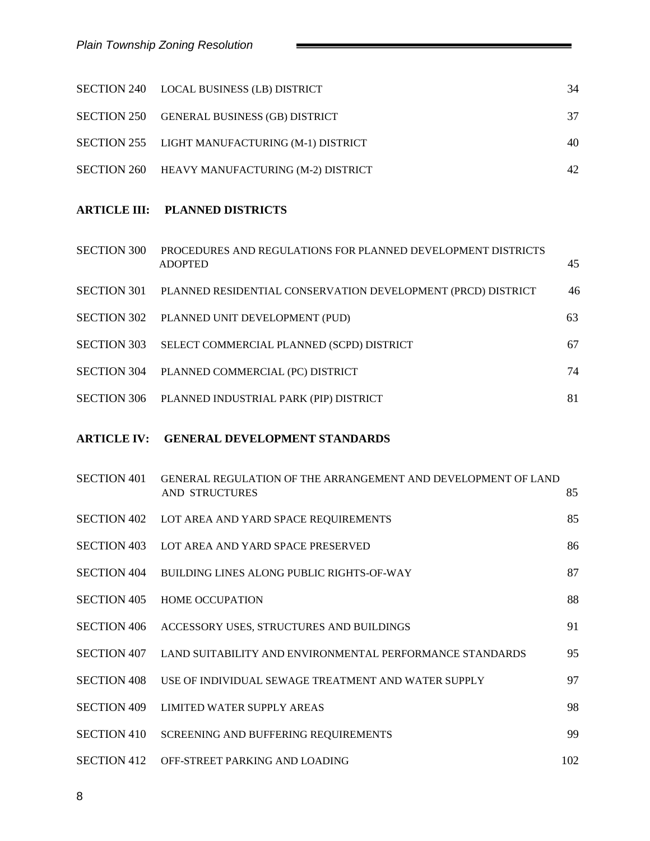| SECTION 240 LOCAL BUSINESS (LB) DISTRICT       | 34 |
|------------------------------------------------|----|
| SECTION 250 GENERAL BUSINESS (GB) DISTRICT     | 37 |
| SECTION 255 LIGHT MANUFACTURING (M-1) DISTRICT | 40 |
| SECTION 260 HEAVY MANUFACTURING (M-2) DISTRICT | 42 |

**Contract Contract** 

### **ARTICLE III: PLANNED DISTRICTS**

| <b>SECTION 300</b> | PROCEDURES AND REGULATIONS FOR PLANNED DEVELOPMENT DISTRICTS<br><b>ADOPTED</b> | 45 |
|--------------------|--------------------------------------------------------------------------------|----|
| <b>SECTION 301</b> | PLANNED RESIDENTIAL CONSERVATION DEVELOPMENT (PRCD) DISTRICT                   | 46 |
|                    | SECTION 302 PLANNED UNIT DEVELOPMENT (PUD)                                     | 63 |
| <b>SECTION 303</b> | SELECT COMMERCIAL PLANNED (SCPD) DISTRICT                                      | 67 |
| <b>SECTION 304</b> | PLANNED COMMERCIAL (PC) DISTRICT                                               | 74 |
|                    | SECTION 306 PLANNED INDUSTRIAL PARK (PIP) DISTRICT                             | 81 |
|                    |                                                                                |    |

### **ARTICLE IV: GENERAL DEVELOPMENT STANDARDS**

| <b>SECTION 401</b> | GENERAL REGULATION OF THE ARRANGEMENT AND DEVELOPMENT OF LAND<br><b>AND STRUCTURES</b> | 85  |
|--------------------|----------------------------------------------------------------------------------------|-----|
|                    | SECTION 402 LOT AREA AND YARD SPACE REQUIREMENTS                                       | 85  |
| <b>SECTION 403</b> | LOT AREA AND YARD SPACE PRESERVED                                                      | 86  |
| <b>SECTION 404</b> | BUILDING LINES ALONG PUBLIC RIGHTS-OF-WAY                                              | 87  |
| <b>SECTION 405</b> | <b>HOME OCCUPATION</b>                                                                 | 88  |
| <b>SECTION 406</b> | ACCESSORY USES, STRUCTURES AND BUILDINGS                                               | 91  |
| <b>SECTION 407</b> | LAND SUITABILITY AND ENVIRONMENTAL PERFORMANCE STANDARDS                               | 95  |
| <b>SECTION 408</b> | USE OF INDIVIDUAL SEWAGE TREATMENT AND WATER SUPPLY                                    | 97  |
| <b>SECTION 409</b> | <b>LIMITED WATER SUPPLY AREAS</b>                                                      | 98  |
| <b>SECTION 410</b> | SCREENING AND BUFFERING REQUIREMENTS                                                   | 99  |
| <b>SECTION 412</b> | OFF-STREET PARKING AND LOADING                                                         | 102 |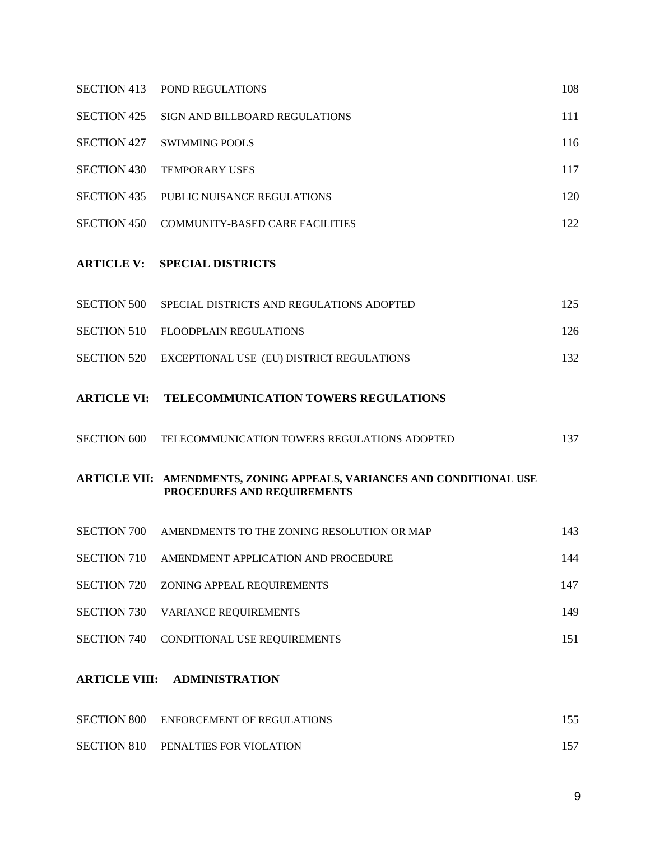| <b>SECTION 413</b> | POND REGULATIONS                                                                                      | 108 |
|--------------------|-------------------------------------------------------------------------------------------------------|-----|
| <b>SECTION 425</b> | SIGN AND BILLBOARD REGULATIONS                                                                        | 111 |
| <b>SECTION 427</b> | <b>SWIMMING POOLS</b>                                                                                 | 116 |
| <b>SECTION 430</b> | <b>TEMPORARY USES</b>                                                                                 | 117 |
| <b>SECTION 435</b> | PUBLIC NUISANCE REGULATIONS                                                                           | 120 |
| <b>SECTION 450</b> | <b>COMMUNITY-BASED CARE FACILITIES</b>                                                                | 122 |
| <b>ARTICLE V:</b>  | <b>SPECIAL DISTRICTS</b>                                                                              |     |
| <b>SECTION 500</b> | SPECIAL DISTRICTS AND REGULATIONS ADOPTED                                                             | 125 |
| <b>SECTION 510</b> | <b>FLOODPLAIN REGULATIONS</b>                                                                         | 126 |
| <b>SECTION 520</b> | EXCEPTIONAL USE (EU) DISTRICT REGULATIONS                                                             | 132 |
| <b>ARTICLE VI:</b> | TELECOMMUNICATION TOWERS REGULATIONS                                                                  |     |
| <b>SECTION 600</b> | TELECOMMUNICATION TOWERS REGULATIONS ADOPTED                                                          | 137 |
|                    | ARTICLE VII: AMENDMENTS, ZONING APPEALS, VARIANCES AND CONDITIONAL USE<br>PROCEDURES AND REQUIREMENTS |     |
|                    | SECTION 700 AMENDMENTS TO THE ZONING RESOLUTION OR MAP                                                | 143 |
| <b>SECTION 710</b> | AMENDMENT APPLICATION AND PROCEDURE                                                                   | 144 |
| <b>SECTION 720</b> | ZONING APPEAL REQUIREMENTS                                                                            | 147 |
| <b>SECTION 730</b> | VARIANCE REQUIREMENTS                                                                                 | 149 |
| <b>SECTION 740</b> | CONDITIONAL USE REQUIREMENTS                                                                          | 151 |
|                    | <b>ARTICLE VIII: ADMINISTRATION</b>                                                                   |     |
| <b>SECTION 800</b> | <b>ENFORCEMENT OF REGULATIONS</b>                                                                     | 155 |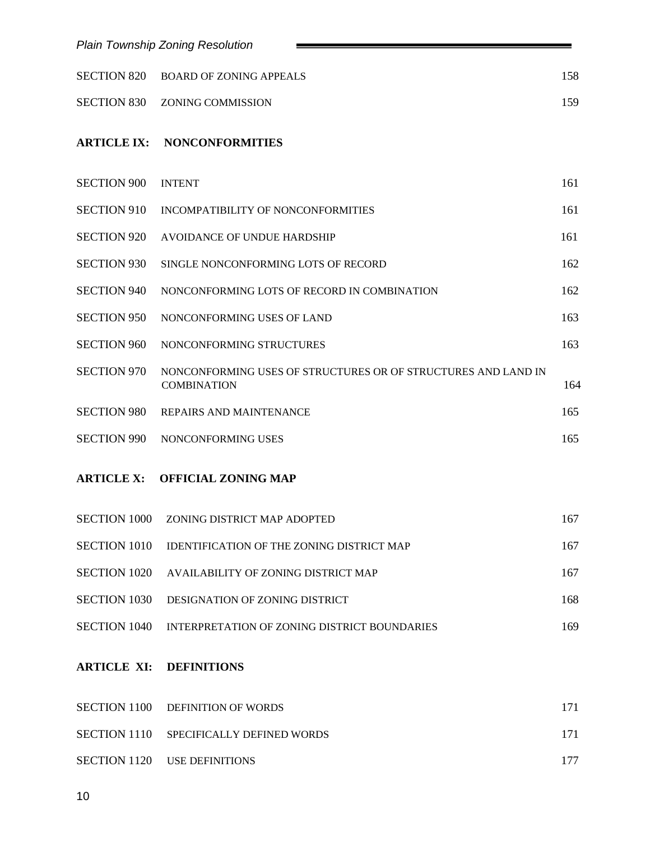|                     | <b>Plain Township Zoning Resolution</b>                                             |     |
|---------------------|-------------------------------------------------------------------------------------|-----|
| <b>SECTION 820</b>  | <b>BOARD OF ZONING APPEALS</b>                                                      | 158 |
| <b>SECTION 830</b>  | <b>ZONING COMMISSION</b>                                                            | 159 |
| <b>ARTICLE IX:</b>  | <b>NONCONFORMITIES</b>                                                              |     |
| <b>SECTION 900</b>  | <b>INTENT</b>                                                                       | 161 |
| <b>SECTION 910</b>  | INCOMPATIBILITY OF NONCONFORMITIES                                                  | 161 |
| <b>SECTION 920</b>  | AVOIDANCE OF UNDUE HARDSHIP                                                         | 161 |
| <b>SECTION 930</b>  | SINGLE NONCONFORMING LOTS OF RECORD                                                 | 162 |
| <b>SECTION 940</b>  | NONCONFORMING LOTS OF RECORD IN COMBINATION                                         | 162 |
| <b>SECTION 950</b>  | NONCONFORMING USES OF LAND                                                          | 163 |
| <b>SECTION 960</b>  | NONCONFORMING STRUCTURES                                                            | 163 |
| <b>SECTION 970</b>  | NONCONFORMING USES OF STRUCTURES OR OF STRUCTURES AND LAND IN<br><b>COMBINATION</b> | 164 |
| <b>SECTION 980</b>  | REPAIRS AND MAINTENANCE                                                             | 165 |
| <b>SECTION 990</b>  | NONCONFORMING USES                                                                  | 165 |
| <b>ARTICLE X:</b>   | <b>OFFICIAL ZONING MAP</b>                                                          |     |
| <b>SECTION 1000</b> | ZONING DISTRICT MAP ADOPTED                                                         | 167 |
| <b>SECTION 1010</b> | <b>IDENTIFICATION OF THE ZONING DISTRICT MAP</b>                                    | 167 |
| <b>SECTION 1020</b> | AVAILABILITY OF ZONING DISTRICT MAP                                                 | 167 |
| <b>SECTION 1030</b> | DESIGNATION OF ZONING DISTRICT                                                      | 168 |
| <b>SECTION 1040</b> | INTERPRETATION OF ZONING DISTRICT BOUNDARIES                                        | 169 |
| <b>ARTICLE XI:</b>  | <b>DEFINITIONS</b>                                                                  |     |
| <b>SECTION 1100</b> | <b>DEFINITION OF WORDS</b>                                                          | 171 |
| <b>SECTION 1110</b> | SPECIFICALLY DEFINED WORDS                                                          | 171 |
| <b>SECTION 1120</b> | <b>USE DEFINITIONS</b>                                                              | 177 |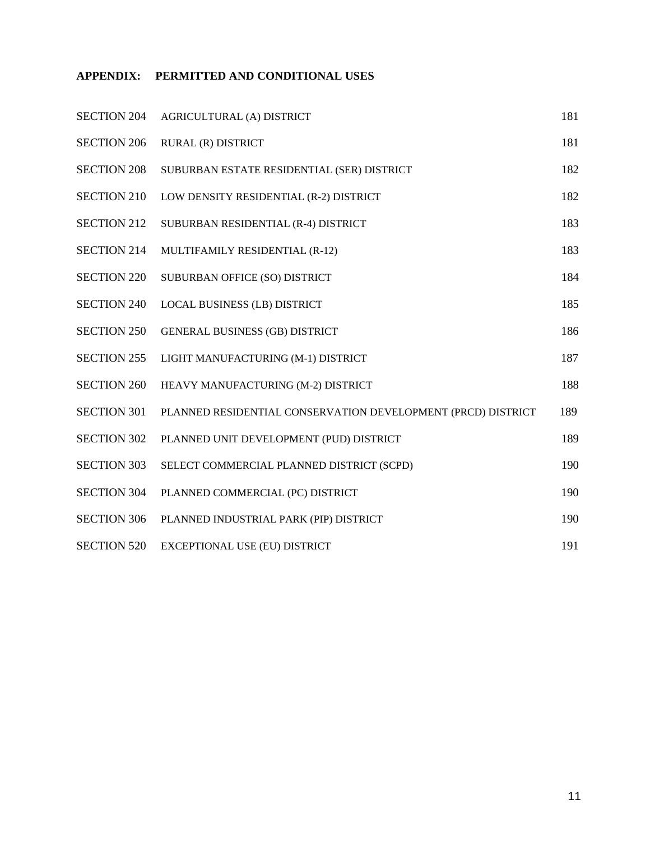### **APPENDIX: PERMITTED AND CONDITIONAL USES**

| <b>SECTION 204</b> | AGRICULTURAL (A) DISTRICT                                    | 181 |
|--------------------|--------------------------------------------------------------|-----|
| <b>SECTION 206</b> | RURAL (R) DISTRICT                                           | 181 |
| <b>SECTION 208</b> | SUBURBAN ESTATE RESIDENTIAL (SER) DISTRICT                   | 182 |
| <b>SECTION 210</b> | LOW DENSITY RESIDENTIAL (R-2) DISTRICT                       | 182 |
| <b>SECTION 212</b> | SUBURBAN RESIDENTIAL (R-4) DISTRICT                          | 183 |
| <b>SECTION 214</b> | MULTIFAMILY RESIDENTIAL (R-12)                               | 183 |
| <b>SECTION 220</b> | SUBURBAN OFFICE (SO) DISTRICT                                | 184 |
| <b>SECTION 240</b> | LOCAL BUSINESS (LB) DISTRICT                                 | 185 |
| <b>SECTION 250</b> | <b>GENERAL BUSINESS (GB) DISTRICT</b>                        | 186 |
| <b>SECTION 255</b> | LIGHT MANUFACTURING (M-1) DISTRICT                           | 187 |
| <b>SECTION 260</b> | HEAVY MANUFACTURING (M-2) DISTRICT                           | 188 |
| <b>SECTION 301</b> | PLANNED RESIDENTIAL CONSERVATION DEVELOPMENT (PRCD) DISTRICT | 189 |
| <b>SECTION 302</b> | PLANNED UNIT DEVELOPMENT (PUD) DISTRICT                      | 189 |
| <b>SECTION 303</b> | SELECT COMMERCIAL PLANNED DISTRICT (SCPD)                    | 190 |
| <b>SECTION 304</b> | PLANNED COMMERCIAL (PC) DISTRICT                             | 190 |
| <b>SECTION 306</b> | PLANNED INDUSTRIAL PARK (PIP) DISTRICT                       | 190 |
| <b>SECTION 520</b> | EXCEPTIONAL USE (EU) DISTRICT                                | 191 |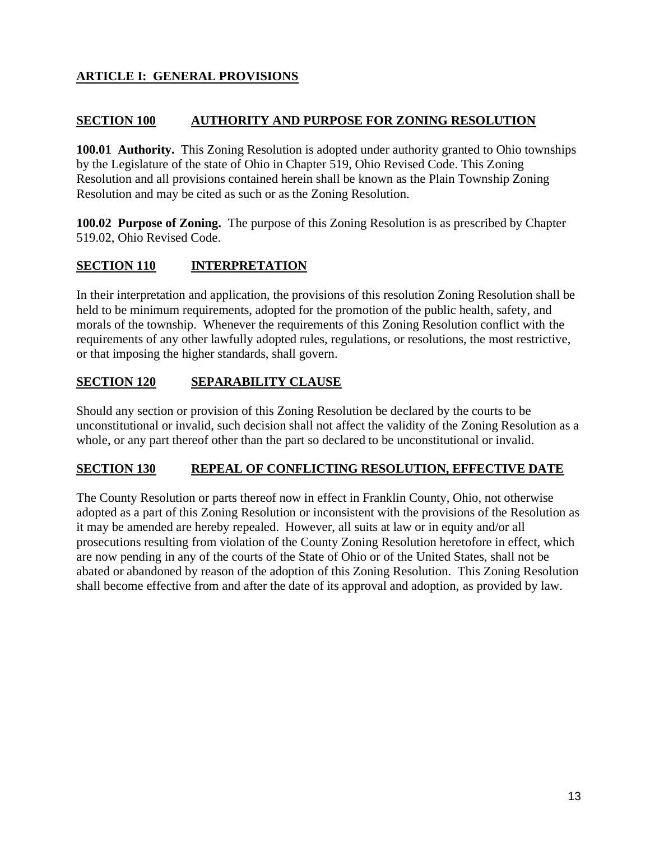# **ARTICLE I: GENERAL PROVISIONS**

### **SECTION 100 AUTHORITY AND PURPOSE FOR ZONING RESOLUTION**

**100.01 Authority.** This Zoning Resolution is adopted under authority granted to Ohio townships by the Legislature of the state of Ohio in Chapter 519, Ohio Revised Code. This Zoning Resolution and all provisions contained herein shall be known as the Plain Township Zoning Resolution and may be cited as such or as the Zoning Resolution.

**100.02 Purpose of Zoning.** The purpose of this Zoning Resolution is as prescribed by Chapter 519.02, Ohio Revised Code.

## **SECTION 110 INTERPRETATION**

In their interpretation and application, the provisions of this resolution Zoning Resolution shall be held to be minimum requirements, adopted for the promotion of the public health, safety, and morals of the township. Whenever the requirements of this Zoning Resolution conflict with the requirements of any other lawfully adopted rules, regulations, or resolutions, the most restrictive, or that imposing the higher standards, shall govern.

## **SECTION 120 SEPARABILITY CLAUSE**

Should any section or provision of this Zoning Resolution be declared by the courts to be unconstitutional or invalid, such decision shall not affect the validity of the Zoning Resolution as a whole, or any part thereof other than the part so declared to be unconstitutional or invalid.

### **SECTION 130 REPEAL OF CONFLICTING RESOLUTION, EFFECTIVE DATE**

The County Resolution or parts thereof now in effect in Franklin County, Ohio, not otherwise adopted as a part of this Zoning Resolution or inconsistent with the provisions of the Resolution as it may be amended are hereby repealed. However, all suits at law or in equity and/or all prosecutions resulting from violation of the County Zoning Resolution heretofore in effect, which are now pending in any of the courts of the State of Ohio or of the United States, shall not be abated or abandoned by reason of the adoption of this Zoning Resolution. This Zoning Resolution shall become effective from and after the date of its approval and adoption, as provided by law.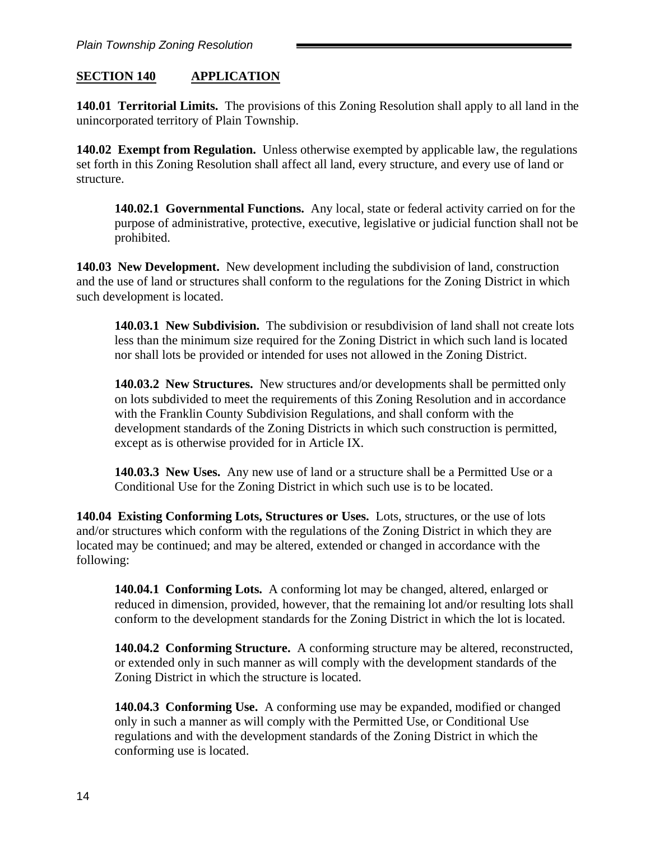## **SECTION 140 APPLICATION**

**140.01 Territorial Limits.** The provisions of this Zoning Resolution shall apply to all land in the unincorporated territory of Plain Township.

**140.02 Exempt from Regulation.** Unless otherwise exempted by applicable law, the regulations set forth in this Zoning Resolution shall affect all land, every structure, and every use of land or structure.

**140.02.1 Governmental Functions.** Any local, state or federal activity carried on for the purpose of administrative, protective, executive, legislative or judicial function shall not be prohibited.

**140.03 New Development.** New development including the subdivision of land, construction and the use of land or structures shall conform to the regulations for the Zoning District in which such development is located.

**140.03.1 New Subdivision.** The subdivision or resubdivision of land shall not create lots less than the minimum size required for the Zoning District in which such land is located nor shall lots be provided or intended for uses not allowed in the Zoning District.

**140.03.2 New Structures.** New structures and/or developments shall be permitted only on lots subdivided to meet the requirements of this Zoning Resolution and in accordance with the Franklin County Subdivision Regulations, and shall conform with the development standards of the Zoning Districts in which such construction is permitted, except as is otherwise provided for in Article IX.

**140.03.3 New Uses.** Any new use of land or a structure shall be a Permitted Use or a Conditional Use for the Zoning District in which such use is to be located.

**140.04 Existing Conforming Lots, Structures or Uses.** Lots, structures, or the use of lots and/or structures which conform with the regulations of the Zoning District in which they are located may be continued; and may be altered, extended or changed in accordance with the following:

**140.04.1 Conforming Lots.** A conforming lot may be changed, altered, enlarged or reduced in dimension, provided, however, that the remaining lot and/or resulting lots shall conform to the development standards for the Zoning District in which the lot is located.

**140.04.2 Conforming Structure.** A conforming structure may be altered, reconstructed, or extended only in such manner as will comply with the development standards of the Zoning District in which the structure is located.

**140.04.3 Conforming Use.** A conforming use may be expanded, modified or changed only in such a manner as will comply with the Permitted Use, or Conditional Use regulations and with the development standards of the Zoning District in which the conforming use is located.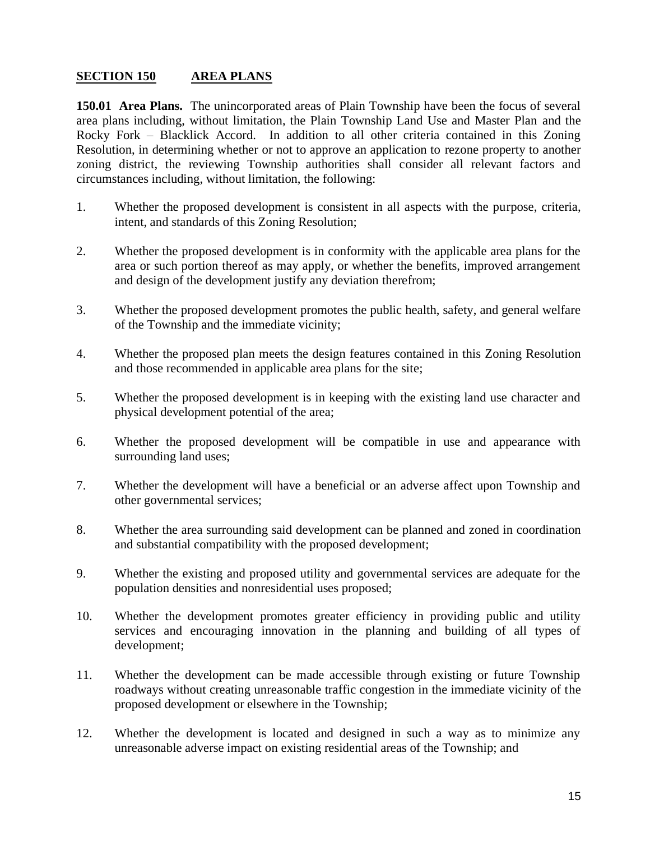### **SECTION 150 AREA PLANS**

**150.01 Area Plans.** The unincorporated areas of Plain Township have been the focus of several area plans including, without limitation, the Plain Township Land Use and Master Plan and the Rocky Fork – Blacklick Accord. In addition to all other criteria contained in this Zoning Resolution, in determining whether or not to approve an application to rezone property to another zoning district, the reviewing Township authorities shall consider all relevant factors and circumstances including, without limitation, the following:

- 1. Whether the proposed development is consistent in all aspects with the purpose, criteria, intent, and standards of this Zoning Resolution;
- 2. Whether the proposed development is in conformity with the applicable area plans for the area or such portion thereof as may apply, or whether the benefits, improved arrangement and design of the development justify any deviation therefrom;
- 3. Whether the proposed development promotes the public health, safety, and general welfare of the Township and the immediate vicinity;
- 4. Whether the proposed plan meets the design features contained in this Zoning Resolution and those recommended in applicable area plans for the site;
- 5. Whether the proposed development is in keeping with the existing land use character and physical development potential of the area;
- 6. Whether the proposed development will be compatible in use and appearance with surrounding land uses;
- 7. Whether the development will have a beneficial or an adverse affect upon Township and other governmental services;
- 8. Whether the area surrounding said development can be planned and zoned in coordination and substantial compatibility with the proposed development;
- 9. Whether the existing and proposed utility and governmental services are adequate for the population densities and nonresidential uses proposed;
- 10. Whether the development promotes greater efficiency in providing public and utility services and encouraging innovation in the planning and building of all types of development;
- 11. Whether the development can be made accessible through existing or future Township roadways without creating unreasonable traffic congestion in the immediate vicinity of the proposed development or elsewhere in the Township;
- 12. Whether the development is located and designed in such a way as to minimize any unreasonable adverse impact on existing residential areas of the Township; and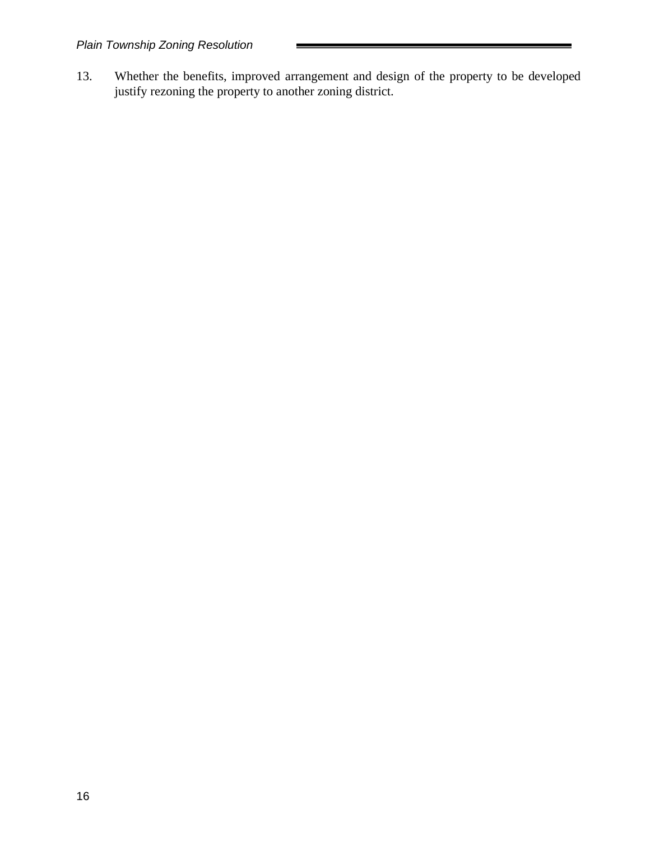13. Whether the benefits, improved arrangement and design of the property to be developed justify rezoning the property to another zoning district.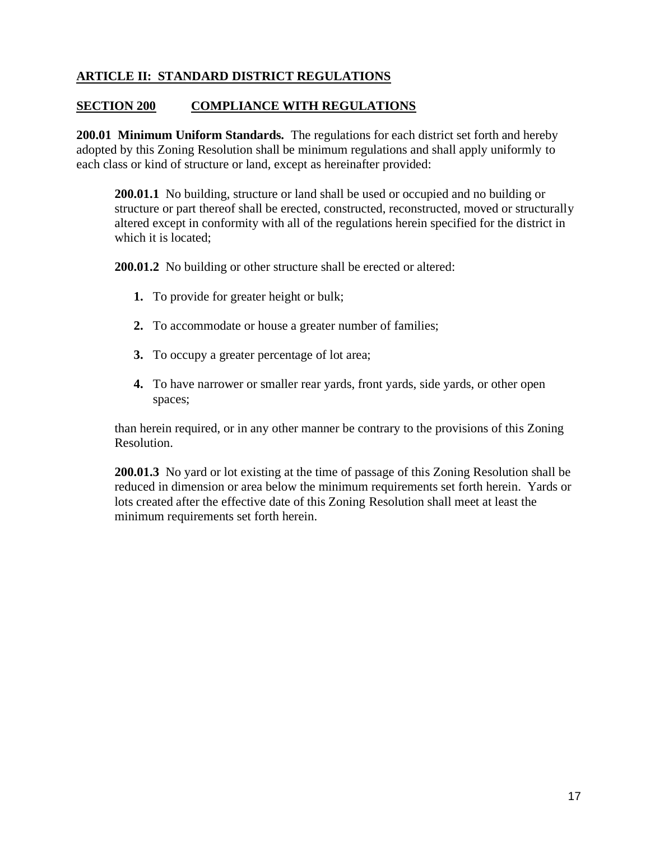## **ARTICLE II: STANDARD DISTRICT REGULATIONS**

### **SECTION 200 COMPLIANCE WITH REGULATIONS**

**200.01 Minimum Uniform Standards.** The regulations for each district set forth and hereby adopted by this Zoning Resolution shall be minimum regulations and shall apply uniformly to each class or kind of structure or land, except as hereinafter provided:

**200.01.1** No building, structure or land shall be used or occupied and no building or structure or part thereof shall be erected, constructed, reconstructed, moved or structurally altered except in conformity with all of the regulations herein specified for the district in which it is located;

**200.01.2** No building or other structure shall be erected or altered:

- **1.** To provide for greater height or bulk;
- **2.** To accommodate or house a greater number of families;
- **3.** To occupy a greater percentage of lot area;
- **4.** To have narrower or smaller rear yards, front yards, side yards, or other open spaces;

than herein required, or in any other manner be contrary to the provisions of this Zoning Resolution.

**200.01.3** No yard or lot existing at the time of passage of this Zoning Resolution shall be reduced in dimension or area below the minimum requirements set forth herein. Yards or lots created after the effective date of this Zoning Resolution shall meet at least the minimum requirements set forth herein.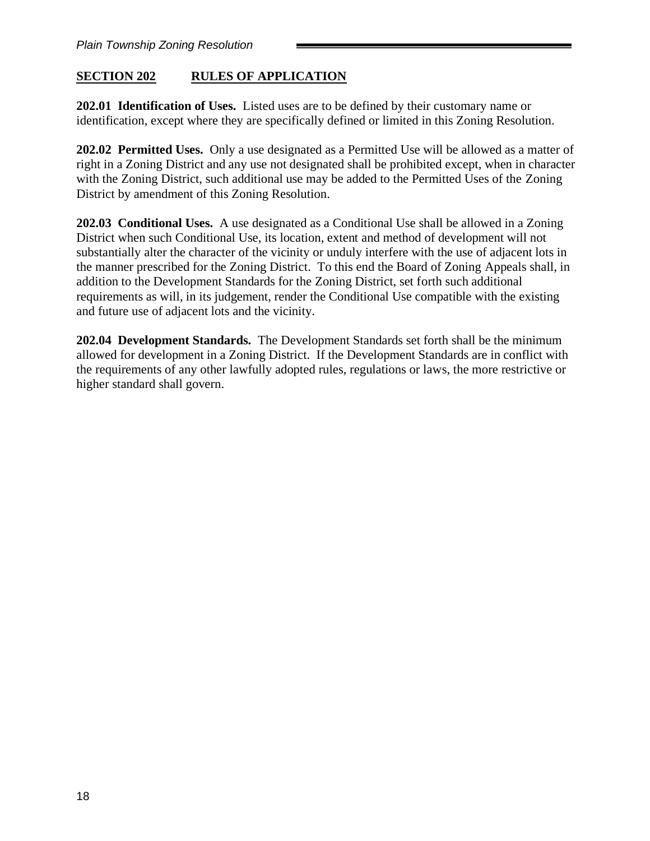## **SECTION 202 RULES OF APPLICATION**

**202.01 Identification of Uses.** Listed uses are to be defined by their customary name or identification, except where they are specifically defined or limited in this Zoning Resolution.

**202.02 Permitted Uses.** Only a use designated as a Permitted Use will be allowed as a matter of right in a Zoning District and any use not designated shall be prohibited except, when in character with the Zoning District, such additional use may be added to the Permitted Uses of the Zoning District by amendment of this Zoning Resolution.

**202.03 Conditional Uses.** A use designated as a Conditional Use shall be allowed in a Zoning District when such Conditional Use, its location, extent and method of development will not substantially alter the character of the vicinity or unduly interfere with the use of adjacent lots in the manner prescribed for the Zoning District. To this end the Board of Zoning Appeals shall, in addition to the Development Standards for the Zoning District, set forth such additional requirements as will, in its judgement, render the Conditional Use compatible with the existing and future use of adjacent lots and the vicinity.

**202.04 Development Standards.** The Development Standards set forth shall be the minimum allowed for development in a Zoning District. If the Development Standards are in conflict with the requirements of any other lawfully adopted rules, regulations or laws, the more restrictive or higher standard shall govern.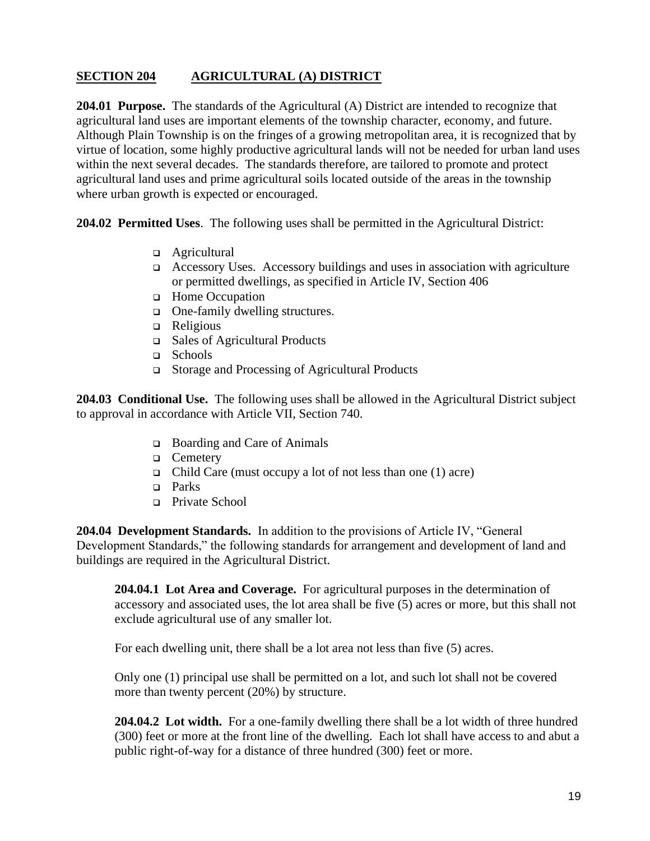# **SECTION 204 AGRICULTURAL (A) DISTRICT**

**204.01 Purpose.** The standards of the Agricultural (A) District are intended to recognize that agricultural land uses are important elements of the township character, economy, and future. Although Plain Township is on the fringes of a growing metropolitan area, it is recognized that by virtue of location, some highly productive agricultural lands will not be needed for urban land uses within the next several decades. The standards therefore, are tailored to promote and protect agricultural land uses and prime agricultural soils located outside of the areas in the township where urban growth is expected or encouraged.

**204.02 Permitted Uses**. The following uses shall be permitted in the Agricultural District:

- ❑ Agricultural
- ❑ Accessory Uses. Accessory buildings and uses in association with agriculture or permitted dwellings, as specified in Article IV, Section 406
- ❑ Home Occupation
- ❑ One-family dwelling structures.
- ❑ Religious
- ❑ Sales of Agricultural Products
- ❑ Schools
- ❑ Storage and Processing of Agricultural Products

**204.03 Conditional Use.** The following uses shall be allowed in the Agricultural District subject to approval in accordance with Article VII, Section 740.

- ❑ Boarding and Care of Animals
- ❑ Cemetery
- ❑ Child Care (must occupy a lot of not less than one (1) acre)
- ❑ Parks
- ❑ Private School

**204.04 Development Standards.** In addition to the provisions of Article IV, "General Development Standards," the following standards for arrangement and development of land and buildings are required in the Agricultural District.

**204.04.1 Lot Area and Coverage.** For agricultural purposes in the determination of accessory and associated uses, the lot area shall be five (5) acres or more, but this shall not exclude agricultural use of any smaller lot.

For each dwelling unit, there shall be a lot area not less than five (5) acres.

Only one (1) principal use shall be permitted on a lot, and such lot shall not be covered more than twenty percent (20%) by structure.

**204.04.2 Lot width.** For a one-family dwelling there shall be a lot width of three hundred (300) feet or more at the front line of the dwelling. Each lot shall have access to and abut a public right-of-way for a distance of three hundred (300) feet or more.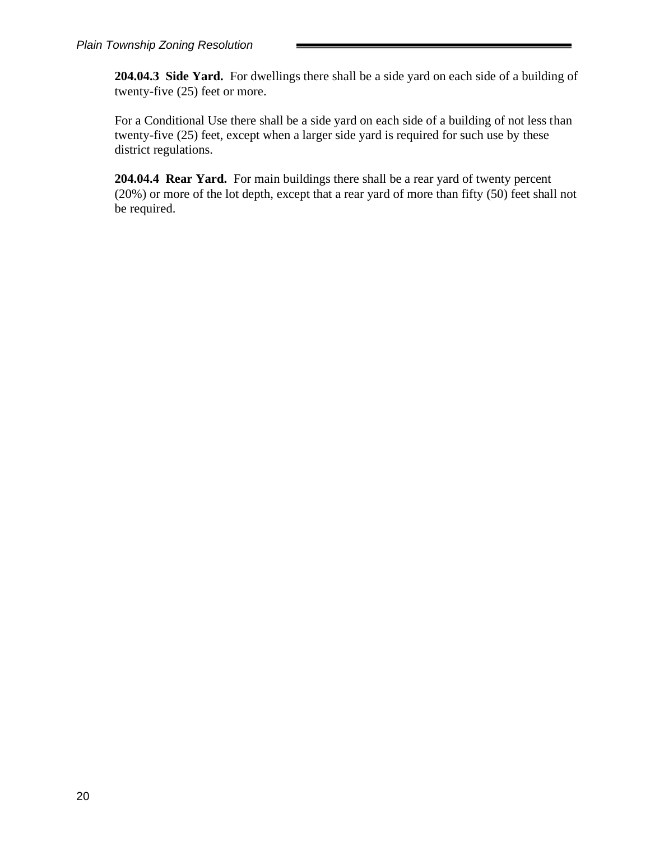**204.04.3 Side Yard.** For dwellings there shall be a side yard on each side of a building of twenty-five (25) feet or more.

For a Conditional Use there shall be a side yard on each side of a building of not less than twenty-five (25) feet, except when a larger side yard is required for such use by these district regulations.

**204.04.4 Rear Yard.** For main buildings there shall be a rear yard of twenty percent (20%) or more of the lot depth, except that a rear yard of more than fifty (50) feet shall not be required.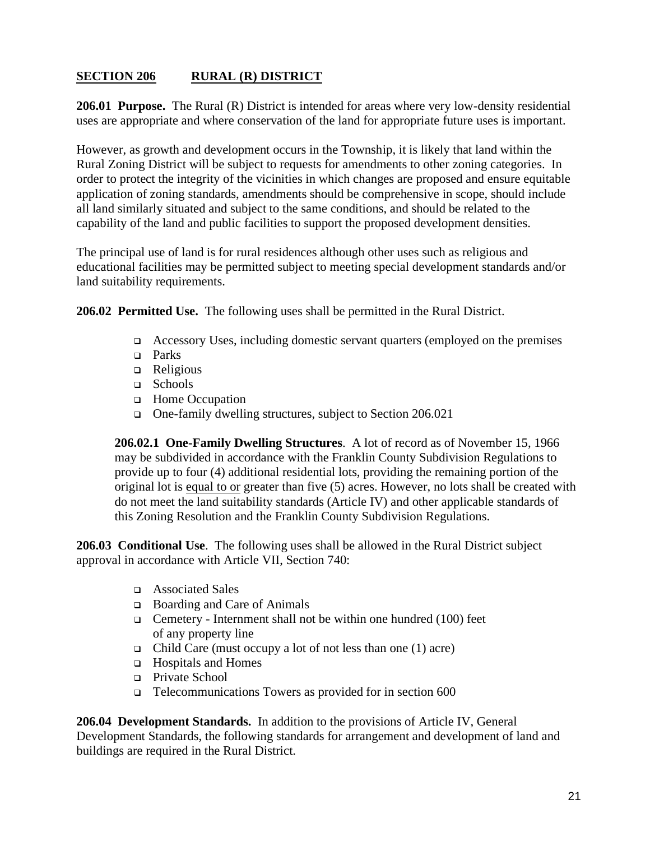# **SECTION 206 RURAL (R) DISTRICT**

**206.01 Purpose.** The Rural (R) District is intended for areas where very low-density residential uses are appropriate and where conservation of the land for appropriate future uses is important.

However, as growth and development occurs in the Township, it is likely that land within the Rural Zoning District will be subject to requests for amendments to other zoning categories. In order to protect the integrity of the vicinities in which changes are proposed and ensure equitable application of zoning standards, amendments should be comprehensive in scope, should include all land similarly situated and subject to the same conditions, and should be related to the capability of the land and public facilities to support the proposed development densities.

The principal use of land is for rural residences although other uses such as religious and educational facilities may be permitted subject to meeting special development standards and/or land suitability requirements.

**206.02 Permitted Use.**The following uses shall be permitted in the Rural District.

- ❑ Accessory Uses, including domestic servant quarters (employed on the premises
- ❑ Parks
- ❑ Religious
- ❑ Schools
- ❑ Home Occupation
- ❑ One-family dwelling structures, subject to Section 206.021

**206.02.1 One-Family Dwelling Structures**. A lot of record as of November 15, 1966 may be subdivided in accordance with the Franklin County Subdivision Regulations to provide up to four (4) additional residential lots, providing the remaining portion of the original lot is equal to or greater than five (5) acres. However, no lots shall be created with do not meet the land suitability standards (Article IV) and other applicable standards of this Zoning Resolution and the Franklin County Subdivision Regulations.

**206.03 Conditional Use**. The following uses shall be allowed in the Rural District subject approval in accordance with Article VII, Section 740:

- ❑ Associated Sales
- ❑ Boarding and Care of Animals
- ❑ Cemetery Internment shall not be within one hundred (100) feet of any property line
- ❑ Child Care (must occupy a lot of not less than one (1) acre)
- ❑ Hospitals and Homes
- ❑ Private School
- ❑ Telecommunications Towers as provided for in section 600

**206.04 Development Standards.** In addition to the provisions of Article IV, General Development Standards, the following standards for arrangement and development of land and buildings are required in the Rural District.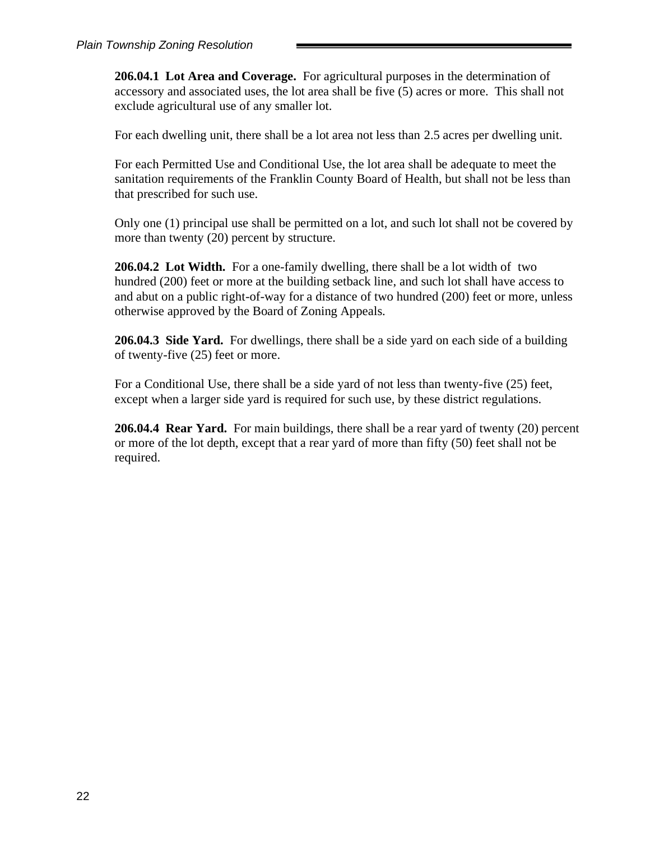**206.04.1 Lot Area and Coverage.** For agricultural purposes in the determination of accessory and associated uses, the lot area shall be five (5) acres or more. This shall not exclude agricultural use of any smaller lot.

For each dwelling unit, there shall be a lot area not less than 2.5 acres per dwelling unit.

For each Permitted Use and Conditional Use, the lot area shall be adequate to meet the sanitation requirements of the Franklin County Board of Health, but shall not be less than that prescribed for such use.

Only one (1) principal use shall be permitted on a lot, and such lot shall not be covered by more than twenty (20) percent by structure.

**206.04.2 Lot Width.** For a one-family dwelling, there shall be a lot width of two hundred (200) feet or more at the building setback line, and such lot shall have access to and abut on a public right-of-way for a distance of two hundred (200) feet or more, unless otherwise approved by the Board of Zoning Appeals.

**206.04.3 Side Yard.** For dwellings, there shall be a side yard on each side of a building of twenty-five (25) feet or more.

For a Conditional Use, there shall be a side yard of not less than twenty-five (25) feet, except when a larger side yard is required for such use, by these district regulations.

**206.04.4 Rear Yard.** For main buildings, there shall be a rear yard of twenty (20) percent or more of the lot depth, except that a rear yard of more than fifty (50) feet shall not be required.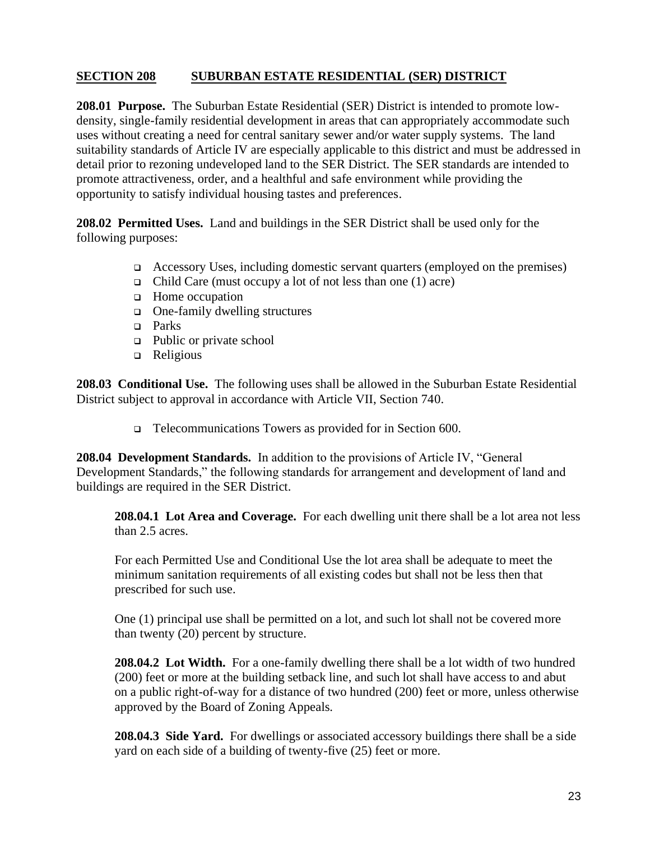## **SECTION 208 SUBURBAN ESTATE RESIDENTIAL (SER) DISTRICT**

**208.01 Purpose.** The Suburban Estate Residential (SER) District is intended to promote lowdensity, single-family residential development in areas that can appropriately accommodate such uses without creating a need for central sanitary sewer and/or water supply systems. The land suitability standards of Article IV are especially applicable to this district and must be addressed in detail prior to rezoning undeveloped land to the SER District. The SER standards are intended to promote attractiveness, order, and a healthful and safe environment while providing the opportunity to satisfy individual housing tastes and preferences.

**208.02 Permitted Uses.** Land and buildings in the SER District shall be used only for the following purposes:

- ❑ Accessory Uses, including domestic servant quarters (employed on the premises)
- ❑ Child Care (must occupy a lot of not less than one (1) acre)
- ❑ Home occupation
- ❑ One-family dwelling structures
- ❑ Parks
- ❑ Public or private school
- ❑ Religious

**208.03 Conditional Use.** The following uses shall be allowed in the Suburban Estate Residential District subject to approval in accordance with Article VII, Section 740.

❑ Telecommunications Towers as provided for in Section 600.

**208.04 Development Standards.** In addition to the provisions of Article IV, "General Development Standards," the following standards for arrangement and development of land and buildings are required in the SER District.

**208.04.1 Lot Area and Coverage.** For each dwelling unit there shall be a lot area not less than 2.5 acres.

For each Permitted Use and Conditional Use the lot area shall be adequate to meet the minimum sanitation requirements of all existing codes but shall not be less then that prescribed for such use.

One (1) principal use shall be permitted on a lot, and such lot shall not be covered more than twenty (20) percent by structure.

**208.04.2 Lot Width.** For a one-family dwelling there shall be a lot width of two hundred (200) feet or more at the building setback line, and such lot shall have access to and abut on a public right-of-way for a distance of two hundred (200) feet or more, unless otherwise approved by the Board of Zoning Appeals.

**208.04.3 Side Yard.** For dwellings or associated accessory buildings there shall be a side yard on each side of a building of twenty-five (25) feet or more.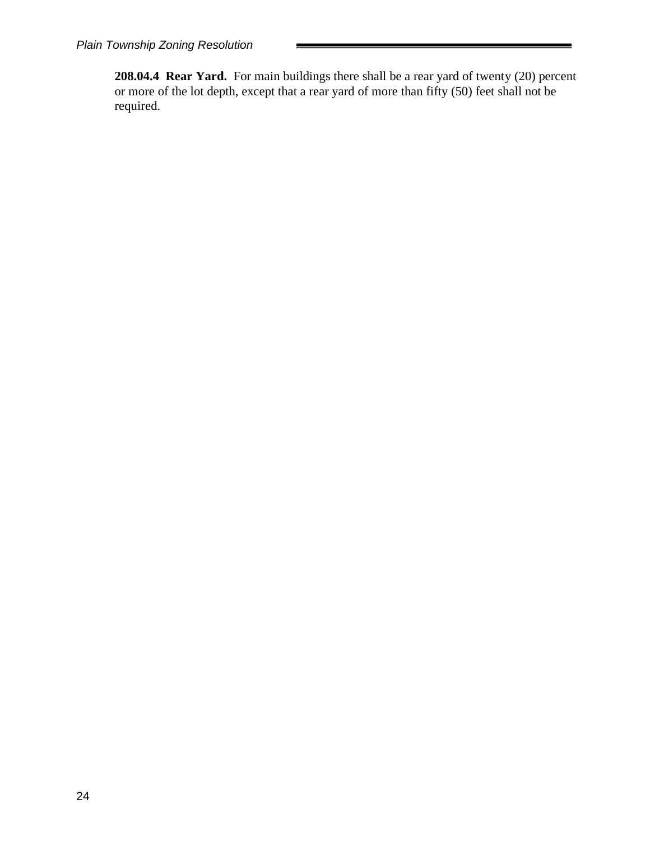**208.04.4 Rear Yard.** For main buildings there shall be a rear yard of twenty (20) percent or more of the lot depth, except that a rear yard of more than fifty (50) feet shall not be required.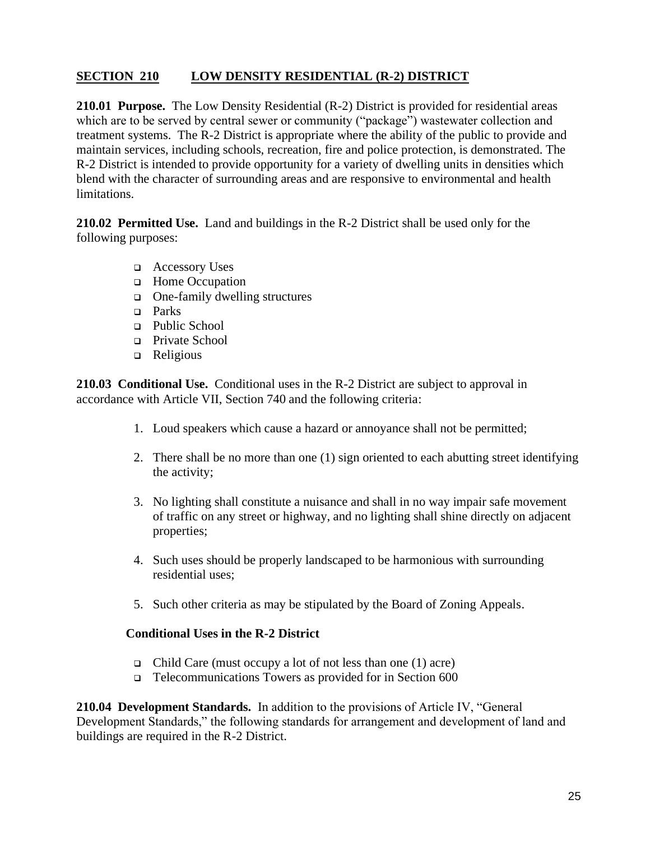## **SECTION 210 LOW DENSITY RESIDENTIAL (R-2) DISTRICT**

**210.01 Purpose.** The Low Density Residential (R-2) District is provided for residential areas which are to be served by central sewer or community ("package") wastewater collection and treatment systems. The R-2 District is appropriate where the ability of the public to provide and maintain services, including schools, recreation, fire and police protection, is demonstrated. The R-2 District is intended to provide opportunity for a variety of dwelling units in densities which blend with the character of surrounding areas and are responsive to environmental and health limitations.

**210.02 Permitted Use.** Land and buildings in the R-2 District shall be used only for the following purposes:

- ❑ Accessory Uses
- ❑ Home Occupation
- ❑ One-family dwelling structures
- ❑ Parks
- ❑ Public School
- ❑ Private School
- ❑ Religious

**210.03 Conditional Use.** Conditional uses in the R-2 District are subject to approval in accordance with Article VII, Section 740 and the following criteria:

- 1. Loud speakers which cause a hazard or annoyance shall not be permitted;
- 2. There shall be no more than one (1) sign oriented to each abutting street identifying the activity;
- 3. No lighting shall constitute a nuisance and shall in no way impair safe movement of traffic on any street or highway, and no lighting shall shine directly on adjacent properties;
- 4. Such uses should be properly landscaped to be harmonious with surrounding residential uses;
- 5. Such other criteria as may be stipulated by the Board of Zoning Appeals.

### **Conditional Uses in the R-2 District**

- ❑ Child Care (must occupy a lot of not less than one (1) acre)
- ❑ Telecommunications Towers as provided for in Section 600

**210.04 Development Standards.** In addition to the provisions of Article IV, "General Development Standards," the following standards for arrangement and development of land and buildings are required in the R-2 District.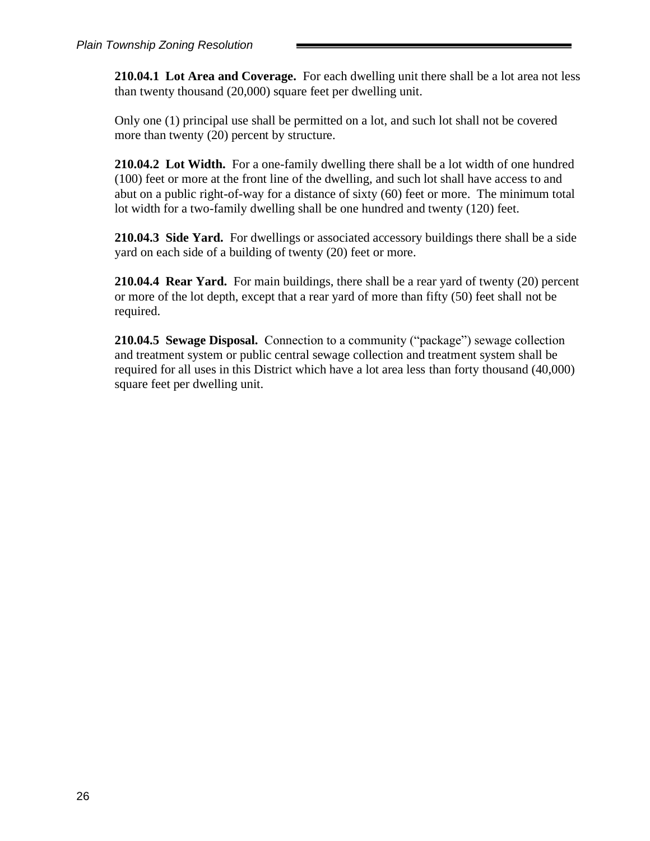**210.04.1 Lot Area and Coverage.** For each dwelling unit there shall be a lot area not less than twenty thousand (20,000) square feet per dwelling unit.

Only one (1) principal use shall be permitted on a lot, and such lot shall not be covered more than twenty (20) percent by structure.

**210.04.2 Lot Width.** For a one-family dwelling there shall be a lot width of one hundred (100) feet or more at the front line of the dwelling, and such lot shall have access to and abut on a public right-of-way for a distance of sixty (60) feet or more. The minimum total lot width for a two-family dwelling shall be one hundred and twenty (120) feet.

**210.04.3 Side Yard.** For dwellings or associated accessory buildings there shall be a side yard on each side of a building of twenty (20) feet or more.

**210.04.4 Rear Yard.** For main buildings, there shall be a rear yard of twenty (20) percent or more of the lot depth, except that a rear yard of more than fifty (50) feet shall not be required.

**210.04.5 Sewage Disposal.** Connection to a community ("package") sewage collection and treatment system or public central sewage collection and treatment system shall be required for all uses in this District which have a lot area less than forty thousand (40,000) square feet per dwelling unit.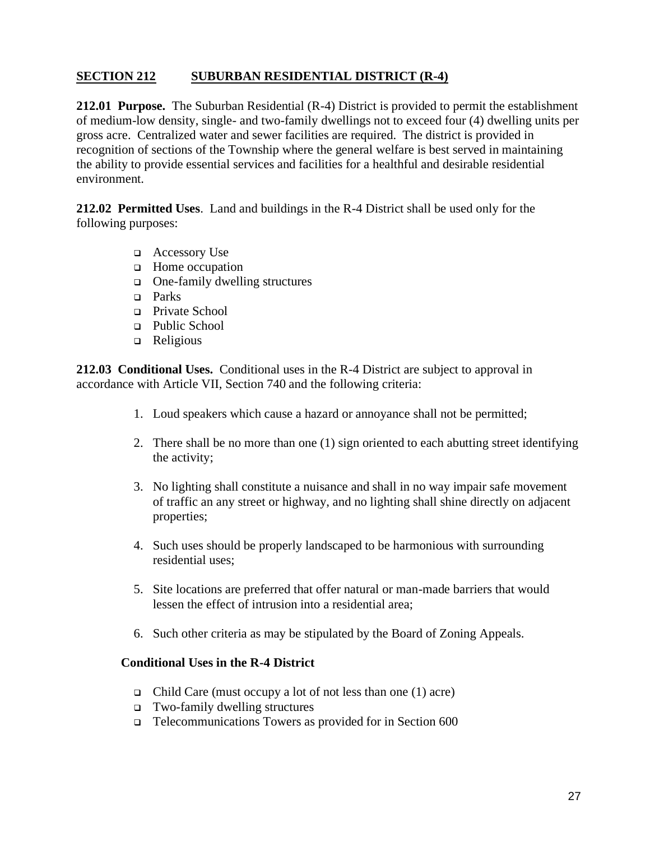## **SECTION 212 SUBURBAN RESIDENTIAL DISTRICT (R-4)**

**212.01 Purpose.** The Suburban Residential (R-4) District is provided to permit the establishment of medium-low density, single- and two-family dwellings not to exceed four (4) dwelling units per gross acre. Centralized water and sewer facilities are required. The district is provided in recognition of sections of the Township where the general welfare is best served in maintaining the ability to provide essential services and facilities for a healthful and desirable residential environment.

**212.02 Permitted Uses**. Land and buildings in the R-4 District shall be used only for the following purposes:

- ❑ Accessory Use
- ❑ Home occupation
- ❑ One-family dwelling structures
- ❑ Parks
- ❑ Private School
- ❑ Public School
- ❑ Religious

**212.03 Conditional Uses.** Conditional uses in the R-4 District are subject to approval in accordance with Article VII, Section 740 and the following criteria:

- 1. Loud speakers which cause a hazard or annoyance shall not be permitted;
- 2. There shall be no more than one (1) sign oriented to each abutting street identifying the activity;
- 3. No lighting shall constitute a nuisance and shall in no way impair safe movement of traffic an any street or highway, and no lighting shall shine directly on adjacent properties;
- 4. Such uses should be properly landscaped to be harmonious with surrounding residential uses;
- 5. Site locations are preferred that offer natural or man-made barriers that would lessen the effect of intrusion into a residential area;
- 6. Such other criteria as may be stipulated by the Board of Zoning Appeals.

#### **Conditional Uses in the R-4 District**

- ❑ Child Care (must occupy a lot of not less than one (1) acre)
- ❑ Two-family dwelling structures
- ❑ Telecommunications Towers as provided for in Section 600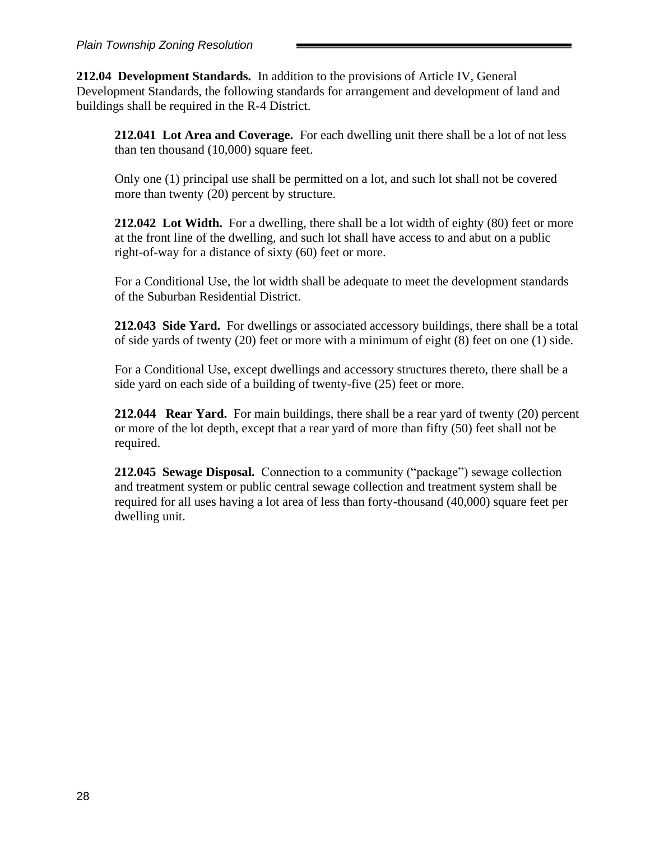**212.04 Development Standards.** In addition to the provisions of Article IV, General Development Standards, the following standards for arrangement and development of land and buildings shall be required in the R-4 District.

**212.041 Lot Area and Coverage.** For each dwelling unit there shall be a lot of not less than ten thousand (10,000) square feet.

Only one (1) principal use shall be permitted on a lot, and such lot shall not be covered more than twenty (20) percent by structure.

**212.042 Lot Width.** For a dwelling, there shall be a lot width of eighty (80) feet or more at the front line of the dwelling, and such lot shall have access to and abut on a public right-of-way for a distance of sixty (60) feet or more.

For a Conditional Use, the lot width shall be adequate to meet the development standards of the Suburban Residential District.

**212.043 Side Yard.** For dwellings or associated accessory buildings, there shall be a total of side yards of twenty (20) feet or more with a minimum of eight (8) feet on one (1) side.

For a Conditional Use, except dwellings and accessory structures thereto, there shall be a side yard on each side of a building of twenty-five (25) feet or more.

**212.044 Rear Yard.** For main buildings, there shall be a rear yard of twenty (20) percent or more of the lot depth, except that a rear yard of more than fifty (50) feet shall not be required.

**212.045 Sewage Disposal.** Connection to a community ("package") sewage collection and treatment system or public central sewage collection and treatment system shall be required for all uses having a lot area of less than forty-thousand (40,000) square feet per dwelling unit.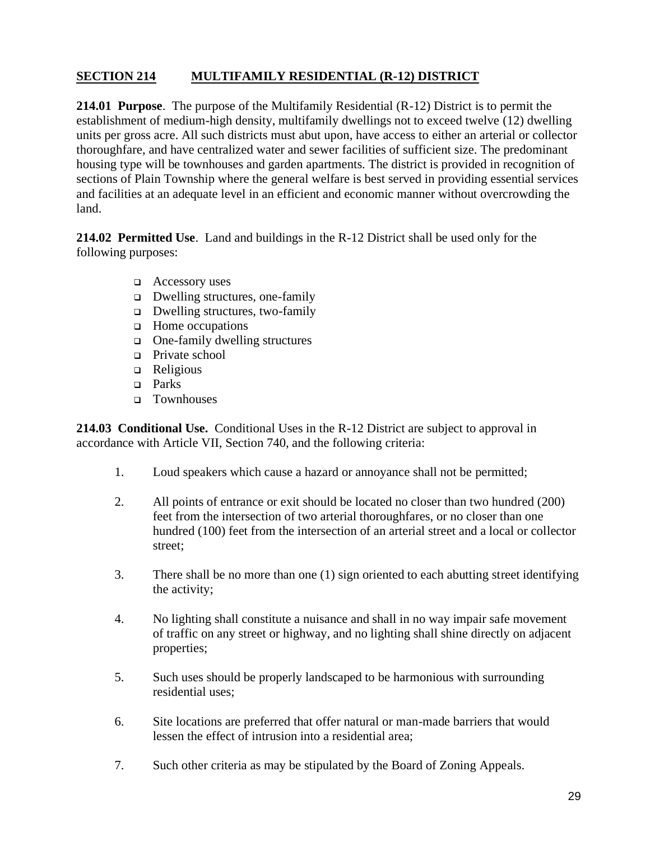# **SECTION 214 MULTIFAMILY RESIDENTIAL (R-12) DISTRICT**

**214.01 Purpose**. The purpose of the Multifamily Residential (R-12) District is to permit the establishment of medium-high density, multifamily dwellings not to exceed twelve (12) dwelling units per gross acre. All such districts must abut upon, have access to either an arterial or collector thoroughfare, and have centralized water and sewer facilities of sufficient size. The predominant housing type will be townhouses and garden apartments. The district is provided in recognition of sections of Plain Township where the general welfare is best served in providing essential services and facilities at an adequate level in an efficient and economic manner without overcrowding the land.

**214.02 Permitted Use**. Land and buildings in the R-12 District shall be used only for the following purposes:

- ❑ Accessory uses
- ❑ Dwelling structures, one-family
- ❑ Dwelling structures, two-family
- ❑ Home occupations
- ❑ One-family dwelling structures
- ❑ Private school
- ❑ Religious
- ❑ Parks
- ❑ Townhouses

**214.03 Conditional Use.** Conditional Uses in the R-12 District are subject to approval in accordance with Article VII, Section 740, and the following criteria:

- 1. Loud speakers which cause a hazard or annoyance shall not be permitted;
- 2. All points of entrance or exit should be located no closer than two hundred (200) feet from the intersection of two arterial thoroughfares, or no closer than one hundred (100) feet from the intersection of an arterial street and a local or collector street;
- 3. There shall be no more than one (1) sign oriented to each abutting street identifying the activity;
- 4. No lighting shall constitute a nuisance and shall in no way impair safe movement of traffic on any street or highway, and no lighting shall shine directly on adjacent properties;
- 5. Such uses should be properly landscaped to be harmonious with surrounding residential uses;
- 6. Site locations are preferred that offer natural or man-made barriers that would lessen the effect of intrusion into a residential area;
- 7. Such other criteria as may be stipulated by the Board of Zoning Appeals.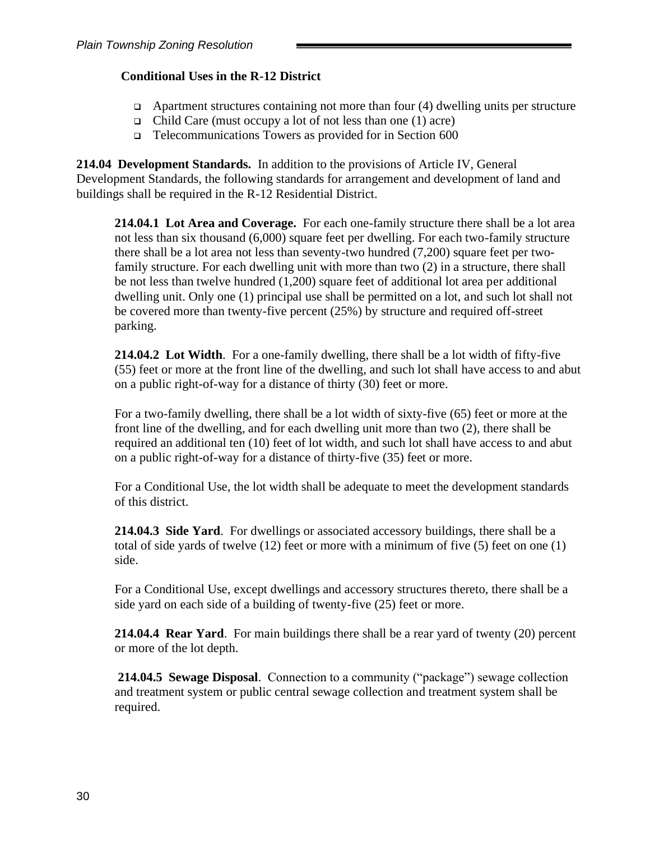### **Conditional Uses in the R-12 District**

- $\Box$  Apartment structures containing not more than four (4) dwelling units per structure
- ❑ Child Care (must occupy a lot of not less than one (1) acre)
- ❑ Telecommunications Towers as provided for in Section 600

**214.04 Development Standards.** In addition to the provisions of Article IV, General Development Standards, the following standards for arrangement and development of land and buildings shall be required in the R-12 Residential District.

**214.04.1 Lot Area and Coverage.** For each one-family structure there shall be a lot area not less than six thousand (6,000) square feet per dwelling. For each two-family structure there shall be a lot area not less than seventy-two hundred (7,200) square feet per twofamily structure. For each dwelling unit with more than two (2) in a structure, there shall be not less than twelve hundred (1,200) square feet of additional lot area per additional dwelling unit. Only one (1) principal use shall be permitted on a lot, and such lot shall not be covered more than twenty-five percent (25%) by structure and required off-street parking.

**214.04.2 Lot Width**. For a one-family dwelling, there shall be a lot width of fifty-five (55) feet or more at the front line of the dwelling, and such lot shall have access to and abut on a public right-of-way for a distance of thirty (30) feet or more.

For a two-family dwelling, there shall be a lot width of sixty-five (65) feet or more at the front line of the dwelling, and for each dwelling unit more than two (2), there shall be required an additional ten (10) feet of lot width, and such lot shall have access to and abut on a public right-of-way for a distance of thirty-five (35) feet or more.

For a Conditional Use, the lot width shall be adequate to meet the development standards of this district.

**214.04.3 Side Yard**. For dwellings or associated accessory buildings, there shall be a total of side yards of twelve (12) feet or more with a minimum of five (5) feet on one (1) side.

For a Conditional Use, except dwellings and accessory structures thereto, there shall be a side yard on each side of a building of twenty-five (25) feet or more.

**214.04.4 Rear Yard**. For main buildings there shall be a rear yard of twenty (20) percent or more of the lot depth.

**214.04.5 Sewage Disposal**. Connection to a community ("package") sewage collection and treatment system or public central sewage collection and treatment system shall be required.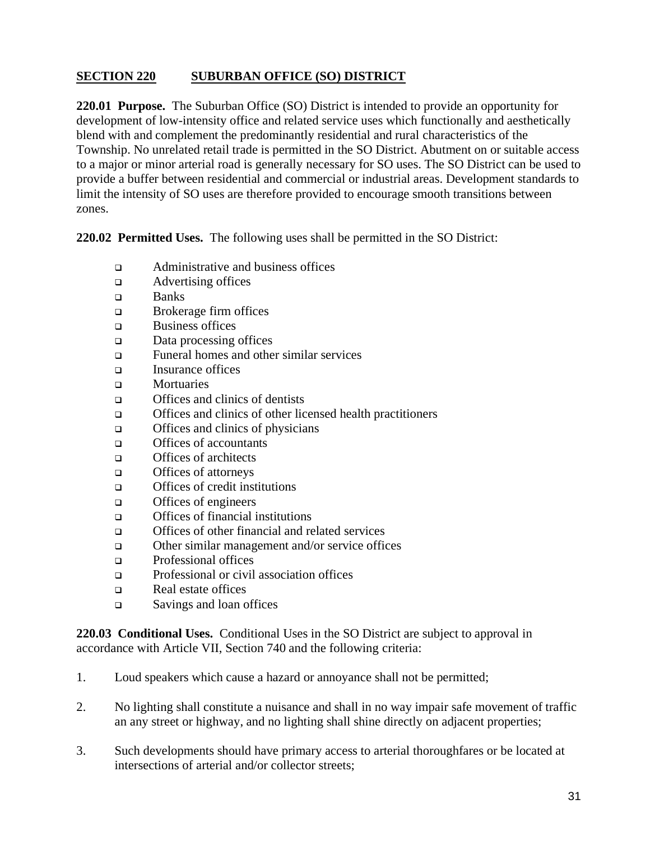# **SECTION 220 SUBURBAN OFFICE (SO) DISTRICT**

**220.01 Purpose.** The Suburban Office (SO) District is intended to provide an opportunity for development of low-intensity office and related service uses which functionally and aesthetically blend with and complement the predominantly residential and rural characteristics of the Township. No unrelated retail trade is permitted in the SO District. Abutment on or suitable access to a major or minor arterial road is generally necessary for SO uses. The SO District can be used to provide a buffer between residential and commercial or industrial areas. Development standards to limit the intensity of SO uses are therefore provided to encourage smooth transitions between zones.

**220.02 Permitted Uses.** The following uses shall be permitted in the SO District:

- ❑ Administrative and business offices
- ❑ Advertising offices
- ❑ Banks
- ❑ Brokerage firm offices
- ❑ Business offices
- ❑ Data processing offices
- ❑ Funeral homes and other similar services
- ❑ Insurance offices
- ❑ Mortuaries
- ❑ Offices and clinics of dentists
- ❑ Offices and clinics of other licensed health practitioners
- ❑ Offices and clinics of physicians
- ❑ Offices of accountants
- ❑ Offices of architects
- ❑ Offices of attorneys
- ❑ Offices of credit institutions
- ❑ Offices of engineers
- ❑ Offices of financial institutions
- ❑ Offices of other financial and related services
- ❑ Other similar management and/or service offices
- ❑ Professional offices
- ❑ Professional or civil association offices
- ❑ Real estate offices
- ❑ Savings and loan offices

**220.03 Conditional Uses.** Conditional Uses in the SO District are subject to approval in accordance with Article VII, Section 740 and the following criteria:

- 1. Loud speakers which cause a hazard or annoyance shall not be permitted;
- 2. No lighting shall constitute a nuisance and shall in no way impair safe movement of traffic an any street or highway, and no lighting shall shine directly on adjacent properties;
- 3. Such developments should have primary access to arterial thoroughfares or be located at intersections of arterial and/or collector streets;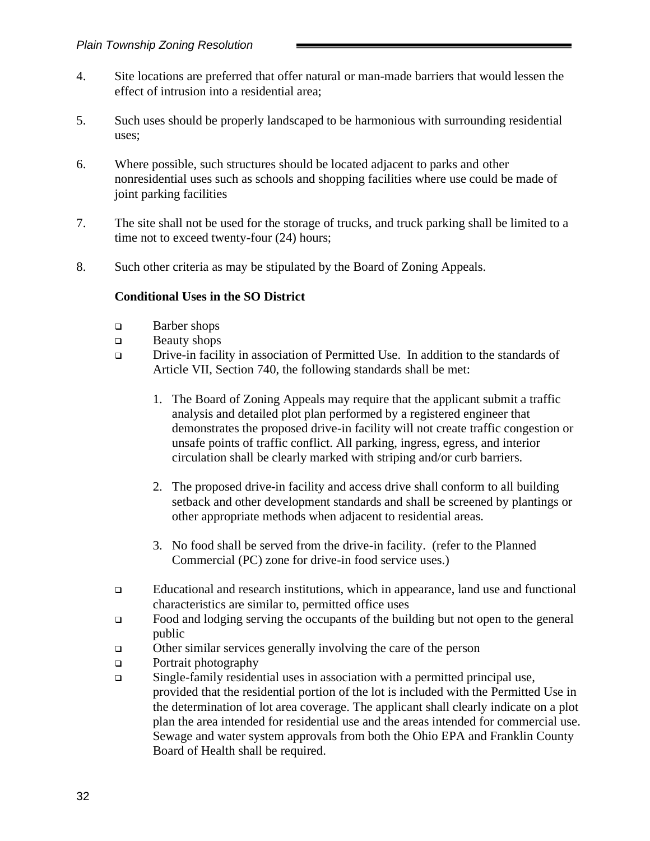- 4. Site locations are preferred that offer natural or man-made barriers that would lessen the effect of intrusion into a residential area;
- 5. Such uses should be properly landscaped to be harmonious with surrounding residential uses;
- 6. Where possible, such structures should be located adjacent to parks and other nonresidential uses such as schools and shopping facilities where use could be made of joint parking facilities
- 7. The site shall not be used for the storage of trucks, and truck parking shall be limited to a time not to exceed twenty-four  $(24)$  hours;
- 8. Such other criteria as may be stipulated by the Board of Zoning Appeals.

### **Conditional Uses in the SO District**

- ❑ Barber shops
- ❑ Beauty shops
- ❑ Drive-in facility in association of Permitted Use. In addition to the standards of Article VII, Section 740, the following standards shall be met:
	- 1. The Board of Zoning Appeals may require that the applicant submit a traffic analysis and detailed plot plan performed by a registered engineer that demonstrates the proposed drive-in facility will not create traffic congestion or unsafe points of traffic conflict. All parking, ingress, egress, and interior circulation shall be clearly marked with striping and/or curb barriers.
	- 2. The proposed drive-in facility and access drive shall conform to all building setback and other development standards and shall be screened by plantings or other appropriate methods when adjacent to residential areas.
	- 3. No food shall be served from the drive-in facility. (refer to the Planned Commercial (PC) zone for drive-in food service uses.)
- ❑ Educational and research institutions, which in appearance, land use and functional characteristics are similar to, permitted office uses
- ❑ Food and lodging serving the occupants of the building but not open to the general public
- ❑ Other similar services generally involving the care of the person
- ❑ Portrait photography
- ❑ Single-family residential uses in association with a permitted principal use, provided that the residential portion of the lot is included with the Permitted Use in the determination of lot area coverage. The applicant shall clearly indicate on a plot plan the area intended for residential use and the areas intended for commercial use. Sewage and water system approvals from both the Ohio EPA and Franklin County Board of Health shall be required.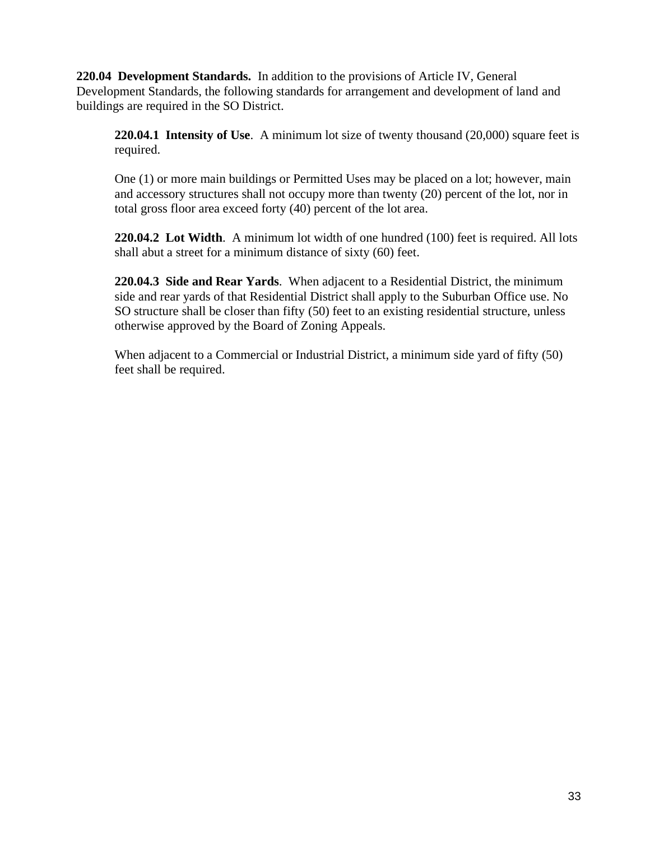**220.04 Development Standards.** In addition to the provisions of Article IV, General Development Standards, the following standards for arrangement and development of land and buildings are required in the SO District.

**220.04.1 Intensity of Use**. A minimum lot size of twenty thousand (20,000) square feet is required.

One (1) or more main buildings or Permitted Uses may be placed on a lot; however, main and accessory structures shall not occupy more than twenty (20) percent of the lot, nor in total gross floor area exceed forty (40) percent of the lot area.

**220.04.2 Lot Width**. A minimum lot width of one hundred (100) feet is required. All lots shall abut a street for a minimum distance of sixty (60) feet.

**220.04.3 Side and Rear Yards**. When adjacent to a Residential District, the minimum side and rear yards of that Residential District shall apply to the Suburban Office use. No SO structure shall be closer than fifty (50) feet to an existing residential structure, unless otherwise approved by the Board of Zoning Appeals.

When adjacent to a Commercial or Industrial District, a minimum side yard of fifty (50) feet shall be required.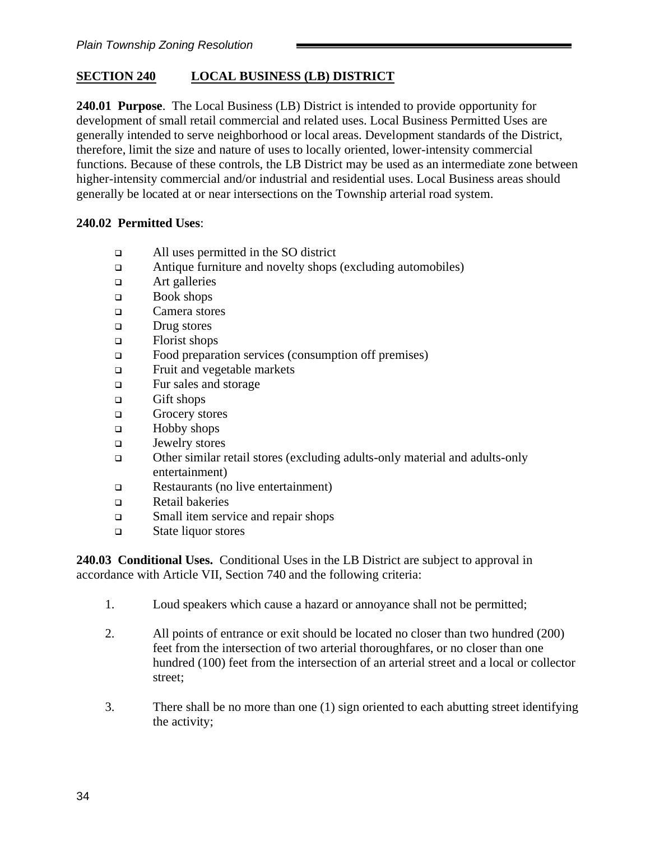# **SECTION 240 LOCAL BUSINESS (LB) DISTRICT**

**240.01 Purpose**. The Local Business (LB) District is intended to provide opportunity for development of small retail commercial and related uses. Local Business Permitted Uses are generally intended to serve neighborhood or local areas. Development standards of the District, therefore, limit the size and nature of uses to locally oriented, lower-intensity commercial functions. Because of these controls, the LB District may be used as an intermediate zone between higher-intensity commercial and/or industrial and residential uses. Local Business areas should generally be located at or near intersections on the Township arterial road system.

### **240.02 Permitted Uses**:

- ❑ All uses permitted in the SO district
- ❑ Antique furniture and novelty shops (excluding automobiles)
- ❑ Art galleries
- ❑ Book shops
- ❑ Camera stores
- ❑ Drug stores
- ❑ Florist shops
- ❑ Food preparation services (consumption off premises)
- ❑ Fruit and vegetable markets
- ❑ Fur sales and storage
- ❑ Gift shops
- ❑ Grocery stores
- ❑ Hobby shops
- ❑ Jewelry stores
- ❑ Other similar retail stores (excluding adults-only material and adults-only entertainment)
- ❑ Restaurants (no live entertainment)
- ❑ Retail bakeries
- ❑ Small item service and repair shops
- ❑ State liquor stores

**240.03 Conditional Uses.** Conditional Uses in the LB District are subject to approval in accordance with Article VII, Section 740 and the following criteria:

- 1. Loud speakers which cause a hazard or annoyance shall not be permitted;
- 2. All points of entrance or exit should be located no closer than two hundred (200) feet from the intersection of two arterial thoroughfares, or no closer than one hundred (100) feet from the intersection of an arterial street and a local or collector street;
- 3. There shall be no more than one (1) sign oriented to each abutting street identifying the activity;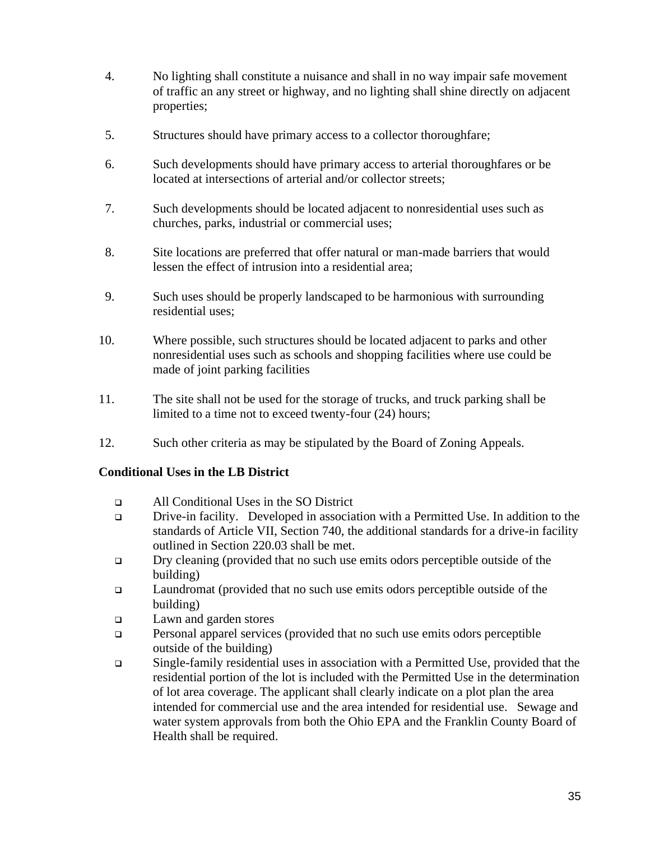- 4. No lighting shall constitute a nuisance and shall in no way impair safe movement of traffic an any street or highway, and no lighting shall shine directly on adjacent properties;
- 5. Structures should have primary access to a collector thoroughfare;
- 6. Such developments should have primary access to arterial thoroughfares or be located at intersections of arterial and/or collector streets;
- 7. Such developments should be located adjacent to nonresidential uses such as churches, parks, industrial or commercial uses;
- 8. Site locations are preferred that offer natural or man-made barriers that would lessen the effect of intrusion into a residential area;
- 9. Such uses should be properly landscaped to be harmonious with surrounding residential uses;
- 10. Where possible, such structures should be located adjacent to parks and other nonresidential uses such as schools and shopping facilities where use could be made of joint parking facilities
- 11. The site shall not be used for the storage of trucks, and truck parking shall be limited to a time not to exceed twenty-four (24) hours;
- 12. Such other criteria as may be stipulated by the Board of Zoning Appeals.

### **Conditional Uses in the LB District**

- ❑ All Conditional Uses in the SO District
- ❑ Drive-in facility. Developed in association with a Permitted Use. In addition to the standards of Article VII, Section 740, the additional standards for a drive-in facility outlined in Section 220.03 shall be met.
- ❑ Dry cleaning (provided that no such use emits odors perceptible outside of the building)
- ❑ Laundromat (provided that no such use emits odors perceptible outside of the building)
- ❑ Lawn and garden stores
- ❑ Personal apparel services (provided that no such use emits odors perceptible outside of the building)
- ❑ Single-family residential uses in association with a Permitted Use, provided that the residential portion of the lot is included with the Permitted Use in the determination of lot area coverage. The applicant shall clearly indicate on a plot plan the area intended for commercial use and the area intended for residential use. Sewage and water system approvals from both the Ohio EPA and the Franklin County Board of Health shall be required.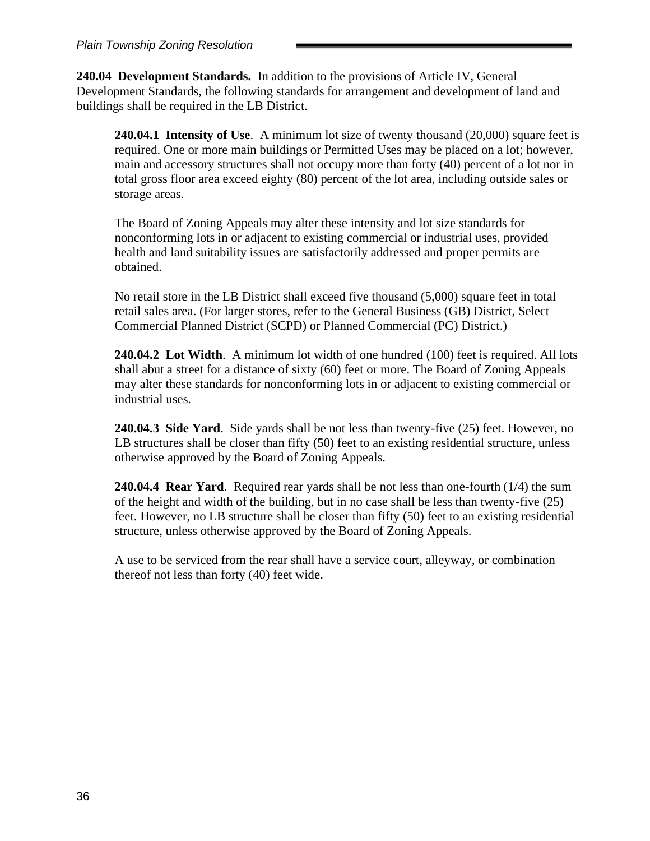**240.04 Development Standards.** In addition to the provisions of Article IV, General Development Standards, the following standards for arrangement and development of land and buildings shall be required in the LB District.

**240.04.1 Intensity of Use**. A minimum lot size of twenty thousand (20,000) square feet is required. One or more main buildings or Permitted Uses may be placed on a lot; however, main and accessory structures shall not occupy more than forty (40) percent of a lot nor in total gross floor area exceed eighty (80) percent of the lot area, including outside sales or storage areas.

The Board of Zoning Appeals may alter these intensity and lot size standards for nonconforming lots in or adjacent to existing commercial or industrial uses, provided health and land suitability issues are satisfactorily addressed and proper permits are obtained.

No retail store in the LB District shall exceed five thousand (5,000) square feet in total retail sales area. (For larger stores, refer to the General Business (GB) District, Select Commercial Planned District (SCPD) or Planned Commercial (PC) District.)

**240.04.2 Lot Width**. A minimum lot width of one hundred (100) feet is required. All lots shall abut a street for a distance of sixty (60) feet or more. The Board of Zoning Appeals may alter these standards for nonconforming lots in or adjacent to existing commercial or industrial uses.

**240.04.3 Side Yard**. Side yards shall be not less than twenty-five (25) feet. However, no LB structures shall be closer than fifty (50) feet to an existing residential structure, unless otherwise approved by the Board of Zoning Appeals.

**240.04.4 Rear Yard**. Required rear yards shall be not less than one-fourth (1/4) the sum of the height and width of the building, but in no case shall be less than twenty-five (25) feet. However, no LB structure shall be closer than fifty (50) feet to an existing residential structure, unless otherwise approved by the Board of Zoning Appeals.

A use to be serviced from the rear shall have a service court, alleyway, or combination thereof not less than forty (40) feet wide.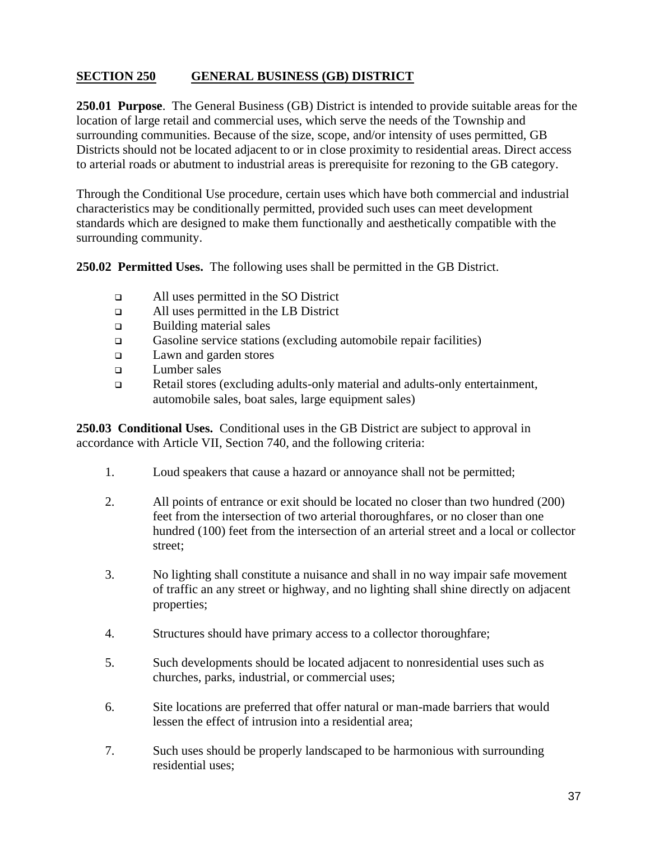# **SECTION 250 GENERAL BUSINESS (GB) DISTRICT**

**250.01 Purpose**. The General Business (GB) District is intended to provide suitable areas for the location of large retail and commercial uses, which serve the needs of the Township and surrounding communities. Because of the size, scope, and/or intensity of uses permitted, GB Districts should not be located adjacent to or in close proximity to residential areas. Direct access to arterial roads or abutment to industrial areas is prerequisite for rezoning to the GB category.

Through the Conditional Use procedure, certain uses which have both commercial and industrial characteristics may be conditionally permitted, provided such uses can meet development standards which are designed to make them functionally and aesthetically compatible with the surrounding community.

**250.02 Permitted Uses.** The following uses shall be permitted in the GB District.

- ❑ All uses permitted in the SO District
- ❑ All uses permitted in the LB District
- ❑ Building material sales
- ❑ Gasoline service stations (excluding automobile repair facilities)
- ❑ Lawn and garden stores
- ❑ Lumber sales
- ❑ Retail stores (excluding adults-only material and adults-only entertainment, automobile sales, boat sales, large equipment sales)

**250.03 Conditional Uses.** Conditional uses in the GB District are subject to approval in accordance with Article VII, Section 740, and the following criteria:

- 1. Loud speakers that cause a hazard or annoyance shall not be permitted;
- 2. All points of entrance or exit should be located no closer than two hundred (200) feet from the intersection of two arterial thoroughfares, or no closer than one hundred (100) feet from the intersection of an arterial street and a local or collector street;
- 3. No lighting shall constitute a nuisance and shall in no way impair safe movement of traffic an any street or highway, and no lighting shall shine directly on adjacent properties;
- 4. Structures should have primary access to a collector thoroughfare;
- 5. Such developments should be located adjacent to nonresidential uses such as churches, parks, industrial, or commercial uses;
- 6. Site locations are preferred that offer natural or man-made barriers that would lessen the effect of intrusion into a residential area;
- 7. Such uses should be properly landscaped to be harmonious with surrounding residential uses;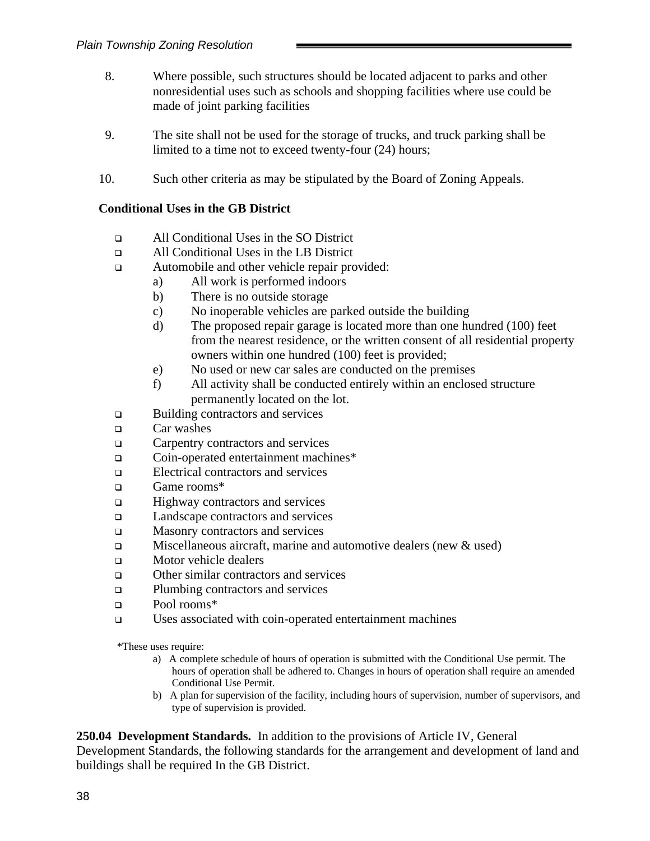- 8. Where possible, such structures should be located adjacent to parks and other nonresidential uses such as schools and shopping facilities where use could be made of joint parking facilities
- 9. The site shall not be used for the storage of trucks, and truck parking shall be limited to a time not to exceed twenty-four (24) hours;
- 10. Such other criteria as may be stipulated by the Board of Zoning Appeals.

#### **Conditional Uses in the GB District**

- ❑ All Conditional Uses in the SO District
- ❑ All Conditional Uses in the LB District
- ❑ Automobile and other vehicle repair provided:
	- a) All work is performed indoors
	- b) There is no outside storage
	- c) No inoperable vehicles are parked outside the building
	- d) The proposed repair garage is located more than one hundred (100) feet from the nearest residence, or the written consent of all residential property owners within one hundred (100) feet is provided;
	- e) No used or new car sales are conducted on the premises
	- f) All activity shall be conducted entirely within an enclosed structure permanently located on the lot.
- ❑ Building contractors and services
- ❑ Car washes
- ❑ Carpentry contractors and services
- ❑ Coin-operated entertainment machines\*
- ❑ Electrical contractors and services
- ❑ Game rooms\*
- ❑ Highway contractors and services
- ❑ Landscape contractors and services
- ❑ Masonry contractors and services
- $\Box$  Miscellaneous aircraft, marine and automotive dealers (new & used)
- ❑ Motor vehicle dealers
- ❑ Other similar contractors and services
- ❑ Plumbing contractors and services
- ❑ Pool rooms\*
- ❑ Uses associated with coin-operated entertainment machines

\*These uses require:

- a) A complete schedule of hours of operation is submitted with the Conditional Use permit. The hours of operation shall be adhered to. Changes in hours of operation shall require an amended Conditional Use Permit.
- b) A plan for supervision of the facility, including hours of supervision, number of supervisors, and type of supervision is provided.

**250.04 Development Standards.** In addition to the provisions of Article IV, General Development Standards, the following standards for the arrangement and development of land and buildings shall be required In the GB District.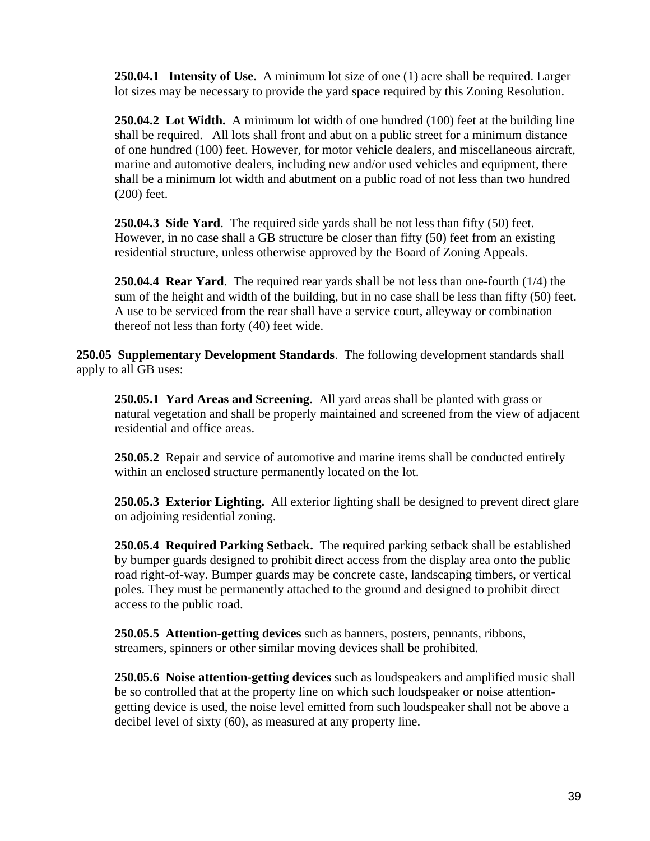**250.04.1 Intensity of Use**. A minimum lot size of one (1) acre shall be required. Larger lot sizes may be necessary to provide the yard space required by this Zoning Resolution.

**250.04.2 Lot Width.** A minimum lot width of one hundred (100) feet at the building line shall be required. All lots shall front and abut on a public street for a minimum distance of one hundred (100) feet. However, for motor vehicle dealers, and miscellaneous aircraft, marine and automotive dealers, including new and/or used vehicles and equipment, there shall be a minimum lot width and abutment on a public road of not less than two hundred (200) feet.

**250.04.3 Side Yard**. The required side yards shall be not less than fifty (50) feet. However, in no case shall a GB structure be closer than fifty (50) feet from an existing residential structure, unless otherwise approved by the Board of Zoning Appeals.

**250.04.4 Rear Yard**. The required rear yards shall be not less than one-fourth (1/4) the sum of the height and width of the building, but in no case shall be less than fifty (50) feet. A use to be serviced from the rear shall have a service court, alleyway or combination thereof not less than forty (40) feet wide.

**250.05 Supplementary Development Standards**. The following development standards shall apply to all GB uses:

**250.05.1 Yard Areas and Screening**. All yard areas shall be planted with grass or natural vegetation and shall be properly maintained and screened from the view of adjacent residential and office areas.

**250.05.2** Repair and service of automotive and marine items shall be conducted entirely within an enclosed structure permanently located on the lot.

**250.05.3 Exterior Lighting.** All exterior lighting shall be designed to prevent direct glare on adjoining residential zoning.

**250.05.4 Required Parking Setback.** The required parking setback shall be established by bumper guards designed to prohibit direct access from the display area onto the public road right-of-way. Bumper guards may be concrete caste, landscaping timbers, or vertical poles. They must be permanently attached to the ground and designed to prohibit direct access to the public road.

**250.05.5 Attention-getting devices** such as banners, posters, pennants, ribbons, streamers, spinners or other similar moving devices shall be prohibited.

**250.05.6 Noise attention-getting devices** such as loudspeakers and amplified music shall be so controlled that at the property line on which such loudspeaker or noise attentiongetting device is used, the noise level emitted from such loudspeaker shall not be above a decibel level of sixty (60), as measured at any property line.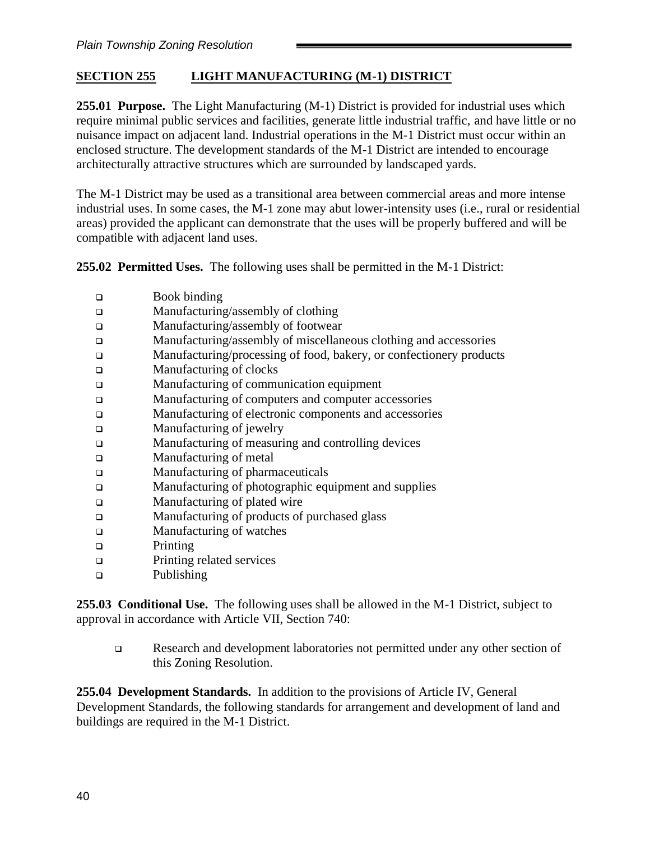# **SECTION 255 LIGHT MANUFACTURING (M-1) DISTRICT**

**255.01 Purpose.** The Light Manufacturing (M-1) District is provided for industrial uses which require minimal public services and facilities, generate little industrial traffic, and have little or no nuisance impact on adjacent land. Industrial operations in the M-1 District must occur within an enclosed structure. The development standards of the M-1 District are intended to encourage architecturally attractive structures which are surrounded by landscaped yards.

The M-1 District may be used as a transitional area between commercial areas and more intense industrial uses. In some cases, the M-1 zone may abut lower-intensity uses (i.e., rural or residential areas) provided the applicant can demonstrate that the uses will be properly buffered and will be compatible with adjacent land uses.

**255.02 Permitted Uses.** The following uses shall be permitted in the M-1 District:

- ❑ Book binding
- ❑ Manufacturing/assembly of clothing
- ❑ Manufacturing/assembly of footwear
- ❑ Manufacturing/assembly of miscellaneous clothing and accessories
- ❑ Manufacturing/processing of food, bakery, or confectionery products
- ❑ Manufacturing of clocks
- ❑ Manufacturing of communication equipment
- ❑ Manufacturing of computers and computer accessories
- ❑ Manufacturing of electronic components and accessories
- ❑ Manufacturing of jewelry
- ❑ Manufacturing of measuring and controlling devices
- ❑ Manufacturing of metal
- ❑ Manufacturing of pharmaceuticals
- ❑ Manufacturing of photographic equipment and supplies
- ❑ Manufacturing of plated wire
- ❑ Manufacturing of products of purchased glass
- ❑ Manufacturing of watches
- ❑ Printing
- ❑ Printing related services
- ❑ Publishing

**255.03 Conditional Use.** The following uses shall be allowed in the M-1 District, subject to approval in accordance with Article VII, Section 740:

❑ Research and development laboratories not permitted under any other section of this Zoning Resolution.

**255.04 Development Standards.** In addition to the provisions of Article IV, General Development Standards, the following standards for arrangement and development of land and buildings are required in the M-1 District.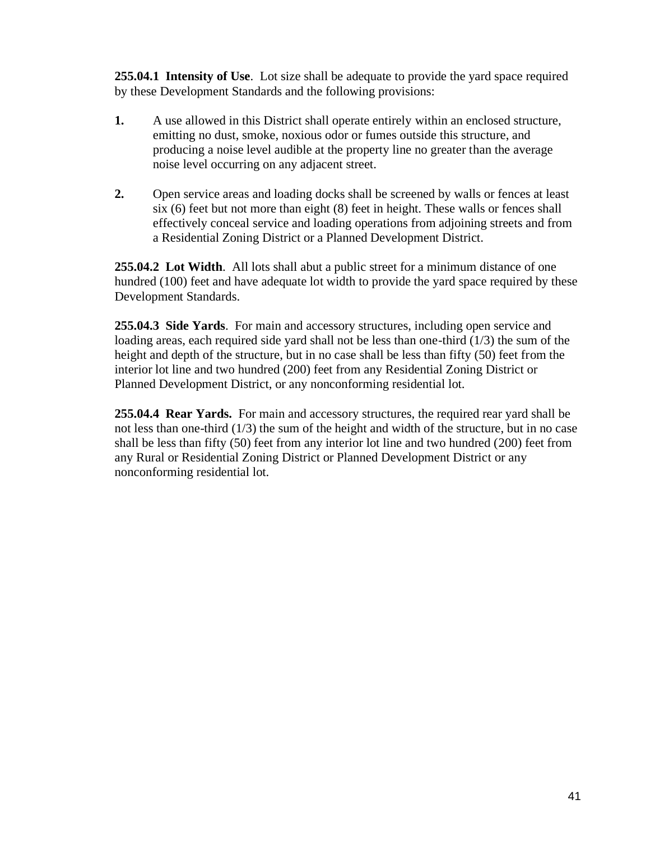**255.04.1 Intensity of Use**. Lot size shall be adequate to provide the yard space required by these Development Standards and the following provisions:

- **1.** A use allowed in this District shall operate entirely within an enclosed structure, emitting no dust, smoke, noxious odor or fumes outside this structure, and producing a noise level audible at the property line no greater than the average noise level occurring on any adjacent street.
- **2.** Open service areas and loading docks shall be screened by walls or fences at least six (6) feet but not more than eight (8) feet in height. These walls or fences shall effectively conceal service and loading operations from adjoining streets and from a Residential Zoning District or a Planned Development District.

**255.04.2 Lot Width**. All lots shall abut a public street for a minimum distance of one hundred (100) feet and have adequate lot width to provide the yard space required by these Development Standards.

**255.04.3 Side Yards**. For main and accessory structures, including open service and loading areas, each required side yard shall not be less than one-third (1/3) the sum of the height and depth of the structure, but in no case shall be less than fifty (50) feet from the interior lot line and two hundred (200) feet from any Residential Zoning District or Planned Development District, or any nonconforming residential lot.

**255.04.4 Rear Yards.** For main and accessory structures, the required rear yard shall be not less than one-third (1/3) the sum of the height and width of the structure, but in no case shall be less than fifty (50) feet from any interior lot line and two hundred (200) feet from any Rural or Residential Zoning District or Planned Development District or any nonconforming residential lot.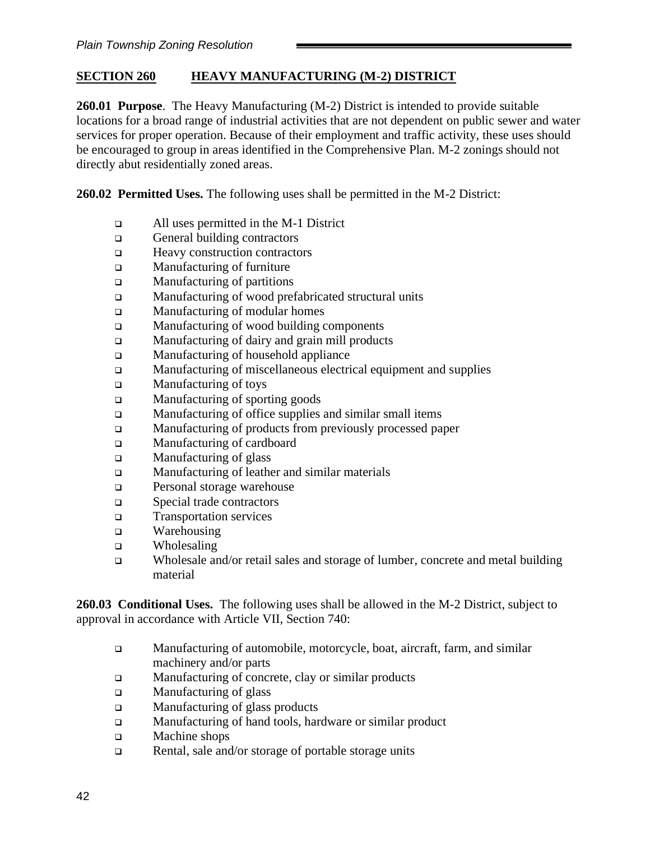## **SECTION 260 HEAVY MANUFACTURING (M-2) DISTRICT**

**260.01 Purpose**. The Heavy Manufacturing (M-2) District is intended to provide suitable locations for a broad range of industrial activities that are not dependent on public sewer and water services for proper operation. Because of their employment and traffic activity, these uses should be encouraged to group in areas identified in the Comprehensive Plan. M-2 zonings should not directly abut residentially zoned areas.

**260.02 Permitted Uses.** The following uses shall be permitted in the M-2 District:

- ❑ All uses permitted in the M-1 District
- ❑ General building contractors
- ❑ Heavy construction contractors
- ❑ Manufacturing of furniture
- ❑ Manufacturing of partitions
- ❑ Manufacturing of wood prefabricated structural units
- ❑ Manufacturing of modular homes
- ❑ Manufacturing of wood building components
- ❑ Manufacturing of dairy and grain mill products
- ❑ Manufacturing of household appliance
- ❑ Manufacturing of miscellaneous electrical equipment and supplies
- ❑ Manufacturing of toys
- ❑ Manufacturing of sporting goods
- ❑ Manufacturing of office supplies and similar small items
- ❑ Manufacturing of products from previously processed paper
- ❑ Manufacturing of cardboard
- ❑ Manufacturing of glass
- ❑ Manufacturing of leather and similar materials
- ❑ Personal storage warehouse
- ❑ Special trade contractors
- ❑ Transportation services
- ❑ Warehousing
- ❑ Wholesaling
- ❑ Wholesale and/or retail sales and storage of lumber, concrete and metal building material

**260.03 Conditional Uses.** The following uses shall be allowed in the M-2 District, subject to approval in accordance with Article VII, Section 740:

- ❑ Manufacturing of automobile, motorcycle, boat, aircraft, farm, and similar machinery and/or parts
- ❑ Manufacturing of concrete, clay or similar products
- ❑ Manufacturing of glass
- ❑ Manufacturing of glass products
- ❑ Manufacturing of hand tools, hardware or similar product
- ❑ Machine shops
- ❑ Rental, sale and/or storage of portable storage units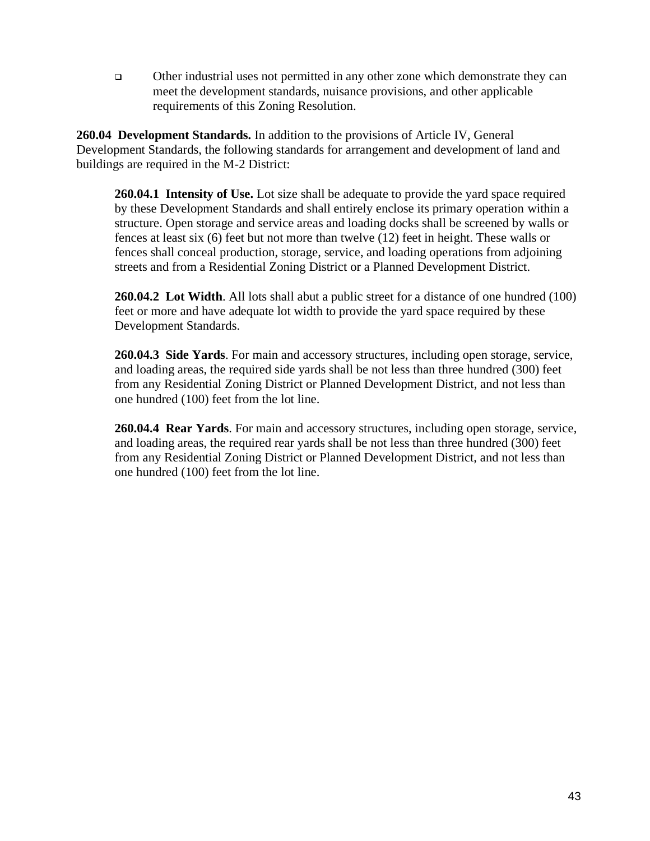❑ Other industrial uses not permitted in any other zone which demonstrate they can meet the development standards, nuisance provisions, and other applicable requirements of this Zoning Resolution.

**260.04 Development Standards.** In addition to the provisions of Article IV, General Development Standards, the following standards for arrangement and development of land and buildings are required in the M-2 District:

**260.04.1 Intensity of Use.** Lot size shall be adequate to provide the yard space required by these Development Standards and shall entirely enclose its primary operation within a structure. Open storage and service areas and loading docks shall be screened by walls or fences at least six (6) feet but not more than twelve (12) feet in height. These walls or fences shall conceal production, storage, service, and loading operations from adjoining streets and from a Residential Zoning District or a Planned Development District.

**260.04.2 Lot Width**. All lots shall abut a public street for a distance of one hundred (100) feet or more and have adequate lot width to provide the yard space required by these Development Standards.

**260.04.3 Side Yards**. For main and accessory structures, including open storage, service, and loading areas, the required side yards shall be not less than three hundred (300) feet from any Residential Zoning District or Planned Development District, and not less than one hundred (100) feet from the lot line.

**260.04.4 Rear Yards**. For main and accessory structures, including open storage, service, and loading areas, the required rear yards shall be not less than three hundred (300) feet from any Residential Zoning District or Planned Development District, and not less than one hundred (100) feet from the lot line.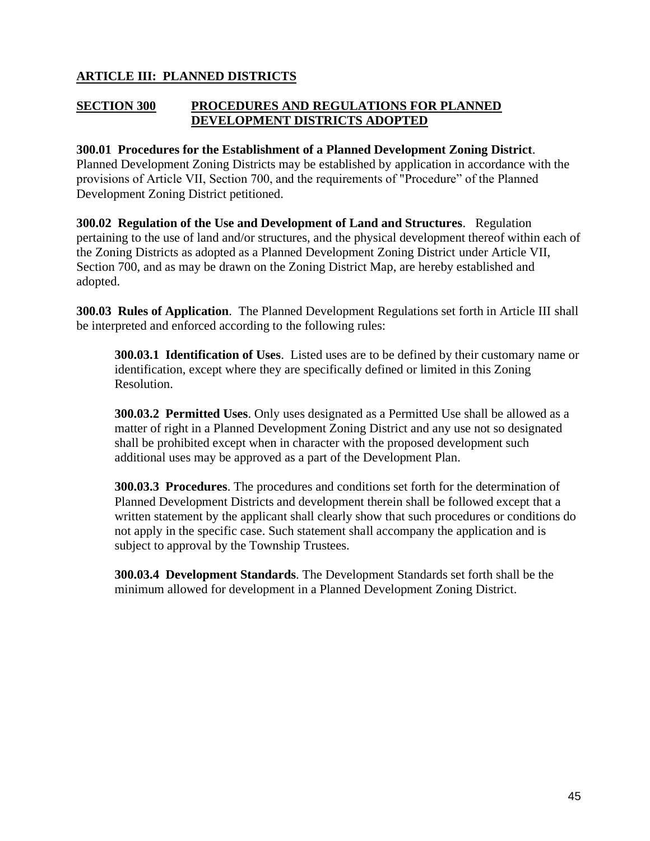# **ARTICLE III: PLANNED DISTRICTS**

## **SECTION 300 PROCEDURES AND REGULATIONS FOR PLANNED DEVELOPMENT DISTRICTS ADOPTED**

#### **300.01 Procedures for the Establishment of a Planned Development Zoning District**.

Planned Development Zoning Districts may be established by application in accordance with the provisions of Article VII, Section 700, and the requirements of "Procedure" of the Planned Development Zoning District petitioned.

**300.02 Regulation of the Use and Development of Land and Structures**. Regulation pertaining to the use of land and/or structures, and the physical development thereof within each of the Zoning Districts as adopted as a Planned Development Zoning District under Article VII, Section 700, and as may be drawn on the Zoning District Map, are hereby established and adopted.

**300.03 Rules of Application**. The Planned Development Regulations set forth in Article III shall be interpreted and enforced according to the following rules:

**300.03.1 Identification of Uses**. Listed uses are to be defined by their customary name or identification, except where they are specifically defined or limited in this Zoning Resolution.

**300.03.2 Permitted Uses**. Only uses designated as a Permitted Use shall be allowed as a matter of right in a Planned Development Zoning District and any use not so designated shall be prohibited except when in character with the proposed development such additional uses may be approved as a part of the Development Plan.

**300.03.3 Procedures**. The procedures and conditions set forth for the determination of Planned Development Districts and development therein shall be followed except that a written statement by the applicant shall clearly show that such procedures or conditions do not apply in the specific case. Such statement shall accompany the application and is subject to approval by the Township Trustees.

**300.03.4 Development Standards**. The Development Standards set forth shall be the minimum allowed for development in a Planned Development Zoning District.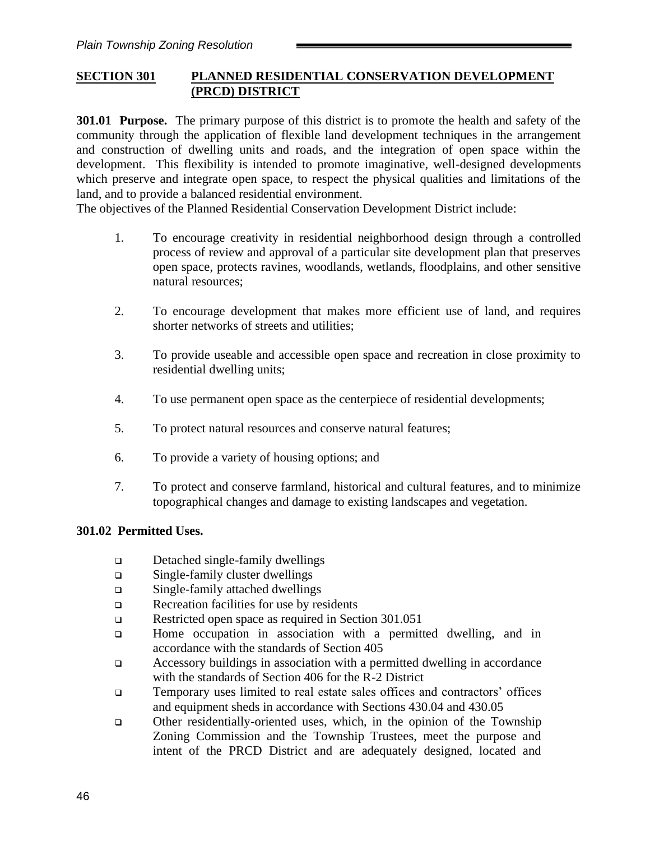## **SECTION 301 PLANNED RESIDENTIAL CONSERVATION DEVELOPMENT (PRCD) DISTRICT**

**301.01 Purpose.** The primary purpose of this district is to promote the health and safety of the community through the application of flexible land development techniques in the arrangement and construction of dwelling units and roads, and the integration of open space within the development. This flexibility is intended to promote imaginative, well-designed developments which preserve and integrate open space, to respect the physical qualities and limitations of the land, and to provide a balanced residential environment.

The objectives of the Planned Residential Conservation Development District include:

- 1. To encourage creativity in residential neighborhood design through a controlled process of review and approval of a particular site development plan that preserves open space, protects ravines, woodlands, wetlands, floodplains, and other sensitive natural resources;
- 2. To encourage development that makes more efficient use of land, and requires shorter networks of streets and utilities;
- 3. To provide useable and accessible open space and recreation in close proximity to residential dwelling units;
- 4. To use permanent open space as the centerpiece of residential developments;
- 5. To protect natural resources and conserve natural features;
- 6. To provide a variety of housing options; and
- 7. To protect and conserve farmland, historical and cultural features, and to minimize topographical changes and damage to existing landscapes and vegetation.

#### **301.02 Permitted Uses.**

- ❑ Detached single-family dwellings
- ❑ Single-family cluster dwellings
- ❑ Single-family attached dwellings
- ❑ Recreation facilities for use by residents
- ❑ Restricted open space as required in Section 301.051
- ❑ Home occupation in association with a permitted dwelling, and in accordance with the standards of Section 405
- ❑ Accessory buildings in association with a permitted dwelling in accordance with the standards of Section 406 for the R-2 District
- ❑ Temporary uses limited to real estate sales offices and contractors' offices and equipment sheds in accordance with Sections 430.04 and 430.05
- ❑ Other residentially-oriented uses, which, in the opinion of the Township Zoning Commission and the Township Trustees, meet the purpose and intent of the PRCD District and are adequately designed, located and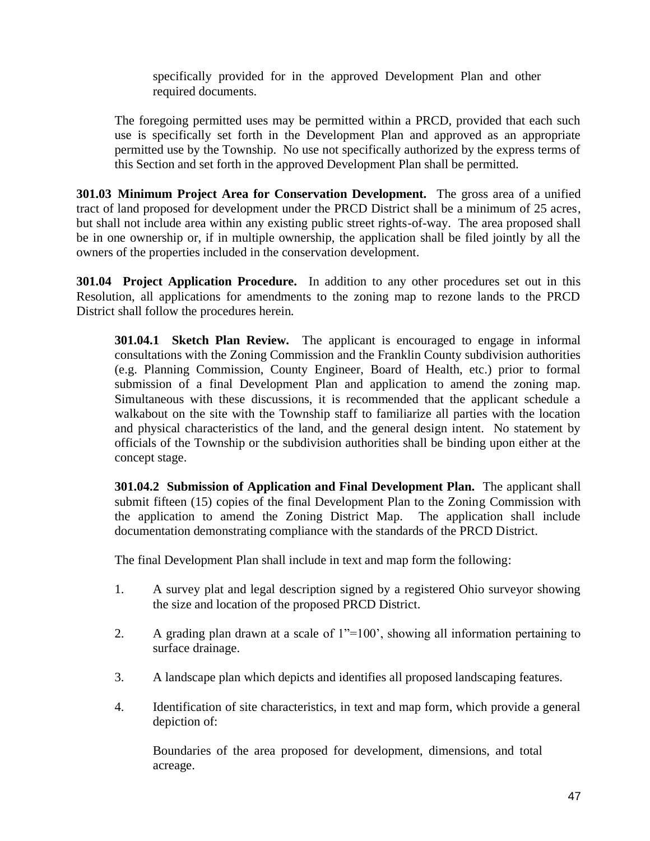specifically provided for in the approved Development Plan and other required documents.

The foregoing permitted uses may be permitted within a PRCD, provided that each such use is specifically set forth in the Development Plan and approved as an appropriate permitted use by the Township. No use not specifically authorized by the express terms of this Section and set forth in the approved Development Plan shall be permitted.

**301.03 Minimum Project Area for Conservation Development.** The gross area of a unified tract of land proposed for development under the PRCD District shall be a minimum of 25 acres, but shall not include area within any existing public street rights-of-way. The area proposed shall be in one ownership or, if in multiple ownership, the application shall be filed jointly by all the owners of the properties included in the conservation development.

**301.04 Project Application Procedure.** In addition to any other procedures set out in this Resolution, all applications for amendments to the zoning map to rezone lands to the PRCD District shall follow the procedures herein.

**301.04.1 Sketch Plan Review.** The applicant is encouraged to engage in informal consultations with the Zoning Commission and the Franklin County subdivision authorities (e.g. Planning Commission, County Engineer, Board of Health, etc.) prior to formal submission of a final Development Plan and application to amend the zoning map. Simultaneous with these discussions, it is recommended that the applicant schedule a walkabout on the site with the Township staff to familiarize all parties with the location and physical characteristics of the land, and the general design intent. No statement by officials of the Township or the subdivision authorities shall be binding upon either at the concept stage.

**301.04.2 Submission of Application and Final Development Plan.** The applicant shall submit fifteen (15) copies of the final Development Plan to the Zoning Commission with the application to amend the Zoning District Map. The application shall include documentation demonstrating compliance with the standards of the PRCD District.

The final Development Plan shall include in text and map form the following:

- 1. A survey plat and legal description signed by a registered Ohio surveyor showing the size and location of the proposed PRCD District.
- 2. A grading plan drawn at a scale of 1"=100', showing all information pertaining to surface drainage.
- 3. A landscape plan which depicts and identifies all proposed landscaping features.
- 4. Identification of site characteristics, in text and map form, which provide a general depiction of:

Boundaries of the area proposed for development, dimensions, and total acreage.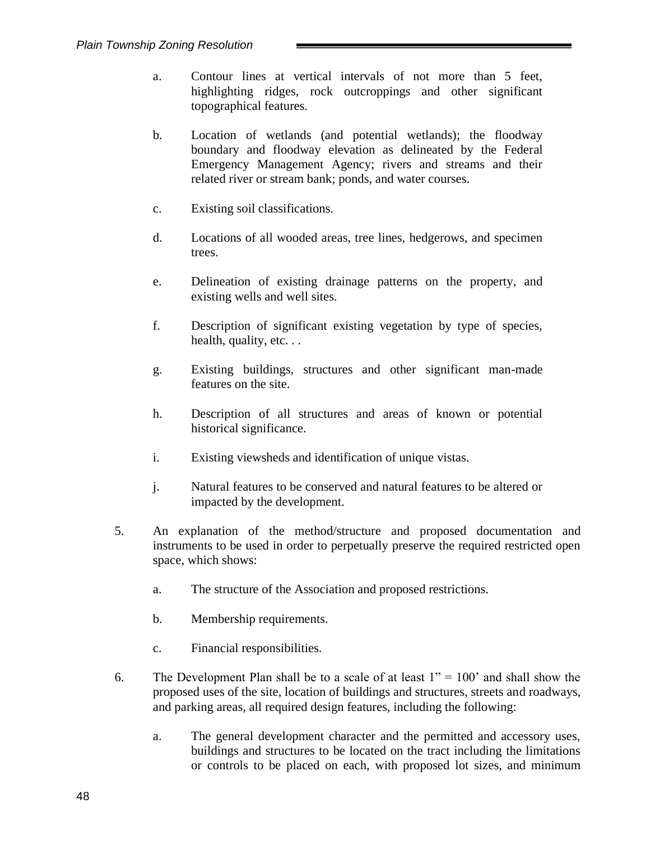- a. Contour lines at vertical intervals of not more than 5 feet, highlighting ridges, rock outcroppings and other significant topographical features.
- b. Location of wetlands (and potential wetlands); the floodway boundary and floodway elevation as delineated by the Federal Emergency Management Agency; rivers and streams and their related river or stream bank; ponds, and water courses.
- c. Existing soil classifications.
- d. Locations of all wooded areas, tree lines, hedgerows, and specimen trees.
- e. Delineation of existing drainage patterns on the property, and existing wells and well sites.
- f. Description of significant existing vegetation by type of species, health, quality, etc. . .
- g. Existing buildings, structures and other significant man-made features on the site.
- h. Description of all structures and areas of known or potential historical significance.
- i. Existing viewsheds and identification of unique vistas.
- j. Natural features to be conserved and natural features to be altered or impacted by the development.
- 5. An explanation of the method/structure and proposed documentation and instruments to be used in order to perpetually preserve the required restricted open space, which shows:
	- a. The structure of the Association and proposed restrictions.
	- b. Membership requirements.
	- c. Financial responsibilities.
- 6. The Development Plan shall be to a scale of at least  $1" = 100"$  and shall show the proposed uses of the site, location of buildings and structures, streets and roadways, and parking areas, all required design features, including the following:
	- a. The general development character and the permitted and accessory uses, buildings and structures to be located on the tract including the limitations or controls to be placed on each, with proposed lot sizes, and minimum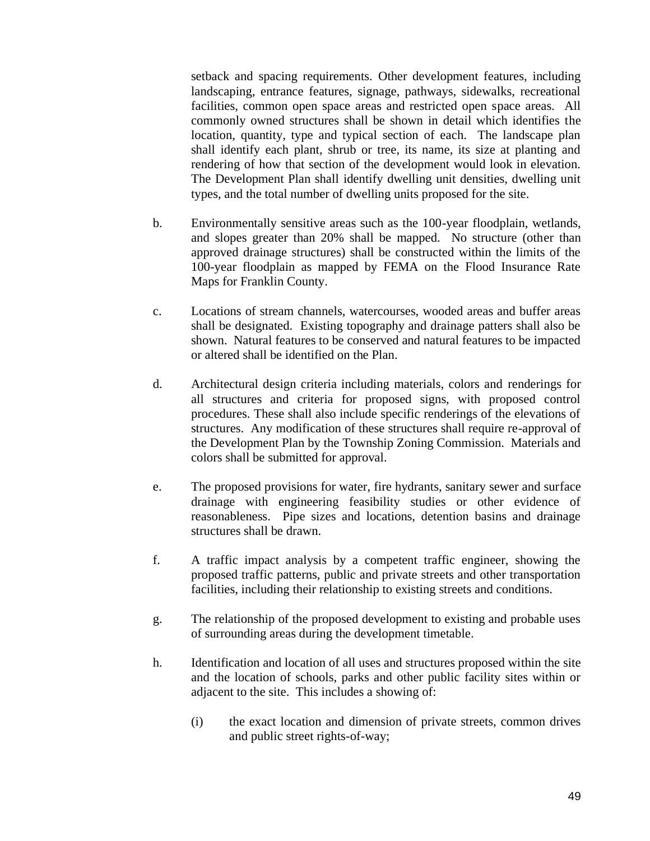setback and spacing requirements. Other development features, including landscaping, entrance features, signage, pathways, sidewalks, recreational facilities, common open space areas and restricted open space areas. All commonly owned structures shall be shown in detail which identifies the location, quantity, type and typical section of each. The landscape plan shall identify each plant, shrub or tree, its name, its size at planting and rendering of how that section of the development would look in elevation. The Development Plan shall identify dwelling unit densities, dwelling unit types, and the total number of dwelling units proposed for the site.

- b. Environmentally sensitive areas such as the 100-year floodplain, wetlands, and slopes greater than 20% shall be mapped. No structure (other than approved drainage structures) shall be constructed within the limits of the 100-year floodplain as mapped by FEMA on the Flood Insurance Rate Maps for Franklin County.
- c. Locations of stream channels, watercourses, wooded areas and buffer areas shall be designated. Existing topography and drainage patters shall also be shown. Natural features to be conserved and natural features to be impacted or altered shall be identified on the Plan.
- d. Architectural design criteria including materials, colors and renderings for all structures and criteria for proposed signs, with proposed control procedures. These shall also include specific renderings of the elevations of structures. Any modification of these structures shall require re-approval of the Development Plan by the Township Zoning Commission. Materials and colors shall be submitted for approval.
- e. The proposed provisions for water, fire hydrants, sanitary sewer and surface drainage with engineering feasibility studies or other evidence of reasonableness. Pipe sizes and locations, detention basins and drainage structures shall be drawn.
- f. A traffic impact analysis by a competent traffic engineer, showing the proposed traffic patterns, public and private streets and other transportation facilities, including their relationship to existing streets and conditions.
- g. The relationship of the proposed development to existing and probable uses of surrounding areas during the development timetable.
- h. Identification and location of all uses and structures proposed within the site and the location of schools, parks and other public facility sites within or adjacent to the site. This includes a showing of:
	- (i) the exact location and dimension of private streets, common drives and public street rights-of-way;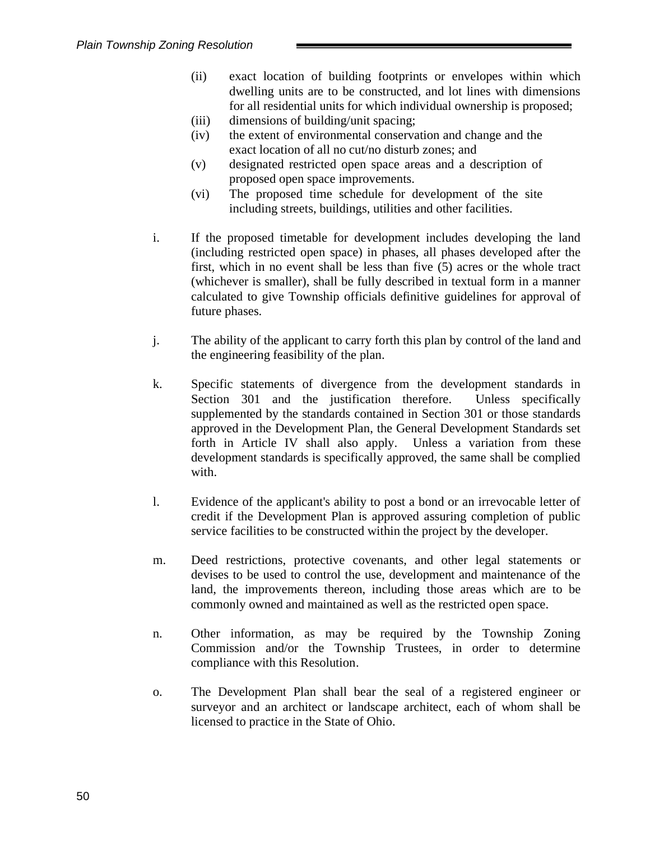- (ii) exact location of building footprints or envelopes within which dwelling units are to be constructed, and lot lines with dimensions for all residential units for which individual ownership is proposed;
- (iii) dimensions of building/unit spacing;
- (iv) the extent of environmental conservation and change and the exact location of all no cut/no disturb zones; and
- (v) designated restricted open space areas and a description of proposed open space improvements.
- (vi) The proposed time schedule for development of the site including streets, buildings, utilities and other facilities.
- i. If the proposed timetable for development includes developing the land (including restricted open space) in phases, all phases developed after the first, which in no event shall be less than five (5) acres or the whole tract (whichever is smaller), shall be fully described in textual form in a manner calculated to give Township officials definitive guidelines for approval of future phases.
- j. The ability of the applicant to carry forth this plan by control of the land and the engineering feasibility of the plan.
- k. Specific statements of divergence from the development standards in Section 301 and the justification therefore. Unless specifically supplemented by the standards contained in Section 301 or those standards approved in the Development Plan, the General Development Standards set forth in Article IV shall also apply. Unless a variation from these development standards is specifically approved, the same shall be complied with.
- l. Evidence of the applicant's ability to post a bond or an irrevocable letter of credit if the Development Plan is approved assuring completion of public service facilities to be constructed within the project by the developer.
- m. Deed restrictions, protective covenants, and other legal statements or devises to be used to control the use, development and maintenance of the land, the improvements thereon, including those areas which are to be commonly owned and maintained as well as the restricted open space.
- n. Other information, as may be required by the Township Zoning Commission and/or the Township Trustees, in order to determine compliance with this Resolution.
- o. The Development Plan shall bear the seal of a registered engineer or surveyor and an architect or landscape architect, each of whom shall be licensed to practice in the State of Ohio.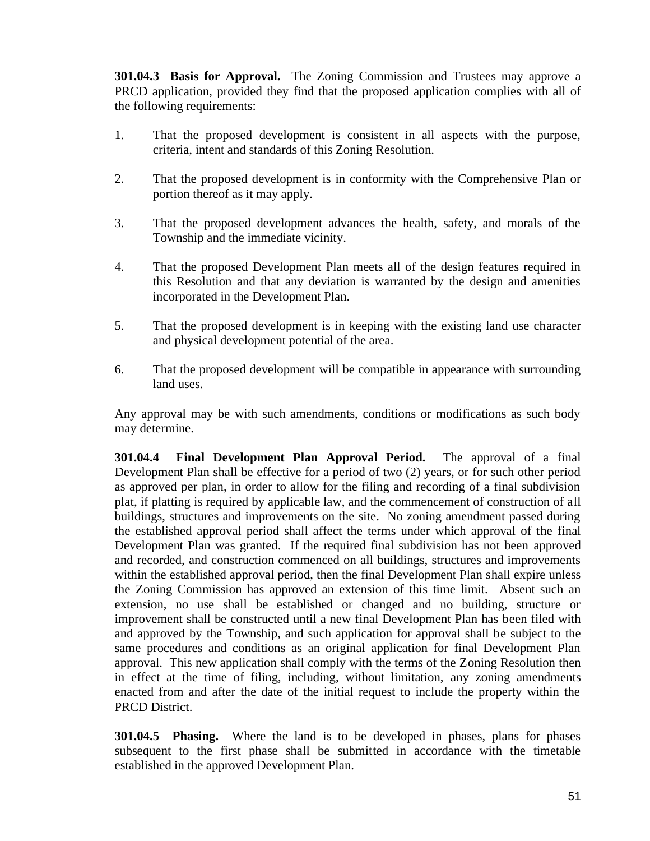**301.04.3 Basis for Approval.** The Zoning Commission and Trustees may approve a PRCD application, provided they find that the proposed application complies with all of the following requirements:

- 1. That the proposed development is consistent in all aspects with the purpose, criteria, intent and standards of this Zoning Resolution.
- 2. That the proposed development is in conformity with the Comprehensive Plan or portion thereof as it may apply.
- 3. That the proposed development advances the health, safety, and morals of the Township and the immediate vicinity.
- 4. That the proposed Development Plan meets all of the design features required in this Resolution and that any deviation is warranted by the design and amenities incorporated in the Development Plan.
- 5. That the proposed development is in keeping with the existing land use character and physical development potential of the area.
- 6. That the proposed development will be compatible in appearance with surrounding land uses.

Any approval may be with such amendments, conditions or modifications as such body may determine.

**301.04.4 Final Development Plan Approval Period.** The approval of a final Development Plan shall be effective for a period of two (2) years, or for such other period as approved per plan, in order to allow for the filing and recording of a final subdivision plat, if platting is required by applicable law, and the commencement of construction of all buildings, structures and improvements on the site. No zoning amendment passed during the established approval period shall affect the terms under which approval of the final Development Plan was granted. If the required final subdivision has not been approved and recorded, and construction commenced on all buildings, structures and improvements within the established approval period, then the final Development Plan shall expire unless the Zoning Commission has approved an extension of this time limit. Absent such an extension, no use shall be established or changed and no building, structure or improvement shall be constructed until a new final Development Plan has been filed with and approved by the Township, and such application for approval shall be subject to the same procedures and conditions as an original application for final Development Plan approval. This new application shall comply with the terms of the Zoning Resolution then in effect at the time of filing, including, without limitation, any zoning amendments enacted from and after the date of the initial request to include the property within the PRCD District.

**301.04.5 Phasing.** Where the land is to be developed in phases, plans for phases subsequent to the first phase shall be submitted in accordance with the timetable established in the approved Development Plan.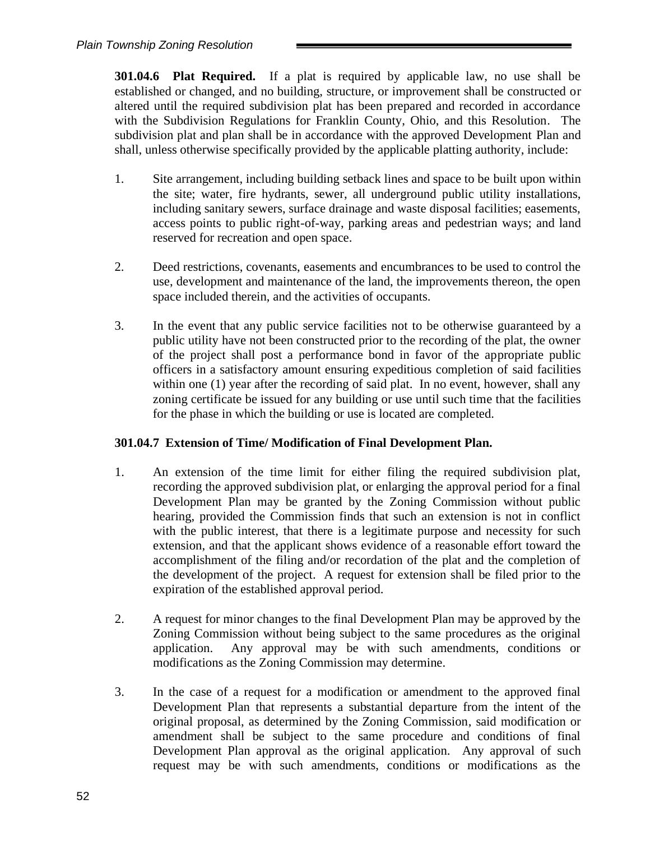**301.04.6 Plat Required.** If a plat is required by applicable law, no use shall be established or changed, and no building, structure, or improvement shall be constructed or altered until the required subdivision plat has been prepared and recorded in accordance with the Subdivision Regulations for Franklin County, Ohio, and this Resolution. The subdivision plat and plan shall be in accordance with the approved Development Plan and shall, unless otherwise specifically provided by the applicable platting authority, include:

- 1. Site arrangement, including building setback lines and space to be built upon within the site; water, fire hydrants, sewer, all underground public utility installations, including sanitary sewers, surface drainage and waste disposal facilities; easements, access points to public right-of-way, parking areas and pedestrian ways; and land reserved for recreation and open space.
- 2. Deed restrictions, covenants, easements and encumbrances to be used to control the use, development and maintenance of the land, the improvements thereon, the open space included therein, and the activities of occupants.
- 3. In the event that any public service facilities not to be otherwise guaranteed by a public utility have not been constructed prior to the recording of the plat, the owner of the project shall post a performance bond in favor of the appropriate public officers in a satisfactory amount ensuring expeditious completion of said facilities within one (1) year after the recording of said plat. In no event, however, shall any zoning certificate be issued for any building or use until such time that the facilities for the phase in which the building or use is located are completed.

## **301.04.7 Extension of Time/ Modification of Final Development Plan.**

- 1. An extension of the time limit for either filing the required subdivision plat, recording the approved subdivision plat, or enlarging the approval period for a final Development Plan may be granted by the Zoning Commission without public hearing, provided the Commission finds that such an extension is not in conflict with the public interest, that there is a legitimate purpose and necessity for such extension, and that the applicant shows evidence of a reasonable effort toward the accomplishment of the filing and/or recordation of the plat and the completion of the development of the project. A request for extension shall be filed prior to the expiration of the established approval period.
- 2. A request for minor changes to the final Development Plan may be approved by the Zoning Commission without being subject to the same procedures as the original application. Any approval may be with such amendments, conditions or modifications as the Zoning Commission may determine.
- 3. In the case of a request for a modification or amendment to the approved final Development Plan that represents a substantial departure from the intent of the original proposal, as determined by the Zoning Commission, said modification or amendment shall be subject to the same procedure and conditions of final Development Plan approval as the original application. Any approval of such request may be with such amendments, conditions or modifications as the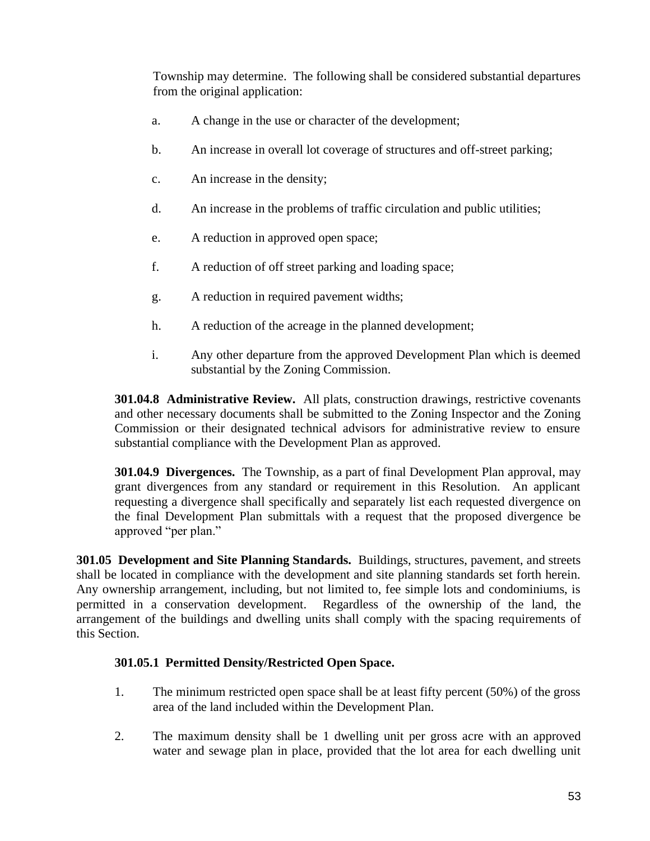Township may determine. The following shall be considered substantial departures from the original application:

- a. A change in the use or character of the development;
- b. An increase in overall lot coverage of structures and off-street parking;
- c. An increase in the density;
- d. An increase in the problems of traffic circulation and public utilities;
- e. A reduction in approved open space;
- f. A reduction of off street parking and loading space;
- g. A reduction in required pavement widths;
- h. A reduction of the acreage in the planned development;
- i. Any other departure from the approved Development Plan which is deemed substantial by the Zoning Commission.

**301.04.8 Administrative Review.** All plats, construction drawings, restrictive covenants and other necessary documents shall be submitted to the Zoning Inspector and the Zoning Commission or their designated technical advisors for administrative review to ensure substantial compliance with the Development Plan as approved.

**301.04.9 Divergences.** The Township, as a part of final Development Plan approval, may grant divergences from any standard or requirement in this Resolution. An applicant requesting a divergence shall specifically and separately list each requested divergence on the final Development Plan submittals with a request that the proposed divergence be approved "per plan."

**301.05 Development and Site Planning Standards.** Buildings, structures, pavement, and streets shall be located in compliance with the development and site planning standards set forth herein. Any ownership arrangement, including, but not limited to, fee simple lots and condominiums, is permitted in a conservation development. Regardless of the ownership of the land, the arrangement of the buildings and dwelling units shall comply with the spacing requirements of this Section.

## **301.05.1 Permitted Density/Restricted Open Space.**

- 1. The minimum restricted open space shall be at least fifty percent (50%) of the gross area of the land included within the Development Plan.
- 2. The maximum density shall be 1 dwelling unit per gross acre with an approved water and sewage plan in place, provided that the lot area for each dwelling unit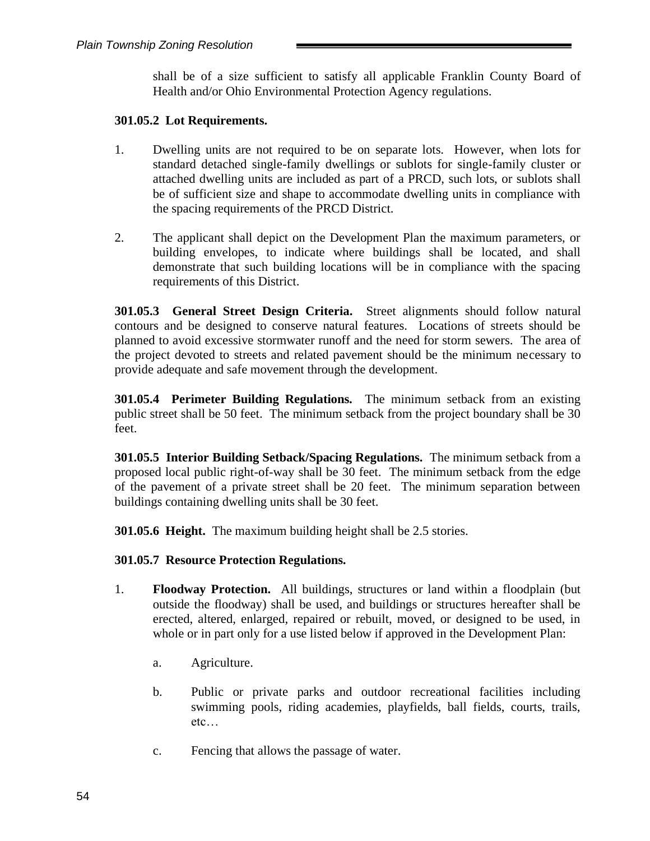shall be of a size sufficient to satisfy all applicable Franklin County Board of Health and/or Ohio Environmental Protection Agency regulations.

## **301.05.2 Lot Requirements.**

- 1. Dwelling units are not required to be on separate lots. However, when lots for standard detached single-family dwellings or sublots for single-family cluster or attached dwelling units are included as part of a PRCD, such lots, or sublots shall be of sufficient size and shape to accommodate dwelling units in compliance with the spacing requirements of the PRCD District.
- 2. The applicant shall depict on the Development Plan the maximum parameters, or building envelopes, to indicate where buildings shall be located, and shall demonstrate that such building locations will be in compliance with the spacing requirements of this District.

**301.05.3 General Street Design Criteria.** Street alignments should follow natural contours and be designed to conserve natural features. Locations of streets should be planned to avoid excessive stormwater runoff and the need for storm sewers. The area of the project devoted to streets and related pavement should be the minimum necessary to provide adequate and safe movement through the development.

**301.05.4 Perimeter Building Regulations.** The minimum setback from an existing public street shall be 50 feet. The minimum setback from the project boundary shall be 30 feet.

**301.05.5 Interior Building Setback/Spacing Regulations.** The minimum setback from a proposed local public right-of-way shall be 30 feet. The minimum setback from the edge of the pavement of a private street shall be 20 feet. The minimum separation between buildings containing dwelling units shall be 30 feet.

**301.05.6 Height.** The maximum building height shall be 2.5 stories.

## **301.05.7 Resource Protection Regulations.**

- 1. **Floodway Protection.** All buildings, structures or land within a floodplain (but outside the floodway) shall be used, and buildings or structures hereafter shall be erected, altered, enlarged, repaired or rebuilt, moved, or designed to be used, in whole or in part only for a use listed below if approved in the Development Plan:
	- a. Agriculture.
	- b. Public or private parks and outdoor recreational facilities including swimming pools, riding academies, playfields, ball fields, courts, trails, etc…
	- c. Fencing that allows the passage of water.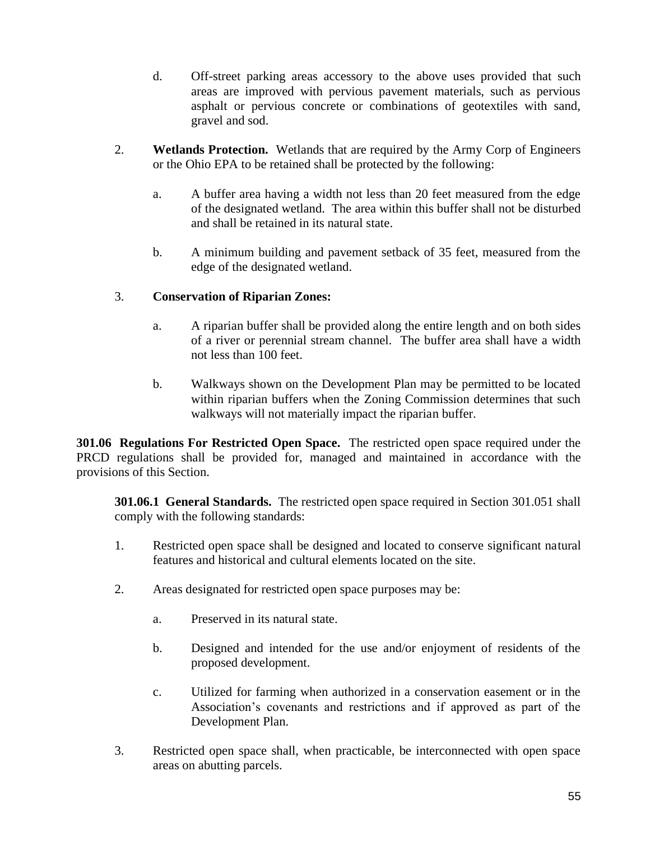- d. Off-street parking areas accessory to the above uses provided that such areas are improved with pervious pavement materials, such as pervious asphalt or pervious concrete or combinations of geotextiles with sand, gravel and sod.
- 2. **Wetlands Protection.** Wetlands that are required by the Army Corp of Engineers or the Ohio EPA to be retained shall be protected by the following:
	- a. A buffer area having a width not less than 20 feet measured from the edge of the designated wetland. The area within this buffer shall not be disturbed and shall be retained in its natural state.
	- b. A minimum building and pavement setback of 35 feet, measured from the edge of the designated wetland.

## 3. **Conservation of Riparian Zones:**

- a. A riparian buffer shall be provided along the entire length and on both sides of a river or perennial stream channel. The buffer area shall have a width not less than 100 feet.
- b. Walkways shown on the Development Plan may be permitted to be located within riparian buffers when the Zoning Commission determines that such walkways will not materially impact the riparian buffer.

**301.06 Regulations For Restricted Open Space.** The restricted open space required under the PRCD regulations shall be provided for, managed and maintained in accordance with the provisions of this Section.

**301.06.1 General Standards.** The restricted open space required in Section 301.051 shall comply with the following standards:

- 1. Restricted open space shall be designed and located to conserve significant natural features and historical and cultural elements located on the site.
- 2. Areas designated for restricted open space purposes may be:
	- a. Preserved in its natural state.
	- b. Designed and intended for the use and/or enjoyment of residents of the proposed development.
	- c. Utilized for farming when authorized in a conservation easement or in the Association's covenants and restrictions and if approved as part of the Development Plan.
- 3. Restricted open space shall, when practicable, be interconnected with open space areas on abutting parcels.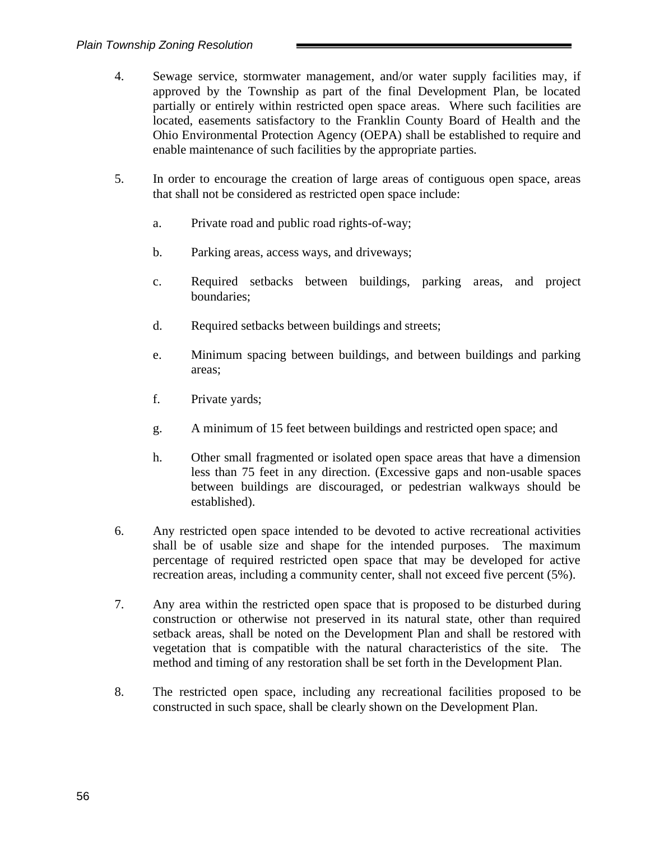- 4. Sewage service, stormwater management, and/or water supply facilities may, if approved by the Township as part of the final Development Plan, be located partially or entirely within restricted open space areas. Where such facilities are located, easements satisfactory to the Franklin County Board of Health and the Ohio Environmental Protection Agency (OEPA) shall be established to require and enable maintenance of such facilities by the appropriate parties.
- 5. In order to encourage the creation of large areas of contiguous open space, areas that shall not be considered as restricted open space include:
	- a. Private road and public road rights-of-way;
	- b. Parking areas, access ways, and driveways;
	- c. Required setbacks between buildings, parking areas, and project boundaries;
	- d. Required setbacks between buildings and streets;
	- e. Minimum spacing between buildings, and between buildings and parking areas;
	- f. Private yards;
	- g. A minimum of 15 feet between buildings and restricted open space; and
	- h. Other small fragmented or isolated open space areas that have a dimension less than 75 feet in any direction. (Excessive gaps and non-usable spaces between buildings are discouraged, or pedestrian walkways should be established).
- 6. Any restricted open space intended to be devoted to active recreational activities shall be of usable size and shape for the intended purposes. The maximum percentage of required restricted open space that may be developed for active recreation areas, including a community center, shall not exceed five percent (5%).
- 7. Any area within the restricted open space that is proposed to be disturbed during construction or otherwise not preserved in its natural state, other than required setback areas, shall be noted on the Development Plan and shall be restored with vegetation that is compatible with the natural characteristics of the site. The method and timing of any restoration shall be set forth in the Development Plan.
- 8. The restricted open space, including any recreational facilities proposed to be constructed in such space, shall be clearly shown on the Development Plan.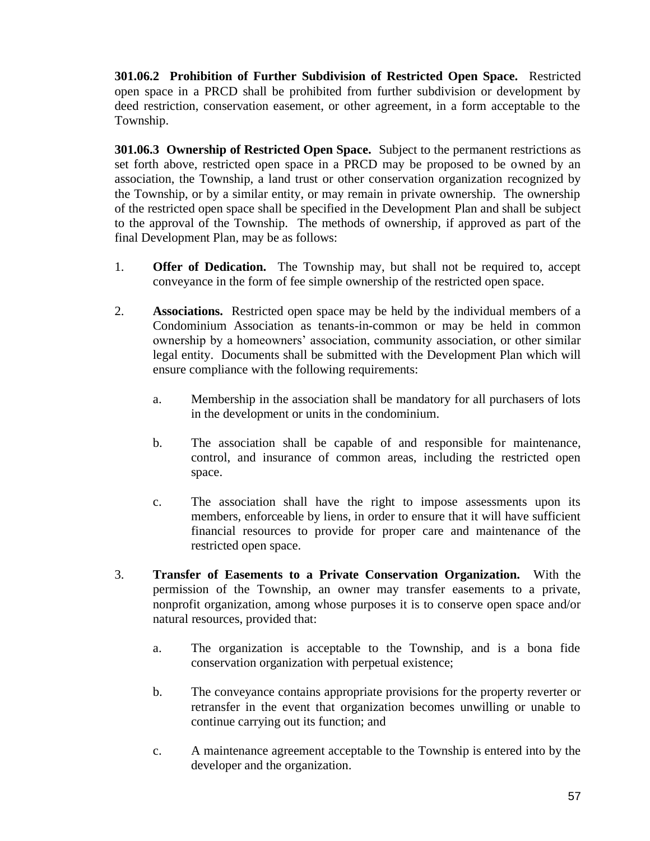**301.06.2 Prohibition of Further Subdivision of Restricted Open Space.** Restricted open space in a PRCD shall be prohibited from further subdivision or development by deed restriction, conservation easement, or other agreement, in a form acceptable to the Township.

**301.06.3 Ownership of Restricted Open Space.** Subject to the permanent restrictions as set forth above, restricted open space in a PRCD may be proposed to be owned by an association, the Township, a land trust or other conservation organization recognized by the Township, or by a similar entity, or may remain in private ownership. The ownership of the restricted open space shall be specified in the Development Plan and shall be subject to the approval of the Township. The methods of ownership, if approved as part of the final Development Plan, may be as follows:

- 1. **Offer of Dedication.** The Township may, but shall not be required to, accept conveyance in the form of fee simple ownership of the restricted open space.
- 2. **Associations.** Restricted open space may be held by the individual members of a Condominium Association as tenants-in-common or may be held in common ownership by a homeowners' association, community association, or other similar legal entity. Documents shall be submitted with the Development Plan which will ensure compliance with the following requirements:
	- a. Membership in the association shall be mandatory for all purchasers of lots in the development or units in the condominium.
	- b. The association shall be capable of and responsible for maintenance, control, and insurance of common areas, including the restricted open space.
	- c. The association shall have the right to impose assessments upon its members, enforceable by liens, in order to ensure that it will have sufficient financial resources to provide for proper care and maintenance of the restricted open space.
- 3. **Transfer of Easements to a Private Conservation Organization.** With the permission of the Township, an owner may transfer easements to a private, nonprofit organization, among whose purposes it is to conserve open space and/or natural resources, provided that:
	- a. The organization is acceptable to the Township, and is a bona fide conservation organization with perpetual existence;
	- b. The conveyance contains appropriate provisions for the property reverter or retransfer in the event that organization becomes unwilling or unable to continue carrying out its function; and
	- c. A maintenance agreement acceptable to the Township is entered into by the developer and the organization.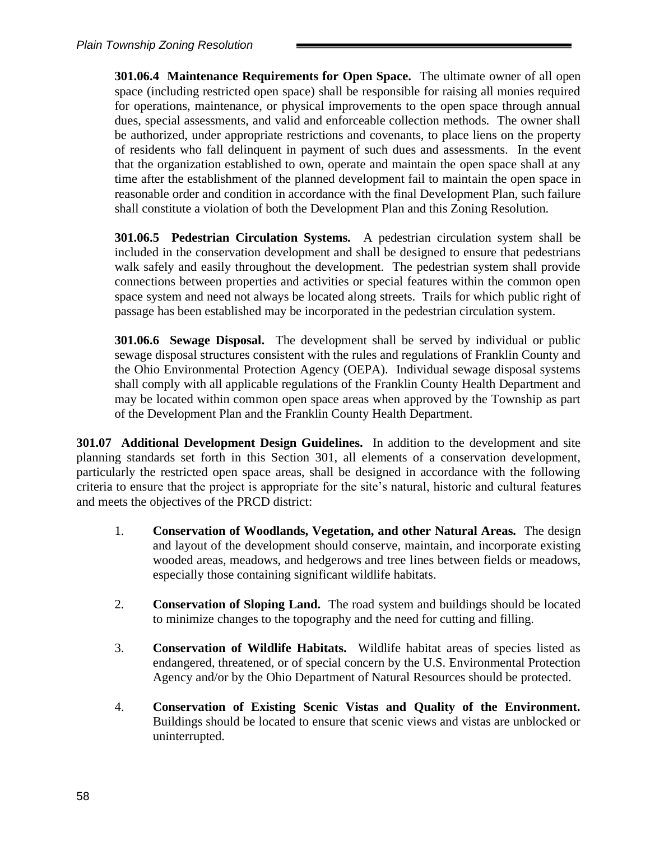**301.06.4 Maintenance Requirements for Open Space.** The ultimate owner of all open space (including restricted open space) shall be responsible for raising all monies required for operations, maintenance, or physical improvements to the open space through annual dues, special assessments, and valid and enforceable collection methods. The owner shall be authorized, under appropriate restrictions and covenants, to place liens on the property of residents who fall delinquent in payment of such dues and assessments. In the event that the organization established to own, operate and maintain the open space shall at any time after the establishment of the planned development fail to maintain the open space in reasonable order and condition in accordance with the final Development Plan, such failure shall constitute a violation of both the Development Plan and this Zoning Resolution.

**301.06.5 Pedestrian Circulation Systems.** A pedestrian circulation system shall be included in the conservation development and shall be designed to ensure that pedestrians walk safely and easily throughout the development. The pedestrian system shall provide connections between properties and activities or special features within the common open space system and need not always be located along streets. Trails for which public right of passage has been established may be incorporated in the pedestrian circulation system.

**301.06.6 Sewage Disposal.** The development shall be served by individual or public sewage disposal structures consistent with the rules and regulations of Franklin County and the Ohio Environmental Protection Agency (OEPA). Individual sewage disposal systems shall comply with all applicable regulations of the Franklin County Health Department and may be located within common open space areas when approved by the Township as part of the Development Plan and the Franklin County Health Department.

**301.07 Additional Development Design Guidelines.** In addition to the development and site planning standards set forth in this Section 301, all elements of a conservation development, particularly the restricted open space areas, shall be designed in accordance with the following criteria to ensure that the project is appropriate for the site's natural, historic and cultural features and meets the objectives of the PRCD district:

- 1. **Conservation of Woodlands, Vegetation, and other Natural Areas.** The design and layout of the development should conserve, maintain, and incorporate existing wooded areas, meadows, and hedgerows and tree lines between fields or meadows, especially those containing significant wildlife habitats.
- 2. **Conservation of Sloping Land.** The road system and buildings should be located to minimize changes to the topography and the need for cutting and filling.
- 3. **Conservation of Wildlife Habitats.** Wildlife habitat areas of species listed as endangered, threatened, or of special concern by the U.S. Environmental Protection Agency and/or by the Ohio Department of Natural Resources should be protected.
- 4. **Conservation of Existing Scenic Vistas and Quality of the Environment.** Buildings should be located to ensure that scenic views and vistas are unblocked or uninterrupted.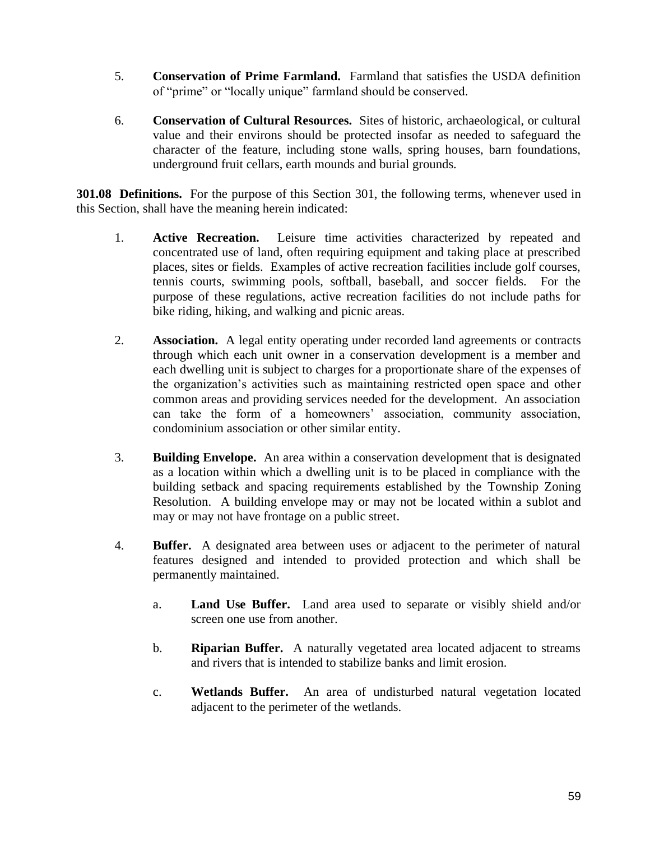- 5. **Conservation of Prime Farmland.** Farmland that satisfies the USDA definition of "prime" or "locally unique" farmland should be conserved.
- 6. **Conservation of Cultural Resources.** Sites of historic, archaeological, or cultural value and their environs should be protected insofar as needed to safeguard the character of the feature, including stone walls, spring houses, barn foundations, underground fruit cellars, earth mounds and burial grounds.

**301.08 Definitions.** For the purpose of this Section 301, the following terms, whenever used in this Section, shall have the meaning herein indicated:

- 1. **Active Recreation.** Leisure time activities characterized by repeated and concentrated use of land, often requiring equipment and taking place at prescribed places, sites or fields. Examples of active recreation facilities include golf courses, tennis courts, swimming pools, softball, baseball, and soccer fields. For the purpose of these regulations, active recreation facilities do not include paths for bike riding, hiking, and walking and picnic areas.
- 2. **Association.** A legal entity operating under recorded land agreements or contracts through which each unit owner in a conservation development is a member and each dwelling unit is subject to charges for a proportionate share of the expenses of the organization's activities such as maintaining restricted open space and other common areas and providing services needed for the development. An association can take the form of a homeowners' association, community association, condominium association or other similar entity.
- 3. **Building Envelope.** An area within a conservation development that is designated as a location within which a dwelling unit is to be placed in compliance with the building setback and spacing requirements established by the Township Zoning Resolution. A building envelope may or may not be located within a sublot and may or may not have frontage on a public street.
- 4. **Buffer.** A designated area between uses or adjacent to the perimeter of natural features designed and intended to provided protection and which shall be permanently maintained.
	- a. **Land Use Buffer.** Land area used to separate or visibly shield and/or screen one use from another.
	- b. **Riparian Buffer.** A naturally vegetated area located adjacent to streams and rivers that is intended to stabilize banks and limit erosion.
	- c. **Wetlands Buffer.** An area of undisturbed natural vegetation located adjacent to the perimeter of the wetlands.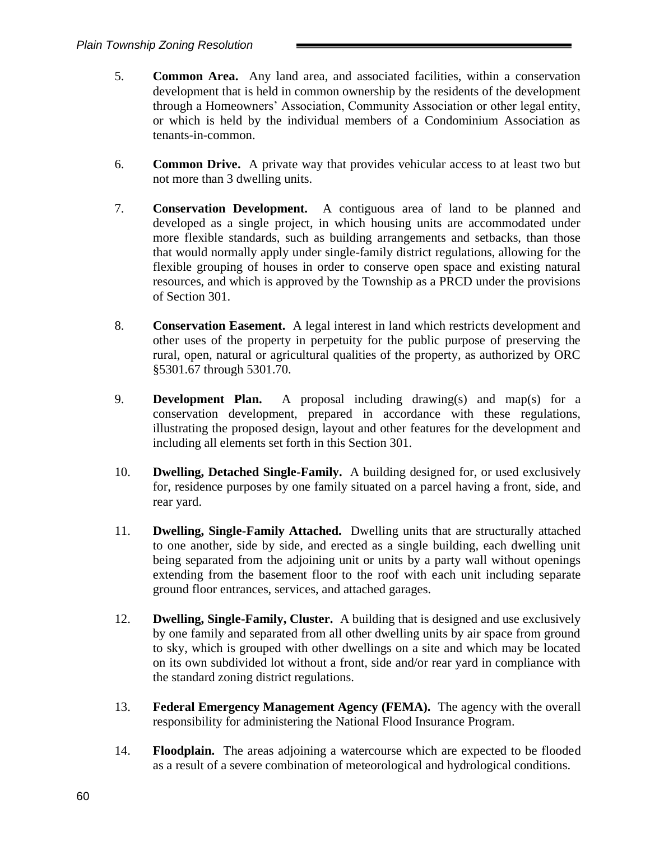- 5. **Common Area.** Any land area, and associated facilities, within a conservation development that is held in common ownership by the residents of the development through a Homeowners' Association, Community Association or other legal entity, or which is held by the individual members of a Condominium Association as tenants-in-common.
- 6. **Common Drive.** A private way that provides vehicular access to at least two but not more than 3 dwelling units.
- 7. **Conservation Development.** A contiguous area of land to be planned and developed as a single project, in which housing units are accommodated under more flexible standards, such as building arrangements and setbacks, than those that would normally apply under single-family district regulations, allowing for the flexible grouping of houses in order to conserve open space and existing natural resources, and which is approved by the Township as a PRCD under the provisions of Section 301.
- 8. **Conservation Easement.** A legal interest in land which restricts development and other uses of the property in perpetuity for the public purpose of preserving the rural, open, natural or agricultural qualities of the property, as authorized by ORC §5301.67 through 5301.70.
- 9. **Development Plan.** A proposal including drawing(s) and map(s) for a conservation development, prepared in accordance with these regulations, illustrating the proposed design, layout and other features for the development and including all elements set forth in this Section 301.
- 10. **Dwelling, Detached Single-Family.** A building designed for, or used exclusively for, residence purposes by one family situated on a parcel having a front, side, and rear yard.
- 11. **Dwelling, Single-Family Attached.** Dwelling units that are structurally attached to one another, side by side, and erected as a single building, each dwelling unit being separated from the adjoining unit or units by a party wall without openings extending from the basement floor to the roof with each unit including separate ground floor entrances, services, and attached garages.
- 12. **Dwelling, Single-Family, Cluster.** A building that is designed and use exclusively by one family and separated from all other dwelling units by air space from ground to sky, which is grouped with other dwellings on a site and which may be located on its own subdivided lot without a front, side and/or rear yard in compliance with the standard zoning district regulations.
- 13. **Federal Emergency Management Agency (FEMA).** The agency with the overall responsibility for administering the National Flood Insurance Program.
- 14. **Floodplain.** The areas adjoining a watercourse which are expected to be flooded as a result of a severe combination of meteorological and hydrological conditions.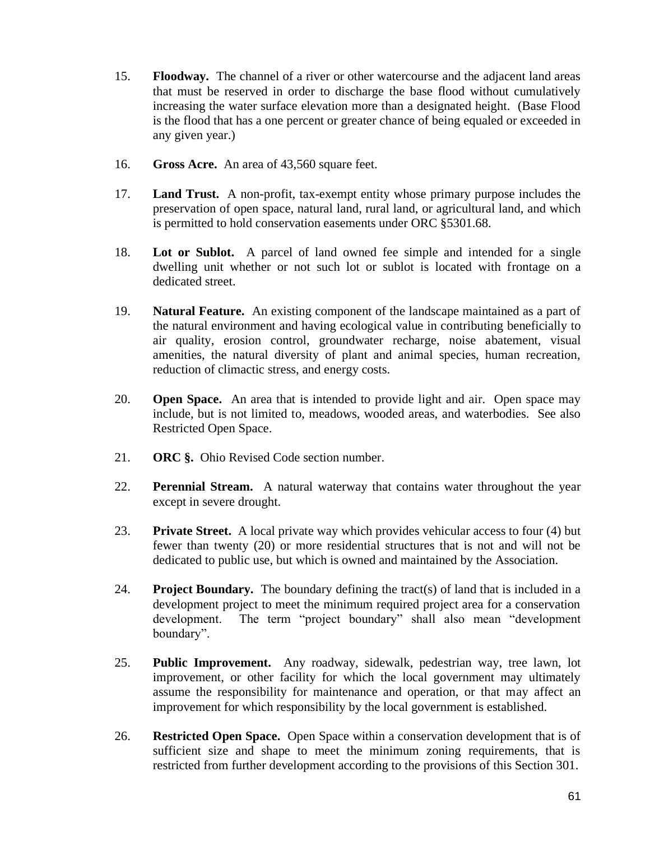- 15. **Floodway.** The channel of a river or other watercourse and the adjacent land areas that must be reserved in order to discharge the base flood without cumulatively increasing the water surface elevation more than a designated height. (Base Flood is the flood that has a one percent or greater chance of being equaled or exceeded in any given year.)
- 16. **Gross Acre.** An area of 43,560 square feet.
- 17. **Land Trust.** A non-profit, tax-exempt entity whose primary purpose includes the preservation of open space, natural land, rural land, or agricultural land, and which is permitted to hold conservation easements under ORC §5301.68.
- 18. **Lot or Sublot.** A parcel of land owned fee simple and intended for a single dwelling unit whether or not such lot or sublot is located with frontage on a dedicated street.
- 19. **Natural Feature.** An existing component of the landscape maintained as a part of the natural environment and having ecological value in contributing beneficially to air quality, erosion control, groundwater recharge, noise abatement, visual amenities, the natural diversity of plant and animal species, human recreation, reduction of climactic stress, and energy costs.
- 20. **Open Space.** An area that is intended to provide light and air. Open space may include, but is not limited to, meadows, wooded areas, and waterbodies. See also Restricted Open Space.
- 21. **ORC §.** Ohio Revised Code section number.
- 22. **Perennial Stream.** A natural waterway that contains water throughout the year except in severe drought.
- 23. **Private Street.** A local private way which provides vehicular access to four (4) but fewer than twenty (20) or more residential structures that is not and will not be dedicated to public use, but which is owned and maintained by the Association.
- 24. **Project Boundary.** The boundary defining the tract(s) of land that is included in a development project to meet the minimum required project area for a conservation development. The term "project boundary" shall also mean "development boundary".
- 25. **Public Improvement.** Any roadway, sidewalk, pedestrian way, tree lawn, lot improvement, or other facility for which the local government may ultimately assume the responsibility for maintenance and operation, or that may affect an improvement for which responsibility by the local government is established.
- 26. **Restricted Open Space.** Open Space within a conservation development that is of sufficient size and shape to meet the minimum zoning requirements, that is restricted from further development according to the provisions of this Section 301.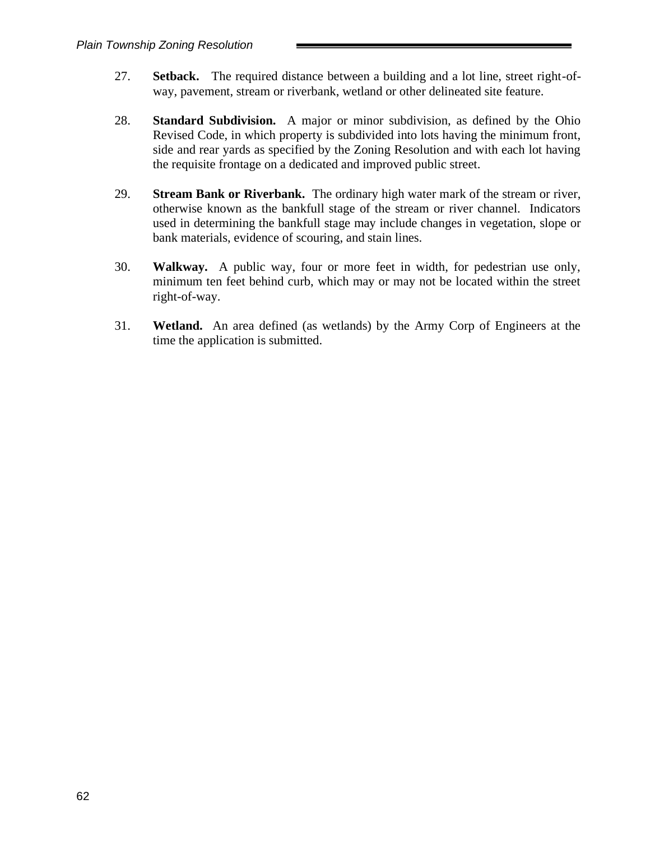- 27. **Setback.** The required distance between a building and a lot line, street right-ofway, pavement, stream or riverbank, wetland or other delineated site feature.
- 28. **Standard Subdivision.** A major or minor subdivision, as defined by the Ohio Revised Code, in which property is subdivided into lots having the minimum front, side and rear yards as specified by the Zoning Resolution and with each lot having the requisite frontage on a dedicated and improved public street.
- 29. **Stream Bank or Riverbank.** The ordinary high water mark of the stream or river, otherwise known as the bankfull stage of the stream or river channel. Indicators used in determining the bankfull stage may include changes in vegetation, slope or bank materials, evidence of scouring, and stain lines.
- 30. **Walkway.** A public way, four or more feet in width, for pedestrian use only, minimum ten feet behind curb, which may or may not be located within the street right-of-way.
- 31. **Wetland.** An area defined (as wetlands) by the Army Corp of Engineers at the time the application is submitted.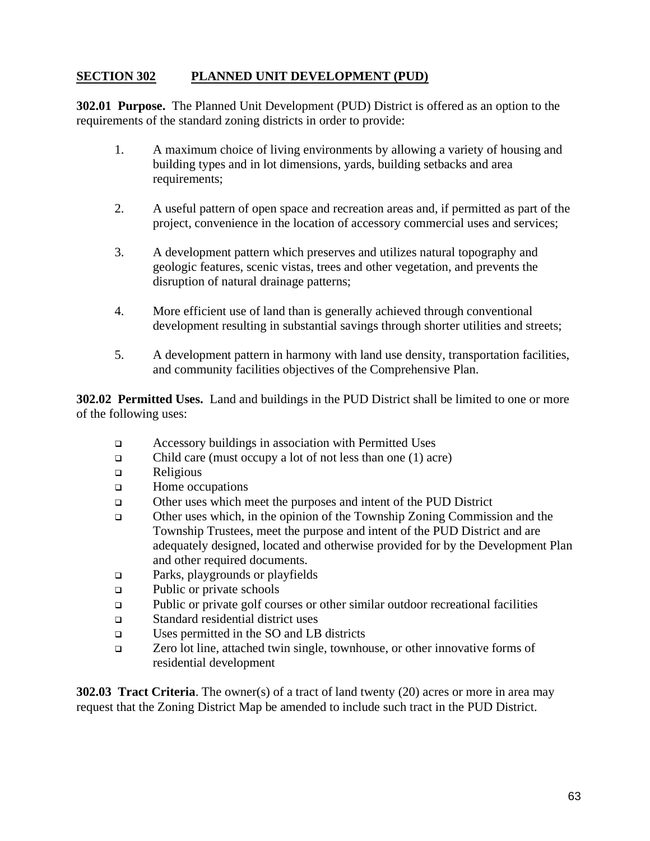# **SECTION 302 PLANNED UNIT DEVELOPMENT (PUD)**

**302.01 Purpose.** The Planned Unit Development (PUD) District is offered as an option to the requirements of the standard zoning districts in order to provide:

- 1. A maximum choice of living environments by allowing a variety of housing and building types and in lot dimensions, yards, building setbacks and area requirements;
- 2. A useful pattern of open space and recreation areas and, if permitted as part of the project, convenience in the location of accessory commercial uses and services;
- 3. A development pattern which preserves and utilizes natural topography and geologic features, scenic vistas, trees and other vegetation, and prevents the disruption of natural drainage patterns;
- 4. More efficient use of land than is generally achieved through conventional development resulting in substantial savings through shorter utilities and streets;
- 5. A development pattern in harmony with land use density, transportation facilities, and community facilities objectives of the Comprehensive Plan.

**302.02 Permitted Uses.** Land and buildings in the PUD District shall be limited to one or more of the following uses:

- ❑ Accessory buildings in association with Permitted Uses
- ❑ Child care (must occupy a lot of not less than one (1) acre)
- ❑ Religious
- ❑ Home occupations
- ❑ Other uses which meet the purposes and intent of the PUD District
- ❑ Other uses which, in the opinion of the Township Zoning Commission and the Township Trustees, meet the purpose and intent of the PUD District and are adequately designed, located and otherwise provided for by the Development Plan and other required documents.
- ❑ Parks, playgrounds or playfields
- ❑ Public or private schools
- ❑ Public or private golf courses or other similar outdoor recreational facilities
- ❑ Standard residential district uses
- ❑ Uses permitted in the SO and LB districts
- ❑ Zero lot line, attached twin single, townhouse, or other innovative forms of residential development

**302.03 Tract Criteria**. The owner(s) of a tract of land twenty (20) acres or more in area may request that the Zoning District Map be amended to include such tract in the PUD District.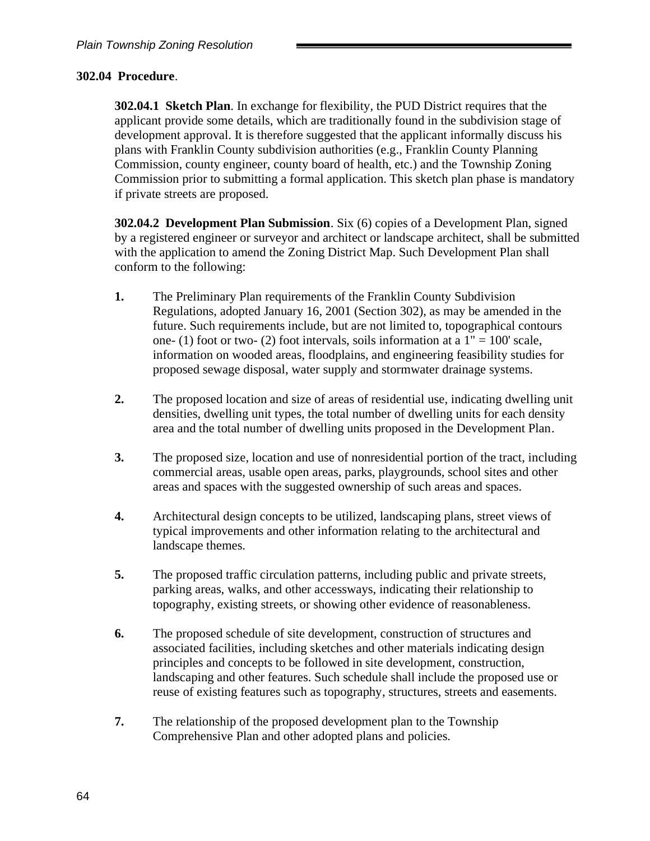#### **302.04 Procedure**.

**302.04.1 Sketch Plan**. In exchange for flexibility, the PUD District requires that the applicant provide some details, which are traditionally found in the subdivision stage of development approval. It is therefore suggested that the applicant informally discuss his plans with Franklin County subdivision authorities (e.g., Franklin County Planning Commission, county engineer, county board of health, etc.) and the Township Zoning Commission prior to submitting a formal application. This sketch plan phase is mandatory if private streets are proposed.

**302.04.2 Development Plan Submission**. Six (6) copies of a Development Plan, signed by a registered engineer or surveyor and architect or landscape architect, shall be submitted with the application to amend the Zoning District Map. Such Development Plan shall conform to the following:

- **1.** The Preliminary Plan requirements of the Franklin County Subdivision Regulations, adopted January 16, 2001 (Section 302), as may be amended in the future. Such requirements include, but are not limited to, topographical contours one- (1) foot or two- (2) foot intervals, soils information at a  $1" = 100'$  scale, information on wooded areas, floodplains, and engineering feasibility studies for proposed sewage disposal, water supply and stormwater drainage systems.
- **2.** The proposed location and size of areas of residential use, indicating dwelling unit densities, dwelling unit types, the total number of dwelling units for each density area and the total number of dwelling units proposed in the Development Plan.
- **3.** The proposed size, location and use of nonresidential portion of the tract, including commercial areas, usable open areas, parks, playgrounds, school sites and other areas and spaces with the suggested ownership of such areas and spaces.
- **4.** Architectural design concepts to be utilized, landscaping plans, street views of typical improvements and other information relating to the architectural and landscape themes.
- **5.** The proposed traffic circulation patterns, including public and private streets, parking areas, walks, and other accessways, indicating their relationship to topography, existing streets, or showing other evidence of reasonableness.
- **6.** The proposed schedule of site development, construction of structures and associated facilities, including sketches and other materials indicating design principles and concepts to be followed in site development, construction, landscaping and other features. Such schedule shall include the proposed use or reuse of existing features such as topography, structures, streets and easements.
- **7.** The relationship of the proposed development plan to the Township Comprehensive Plan and other adopted plans and policies.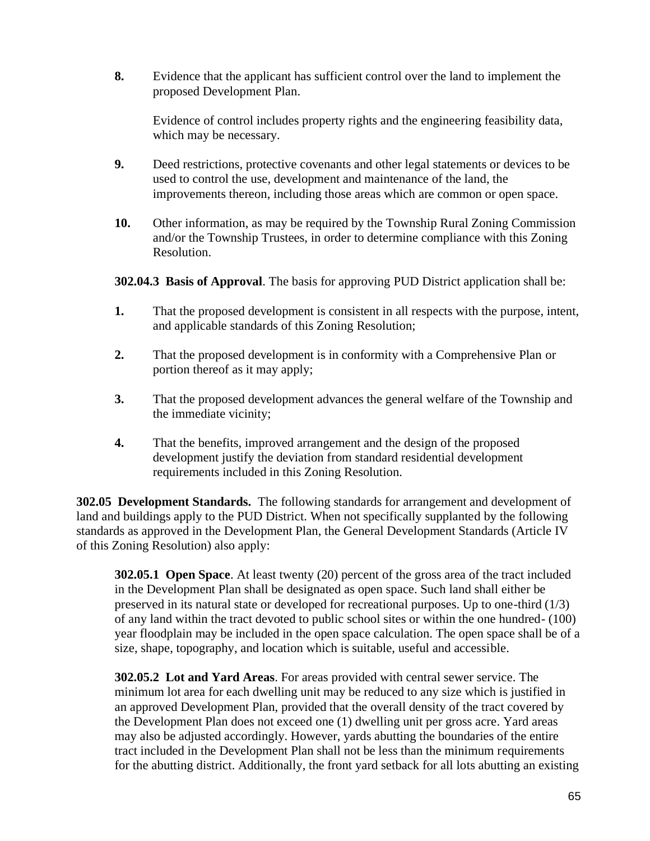**8.** Evidence that the applicant has sufficient control over the land to implement the proposed Development Plan.

Evidence of control includes property rights and the engineering feasibility data, which may be necessary.

- **9.** Deed restrictions, protective covenants and other legal statements or devices to be used to control the use, development and maintenance of the land, the improvements thereon, including those areas which are common or open space.
- **10.** Other information, as may be required by the Township Rural Zoning Commission and/or the Township Trustees, in order to determine compliance with this Zoning Resolution.

**302.04.3 Basis of Approval**. The basis for approving PUD District application shall be:

- **1.** That the proposed development is consistent in all respects with the purpose, intent, and applicable standards of this Zoning Resolution;
- **2.** That the proposed development is in conformity with a Comprehensive Plan or portion thereof as it may apply;
- **3.** That the proposed development advances the general welfare of the Township and the immediate vicinity;
- **4.** That the benefits, improved arrangement and the design of the proposed development justify the deviation from standard residential development requirements included in this Zoning Resolution.

**302.05 Development Standards.** The following standards for arrangement and development of land and buildings apply to the PUD District. When not specifically supplanted by the following standards as approved in the Development Plan, the General Development Standards (Article IV of this Zoning Resolution) also apply:

**302.05.1 Open Space**. At least twenty (20) percent of the gross area of the tract included in the Development Plan shall be designated as open space. Such land shall either be preserved in its natural state or developed for recreational purposes. Up to one-third (1/3) of any land within the tract devoted to public school sites or within the one hundred- (100) year floodplain may be included in the open space calculation. The open space shall be of a size, shape, topography, and location which is suitable, useful and accessible.

**302.05.2 Lot and Yard Areas**. For areas provided with central sewer service. The minimum lot area for each dwelling unit may be reduced to any size which is justified in an approved Development Plan, provided that the overall density of the tract covered by the Development Plan does not exceed one (1) dwelling unit per gross acre. Yard areas may also be adjusted accordingly. However, yards abutting the boundaries of the entire tract included in the Development Plan shall not be less than the minimum requirements for the abutting district. Additionally, the front yard setback for all lots abutting an existing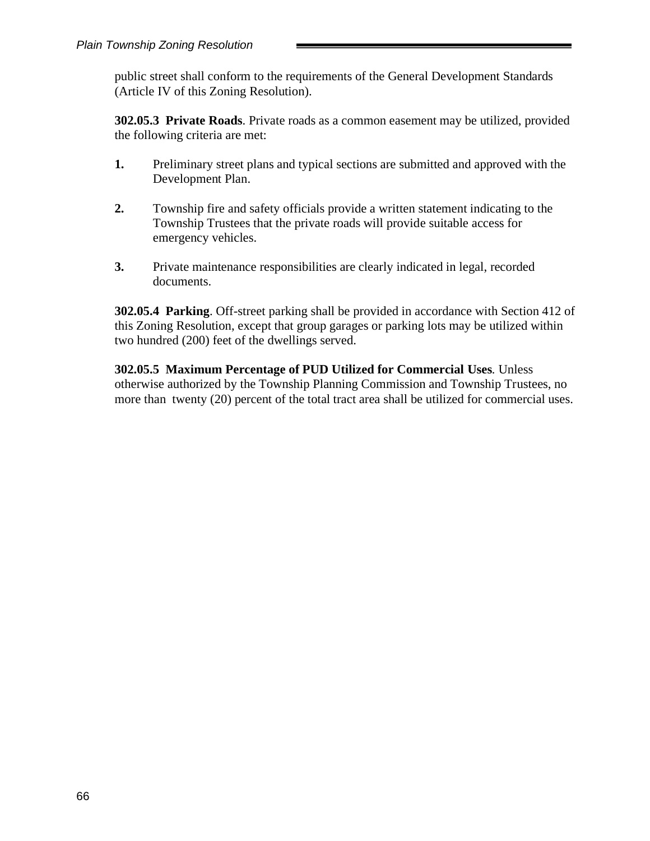public street shall conform to the requirements of the General Development Standards (Article IV of this Zoning Resolution).

**302.05.3 Private Roads**. Private roads as a common easement may be utilized, provided the following criteria are met:

- **1.** Preliminary street plans and typical sections are submitted and approved with the Development Plan.
- **2.** Township fire and safety officials provide a written statement indicating to the Township Trustees that the private roads will provide suitable access for emergency vehicles.
- **3.** Private maintenance responsibilities are clearly indicated in legal, recorded documents.

**302.05.4 Parking**. Off-street parking shall be provided in accordance with Section 412 of this Zoning Resolution, except that group garages or parking lots may be utilized within two hundred (200) feet of the dwellings served.

**302.05.5 Maximum Percentage of PUD Utilized for Commercial Uses***.* Unless otherwise authorized by the Township Planning Commission and Township Trustees, no more than twenty (20) percent of the total tract area shall be utilized for commercial uses.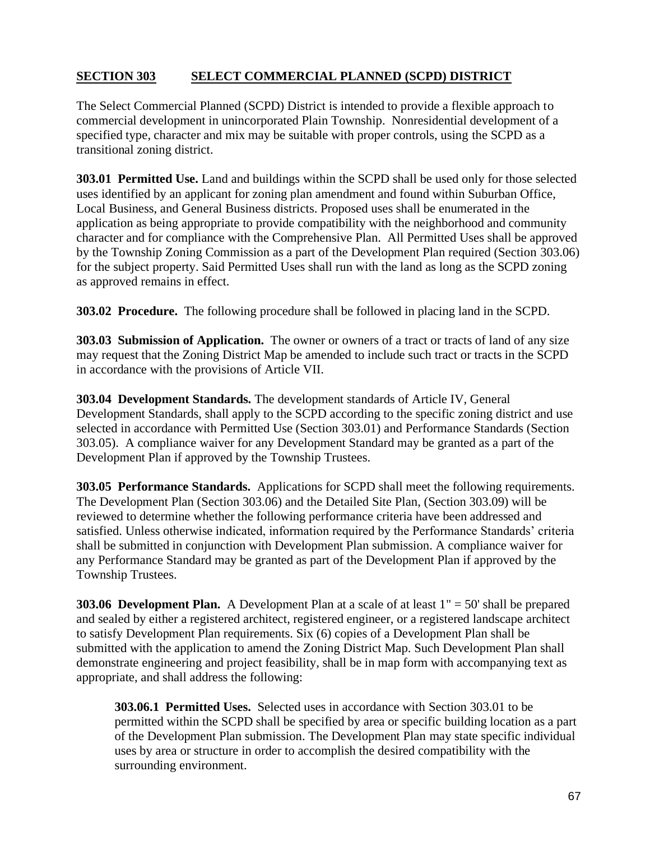# **SECTION 303 SELECT COMMERCIAL PLANNED (SCPD) DISTRICT**

The Select Commercial Planned (SCPD) District is intended to provide a flexible approach to commercial development in unincorporated Plain Township. Nonresidential development of a specified type, character and mix may be suitable with proper controls, using the SCPD as a transitional zoning district.

**303.01 Permitted Use.** Land and buildings within the SCPD shall be used only for those selected uses identified by an applicant for zoning plan amendment and found within Suburban Office, Local Business, and General Business districts. Proposed uses shall be enumerated in the application as being appropriate to provide compatibility with the neighborhood and community character and for compliance with the Comprehensive Plan. All Permitted Uses shall be approved by the Township Zoning Commission as a part of the Development Plan required (Section 303.06) for the subject property. Said Permitted Uses shall run with the land as long as the SCPD zoning as approved remains in effect.

**303.02 Procedure.** The following procedure shall be followed in placing land in the SCPD.

**303.03 Submission of Application.** The owner or owners of a tract or tracts of land of any size may request that the Zoning District Map be amended to include such tract or tracts in the SCPD in accordance with the provisions of Article VII.

**303.04 Development Standards.** The development standards of Article IV, General Development Standards, shall apply to the SCPD according to the specific zoning district and use selected in accordance with Permitted Use (Section 303.01) and Performance Standards (Section 303.05). A compliance waiver for any Development Standard may be granted as a part of the Development Plan if approved by the Township Trustees.

**303.05 Performance Standards.** Applications for SCPD shall meet the following requirements. The Development Plan (Section 303.06) and the Detailed Site Plan, (Section 303.09) will be reviewed to determine whether the following performance criteria have been addressed and satisfied. Unless otherwise indicated, information required by the Performance Standards' criteria shall be submitted in conjunction with Development Plan submission. A compliance waiver for any Performance Standard may be granted as part of the Development Plan if approved by the Township Trustees.

**303.06 Development Plan.** A Development Plan at a scale of at least  $1'' = 50'$  shall be prepared and sealed by either a registered architect, registered engineer, or a registered landscape architect to satisfy Development Plan requirements. Six (6) copies of a Development Plan shall be submitted with the application to amend the Zoning District Map. Such Development Plan shall demonstrate engineering and project feasibility, shall be in map form with accompanying text as appropriate, and shall address the following:

**303.06.1 Permitted Uses.** Selected uses in accordance with Section 303.01 to be permitted within the SCPD shall be specified by area or specific building location as a part of the Development Plan submission. The Development Plan may state specific individual uses by area or structure in order to accomplish the desired compatibility with the surrounding environment.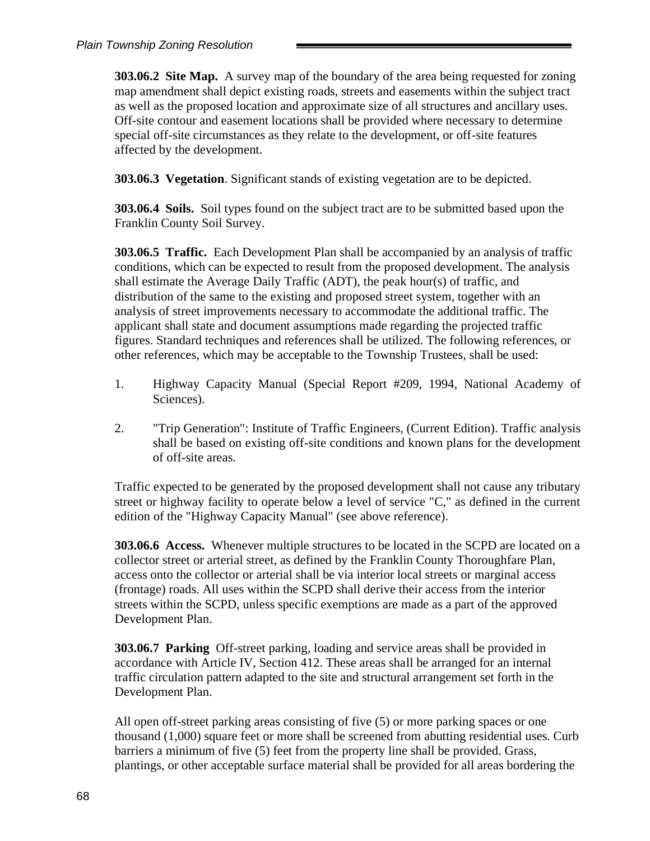**303.06.2 Site Map.** A survey map of the boundary of the area being requested for zoning map amendment shall depict existing roads, streets and easements within the subject tract as well as the proposed location and approximate size of all structures and ancillary uses. Off-site contour and easement locations shall be provided where necessary to determine special off-site circumstances as they relate to the development, or off-site features affected by the development.

**303.06.3 Vegetation**. Significant stands of existing vegetation are to be depicted.

**303.06.4 Soils.** Soil types found on the subject tract are to be submitted based upon the Franklin County Soil Survey.

**303.06.5 Traffic.** Each Development Plan shall be accompanied by an analysis of traffic conditions, which can be expected to result from the proposed development. The analysis shall estimate the Average Daily Traffic (ADT), the peak hour(s) of traffic, and distribution of the same to the existing and proposed street system, together with an analysis of street improvements necessary to accommodate the additional traffic. The applicant shall state and document assumptions made regarding the projected traffic figures. Standard techniques and references shall be utilized. The following references, or other references, which may be acceptable to the Township Trustees, shall be used:

- 1. Highway Capacity Manual (Special Report #209, 1994, National Academy of Sciences).
- 2. "Trip Generation": Institute of Traffic Engineers, (Current Edition). Traffic analysis shall be based on existing off-site conditions and known plans for the development of off-site areas.

Traffic expected to be generated by the proposed development shall not cause any tributary street or highway facility to operate below a level of service "C," as defined in the current edition of the "Highway Capacity Manual" (see above reference).

**303.06.6 Access.** Whenever multiple structures to be located in the SCPD are located on a collector street or arterial street, as defined by the Franklin County Thoroughfare Plan, access onto the collector or arterial shall be via interior local streets or marginal access (frontage) roads. All uses within the SCPD shall derive their access from the interior streets within the SCPD, unless specific exemptions are made as a part of the approved Development Plan.

**303.06.7 Parking** Off-street parking, loading and service areas shall be provided in accordance with Article IV, Section 412. These areas shall be arranged for an internal traffic circulation pattern adapted to the site and structural arrangement set forth in the Development Plan.

All open off-street parking areas consisting of five (5) or more parking spaces or one thousand (1,000) square feet or more shall be screened from abutting residential uses. Curb barriers a minimum of five (5) feet from the property line shall be provided. Grass, plantings, or other acceptable surface material shall be provided for all areas bordering the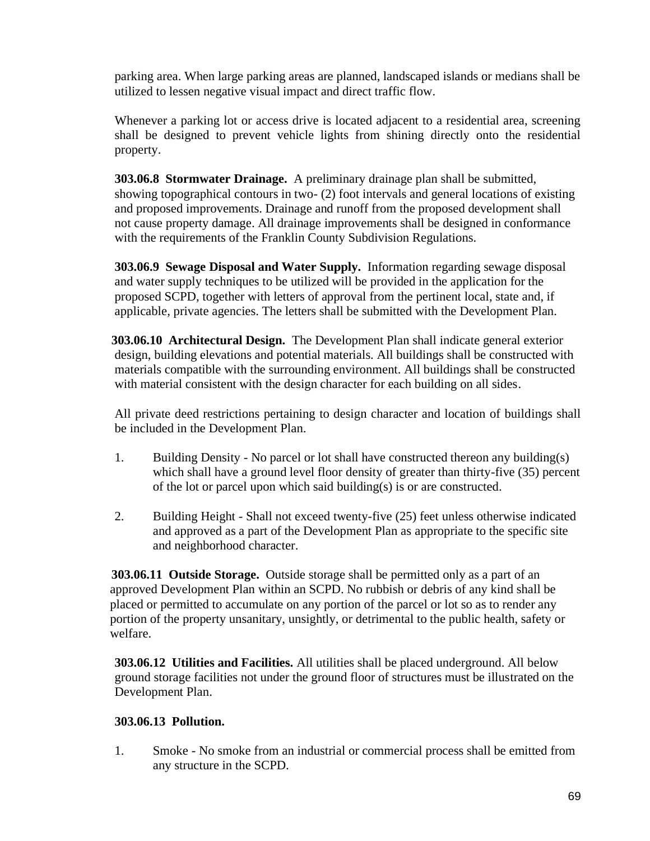parking area. When large parking areas are planned, landscaped islands or medians shall be utilized to lessen negative visual impact and direct traffic flow.

Whenever a parking lot or access drive is located adjacent to a residential area, screening shall be designed to prevent vehicle lights from shining directly onto the residential property.

**303.06.8 Stormwater Drainage.** A preliminary drainage plan shall be submitted, showing topographical contours in two- (2) foot intervals and general locations of existing and proposed improvements. Drainage and runoff from the proposed development shall not cause property damage. All drainage improvements shall be designed in conformance with the requirements of the Franklin County Subdivision Regulations.

**303.06.9 Sewage Disposal and Water Supply.** Information regarding sewage disposal and water supply techniques to be utilized will be provided in the application for the proposed SCPD, together with letters of approval from the pertinent local, state and, if applicable, private agencies. The letters shall be submitted with the Development Plan.

**303.06.10 Architectural Design.** The Development Plan shall indicate general exterior design, building elevations and potential materials. All buildings shall be constructed with materials compatible with the surrounding environment. All buildings shall be constructed with material consistent with the design character for each building on all sides.

All private deed restrictions pertaining to design character and location of buildings shall be included in the Development Plan.

- 1. Building Density No parcel or lot shall have constructed thereon any building(s) which shall have a ground level floor density of greater than thirty-five (35) percent of the lot or parcel upon which said building(s) is or are constructed.
- 2. Building Height Shall not exceed twenty-five (25) feet unless otherwise indicated and approved as a part of the Development Plan as appropriate to the specific site and neighborhood character.

**303.06.11 Outside Storage.** Outside storage shall be permitted only as a part of an approved Development Plan within an SCPD. No rubbish or debris of any kind shall be placed or permitted to accumulate on any portion of the parcel or lot so as to render any portion of the property unsanitary, unsightly, or detrimental to the public health, safety or welfare.

**303.06.12 Utilities and Facilities.** All utilities shall be placed underground. All below ground storage facilities not under the ground floor of structures must be illustrated on the Development Plan.

## **303.06.13 Pollution.**

1. Smoke - No smoke from an industrial or commercial process shall be emitted from any structure in the SCPD.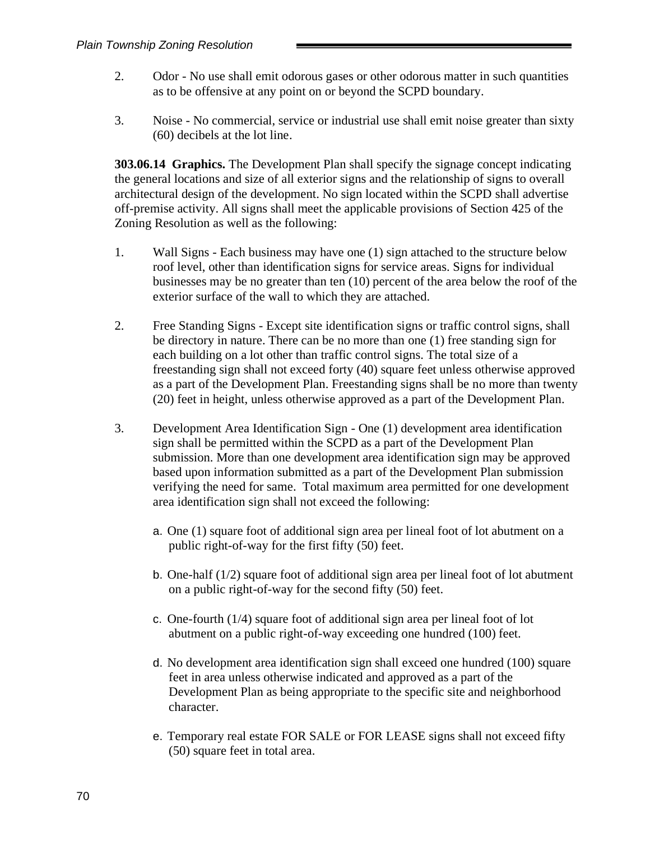- 2. Odor No use shall emit odorous gases or other odorous matter in such quantities as to be offensive at any point on or beyond the SCPD boundary.
- 3. Noise No commercial, service or industrial use shall emit noise greater than sixty (60) decibels at the lot line.

**303.06.14 Graphics.** The Development Plan shall specify the signage concept indicating the general locations and size of all exterior signs and the relationship of signs to overall architectural design of the development. No sign located within the SCPD shall advertise off-premise activity. All signs shall meet the applicable provisions of Section 425 of the Zoning Resolution as well as the following:

- 1. Wall Signs Each business may have one (1) sign attached to the structure below roof level, other than identification signs for service areas. Signs for individual businesses may be no greater than ten (10) percent of the area below the roof of the exterior surface of the wall to which they are attached.
- 2. Free Standing Signs Except site identification signs or traffic control signs, shall be directory in nature. There can be no more than one (1) free standing sign for each building on a lot other than traffic control signs. The total size of a freestanding sign shall not exceed forty (40) square feet unless otherwise approved as a part of the Development Plan. Freestanding signs shall be no more than twenty (20) feet in height, unless otherwise approved as a part of the Development Plan.
- 3. Development Area Identification Sign One (1) development area identification sign shall be permitted within the SCPD as a part of the Development Plan submission. More than one development area identification sign may be approved based upon information submitted as a part of the Development Plan submission verifying the need for same. Total maximum area permitted for one development area identification sign shall not exceed the following:
	- a. One (1) square foot of additional sign area per lineal foot of lot abutment on a public right-of-way for the first fifty (50) feet.
	- b. One-half (1/2) square foot of additional sign area per lineal foot of lot abutment on a public right-of-way for the second fifty (50) feet.
	- c. One-fourth (1/4) square foot of additional sign area per lineal foot of lot abutment on a public right-of-way exceeding one hundred (100) feet.
	- d. No development area identification sign shall exceed one hundred (100) square feet in area unless otherwise indicated and approved as a part of the Development Plan as being appropriate to the specific site and neighborhood character.
	- e. Temporary real estate FOR SALE or FOR LEASE signs shall not exceed fifty (50) square feet in total area.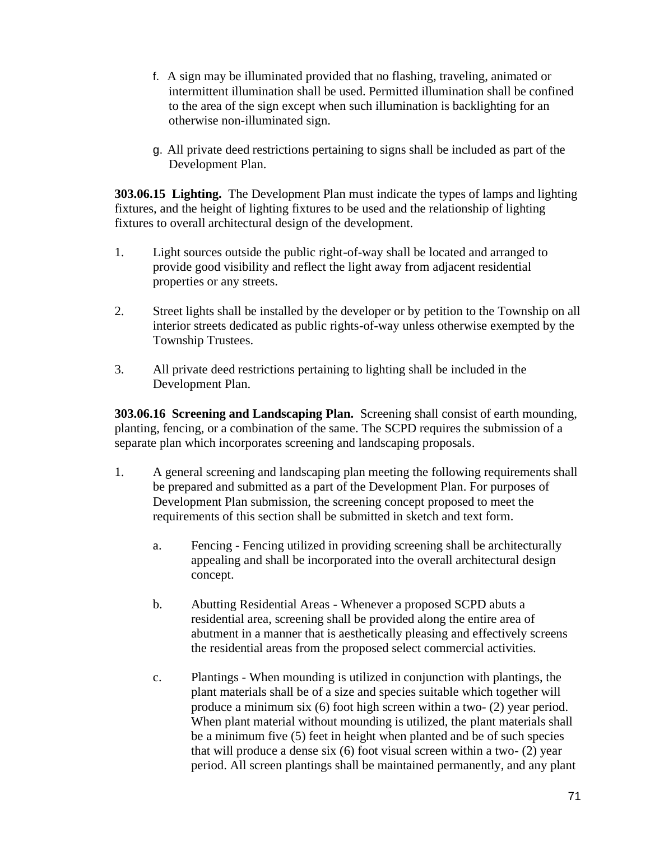- f. A sign may be illuminated provided that no flashing, traveling, animated or intermittent illumination shall be used. Permitted illumination shall be confined to the area of the sign except when such illumination is backlighting for an otherwise non-illuminated sign.
- g. All private deed restrictions pertaining to signs shall be included as part of the Development Plan.

**303.06.15 Lighting.** The Development Plan must indicate the types of lamps and lighting fixtures, and the height of lighting fixtures to be used and the relationship of lighting fixtures to overall architectural design of the development.

- 1. Light sources outside the public right-of-way shall be located and arranged to provide good visibility and reflect the light away from adjacent residential properties or any streets.
- 2. Street lights shall be installed by the developer or by petition to the Township on all interior streets dedicated as public rights-of-way unless otherwise exempted by the Township Trustees.
- 3. All private deed restrictions pertaining to lighting shall be included in the Development Plan.

**303.06.16 Screening and Landscaping Plan.** Screening shall consist of earth mounding, planting, fencing, or a combination of the same. The SCPD requires the submission of a separate plan which incorporates screening and landscaping proposals.

- 1. A general screening and landscaping plan meeting the following requirements shall be prepared and submitted as a part of the Development Plan. For purposes of Development Plan submission, the screening concept proposed to meet the requirements of this section shall be submitted in sketch and text form.
	- a. Fencing Fencing utilized in providing screening shall be architecturally appealing and shall be incorporated into the overall architectural design concept.
	- b. Abutting Residential Areas Whenever a proposed SCPD abuts a residential area, screening shall be provided along the entire area of abutment in a manner that is aesthetically pleasing and effectively screens the residential areas from the proposed select commercial activities.
	- c. Plantings When mounding is utilized in conjunction with plantings, the plant materials shall be of a size and species suitable which together will produce a minimum six (6) foot high screen within a two- (2) year period. When plant material without mounding is utilized, the plant materials shall be a minimum five (5) feet in height when planted and be of such species that will produce a dense six (6) foot visual screen within a two- (2) year period. All screen plantings shall be maintained permanently, and any plant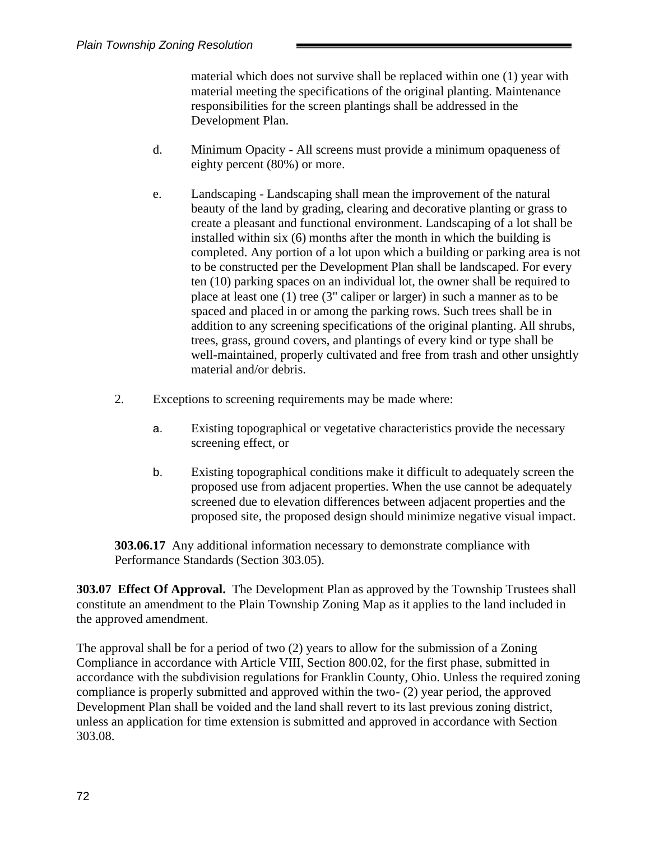material which does not survive shall be replaced within one (1) year with material meeting the specifications of the original planting. Maintenance responsibilities for the screen plantings shall be addressed in the Development Plan.

- d. Minimum Opacity All screens must provide a minimum opaqueness of eighty percent (80%) or more.
- e. Landscaping Landscaping shall mean the improvement of the natural beauty of the land by grading, clearing and decorative planting or grass to create a pleasant and functional environment. Landscaping of a lot shall be installed within six  $(6)$  months after the month in which the building is completed. Any portion of a lot upon which a building or parking area is not to be constructed per the Development Plan shall be landscaped. For every ten (10) parking spaces on an individual lot, the owner shall be required to place at least one (1) tree (3" caliper or larger) in such a manner as to be spaced and placed in or among the parking rows. Such trees shall be in addition to any screening specifications of the original planting. All shrubs, trees, grass, ground covers, and plantings of every kind or type shall be well-maintained, properly cultivated and free from trash and other unsightly material and/or debris.
- 2. Exceptions to screening requirements may be made where:
	- a. Existing topographical or vegetative characteristics provide the necessary screening effect, or
	- b. Existing topographical conditions make it difficult to adequately screen the proposed use from adjacent properties. When the use cannot be adequately screened due to elevation differences between adjacent properties and the proposed site, the proposed design should minimize negative visual impact.

**303.06.17** Any additional information necessary to demonstrate compliance with Performance Standards (Section 303.05).

**303.07 Effect Of Approval.** The Development Plan as approved by the Township Trustees shall constitute an amendment to the Plain Township Zoning Map as it applies to the land included in the approved amendment.

The approval shall be for a period of two (2) years to allow for the submission of a Zoning Compliance in accordance with Article VIII, Section 800.02, for the first phase, submitted in accordance with the subdivision regulations for Franklin County, Ohio. Unless the required zoning compliance is properly submitted and approved within the two- (2) year period, the approved Development Plan shall be voided and the land shall revert to its last previous zoning district, unless an application for time extension is submitted and approved in accordance with Section 303.08.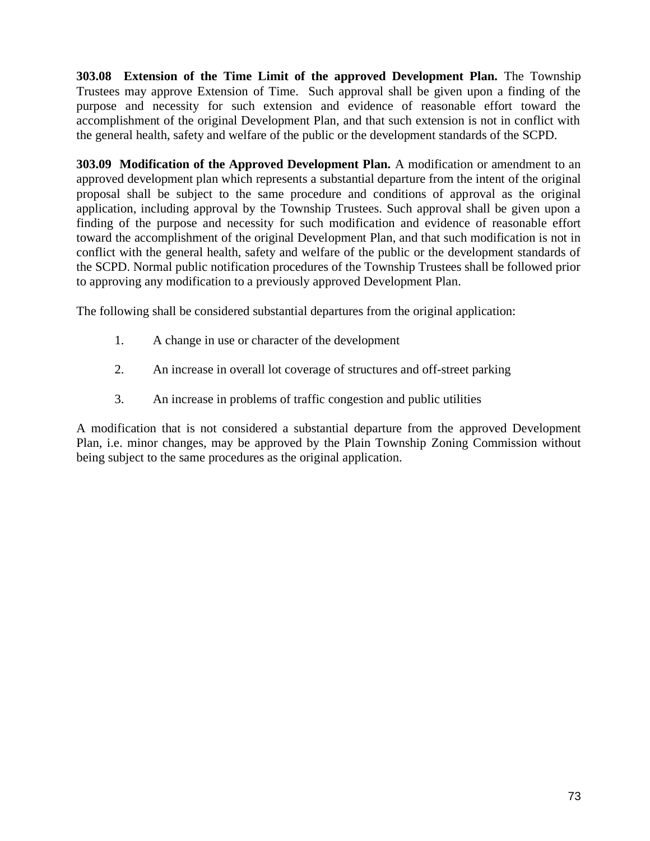**303.08 Extension of the Time Limit of the approved Development Plan.** The Township Trustees may approve Extension of Time. Such approval shall be given upon a finding of the purpose and necessity for such extension and evidence of reasonable effort toward the accomplishment of the original Development Plan, and that such extension is not in conflict with the general health, safety and welfare of the public or the development standards of the SCPD.

**303.09 Modification of the Approved Development Plan.** A modification or amendment to an approved development plan which represents a substantial departure from the intent of the original proposal shall be subject to the same procedure and conditions of approval as the original application, including approval by the Township Trustees. Such approval shall be given upon a finding of the purpose and necessity for such modification and evidence of reasonable effort toward the accomplishment of the original Development Plan, and that such modification is not in conflict with the general health, safety and welfare of the public or the development standards of the SCPD. Normal public notification procedures of the Township Trustees shall be followed prior to approving any modification to a previously approved Development Plan.

The following shall be considered substantial departures from the original application:

- 1. A change in use or character of the development
- 2. An increase in overall lot coverage of structures and off-street parking
- 3. An increase in problems of traffic congestion and public utilities

A modification that is not considered a substantial departure from the approved Development Plan, i.e. minor changes, may be approved by the Plain Township Zoning Commission without being subject to the same procedures as the original application.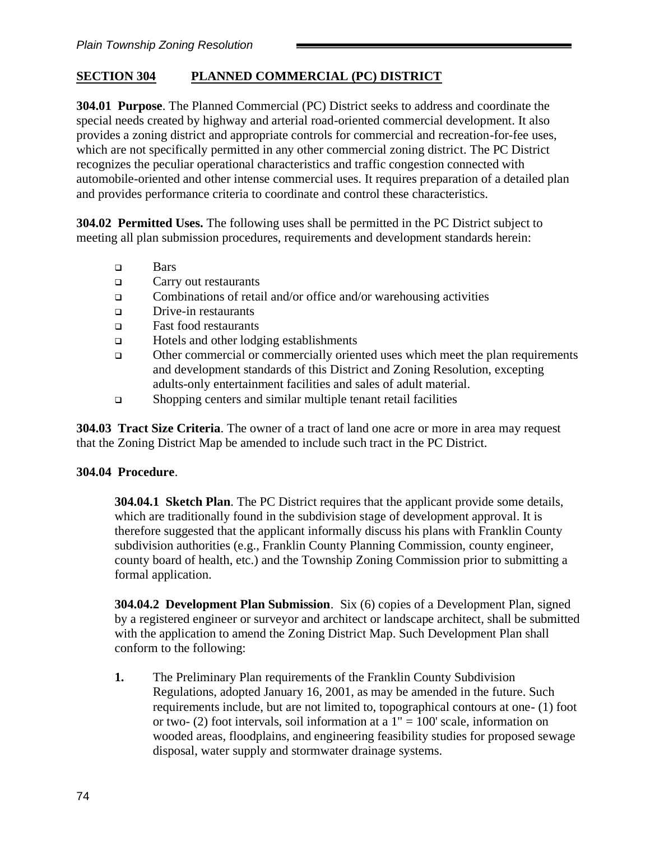# **SECTION 304 PLANNED COMMERCIAL (PC) DISTRICT**

**304.01 Purpose**. The Planned Commercial (PC) District seeks to address and coordinate the special needs created by highway and arterial road-oriented commercial development. It also provides a zoning district and appropriate controls for commercial and recreation-for-fee uses, which are not specifically permitted in any other commercial zoning district. The PC District recognizes the peculiar operational characteristics and traffic congestion connected with automobile-oriented and other intense commercial uses. It requires preparation of a detailed plan and provides performance criteria to coordinate and control these characteristics.

**304.02 Permitted Uses.** The following uses shall be permitted in the PC District subject to meeting all plan submission procedures, requirements and development standards herein:

- ❑ Bars
- ❑ Carry out restaurants
- ❑ Combinations of retail and/or office and/or warehousing activities
- ❑ Drive-in restaurants
- ❑ Fast food restaurants
- ❑ Hotels and other lodging establishments
- ❑ Other commercial or commercially oriented uses which meet the plan requirements and development standards of this District and Zoning Resolution, excepting adults-only entertainment facilities and sales of adult material.
- ❑ Shopping centers and similar multiple tenant retail facilities

**304.03 Tract Size Criteria**. The owner of a tract of land one acre or more in area may request that the Zoning District Map be amended to include such tract in the PC District.

#### **304.04 Procedure**.

**304.04.1 Sketch Plan**. The PC District requires that the applicant provide some details, which are traditionally found in the subdivision stage of development approval. It is therefore suggested that the applicant informally discuss his plans with Franklin County subdivision authorities (e.g., Franklin County Planning Commission, county engineer, county board of health, etc.) and the Township Zoning Commission prior to submitting a formal application.

**304.04.2 Development Plan Submission**. Six (6) copies of a Development Plan, signed by a registered engineer or surveyor and architect or landscape architect, shall be submitted with the application to amend the Zoning District Map. Such Development Plan shall conform to the following:

**1.** The Preliminary Plan requirements of the Franklin County Subdivision Regulations, adopted January 16, 2001, as may be amended in the future. Such requirements include, but are not limited to, topographical contours at one- (1) foot or two-  $(2)$  foot intervals, soil information at a  $1" = 100'$  scale, information on wooded areas, floodplains, and engineering feasibility studies for proposed sewage disposal, water supply and stormwater drainage systems.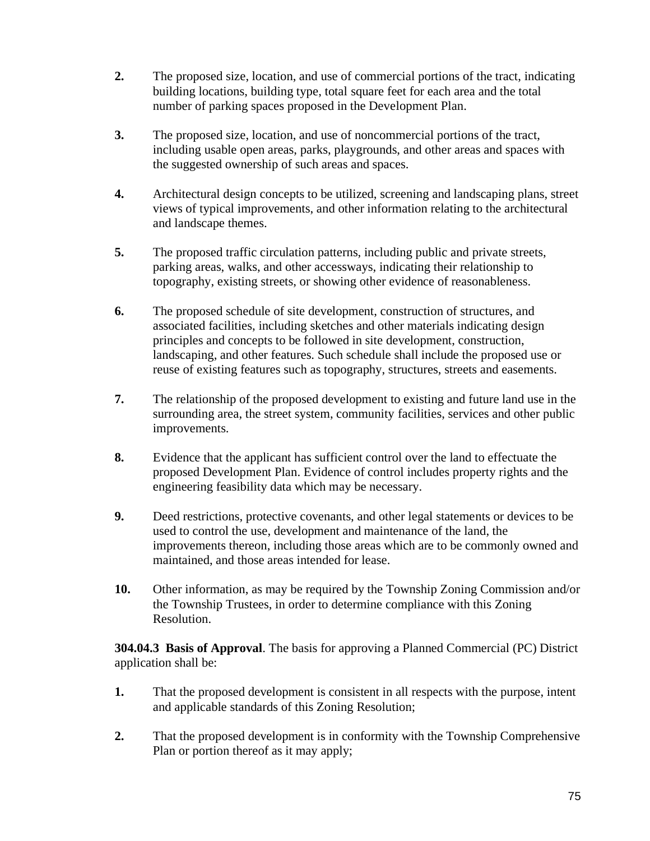- **2.** The proposed size, location, and use of commercial portions of the tract, indicating building locations, building type, total square feet for each area and the total number of parking spaces proposed in the Development Plan.
- **3.** The proposed size, location, and use of noncommercial portions of the tract, including usable open areas, parks, playgrounds, and other areas and spaces with the suggested ownership of such areas and spaces.
- **4.** Architectural design concepts to be utilized, screening and landscaping plans, street views of typical improvements, and other information relating to the architectural and landscape themes.
- **5.** The proposed traffic circulation patterns, including public and private streets, parking areas, walks, and other accessways, indicating their relationship to topography, existing streets, or showing other evidence of reasonableness.
- **6.** The proposed schedule of site development, construction of structures, and associated facilities, including sketches and other materials indicating design principles and concepts to be followed in site development, construction, landscaping, and other features. Such schedule shall include the proposed use or reuse of existing features such as topography, structures, streets and easements.
- **7.** The relationship of the proposed development to existing and future land use in the surrounding area, the street system, community facilities, services and other public improvements.
- **8.** Evidence that the applicant has sufficient control over the land to effectuate the proposed Development Plan. Evidence of control includes property rights and the engineering feasibility data which may be necessary.
- **9.** Deed restrictions, protective covenants, and other legal statements or devices to be used to control the use, development and maintenance of the land, the improvements thereon, including those areas which are to be commonly owned and maintained, and those areas intended for lease.
- **10.** Other information, as may be required by the Township Zoning Commission and/or the Township Trustees, in order to determine compliance with this Zoning Resolution.

**304.04.3 Basis of Approval**. The basis for approving a Planned Commercial (PC) District application shall be:

- **1.** That the proposed development is consistent in all respects with the purpose, intent and applicable standards of this Zoning Resolution;
- **2.** That the proposed development is in conformity with the Township Comprehensive Plan or portion thereof as it may apply;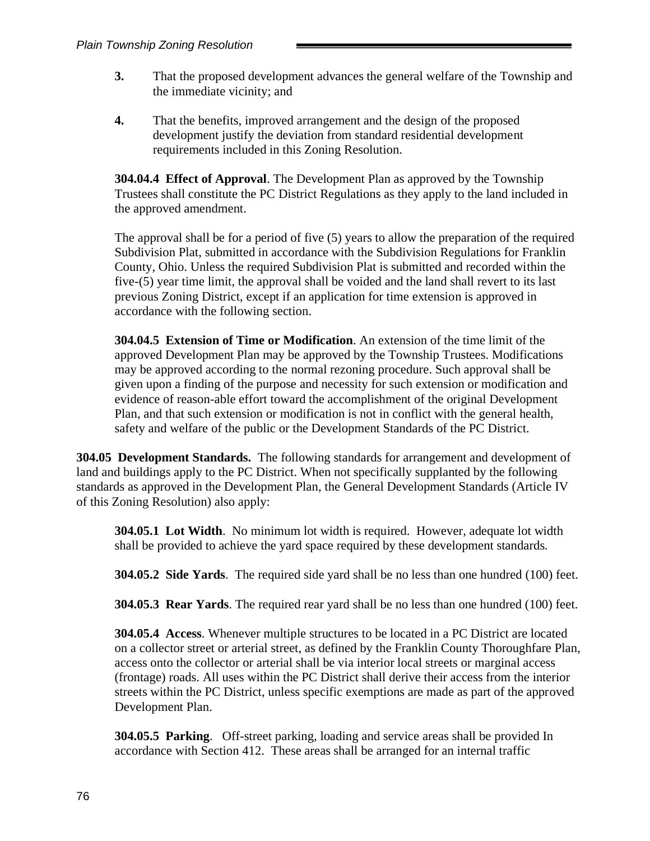- **3.** That the proposed development advances the general welfare of the Township and the immediate vicinity; and
- **4.** That the benefits, improved arrangement and the design of the proposed development justify the deviation from standard residential development requirements included in this Zoning Resolution.

**304.04.4 Effect of Approval**. The Development Plan as approved by the Township Trustees shall constitute the PC District Regulations as they apply to the land included in the approved amendment.

The approval shall be for a period of five (5) years to allow the preparation of the required Subdivision Plat, submitted in accordance with the Subdivision Regulations for Franklin County, Ohio. Unless the required Subdivision Plat is submitted and recorded within the five-(5) year time limit, the approval shall be voided and the land shall revert to its last previous Zoning District, except if an application for time extension is approved in accordance with the following section.

**304.04.5 Extension of Time or Modification**. An extension of the time limit of the approved Development Plan may be approved by the Township Trustees. Modifications may be approved according to the normal rezoning procedure. Such approval shall be given upon a finding of the purpose and necessity for such extension or modification and evidence of reason-able effort toward the accomplishment of the original Development Plan, and that such extension or modification is not in conflict with the general health, safety and welfare of the public or the Development Standards of the PC District.

**304.05 Development Standards.** The following standards for arrangement and development of land and buildings apply to the PC District. When not specifically supplanted by the following standards as approved in the Development Plan, the General Development Standards (Article IV of this Zoning Resolution) also apply:

**304.05.1 Lot Width**. No minimum lot width is required. However, adequate lot width shall be provided to achieve the yard space required by these development standards.

**304.05.2 Side Yards**. The required side yard shall be no less than one hundred (100) feet.

**304.05.3 Rear Yards**. The required rear yard shall be no less than one hundred (100) feet.

**304.05.4 Access**. Whenever multiple structures to be located in a PC District are located on a collector street or arterial street, as defined by the Franklin County Thoroughfare Plan, access onto the collector or arterial shall be via interior local streets or marginal access (frontage) roads. All uses within the PC District shall derive their access from the interior streets within the PC District, unless specific exemptions are made as part of the approved Development Plan.

**304.05.5 Parking**. Off-street parking, loading and service areas shall be provided In accordance with Section 412. These areas shall be arranged for an internal traffic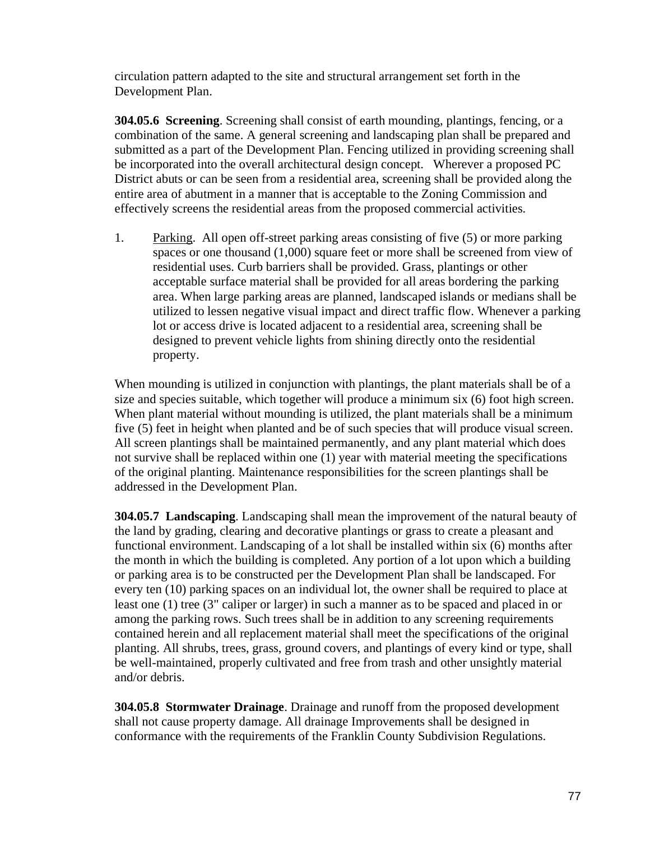circulation pattern adapted to the site and structural arrangement set forth in the Development Plan.

**304.05.6 Screening**. Screening shall consist of earth mounding, plantings, fencing, or a combination of the same. A general screening and landscaping plan shall be prepared and submitted as a part of the Development Plan. Fencing utilized in providing screening shall be incorporated into the overall architectural design concept. Wherever a proposed PC District abuts or can be seen from a residential area, screening shall be provided along the entire area of abutment in a manner that is acceptable to the Zoning Commission and effectively screens the residential areas from the proposed commercial activities.

1. Parking. All open off-street parking areas consisting of five (5) or more parking spaces or one thousand (1,000) square feet or more shall be screened from view of residential uses. Curb barriers shall be provided. Grass, plantings or other acceptable surface material shall be provided for all areas bordering the parking area. When large parking areas are planned, landscaped islands or medians shall be utilized to lessen negative visual impact and direct traffic flow. Whenever a parking lot or access drive is located adjacent to a residential area, screening shall be designed to prevent vehicle lights from shining directly onto the residential property.

When mounding is utilized in conjunction with plantings, the plant materials shall be of a size and species suitable, which together will produce a minimum six (6) foot high screen. When plant material without mounding is utilized, the plant materials shall be a minimum five (5) feet in height when planted and be of such species that will produce visual screen. All screen plantings shall be maintained permanently, and any plant material which does not survive shall be replaced within one (1) year with material meeting the specifications of the original planting. Maintenance responsibilities for the screen plantings shall be addressed in the Development Plan.

**304.05.7 Landscaping**. Landscaping shall mean the improvement of the natural beauty of the land by grading, clearing and decorative plantings or grass to create a pleasant and functional environment. Landscaping of a lot shall be installed within six (6) months after the month in which the building is completed. Any portion of a lot upon which a building or parking area is to be constructed per the Development Plan shall be landscaped. For every ten (10) parking spaces on an individual lot, the owner shall be required to place at least one (1) tree (3" caliper or larger) in such a manner as to be spaced and placed in or among the parking rows. Such trees shall be in addition to any screening requirements contained herein and all replacement material shall meet the specifications of the original planting. All shrubs, trees, grass, ground covers, and plantings of every kind or type, shall be well-maintained, properly cultivated and free from trash and other unsightly material and/or debris.

**304.05.8 Stormwater Drainage**. Drainage and runoff from the proposed development shall not cause property damage. All drainage Improvements shall be designed in conformance with the requirements of the Franklin County Subdivision Regulations.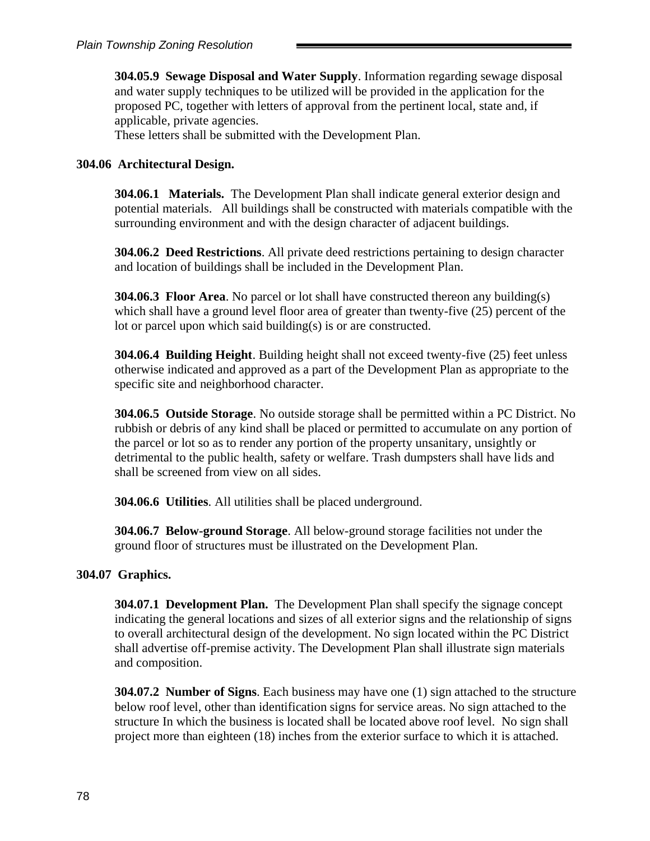**304.05.9 Sewage Disposal and Water Supply**. Information regarding sewage disposal and water supply techniques to be utilized will be provided in the application for the proposed PC, together with letters of approval from the pertinent local, state and, if applicable, private agencies.

These letters shall be submitted with the Development Plan.

#### **304.06 Architectural Design.**

**304.06.1 Materials.** The Development Plan shall indicate general exterior design and potential materials. All buildings shall be constructed with materials compatible with the surrounding environment and with the design character of adjacent buildings.

**304.06.2 Deed Restrictions**. All private deed restrictions pertaining to design character and location of buildings shall be included in the Development Plan.

**304.06.3 Floor Area**. No parcel or lot shall have constructed thereon any building(s) which shall have a ground level floor area of greater than twenty-five (25) percent of the lot or parcel upon which said building(s) is or are constructed.

**304.06.4 Building Height**. Building height shall not exceed twenty-five (25) feet unless otherwise indicated and approved as a part of the Development Plan as appropriate to the specific site and neighborhood character.

**304.06.5 Outside Storage**. No outside storage shall be permitted within a PC District. No rubbish or debris of any kind shall be placed or permitted to accumulate on any portion of the parcel or lot so as to render any portion of the property unsanitary, unsightly or detrimental to the public health, safety or welfare. Trash dumpsters shall have lids and shall be screened from view on all sides.

**304.06.6 Utilities**. All utilities shall be placed underground.

**304.06.7 Below-ground Storage**. All below-ground storage facilities not under the ground floor of structures must be illustrated on the Development Plan.

#### **304.07 Graphics.**

**304.07.1 Development Plan.** The Development Plan shall specify the signage concept indicating the general locations and sizes of all exterior signs and the relationship of signs to overall architectural design of the development. No sign located within the PC District shall advertise off-premise activity. The Development Plan shall illustrate sign materials and composition.

**304.07.2 Number of Signs**. Each business may have one (1) sign attached to the structure below roof level, other than identification signs for service areas. No sign attached to the structure In which the business is located shall be located above roof level. No sign shall project more than eighteen (18) inches from the exterior surface to which it is attached.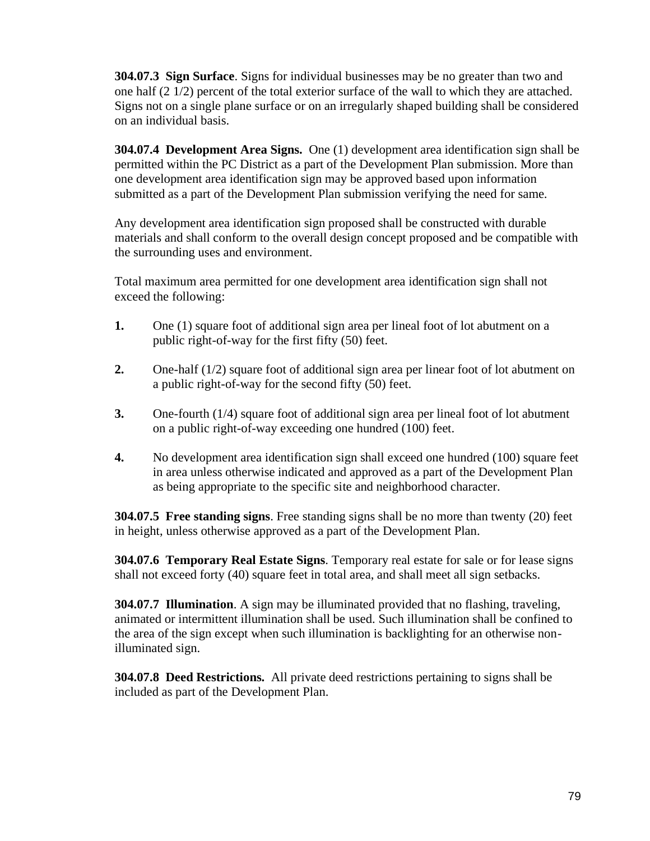**304.07.3 Sign Surface**. Signs for individual businesses may be no greater than two and one half (2 1/2) percent of the total exterior surface of the wall to which they are attached. Signs not on a single plane surface or on an irregularly shaped building shall be considered on an individual basis.

**304.07.4 Development Area Signs.** One (1) development area identification sign shall be permitted within the PC District as a part of the Development Plan submission. More than one development area identification sign may be approved based upon information submitted as a part of the Development Plan submission verifying the need for same.

Any development area identification sign proposed shall be constructed with durable materials and shall conform to the overall design concept proposed and be compatible with the surrounding uses and environment.

Total maximum area permitted for one development area identification sign shall not exceed the following:

- **1.** One (1) square foot of additional sign area per lineal foot of lot abutment on a public right-of-way for the first fifty (50) feet.
- **2.** One-half (1/2) square foot of additional sign area per linear foot of lot abutment on a public right-of-way for the second fifty (50) feet.
- **3.** One-fourth (1/4) square foot of additional sign area per lineal foot of lot abutment on a public right-of-way exceeding one hundred (100) feet.
- **4.** No development area identification sign shall exceed one hundred (100) square feet in area unless otherwise indicated and approved as a part of the Development Plan as being appropriate to the specific site and neighborhood character.

**304.07.5 Free standing signs**. Free standing signs shall be no more than twenty (20) feet in height, unless otherwise approved as a part of the Development Plan.

**304.07.6 Temporary Real Estate Signs**. Temporary real estate for sale or for lease signs shall not exceed forty (40) square feet in total area, and shall meet all sign setbacks.

**304.07.7 Illumination**. A sign may be illuminated provided that no flashing, traveling, animated or intermittent illumination shall be used. Such illumination shall be confined to the area of the sign except when such illumination is backlighting for an otherwise nonilluminated sign.

**304.07.8 Deed Restrictions.** All private deed restrictions pertaining to signs shall be included as part of the Development Plan.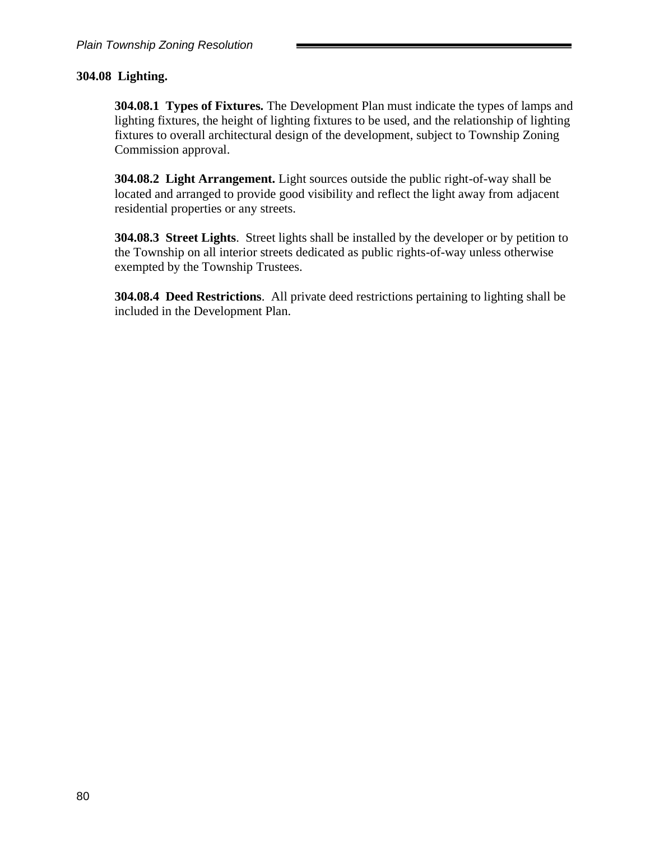### **304.08 Lighting.**

**304.08.1 Types of Fixtures.** The Development Plan must indicate the types of lamps and lighting fixtures, the height of lighting fixtures to be used, and the relationship of lighting fixtures to overall architectural design of the development, subject to Township Zoning Commission approval.

**304.08.2 Light Arrangement.** Light sources outside the public right-of-way shall be located and arranged to provide good visibility and reflect the light away from adjacent residential properties or any streets.

**304.08.3 Street Lights**. Street lights shall be installed by the developer or by petition to the Township on all interior streets dedicated as public rights-of-way unless otherwise exempted by the Township Trustees.

**304.08.4 Deed Restrictions**. All private deed restrictions pertaining to lighting shall be included in the Development Plan.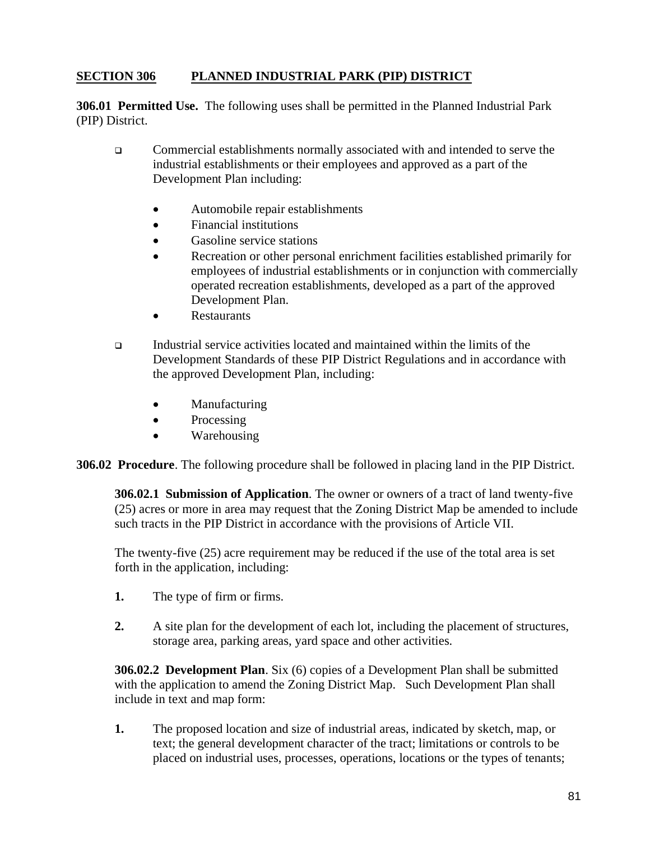### **SECTION 306 PLANNED INDUSTRIAL PARK (PIP) DISTRICT**

**306.01 Permitted Use.** The following uses shall be permitted in the Planned Industrial Park (PIP) District.

- ❑ Commercial establishments normally associated with and intended to serve the industrial establishments or their employees and approved as a part of the Development Plan including:
	- Automobile repair establishments
	- Financial institutions
	- Gasoline service stations
	- Recreation or other personal enrichment facilities established primarily for employees of industrial establishments or in conjunction with commercially operated recreation establishments, developed as a part of the approved Development Plan.
	- **Restaurants**
- ❑ Industrial service activities located and maintained within the limits of the Development Standards of these PIP District Regulations and in accordance with the approved Development Plan, including:
	- Manufacturing
	- Processing
	- Warehousing

**306.02 Procedure**. The following procedure shall be followed in placing land in the PIP District.

**306.02.1 Submission of Application**. The owner or owners of a tract of land twenty-five (25) acres or more in area may request that the Zoning District Map be amended to include such tracts in the PIP District in accordance with the provisions of Article VII.

The twenty-five (25) acre requirement may be reduced if the use of the total area is set forth in the application, including:

- **1.** The type of firm or firms.
- **2.** A site plan for the development of each lot, including the placement of structures, storage area, parking areas, yard space and other activities.

**306.02.2 Development Plan**. Six (6) copies of a Development Plan shall be submitted with the application to amend the Zoning District Map. Such Development Plan shall include in text and map form:

**1.** The proposed location and size of industrial areas, indicated by sketch, map, or text; the general development character of the tract; limitations or controls to be placed on industrial uses, processes, operations, locations or the types of tenants;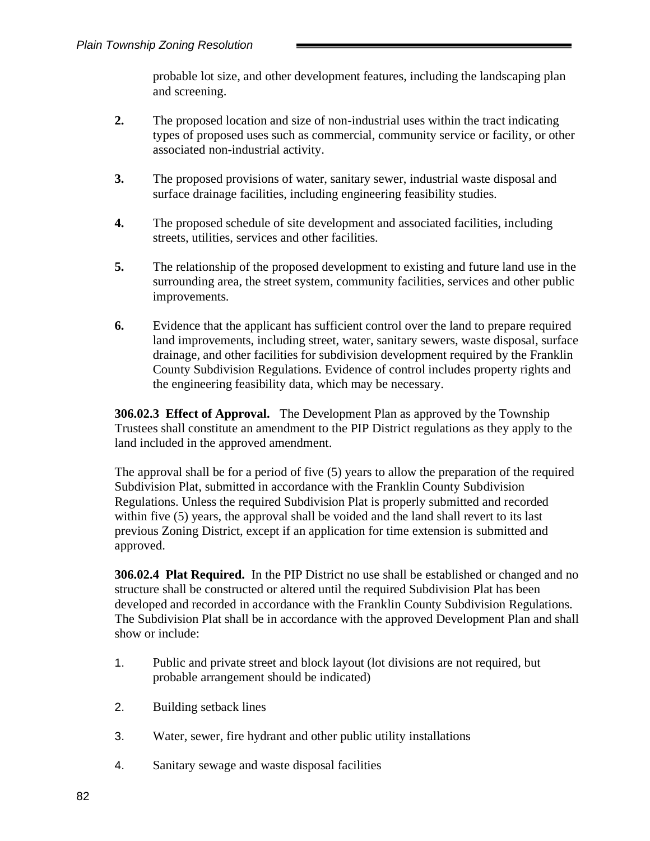probable lot size, and other development features, including the landscaping plan and screening.

- **2.** The proposed location and size of non-industrial uses within the tract indicating types of proposed uses such as commercial, community service or facility, or other associated non-industrial activity.
- **3.** The proposed provisions of water, sanitary sewer, industrial waste disposal and surface drainage facilities, including engineering feasibility studies.
- **4.** The proposed schedule of site development and associated facilities, including streets, utilities, services and other facilities.
- **5.** The relationship of the proposed development to existing and future land use in the surrounding area, the street system, community facilities, services and other public improvements.
- **6.** Evidence that the applicant has sufficient control over the land to prepare required land improvements, including street, water, sanitary sewers, waste disposal, surface drainage, and other facilities for subdivision development required by the Franklin County Subdivision Regulations. Evidence of control includes property rights and the engineering feasibility data, which may be necessary.

**306.02.3 Effect of Approval.** The Development Plan as approved by the Township Trustees shall constitute an amendment to the PIP District regulations as they apply to the land included in the approved amendment.

The approval shall be for a period of five (5) years to allow the preparation of the required Subdivision Plat, submitted in accordance with the Franklin County Subdivision Regulations. Unless the required Subdivision Plat is properly submitted and recorded within five (5) years, the approval shall be voided and the land shall revert to its last previous Zoning District, except if an application for time extension is submitted and approved.

**306.02.4 Plat Required.** In the PIP District no use shall be established or changed and no structure shall be constructed or altered until the required Subdivision Plat has been developed and recorded in accordance with the Franklin County Subdivision Regulations. The Subdivision Plat shall be in accordance with the approved Development Plan and shall show or include:

- 1. Public and private street and block layout (lot divisions are not required, but probable arrangement should be indicated)
- 2. Building setback lines
- 3. Water, sewer, fire hydrant and other public utility installations
- 4. Sanitary sewage and waste disposal facilities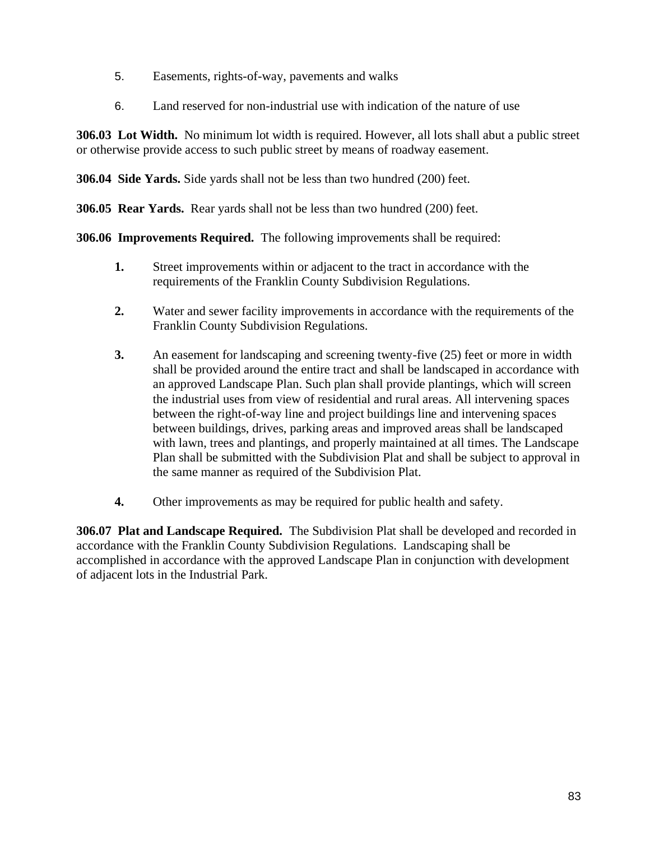- 5. Easements, rights-of-way, pavements and walks
- 6. Land reserved for non-industrial use with indication of the nature of use

**306.03 Lot Width.** No minimum lot width is required. However, all lots shall abut a public street or otherwise provide access to such public street by means of roadway easement.

**306.04 Side Yards.** Side yards shall not be less than two hundred (200) feet.

**306.05 Rear Yards.** Rear yards shall not be less than two hundred (200) feet.

**306.06 Improvements Required.** The following improvements shall be required:

- **1.** Street improvements within or adjacent to the tract in accordance with the requirements of the Franklin County Subdivision Regulations.
- **2.** Water and sewer facility improvements in accordance with the requirements of the Franklin County Subdivision Regulations.
- **3.** An easement for landscaping and screening twenty-five (25) feet or more in width shall be provided around the entire tract and shall be landscaped in accordance with an approved Landscape Plan. Such plan shall provide plantings, which will screen the industrial uses from view of residential and rural areas. All intervening spaces between the right-of-way line and project buildings line and intervening spaces between buildings, drives, parking areas and improved areas shall be landscaped with lawn, trees and plantings, and properly maintained at all times. The Landscape Plan shall be submitted with the Subdivision Plat and shall be subject to approval in the same manner as required of the Subdivision Plat.
- **4.** Other improvements as may be required for public health and safety.

**306.07 Plat and Landscape Required.** The Subdivision Plat shall be developed and recorded in accordance with the Franklin County Subdivision Regulations. Landscaping shall be accomplished in accordance with the approved Landscape Plan in conjunction with development of adjacent lots in the Industrial Park.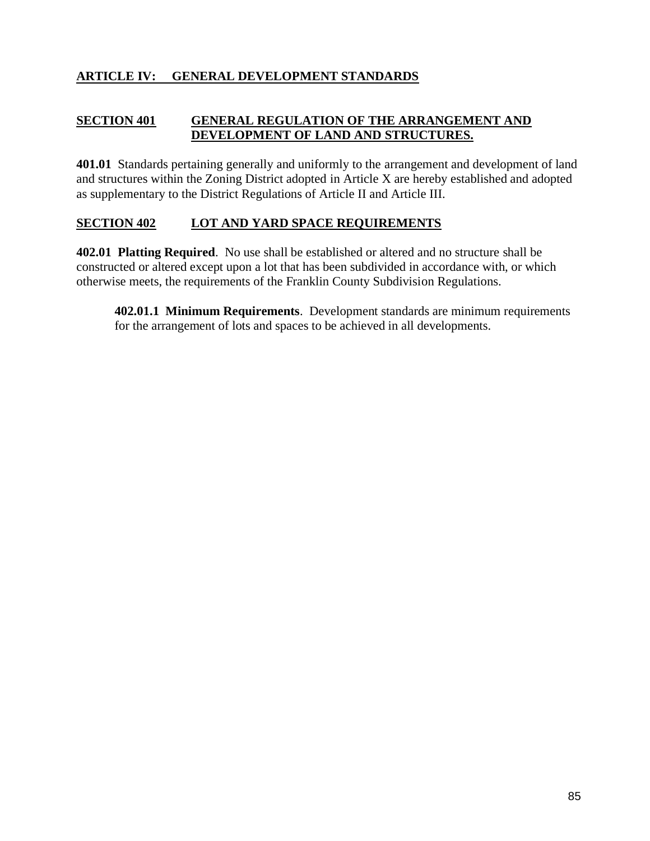### **ARTICLE IV: GENERAL DEVELOPMENT STANDARDS**

#### **SECTION 401 GENERAL REGULATION OF THE ARRANGEMENT AND DEVELOPMENT OF LAND AND STRUCTURES.**

**401.01** Standards pertaining generally and uniformly to the arrangement and development of land and structures within the Zoning District adopted in Article X are hereby established and adopted as supplementary to the District Regulations of Article II and Article III.

#### **SECTION 402 LOT AND YARD SPACE REQUIREMENTS**

**402.01 Platting Required**. No use shall be established or altered and no structure shall be constructed or altered except upon a lot that has been subdivided in accordance with, or which otherwise meets, the requirements of the Franklin County Subdivision Regulations.

**402.01.1 Minimum Requirements**. Development standards are minimum requirements for the arrangement of lots and spaces to be achieved in all developments.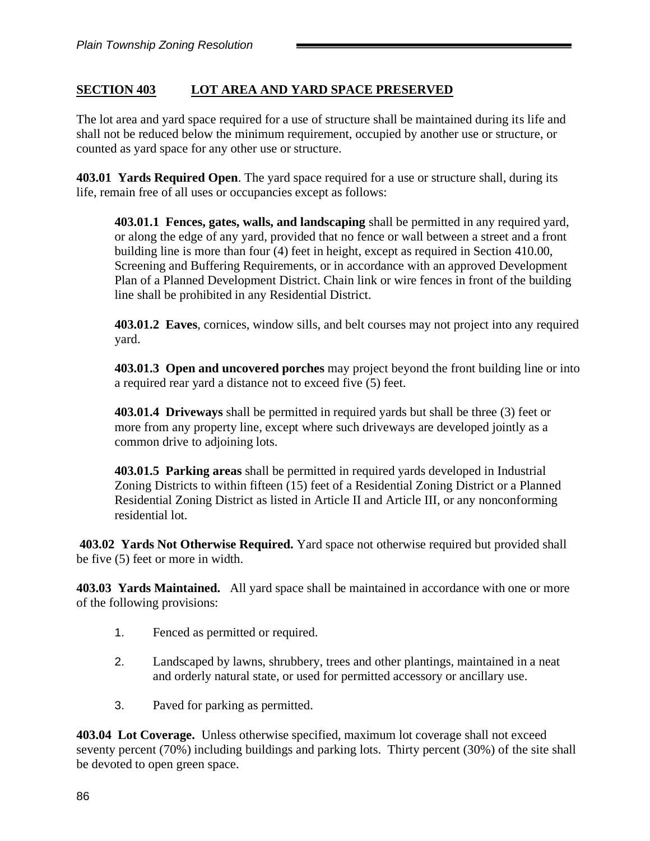# **SECTION 403 LOT AREA AND YARD SPACE PRESERVED**

The lot area and yard space required for a use of structure shall be maintained during its life and shall not be reduced below the minimum requirement, occupied by another use or structure, or counted as yard space for any other use or structure.

**403.01 Yards Required Open**. The yard space required for a use or structure shall, during its life, remain free of all uses or occupancies except as follows:

**403.01.1 Fences, gates, walls, and landscaping** shall be permitted in any required yard, or along the edge of any yard, provided that no fence or wall between a street and a front building line is more than four (4) feet in height, except as required in Section 410.00, Screening and Buffering Requirements, or in accordance with an approved Development Plan of a Planned Development District. Chain link or wire fences in front of the building line shall be prohibited in any Residential District.

**403.01.2 Eaves**, cornices, window sills, and belt courses may not project into any required yard.

**403.01.3 Open and uncovered porches** may project beyond the front building line or into a required rear yard a distance not to exceed five (5) feet.

**403.01.4 Driveways** shall be permitted in required yards but shall be three (3) feet or more from any property line, except where such driveways are developed jointly as a common drive to adjoining lots.

**403.01.5 Parking areas** shall be permitted in required yards developed in Industrial Zoning Districts to within fifteen (15) feet of a Residential Zoning District or a Planned Residential Zoning District as listed in Article II and Article III, or any nonconforming residential lot.

**403.02 Yards Not Otherwise Required.** Yard space not otherwise required but provided shall be five (5) feet or more in width.

**403.03 Yards Maintained.** All yard space shall be maintained in accordance with one or more of the following provisions:

- 1. Fenced as permitted or required.
- 2. Landscaped by lawns, shrubbery, trees and other plantings, maintained in a neat and orderly natural state, or used for permitted accessory or ancillary use.
- 3. Paved for parking as permitted.

**403.04 Lot Coverage.** Unless otherwise specified, maximum lot coverage shall not exceed seventy percent (70%) including buildings and parking lots. Thirty percent (30%) of the site shall be devoted to open green space.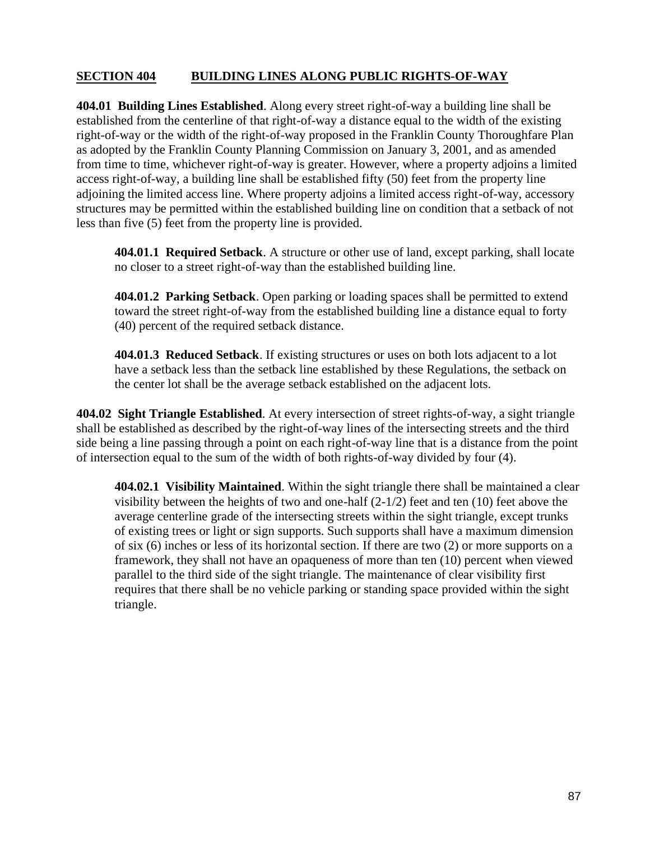### **SECTION 404 BUILDING LINES ALONG PUBLIC RIGHTS-OF-WAY**

**404.01 Building Lines Established**. Along every street right-of-way a building line shall be established from the centerline of that right-of-way a distance equal to the width of the existing right-of-way or the width of the right-of-way proposed in the Franklin County Thoroughfare Plan as adopted by the Franklin County Planning Commission on January 3, 2001, and as amended from time to time, whichever right-of-way is greater. However, where a property adjoins a limited access right-of-way, a building line shall be established fifty (50) feet from the property line adjoining the limited access line. Where property adjoins a limited access right-of-way, accessory structures may be permitted within the established building line on condition that a setback of not less than five (5) feet from the property line is provided.

**404.01.1 Required Setback**. A structure or other use of land, except parking, shall locate no closer to a street right-of-way than the established building line.

**404.01.2 Parking Setback**. Open parking or loading spaces shall be permitted to extend toward the street right-of-way from the established building line a distance equal to forty (40) percent of the required setback distance.

**404.01.3 Reduced Setback**. If existing structures or uses on both lots adjacent to a lot have a setback less than the setback line established by these Regulations, the setback on the center lot shall be the average setback established on the adjacent lots.

**404.02 Sight Triangle Established**. At every intersection of street rights-of-way, a sight triangle shall be established as described by the right-of-way lines of the intersecting streets and the third side being a line passing through a point on each right-of-way line that is a distance from the point of intersection equal to the sum of the width of both rights-of-way divided by four (4).

**404.02.1 Visibility Maintained**. Within the sight triangle there shall be maintained a clear visibility between the heights of two and one-half  $(2-1/2)$  feet and ten (10) feet above the average centerline grade of the intersecting streets within the sight triangle, except trunks of existing trees or light or sign supports. Such supports shall have a maximum dimension of six (6) inches or less of its horizontal section. If there are two (2) or more supports on a framework, they shall not have an opaqueness of more than ten (10) percent when viewed parallel to the third side of the sight triangle. The maintenance of clear visibility first requires that there shall be no vehicle parking or standing space provided within the sight triangle.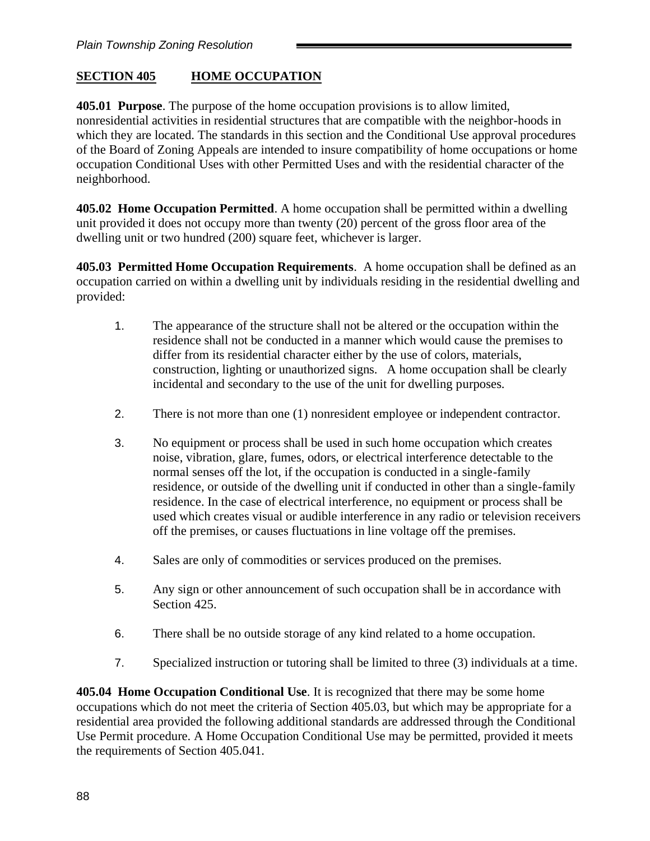## **SECTION 405 HOME OCCUPATION**

**405.01 Purpose**. The purpose of the home occupation provisions is to allow limited, nonresidential activities in residential structures that are compatible with the neighbor-hoods in which they are located. The standards in this section and the Conditional Use approval procedures of the Board of Zoning Appeals are intended to insure compatibility of home occupations or home occupation Conditional Uses with other Permitted Uses and with the residential character of the neighborhood.

**405.02 Home Occupation Permitted**. A home occupation shall be permitted within a dwelling unit provided it does not occupy more than twenty (20) percent of the gross floor area of the dwelling unit or two hundred (200) square feet, whichever is larger.

**405.03 Permitted Home Occupation Requirements**. A home occupation shall be defined as an occupation carried on within a dwelling unit by individuals residing in the residential dwelling and provided:

- 1. The appearance of the structure shall not be altered or the occupation within the residence shall not be conducted in a manner which would cause the premises to differ from its residential character either by the use of colors, materials, construction, lighting or unauthorized signs. A home occupation shall be clearly incidental and secondary to the use of the unit for dwelling purposes.
- 2. There is not more than one (1) nonresident employee or independent contractor.
- 3. No equipment or process shall be used in such home occupation which creates noise, vibration, glare, fumes, odors, or electrical interference detectable to the normal senses off the lot, if the occupation is conducted in a single-family residence, or outside of the dwelling unit if conducted in other than a single-family residence. In the case of electrical interference, no equipment or process shall be used which creates visual or audible interference in any radio or television receivers off the premises, or causes fluctuations in line voltage off the premises.
- 4. Sales are only of commodities or services produced on the premises.
- 5. Any sign or other announcement of such occupation shall be in accordance with Section 425.
- 6. There shall be no outside storage of any kind related to a home occupation.
- 7. Specialized instruction or tutoring shall be limited to three (3) individuals at a time.

**405.04 Home Occupation Conditional Use**. It is recognized that there may be some home occupations which do not meet the criteria of Section 405.03, but which may be appropriate for a residential area provided the following additional standards are addressed through the Conditional Use Permit procedure. A Home Occupation Conditional Use may be permitted, provided it meets the requirements of Section 405.041.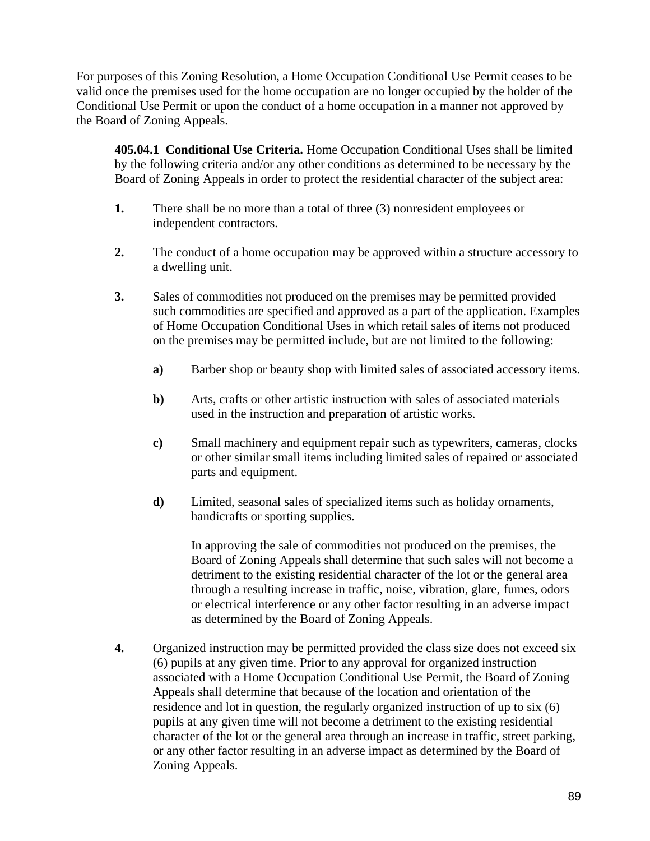For purposes of this Zoning Resolution, a Home Occupation Conditional Use Permit ceases to be valid once the premises used for the home occupation are no longer occupied by the holder of the Conditional Use Permit or upon the conduct of a home occupation in a manner not approved by the Board of Zoning Appeals.

**405.04.1 Conditional Use Criteria.** Home Occupation Conditional Uses shall be limited by the following criteria and/or any other conditions as determined to be necessary by the Board of Zoning Appeals in order to protect the residential character of the subject area:

- **1.** There shall be no more than a total of three (3) nonresident employees or independent contractors.
- **2.** The conduct of a home occupation may be approved within a structure accessory to a dwelling unit.
- **3.** Sales of commodities not produced on the premises may be permitted provided such commodities are specified and approved as a part of the application. Examples of Home Occupation Conditional Uses in which retail sales of items not produced on the premises may be permitted include, but are not limited to the following:
	- **a)** Barber shop or beauty shop with limited sales of associated accessory items.
	- **b)** Arts, crafts or other artistic instruction with sales of associated materials used in the instruction and preparation of artistic works.
	- **c)** Small machinery and equipment repair such as typewriters, cameras, clocks or other similar small items including limited sales of repaired or associated parts and equipment.
	- **d)** Limited, seasonal sales of specialized items such as holiday ornaments, handicrafts or sporting supplies.

In approving the sale of commodities not produced on the premises, the Board of Zoning Appeals shall determine that such sales will not become a detriment to the existing residential character of the lot or the general area through a resulting increase in traffic, noise, vibration, glare, fumes, odors or electrical interference or any other factor resulting in an adverse impact as determined by the Board of Zoning Appeals.

**4.** Organized instruction may be permitted provided the class size does not exceed six (6) pupils at any given time. Prior to any approval for organized instruction associated with a Home Occupation Conditional Use Permit, the Board of Zoning Appeals shall determine that because of the location and orientation of the residence and lot in question, the regularly organized instruction of up to six (6) pupils at any given time will not become a detriment to the existing residential character of the lot or the general area through an increase in traffic, street parking, or any other factor resulting in an adverse impact as determined by the Board of Zoning Appeals.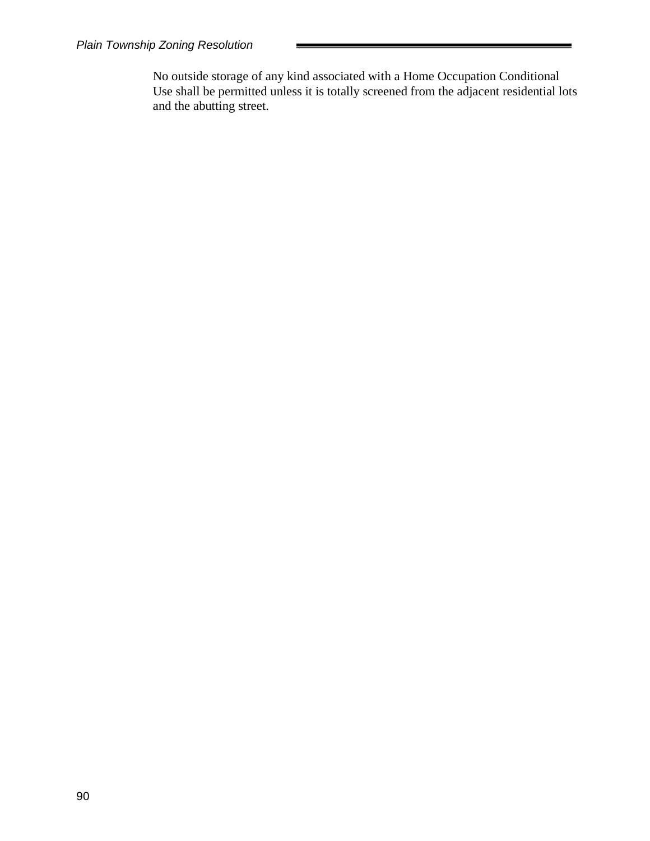No outside storage of any kind associated with a Home Occupation Conditional Use shall be permitted unless it is totally screened from the adjacent residential lots and the abutting street.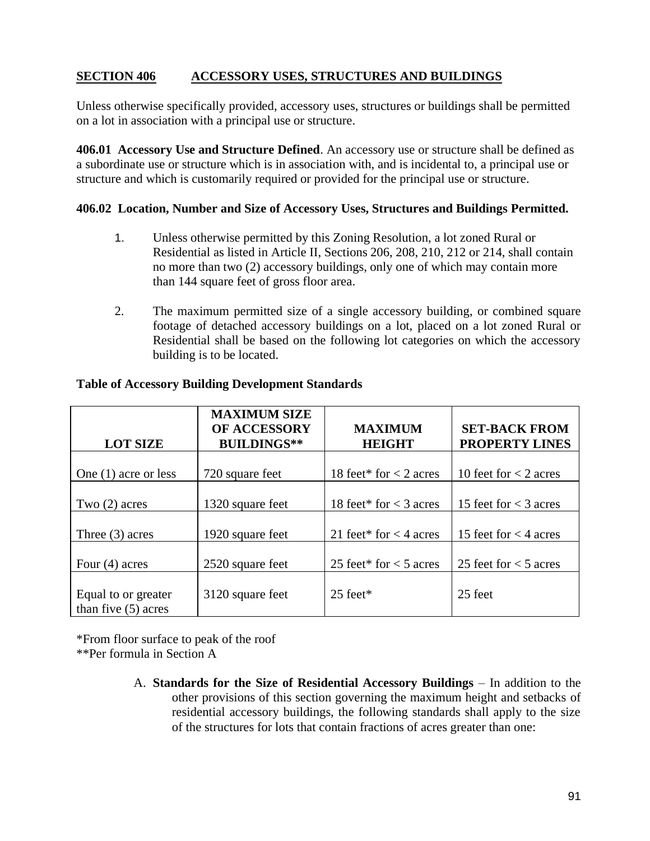## **SECTION 406 ACCESSORY USES, STRUCTURES AND BUILDINGS**

Unless otherwise specifically provided, accessory uses, structures or buildings shall be permitted on a lot in association with a principal use or structure.

**406.01 Accessory Use and Structure Defined**. An accessory use or structure shall be defined as a subordinate use or structure which is in association with, and is incidental to, a principal use or structure and which is customarily required or provided for the principal use or structure.

#### **406.02 Location, Number and Size of Accessory Uses, Structures and Buildings Permitted.**

- 1. Unless otherwise permitted by this Zoning Resolution, a lot zoned Rural or Residential as listed in Article II, Sections 206, 208, 210, 212 or 214, shall contain no more than two (2) accessory buildings, only one of which may contain more than 144 square feet of gross floor area.
- 2. The maximum permitted size of a single accessory building, or combined square footage of detached accessory buildings on a lot, placed on a lot zoned Rural or Residential shall be based on the following lot categories on which the accessory building is to be located.

| <b>LOT SIZE</b>                              | <b>MAXIMUM SIZE</b><br>OF ACCESSORY<br><b>BUILDINGS**</b> | <b>MAXIMUM</b><br><b>HEIGHT</b> | <b>SET-BACK FROM</b><br><b>PROPERTY LINES</b> |
|----------------------------------------------|-----------------------------------------------------------|---------------------------------|-----------------------------------------------|
| One $(1)$ acre or less                       | 720 square feet                                           | 18 feet* for $<$ 2 acres        | 10 feet for $<$ 2 acres                       |
| Two $(2)$ acres                              | 1320 square feet                                          | 18 feet* for $<$ 3 acres        | 15 feet for $<$ 3 acres                       |
| Three $(3)$ acres                            | 1920 square feet                                          | 21 feet* for $<$ 4 acres        | 15 feet for $<$ 4 acres                       |
| Four $(4)$ acres                             | 2520 square feet                                          | 25 feet* for $<$ 5 acres        | 25 feet for $<$ 5 acres                       |
| Equal to or greater<br>than five $(5)$ acres | 3120 square feet                                          | $25$ feet*                      | 25 feet                                       |

#### **Table of Accessory Building Development Standards**

\*From floor surface to peak of the roof

\*\*Per formula in Section A

A. **Standards for the Size of Residential Accessory Buildings** – In addition to the other provisions of this section governing the maximum height and setbacks of residential accessory buildings, the following standards shall apply to the size of the structures for lots that contain fractions of acres greater than one: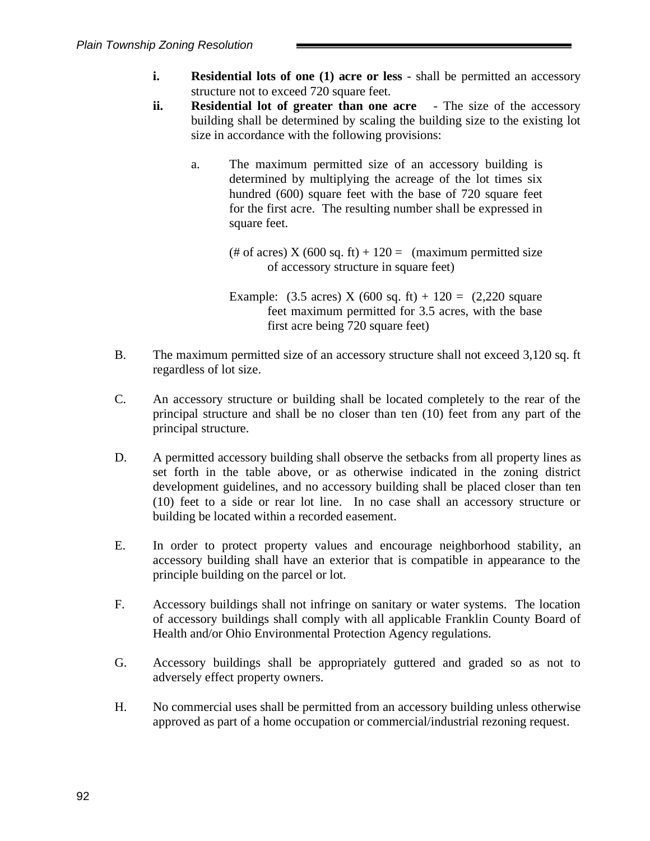- **i. Residential lots of one (1) acre or less** shall be permitted an accessory structure not to exceed 720 square feet.
- **ii. Residential lot of greater than one acre** The size of the accessory building shall be determined by scaling the building size to the existing lot size in accordance with the following provisions:
	- a. The maximum permitted size of an accessory building is determined by multiplying the acreage of the lot times six hundred (600) square feet with the base of 720 square feet for the first acre. The resulting number shall be expressed in square feet.

(# of acres)  $X (600 sq. ft) + 120 =$  (maximum permitted size of accessory structure in square feet)

Example: (3.5 acres) X (600 sq. ft) + 120 = (2,220 square feet maximum permitted for 3.5 acres, with the base first acre being 720 square feet)

- B. The maximum permitted size of an accessory structure shall not exceed 3,120 sq. ft regardless of lot size.
- C. An accessory structure or building shall be located completely to the rear of the principal structure and shall be no closer than ten (10) feet from any part of the principal structure.
- D. A permitted accessory building shall observe the setbacks from all property lines as set forth in the table above, or as otherwise indicated in the zoning district development guidelines, and no accessory building shall be placed closer than ten (10) feet to a side or rear lot line. In no case shall an accessory structure or building be located within a recorded easement.
- E. In order to protect property values and encourage neighborhood stability, an accessory building shall have an exterior that is compatible in appearance to the principle building on the parcel or lot.
- F. Accessory buildings shall not infringe on sanitary or water systems. The location of accessory buildings shall comply with all applicable Franklin County Board of Health and/or Ohio Environmental Protection Agency regulations.
- G. Accessory buildings shall be appropriately guttered and graded so as not to adversely effect property owners.
- H. No commercial uses shall be permitted from an accessory building unless otherwise approved as part of a home occupation or commercial/industrial rezoning request.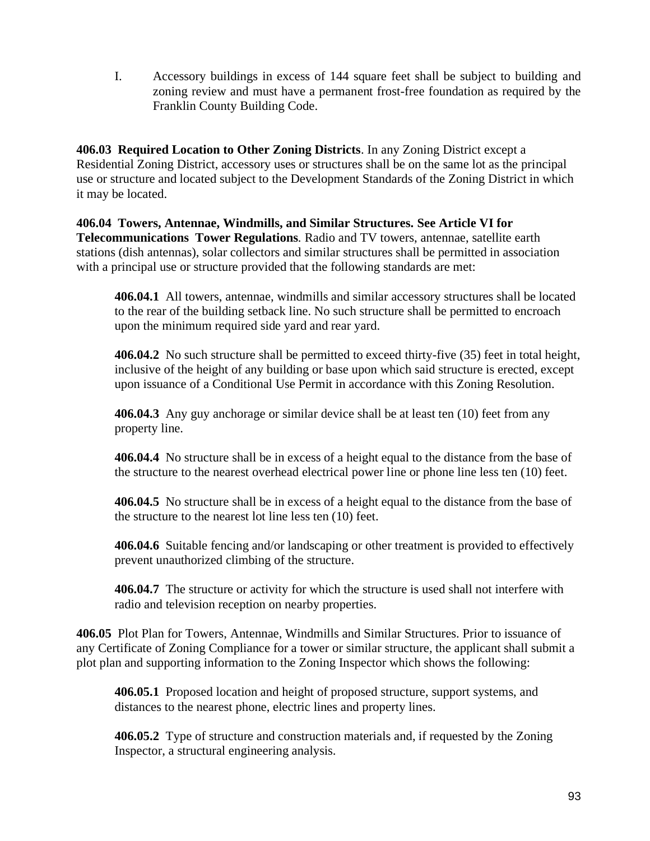I. Accessory buildings in excess of 144 square feet shall be subject to building and zoning review and must have a permanent frost-free foundation as required by the Franklin County Building Code.

**406.03 Required Location to Other Zoning Districts**. In any Zoning District except a Residential Zoning District, accessory uses or structures shall be on the same lot as the principal use or structure and located subject to the Development Standards of the Zoning District in which it may be located.

**406.04 Towers, Antennae, Windmills, and Similar Structures. See Article VI for Telecommunications Tower Regulations***.* Radio and TV towers, antennae, satellite earth stations (dish antennas), solar collectors and similar structures shall be permitted in association with a principal use or structure provided that the following standards are met:

**406.04.1** All towers, antennae, windmills and similar accessory structures shall be located to the rear of the building setback line. No such structure shall be permitted to encroach upon the minimum required side yard and rear yard.

**406.04.2** No such structure shall be permitted to exceed thirty-five (35) feet in total height, inclusive of the height of any building or base upon which said structure is erected, except upon issuance of a Conditional Use Permit in accordance with this Zoning Resolution.

**406.04.3** Any guy anchorage or similar device shall be at least ten (10) feet from any property line.

**406.04.4** No structure shall be in excess of a height equal to the distance from the base of the structure to the nearest overhead electrical power line or phone line less ten (10) feet.

**406.04.5** No structure shall be in excess of a height equal to the distance from the base of the structure to the nearest lot line less ten (10) feet.

**406.04.6** Suitable fencing and/or landscaping or other treatment is provided to effectively prevent unauthorized climbing of the structure.

**406.04.7** The structure or activity for which the structure is used shall not interfere with radio and television reception on nearby properties.

**406.05** Plot Plan for Towers, Antennae, Windmills and Similar Structures. Prior to issuance of any Certificate of Zoning Compliance for a tower or similar structure, the applicant shall submit a plot plan and supporting information to the Zoning Inspector which shows the following:

**406.05.1** Proposed location and height of proposed structure, support systems, and distances to the nearest phone, electric lines and property lines.

**406.05.2** Type of structure and construction materials and, if requested by the Zoning Inspector, a structural engineering analysis.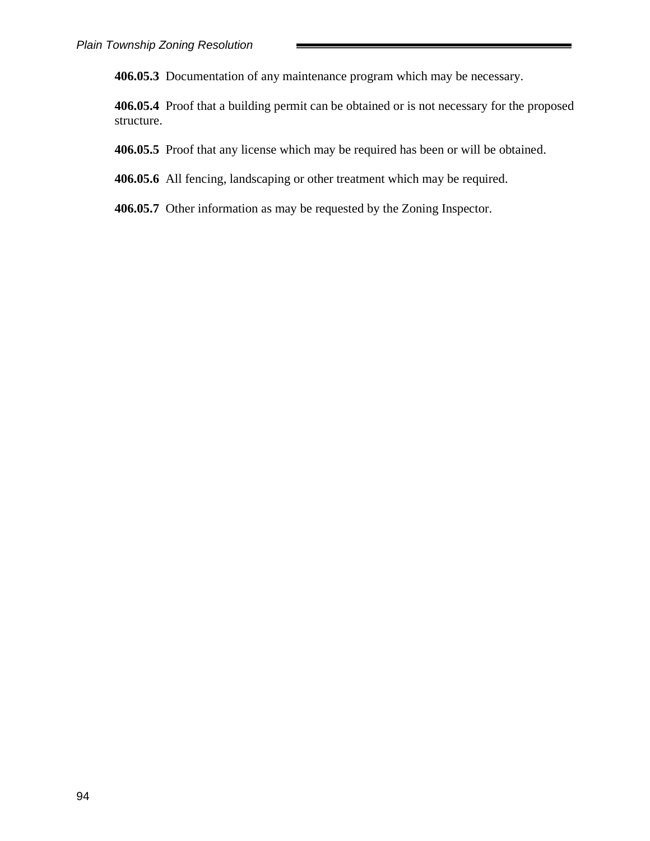**406.05.3** Documentation of any maintenance program which may be necessary.

**406.05.4** Proof that a building permit can be obtained or is not necessary for the proposed structure.

**406.05.5** Proof that any license which may be required has been or will be obtained.

**406.05.6** All fencing, landscaping or other treatment which may be required.

**406.05.7** Other information as may be requested by the Zoning Inspector.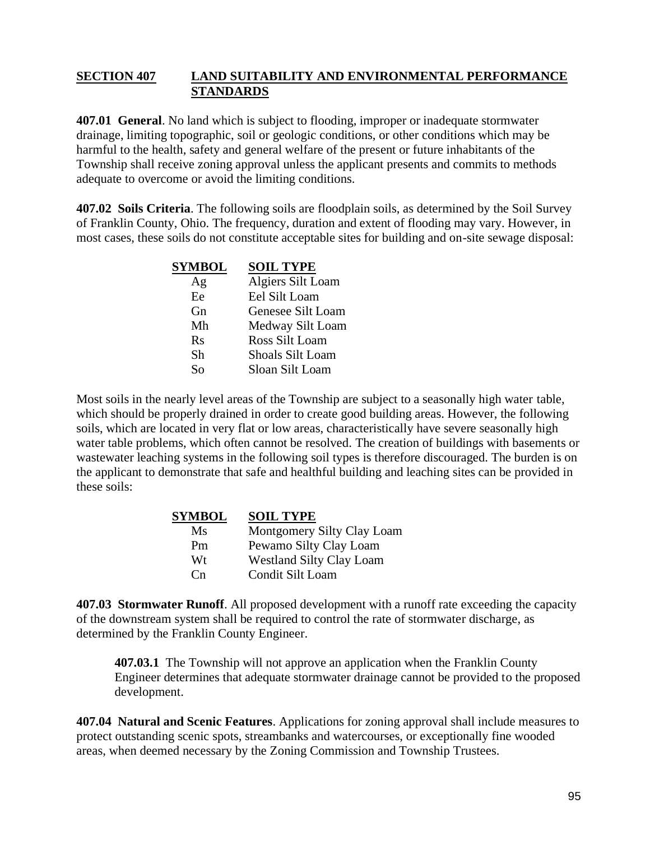#### **SECTION 407 LAND SUITABILITY AND ENVIRONMENTAL PERFORMANCE STANDARDS**

**407.01 General**. No land which is subject to flooding, improper or inadequate stormwater drainage, limiting topographic, soil or geologic conditions, or other conditions which may be harmful to the health, safety and general welfare of the present or future inhabitants of the Township shall receive zoning approval unless the applicant presents and commits to methods adequate to overcome or avoid the limiting conditions.

**407.02 Soils Criteria**. The following soils are floodplain soils, as determined by the Soil Survey of Franklin County, Ohio. The frequency, duration and extent of flooding may vary. However, in most cases, these soils do not constitute acceptable sites for building and on-site sewage disposal:

| <b>SYMBOL</b> | <b>SOIL TYPE</b>        |
|---------------|-------------------------|
| Ag            | Algiers Silt Loam       |
| Ee            | Eel Silt Loam           |
| Gn            | Genesee Silt Loam       |
| Mh            | Medway Silt Loam        |
| $R_{S}$       | Ross Silt Loam          |
| Sh            | <b>Shoals Silt Loam</b> |
| So            | Sloan Silt Loam         |

Most soils in the nearly level areas of the Township are subject to a seasonally high water table, which should be properly drained in order to create good building areas. However, the following soils, which are located in very flat or low areas, characteristically have severe seasonally high water table problems, which often cannot be resolved. The creation of buildings with basements or wastewater leaching systems in the following soil types is therefore discouraged. The burden is on the applicant to demonstrate that safe and healthful building and leaching sites can be provided in these soils:

| <b>SYMBOL</b>  | <b>SOIL TYPE</b>                |
|----------------|---------------------------------|
| Ms             | Montgomery Silty Clay Loam      |
| Pm             | Pewamo Silty Clay Loam          |
| Wt             | <b>Westland Silty Clay Loam</b> |
| $\mathsf{C}^n$ | Condit Silt Loam                |

**407.03 Stormwater Runoff**. All proposed development with a runoff rate exceeding the capacity of the downstream system shall be required to control the rate of stormwater discharge, as determined by the Franklin County Engineer.

**407.03.1** The Township will not approve an application when the Franklin County Engineer determines that adequate stormwater drainage cannot be provided to the proposed development.

**407.04 Natural and Scenic Features**. Applications for zoning approval shall include measures to protect outstanding scenic spots, streambanks and watercourses, or exceptionally fine wooded areas, when deemed necessary by the Zoning Commission and Township Trustees.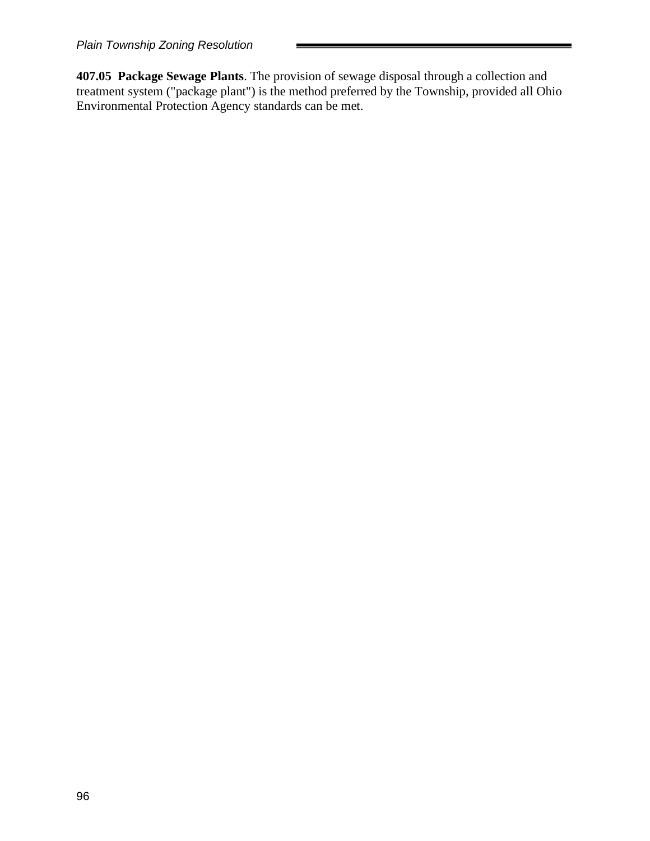**407.05 Package Sewage Plants**. The provision of sewage disposal through a collection and treatment system ("package plant") is the method preferred by the Township, provided all Ohio Environmental Protection Agency standards can be met.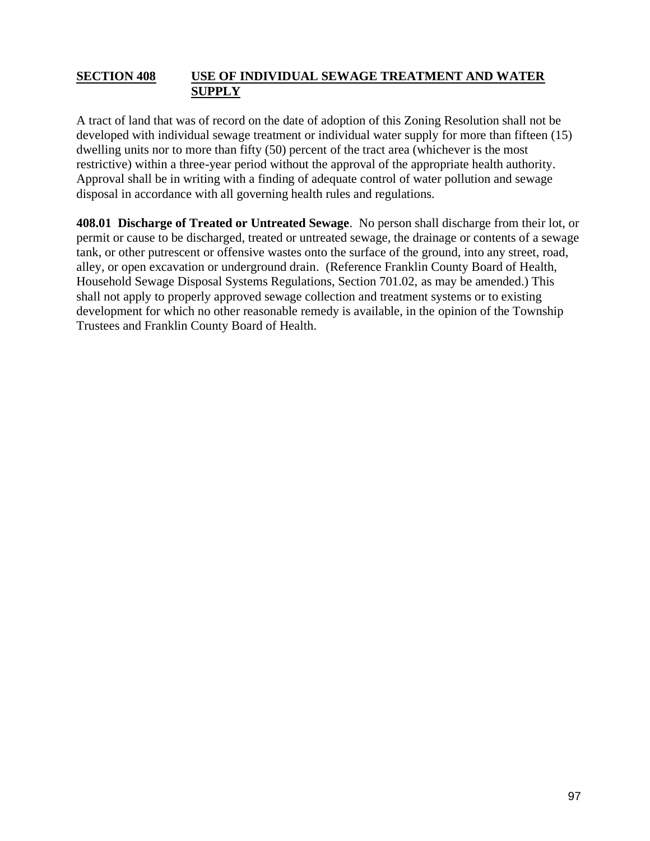#### **SECTION 408 USE OF INDIVIDUAL SEWAGE TREATMENT AND WATER SUPPLY**

A tract of land that was of record on the date of adoption of this Zoning Resolution shall not be developed with individual sewage treatment or individual water supply for more than fifteen (15) dwelling units nor to more than fifty (50) percent of the tract area (whichever is the most restrictive) within a three-year period without the approval of the appropriate health authority. Approval shall be in writing with a finding of adequate control of water pollution and sewage disposal in accordance with all governing health rules and regulations.

**408.01 Discharge of Treated or Untreated Sewage**. No person shall discharge from their lot, or permit or cause to be discharged, treated or untreated sewage, the drainage or contents of a sewage tank, or other putrescent or offensive wastes onto the surface of the ground, into any street, road, alley, or open excavation or underground drain. (Reference Franklin County Board of Health, Household Sewage Disposal Systems Regulations, Section 701.02, as may be amended.) This shall not apply to properly approved sewage collection and treatment systems or to existing development for which no other reasonable remedy is available, in the opinion of the Township Trustees and Franklin County Board of Health.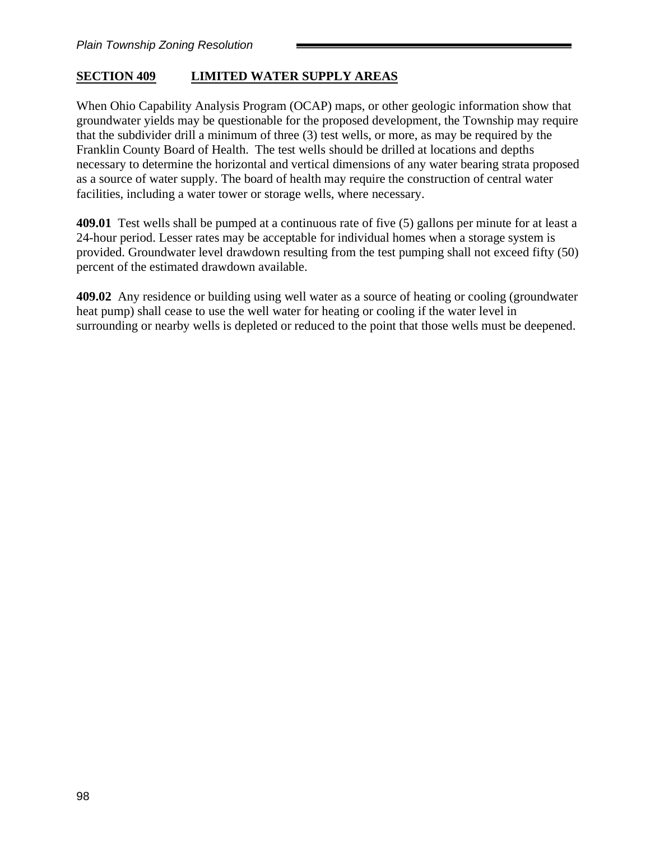# **SECTION 409 LIMITED WATER SUPPLY AREAS**

When Ohio Capability Analysis Program (OCAP) maps, or other geologic information show that groundwater yields may be questionable for the proposed development, the Township may require that the subdivider drill a minimum of three (3) test wells, or more, as may be required by the Franklin County Board of Health. The test wells should be drilled at locations and depths necessary to determine the horizontal and vertical dimensions of any water bearing strata proposed as a source of water supply. The board of health may require the construction of central water facilities, including a water tower or storage wells, where necessary.

**409.01** Test wells shall be pumped at a continuous rate of five (5) gallons per minute for at least a 24-hour period. Lesser rates may be acceptable for individual homes when a storage system is provided. Groundwater level drawdown resulting from the test pumping shall not exceed fifty (50) percent of the estimated drawdown available.

**409.02** Any residence or building using well water as a source of heating or cooling (groundwater heat pump) shall cease to use the well water for heating or cooling if the water level in surrounding or nearby wells is depleted or reduced to the point that those wells must be deepened.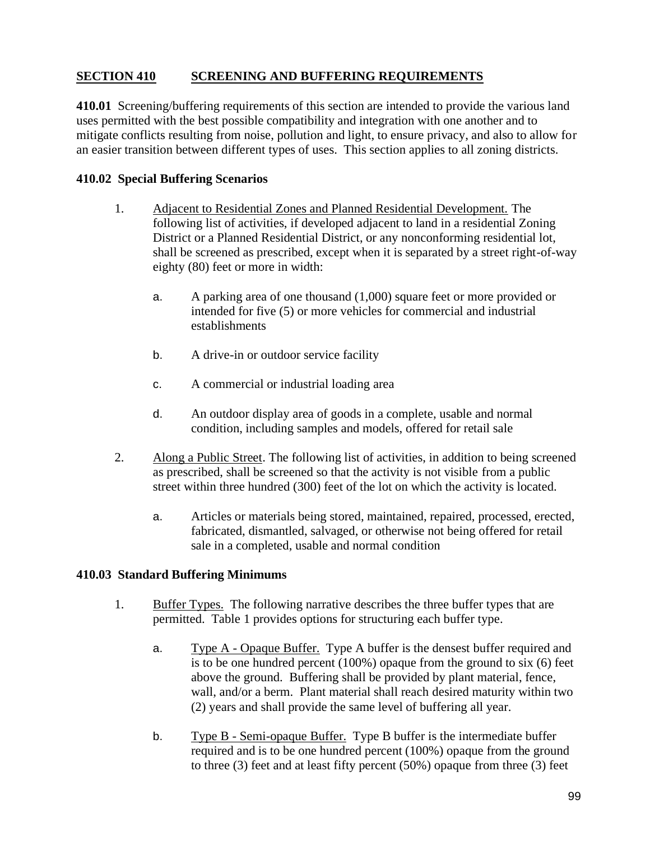## **SECTION 410 SCREENING AND BUFFERING REQUIREMENTS**

**410.01** Screening/buffering requirements of this section are intended to provide the various land uses permitted with the best possible compatibility and integration with one another and to mitigate conflicts resulting from noise, pollution and light, to ensure privacy, and also to allow for an easier transition between different types of uses. This section applies to all zoning districts.

#### **410.02 Special Buffering Scenarios**

- 1. Adjacent to Residential Zones and Planned Residential Development. The following list of activities, if developed adjacent to land in a residential Zoning District or a Planned Residential District, or any nonconforming residential lot, shall be screened as prescribed, except when it is separated by a street right-of-way eighty (80) feet or more in width:
	- a. A parking area of one thousand (1,000) square feet or more provided or intended for five (5) or more vehicles for commercial and industrial establishments
	- b. A drive-in or outdoor service facility
	- c. A commercial or industrial loading area
	- d. An outdoor display area of goods in a complete, usable and normal condition, including samples and models, offered for retail sale
- 2. Along a Public Street. The following list of activities, in addition to being screened as prescribed, shall be screened so that the activity is not visible from a public street within three hundred (300) feet of the lot on which the activity is located.
	- a. Articles or materials being stored, maintained, repaired, processed, erected, fabricated, dismantled, salvaged, or otherwise not being offered for retail sale in a completed, usable and normal condition

#### **410.03 Standard Buffering Minimums**

- 1. Buffer Types. The following narrative describes the three buffer types that are permitted. Table 1 provides options for structuring each buffer type.
	- a. Type A Opaque Buffer. Type A buffer is the densest buffer required and is to be one hundred percent (100%) opaque from the ground to six (6) feet above the ground. Buffering shall be provided by plant material, fence, wall, and/or a berm. Plant material shall reach desired maturity within two (2) years and shall provide the same level of buffering all year.
	- b. Type B Semi-opaque Buffer. Type B buffer is the intermediate buffer required and is to be one hundred percent (100%) opaque from the ground to three (3) feet and at least fifty percent (50%) opaque from three (3) feet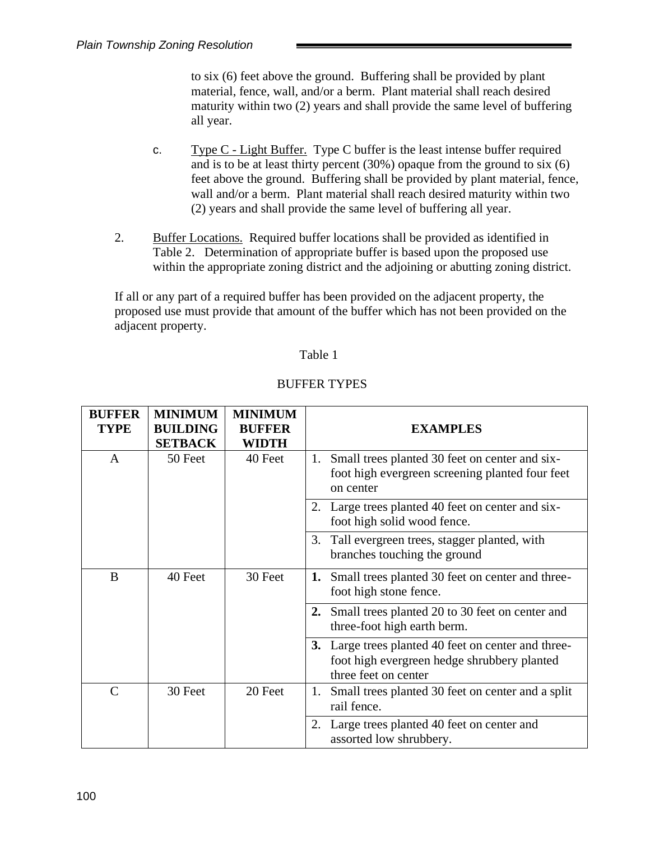to six (6) feet above the ground. Buffering shall be provided by plant material, fence, wall, and/or a berm. Plant material shall reach desired maturity within two (2) years and shall provide the same level of buffering all year.

- c. Type C Light Buffer. Type C buffer is the least intense buffer required and is to be at least thirty percent (30%) opaque from the ground to six (6) feet above the ground. Buffering shall be provided by plant material, fence, wall and/or a berm. Plant material shall reach desired maturity within two (2) years and shall provide the same level of buffering all year.
- 2. Buffer Locations. Required buffer locations shall be provided as identified in Table 2. Determination of appropriate buffer is based upon the proposed use within the appropriate zoning district and the adjoining or abutting zoning district.

If all or any part of a required buffer has been provided on the adjacent property, the proposed use must provide that amount of the buffer which has not been provided on the adjacent property.

#### Table 1

| <b>BUFFER</b> | <b>MINIMUM</b>  | <b>MINIMUM</b> |                                                                                                                            |
|---------------|-----------------|----------------|----------------------------------------------------------------------------------------------------------------------------|
| <b>TYPE</b>   | <b>BUILDING</b> | <b>BUFFER</b>  | <b>EXAMPLES</b>                                                                                                            |
|               | <b>SETBACK</b>  | WIDTH          |                                                                                                                            |
| A             | 50 Feet         | 40 Feet        | Small trees planted 30 feet on center and six-<br>1.<br>foot high evergreen screening planted four feet<br>on center       |
|               |                 |                | Large trees planted 40 feet on center and six-<br>2.<br>foot high solid wood fence.                                        |
|               |                 |                | 3. Tall evergreen trees, stagger planted, with<br>branches touching the ground                                             |
| B             | 40 Feet         | 30 Feet        | Small trees planted 30 feet on center and three-<br>1.<br>foot high stone fence.                                           |
|               |                 |                | Small trees planted 20 to 30 feet on center and<br>2.<br>three-foot high earth berm.                                       |
|               |                 |                | 3. Large trees planted 40 feet on center and three-<br>foot high evergreen hedge shrubbery planted<br>three feet on center |
| $\mathcal{C}$ | 30 Feet         | 20 Feet        | Small trees planted 30 feet on center and a split<br>1.<br>rail fence.                                                     |
|               |                 |                | Large trees planted 40 feet on center and<br>2.<br>assorted low shrubbery.                                                 |

#### BUFFER TYPES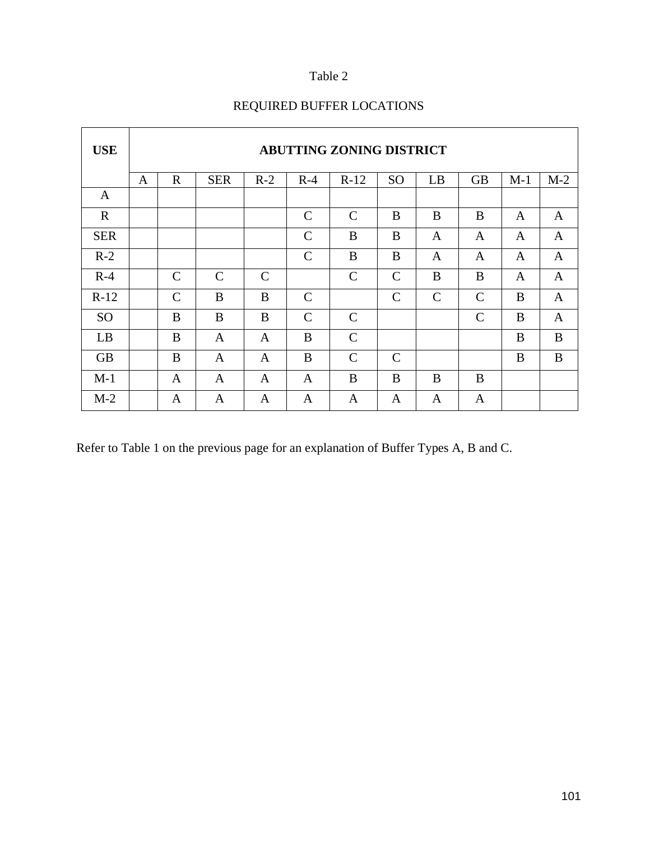# Table 2

| <b>USE</b>   |              |               |               |               |               | <b>ABUTTING ZONING DISTRICT</b> |               |               |              |              |              |
|--------------|--------------|---------------|---------------|---------------|---------------|---------------------------------|---------------|---------------|--------------|--------------|--------------|
|              | $\mathbf{A}$ | $\mathbf R$   | <b>SER</b>    | $R-2$         | $R-4$         | $R-12$                          | <b>SO</b>     | LB            | <b>GB</b>    | $M-1$        | $M-2$        |
| $\mathbf{A}$ |              |               |               |               |               |                                 |               |               |              |              |              |
| $\mathbf R$  |              |               |               |               | $\mathcal{C}$ | $\mathcal{C}$                   | B             | B             | B            | $\mathbf{A}$ | $\mathbf{A}$ |
| <b>SER</b>   |              |               |               |               | $\mathcal{C}$ | B                               | B             | $\mathbf{A}$  | A            | $\mathbf{A}$ | $\mathbf{A}$ |
| $R-2$        |              |               |               |               | $\mathcal{C}$ | B                               | B             | A             | A            | A            | $\mathbf{A}$ |
| $R-4$        |              | $\mathcal{C}$ | $\mathcal{C}$ | $\mathcal{C}$ |               | $\mathcal{C}$                   | $\mathcal{C}$ | B             | B            | $\mathbf{A}$ | $\mathbf{A}$ |
| $R-12$       |              | $\mathcal{C}$ | B             | B             | $\mathcal{C}$ |                                 | $\mathcal{C}$ | $\mathcal{C}$ | $\mathbf C$  | B            | $\mathbf{A}$ |
| <b>SO</b>    |              | B             | B             | B             | $\mathbf C$   | $\mathcal{C}$                   |               |               | $\mathsf{C}$ | B            | $\mathbf{A}$ |
| LB           |              | B             | A             | $\mathbf{A}$  | B             | $\mathcal{C}$                   |               |               |              | B            | $\bf{B}$     |
| <b>GB</b>    |              | B             | A             | A             | B             | $\mathcal{C}$                   | $\mathcal{C}$ |               |              | B            | $\bf{B}$     |
| $M-1$        |              | A             | A             | A             | A             | B                               | B             | B             | B            |              |              |
| $M-2$        |              | A             | A             | A             | A             | A                               | A             | A             | A            |              |              |

# REQUIRED BUFFER LOCATIONS

Refer to Table 1 on the previous page for an explanation of Buffer Types A, B and C.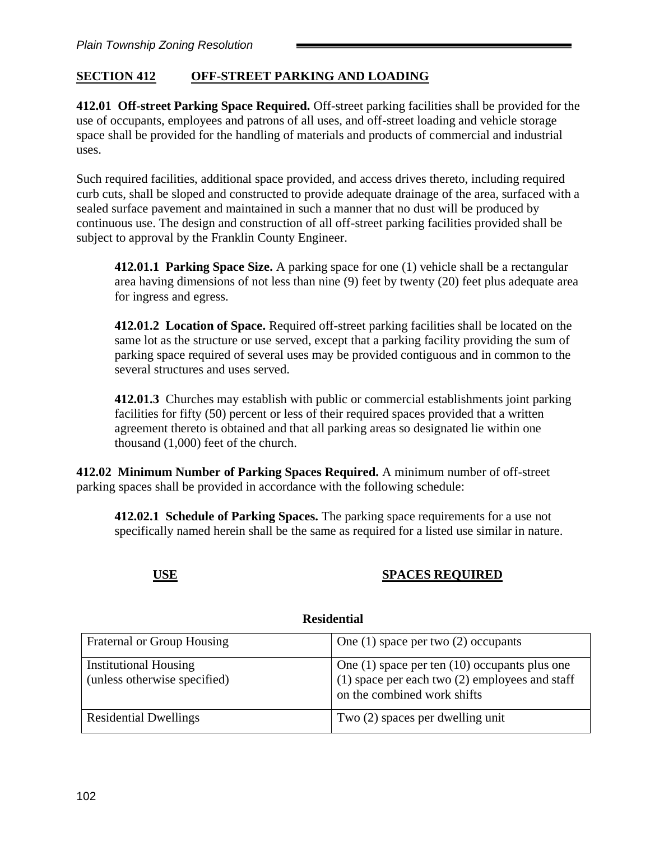# **SECTION 412 OFF-STREET PARKING AND LOADING**

**412.01 Off-street Parking Space Required.** Off-street parking facilities shall be provided for the use of occupants, employees and patrons of all uses, and off-street loading and vehicle storage space shall be provided for the handling of materials and products of commercial and industrial uses.

Such required facilities, additional space provided, and access drives thereto, including required curb cuts, shall be sloped and constructed to provide adequate drainage of the area, surfaced with a sealed surface pavement and maintained in such a manner that no dust will be produced by continuous use. The design and construction of all off-street parking facilities provided shall be subject to approval by the Franklin County Engineer.

**412.01.1 Parking Space Size.** A parking space for one (1) vehicle shall be a rectangular area having dimensions of not less than nine (9) feet by twenty (20) feet plus adequate area for ingress and egress.

**412.01.2 Location of Space.** Required off-street parking facilities shall be located on the same lot as the structure or use served, except that a parking facility providing the sum of parking space required of several uses may be provided contiguous and in common to the several structures and uses served.

**412.01.3** Churches may establish with public or commercial establishments joint parking facilities for fifty (50) percent or less of their required spaces provided that a written agreement thereto is obtained and that all parking areas so designated lie within one thousand (1,000) feet of the church.

**412.02 Minimum Number of Parking Spaces Required.** A minimum number of off-street parking spaces shall be provided in accordance with the following schedule:

**412.02.1 Schedule of Parking Spaces.** The parking space requirements for a use not specifically named herein shall be the same as required for a listed use similar in nature.

## **USE SPACES REQUIRED**

| Fraternal or Group Housing                                   | One $(1)$ space per two $(2)$ occupants                                                                                                |
|--------------------------------------------------------------|----------------------------------------------------------------------------------------------------------------------------------------|
| <b>Institutional Housing</b><br>(unless otherwise specified) | One $(1)$ space per ten $(10)$ occupants plus one<br>$(1)$ space per each two $(2)$ employees and staff<br>on the combined work shifts |
| <b>Residential Dwellings</b>                                 | Two (2) spaces per dwelling unit                                                                                                       |

#### **Residential**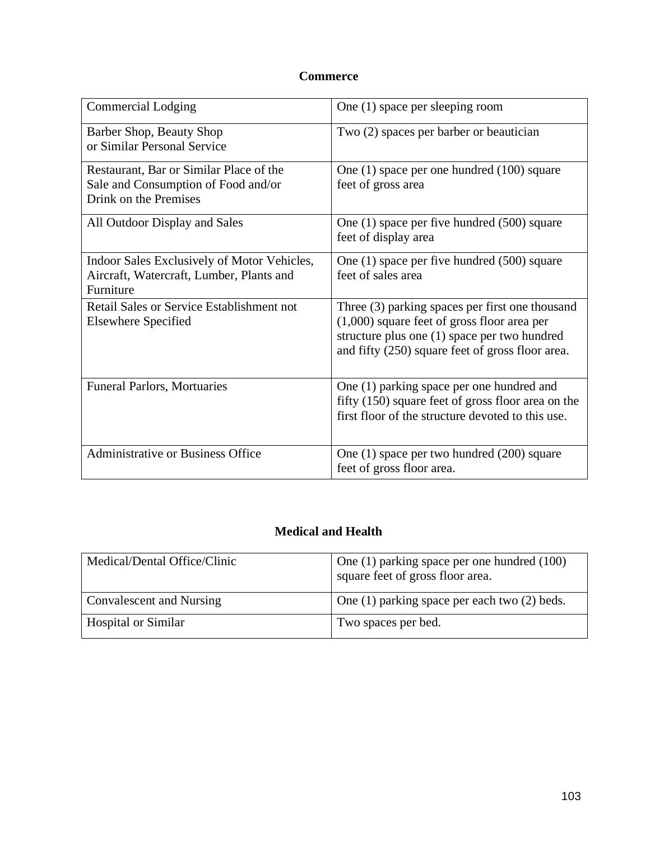# **Commerce**

| <b>Commercial Lodging</b>                                                                               | One (1) space per sleeping room                                                                                                                                                                      |
|---------------------------------------------------------------------------------------------------------|------------------------------------------------------------------------------------------------------------------------------------------------------------------------------------------------------|
| Barber Shop, Beauty Shop<br>or Similar Personal Service                                                 | Two (2) spaces per barber or beautician                                                                                                                                                              |
| Restaurant, Bar or Similar Place of the<br>Sale and Consumption of Food and/or<br>Drink on the Premises | One (1) space per one hundred (100) square<br>feet of gross area                                                                                                                                     |
| All Outdoor Display and Sales                                                                           | One $(1)$ space per five hundred $(500)$ square<br>feet of display area                                                                                                                              |
| Indoor Sales Exclusively of Motor Vehicles,<br>Aircraft, Watercraft, Lumber, Plants and<br>Furniture    | One (1) space per five hundred (500) square<br>feet of sales area                                                                                                                                    |
| <b>Retail Sales or Service Establishment not</b><br><b>Elsewhere Specified</b>                          | Three (3) parking spaces per first one thousand<br>$(1,000)$ square feet of gross floor area per<br>structure plus one (1) space per two hundred<br>and fifty (250) square feet of gross floor area. |
| <b>Funeral Parlors, Mortuaries</b>                                                                      | One (1) parking space per one hundred and<br>fifty (150) square feet of gross floor area on the<br>first floor of the structure devoted to this use.                                                 |
| Administrative or Business Office                                                                       | One (1) space per two hundred (200) square<br>feet of gross floor area.                                                                                                                              |

# **Medical and Health**

| Medical/Dental Office/Clinic    | One (1) parking space per one hundred (100)<br>square feet of gross floor area. |
|---------------------------------|---------------------------------------------------------------------------------|
| <b>Convalescent and Nursing</b> | One $(1)$ parking space per each two $(2)$ beds.                                |
| <b>Hospital or Similar</b>      | Two spaces per bed.                                                             |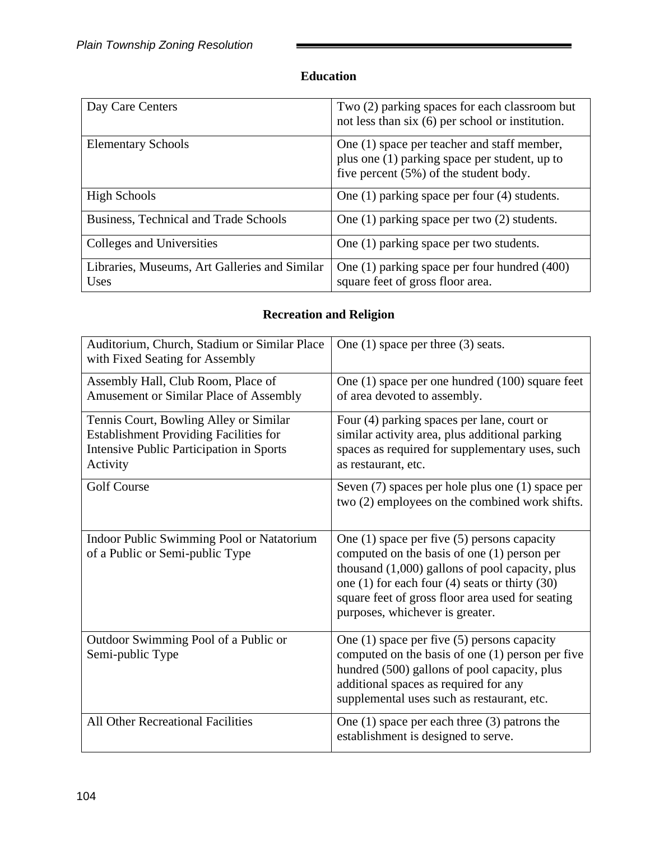# **Education**

| Day Care Centers                                      | Two (2) parking spaces for each classroom but<br>not less than $six(6)$ per school or institution.                                     |
|-------------------------------------------------------|----------------------------------------------------------------------------------------------------------------------------------------|
| <b>Elementary Schools</b>                             | One (1) space per teacher and staff member,<br>plus one (1) parking space per student, up to<br>five percent (5%) of the student body. |
| <b>High Schools</b>                                   | One $(1)$ parking space per four $(4)$ students.                                                                                       |
| Business, Technical and Trade Schools                 | One $(1)$ parking space per two $(2)$ students.                                                                                        |
| Colleges and Universities                             | One (1) parking space per two students.                                                                                                |
| Libraries, Museums, Art Galleries and Similar<br>Uses | One $(1)$ parking space per four hundred $(400)$<br>square feet of gross floor area.                                                   |

# **Recreation and Religion**

| Auditorium, Church, Stadium or Similar Place<br>with Fixed Seating for Assembly                                                                 | One $(1)$ space per three $(3)$ seats.                                                                                                                                                                                                                                                               |
|-------------------------------------------------------------------------------------------------------------------------------------------------|------------------------------------------------------------------------------------------------------------------------------------------------------------------------------------------------------------------------------------------------------------------------------------------------------|
| Assembly Hall, Club Room, Place of<br>Amusement or Similar Place of Assembly                                                                    | One (1) space per one hundred (100) square feet<br>of area devoted to assembly.                                                                                                                                                                                                                      |
| Tennis Court, Bowling Alley or Similar<br><b>Establishment Providing Facilities for</b><br>Intensive Public Participation in Sports<br>Activity | Four (4) parking spaces per lane, court or<br>similar activity area, plus additional parking<br>spaces as required for supplementary uses, such<br>as restaurant, etc.                                                                                                                               |
| <b>Golf Course</b>                                                                                                                              | Seven (7) spaces per hole plus one (1) space per<br>two (2) employees on the combined work shifts.                                                                                                                                                                                                   |
| Indoor Public Swimming Pool or Natatorium<br>of a Public or Semi-public Type                                                                    | One $(1)$ space per five $(5)$ persons capacity<br>computed on the basis of one $(1)$ person per<br>thousand $(1,000)$ gallons of pool capacity, plus<br>one $(1)$ for each four $(4)$ seats or thirty $(30)$<br>square feet of gross floor area used for seating<br>purposes, whichever is greater. |
| Outdoor Swimming Pool of a Public or<br>Semi-public Type                                                                                        | One $(1)$ space per five $(5)$ persons capacity<br>computed on the basis of one (1) person per five<br>hundred (500) gallons of pool capacity, plus<br>additional spaces as required for any<br>supplemental uses such as restaurant, etc.                                                           |
| All Other Recreational Facilities                                                                                                               | One $(1)$ space per each three $(3)$ patrons the<br>establishment is designed to serve.                                                                                                                                                                                                              |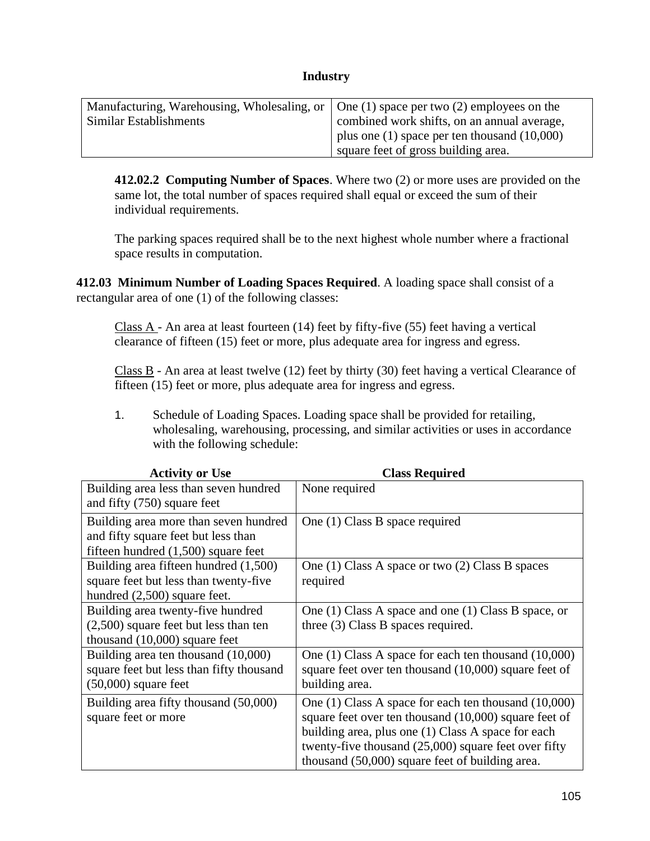#### **Industry**

| Manufacturing, Warehousing, Wholesaling, or $\vert$ One (1) space per two (2) employees on the |                                                  |
|------------------------------------------------------------------------------------------------|--------------------------------------------------|
| Similar Establishments                                                                         | combined work shifts, on an annual average,      |
|                                                                                                | plus one $(1)$ space per ten thousand $(10,000)$ |
|                                                                                                | square feet of gross building area.              |

**412.02.2 Computing Number of Spaces**. Where two (2) or more uses are provided on the same lot, the total number of spaces required shall equal or exceed the sum of their individual requirements.

The parking spaces required shall be to the next highest whole number where a fractional space results in computation.

**412.03 Minimum Number of Loading Spaces Required**. A loading space shall consist of a rectangular area of one (1) of the following classes:

Class  $A$  - An area at least fourteen (14) feet by fifty-five (55) feet having a vertical clearance of fifteen (15) feet or more, plus adequate area for ingress and egress.

Class  $\overline{B}$  - An area at least twelve (12) feet by thirty (30) feet having a vertical Clearance of fifteen (15) feet or more, plus adequate area for ingress and egress.

1. Schedule of Loading Spaces. Loading space shall be provided for retailing, wholesaling, warehousing, processing, and similar activities or uses in accordance with the following schedule:

| <b>Activity or Use</b>                   | <b>Class Required</b>                                    |
|------------------------------------------|----------------------------------------------------------|
| Building area less than seven hundred    | None required                                            |
| and fifty (750) square feet              |                                                          |
| Building area more than seven hundred    | One (1) Class B space required                           |
| and fifty square feet but less than      |                                                          |
| fifteen hundred $(1,500)$ square feet    |                                                          |
| Building area fifteen hundred (1,500)    | One (1) Class A space or two (2) Class B spaces          |
| square feet but less than twenty-five    | required                                                 |
| hundred $(2,500)$ square feet.           |                                                          |
| Building area twenty-five hundred        | One (1) Class A space and one (1) Class B space, or      |
| $(2,500)$ square feet but less than ten  | three (3) Class B spaces required.                       |
| thousand $(10,000)$ square feet          |                                                          |
| Building area ten thousand (10,000)      | One (1) Class A space for each ten thousand (10,000)     |
| square feet but less than fifty thousand | square feet over ten thousand (10,000) square feet of    |
| $(50,000)$ square feet                   | building area.                                           |
| Building area fifty thousand (50,000)    | One $(1)$ Class A space for each ten thousand $(10,000)$ |
| square feet or more                      | square feet over ten thousand $(10,000)$ square feet of  |
|                                          | building area, plus one (1) Class A space for each       |
|                                          | twenty-five thousand $(25,000)$ square feet over fifty   |
|                                          | thousand (50,000) square feet of building area.          |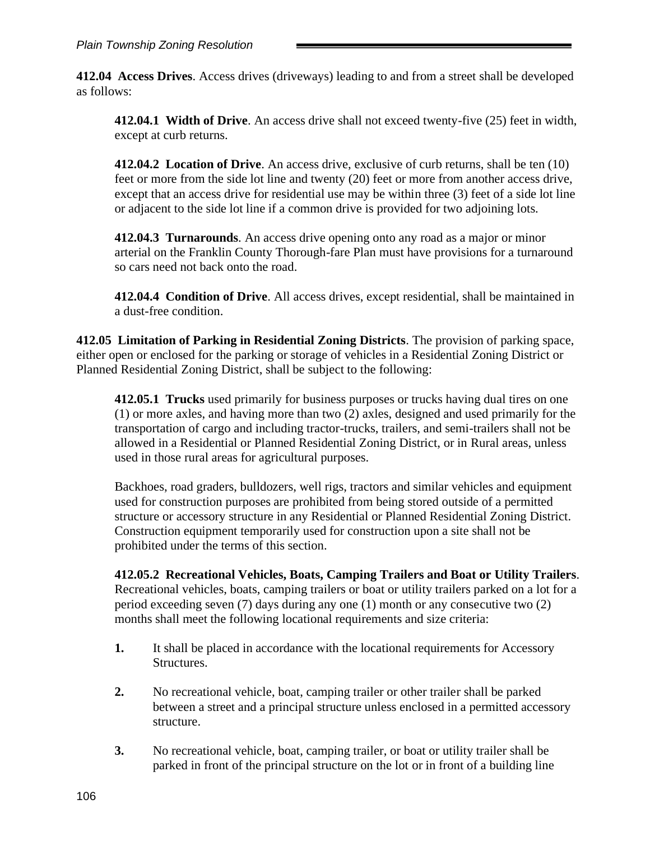**412.04 Access Drives**. Access drives (driveways) leading to and from a street shall be developed as follows:

**412.04.1 Width of Drive**. An access drive shall not exceed twenty-five (25) feet in width, except at curb returns.

**412.04.2 Location of Drive**. An access drive, exclusive of curb returns, shall be ten (10) feet or more from the side lot line and twenty (20) feet or more from another access drive, except that an access drive for residential use may be within three (3) feet of a side lot line or adjacent to the side lot line if a common drive is provided for two adjoining lots.

**412.04.3 Turnarounds**. An access drive opening onto any road as a major or minor arterial on the Franklin County Thorough-fare Plan must have provisions for a turnaround so cars need not back onto the road.

**412.04.4 Condition of Drive**. All access drives, except residential, shall be maintained in a dust-free condition.

**412.05 Limitation of Parking in Residential Zoning Districts**. The provision of parking space, either open or enclosed for the parking or storage of vehicles in a Residential Zoning District or Planned Residential Zoning District, shall be subject to the following:

**412.05.1 Trucks** used primarily for business purposes or trucks having dual tires on one (1) or more axles, and having more than two (2) axles, designed and used primarily for the transportation of cargo and including tractor-trucks, trailers, and semi-trailers shall not be allowed in a Residential or Planned Residential Zoning District, or in Rural areas, unless used in those rural areas for agricultural purposes.

Backhoes, road graders, bulldozers, well rigs, tractors and similar vehicles and equipment used for construction purposes are prohibited from being stored outside of a permitted structure or accessory structure in any Residential or Planned Residential Zoning District. Construction equipment temporarily used for construction upon a site shall not be prohibited under the terms of this section.

**412.05.2 Recreational Vehicles, Boats, Camping Trailers and Boat or Utility Trailers**. Recreational vehicles, boats, camping trailers or boat or utility trailers parked on a lot for a period exceeding seven (7) days during any one (1) month or any consecutive two (2) months shall meet the following locational requirements and size criteria:

- **1.** It shall be placed in accordance with the locational requirements for Accessory Structures.
- **2.** No recreational vehicle, boat, camping trailer or other trailer shall be parked between a street and a principal structure unless enclosed in a permitted accessory structure.
- **3.** No recreational vehicle, boat, camping trailer, or boat or utility trailer shall be parked in front of the principal structure on the lot or in front of a building line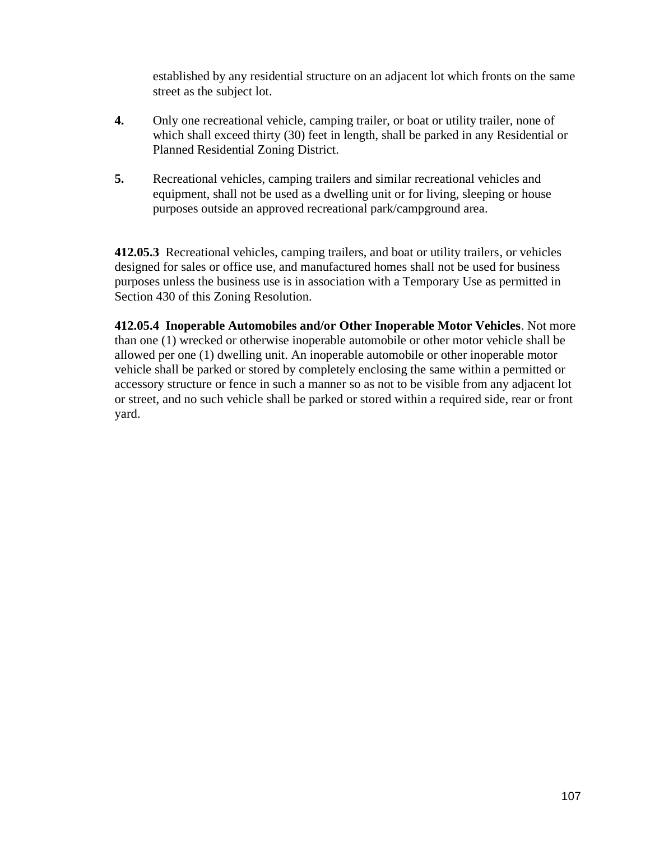established by any residential structure on an adjacent lot which fronts on the same street as the subject lot.

- **4.** Only one recreational vehicle, camping trailer, or boat or utility trailer, none of which shall exceed thirty (30) feet in length, shall be parked in any Residential or Planned Residential Zoning District.
- **5.** Recreational vehicles, camping trailers and similar recreational vehicles and equipment, shall not be used as a dwelling unit or for living, sleeping or house purposes outside an approved recreational park/campground area.

**412.05.3** Recreational vehicles, camping trailers, and boat or utility trailers*,* or vehicles designed for sales or office use, and manufactured homes shall not be used for business purposes unless the business use is in association with a Temporary Use as permitted in Section 430 of this Zoning Resolution.

**412.05.4 Inoperable Automobiles and/or Other Inoperable Motor Vehicles**. Not more than one (1) wrecked or otherwise inoperable automobile or other motor vehicle shall be allowed per one (1) dwelling unit. An inoperable automobile or other inoperable motor vehicle shall be parked or stored by completely enclosing the same within a permitted or accessory structure or fence in such a manner so as not to be visible from any adjacent lot or street, and no such vehicle shall be parked or stored within a required side, rear or front yard.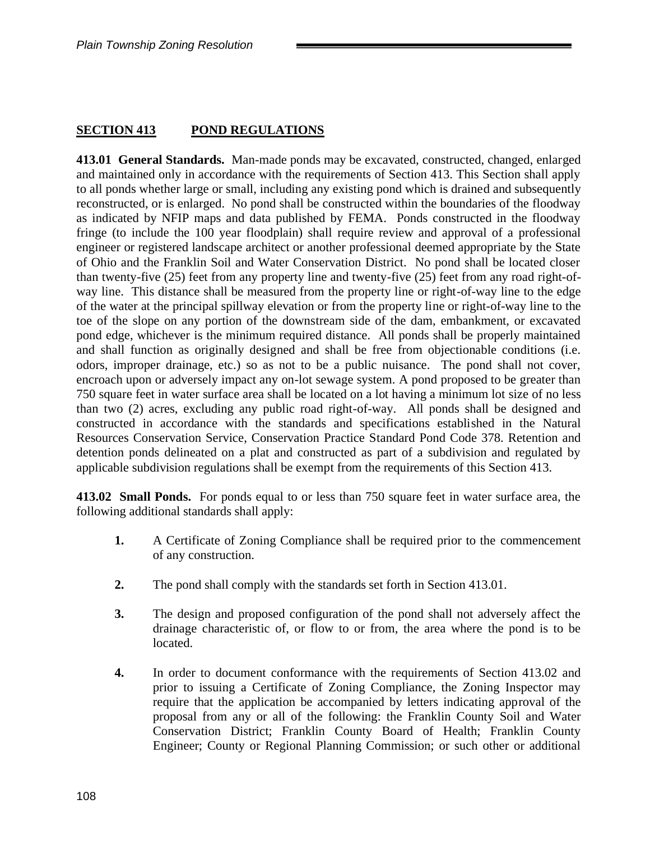### **SECTION 413 POND REGULATIONS**

**413.01 General Standards.** Man-made ponds may be excavated, constructed, changed, enlarged and maintained only in accordance with the requirements of Section 413. This Section shall apply to all ponds whether large or small, including any existing pond which is drained and subsequently reconstructed, or is enlarged. No pond shall be constructed within the boundaries of the floodway as indicated by NFIP maps and data published by FEMA. Ponds constructed in the floodway fringe (to include the 100 year floodplain) shall require review and approval of a professional engineer or registered landscape architect or another professional deemed appropriate by the State of Ohio and the Franklin Soil and Water Conservation District. No pond shall be located closer than twenty-five (25) feet from any property line and twenty-five (25) feet from any road right-ofway line. This distance shall be measured from the property line or right-of-way line to the edge of the water at the principal spillway elevation or from the property line or right-of-way line to the toe of the slope on any portion of the downstream side of the dam, embankment, or excavated pond edge, whichever is the minimum required distance. All ponds shall be properly maintained and shall function as originally designed and shall be free from objectionable conditions (i.e. odors, improper drainage, etc.) so as not to be a public nuisance. The pond shall not cover, encroach upon or adversely impact any on-lot sewage system. A pond proposed to be greater than 750 square feet in water surface area shall be located on a lot having a minimum lot size of no less than two (2) acres, excluding any public road right-of-way. All ponds shall be designed and constructed in accordance with the standards and specifications established in the Natural Resources Conservation Service, Conservation Practice Standard Pond Code 378. Retention and detention ponds delineated on a plat and constructed as part of a subdivision and regulated by applicable subdivision regulations shall be exempt from the requirements of this Section 413.

**413.02 Small Ponds.** For ponds equal to or less than 750 square feet in water surface area, the following additional standards shall apply:

- **1.** A Certificate of Zoning Compliance shall be required prior to the commencement of any construction.
- **2.** The pond shall comply with the standards set forth in Section 413.01.
- **3.** The design and proposed configuration of the pond shall not adversely affect the drainage characteristic of, or flow to or from, the area where the pond is to be located.
- **4.** In order to document conformance with the requirements of Section 413.02 and prior to issuing a Certificate of Zoning Compliance, the Zoning Inspector may require that the application be accompanied by letters indicating approval of the proposal from any or all of the following: the Franklin County Soil and Water Conservation District; Franklin County Board of Health; Franklin County Engineer; County or Regional Planning Commission; or such other or additional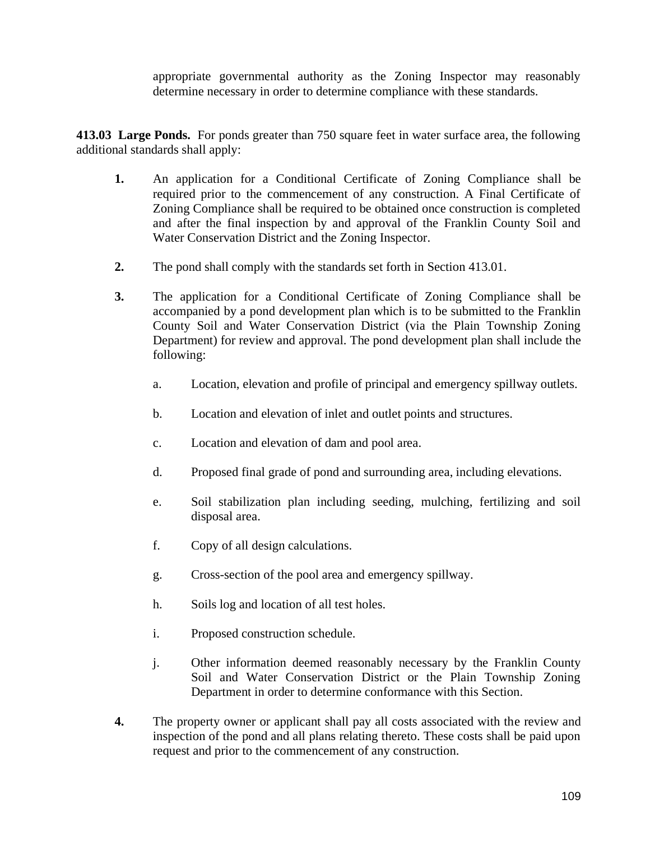appropriate governmental authority as the Zoning Inspector may reasonably determine necessary in order to determine compliance with these standards.

**413.03 Large Ponds.** For ponds greater than 750 square feet in water surface area, the following additional standards shall apply:

- **1.** An application for a Conditional Certificate of Zoning Compliance shall be required prior to the commencement of any construction. A Final Certificate of Zoning Compliance shall be required to be obtained once construction is completed and after the final inspection by and approval of the Franklin County Soil and Water Conservation District and the Zoning Inspector.
- **2.** The pond shall comply with the standards set forth in Section 413.01.
- **3.** The application for a Conditional Certificate of Zoning Compliance shall be accompanied by a pond development plan which is to be submitted to the Franklin County Soil and Water Conservation District (via the Plain Township Zoning Department) for review and approval. The pond development plan shall include the following:
	- a. Location, elevation and profile of principal and emergency spillway outlets.
	- b. Location and elevation of inlet and outlet points and structures.
	- c. Location and elevation of dam and pool area.
	- d. Proposed final grade of pond and surrounding area, including elevations.
	- e. Soil stabilization plan including seeding, mulching, fertilizing and soil disposal area.
	- f. Copy of all design calculations.
	- g. Cross-section of the pool area and emergency spillway.
	- h. Soils log and location of all test holes.
	- i. Proposed construction schedule.
	- j. Other information deemed reasonably necessary by the Franklin County Soil and Water Conservation District or the Plain Township Zoning Department in order to determine conformance with this Section.
- **4.** The property owner or applicant shall pay all costs associated with the review and inspection of the pond and all plans relating thereto. These costs shall be paid upon request and prior to the commencement of any construction.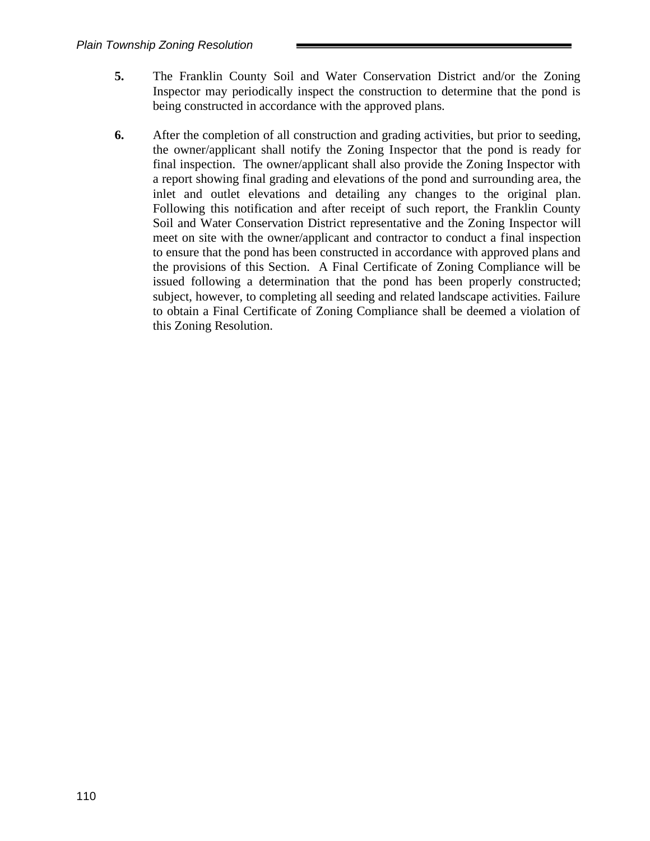- **5.** The Franklin County Soil and Water Conservation District and/or the Zoning Inspector may periodically inspect the construction to determine that the pond is being constructed in accordance with the approved plans.
- **6.** After the completion of all construction and grading activities, but prior to seeding, the owner/applicant shall notify the Zoning Inspector that the pond is ready for final inspection. The owner/applicant shall also provide the Zoning Inspector with a report showing final grading and elevations of the pond and surrounding area, the inlet and outlet elevations and detailing any changes to the original plan. Following this notification and after receipt of such report, the Franklin County Soil and Water Conservation District representative and the Zoning Inspector will meet on site with the owner/applicant and contractor to conduct a final inspection to ensure that the pond has been constructed in accordance with approved plans and the provisions of this Section. A Final Certificate of Zoning Compliance will be issued following a determination that the pond has been properly constructed; subject, however, to completing all seeding and related landscape activities. Failure to obtain a Final Certificate of Zoning Compliance shall be deemed a violation of this Zoning Resolution.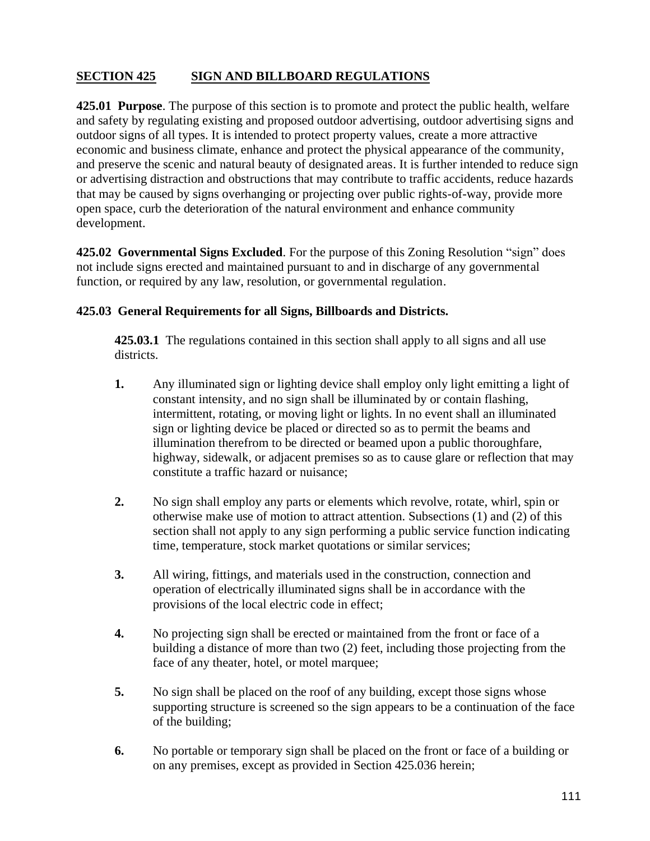# **SECTION 425 SIGN AND BILLBOARD REGULATIONS**

**425.01 Purpose**. The purpose of this section is to promote and protect the public health, welfare and safety by regulating existing and proposed outdoor advertising, outdoor advertising signs and outdoor signs of all types. It is intended to protect property values, create a more attractive economic and business climate, enhance and protect the physical appearance of the community, and preserve the scenic and natural beauty of designated areas. It is further intended to reduce sign or advertising distraction and obstructions that may contribute to traffic accidents, reduce hazards that may be caused by signs overhanging or projecting over public rights-of-way, provide more open space, curb the deterioration of the natural environment and enhance community development.

**425.02 Governmental Signs Excluded**. For the purpose of this Zoning Resolution "sign" does not include signs erected and maintained pursuant to and in discharge of any governmental function, or required by any law, resolution, or governmental regulation.

### **425.03 General Requirements for all Signs, Billboards and Districts.**

**425.03.1** The regulations contained in this section shall apply to all signs and all use districts.

- **1.** Any illuminated sign or lighting device shall employ only light emitting a light of constant intensity, and no sign shall be illuminated by or contain flashing, intermittent, rotating, or moving light or lights. In no event shall an illuminated sign or lighting device be placed or directed so as to permit the beams and illumination therefrom to be directed or beamed upon a public thoroughfare, highway, sidewalk, or adjacent premises so as to cause glare or reflection that may constitute a traffic hazard or nuisance;
- **2.** No sign shall employ any parts or elements which revolve, rotate, whirl, spin or otherwise make use of motion to attract attention. Subsections (1) and (2) of this section shall not apply to any sign performing a public service function indicating time, temperature, stock market quotations or similar services;
- **3.** All wiring, fittings, and materials used in the construction, connection and operation of electrically illuminated signs shall be in accordance with the provisions of the local electric code in effect;
- **4.** No projecting sign shall be erected or maintained from the front or face of a building a distance of more than two (2) feet, including those projecting from the face of any theater, hotel, or motel marquee;
- **5.** No sign shall be placed on the roof of any building, except those signs whose supporting structure is screened so the sign appears to be a continuation of the face of the building;
- **6.** No portable or temporary sign shall be placed on the front or face of a building or on any premises, except as provided in Section 425.036 herein;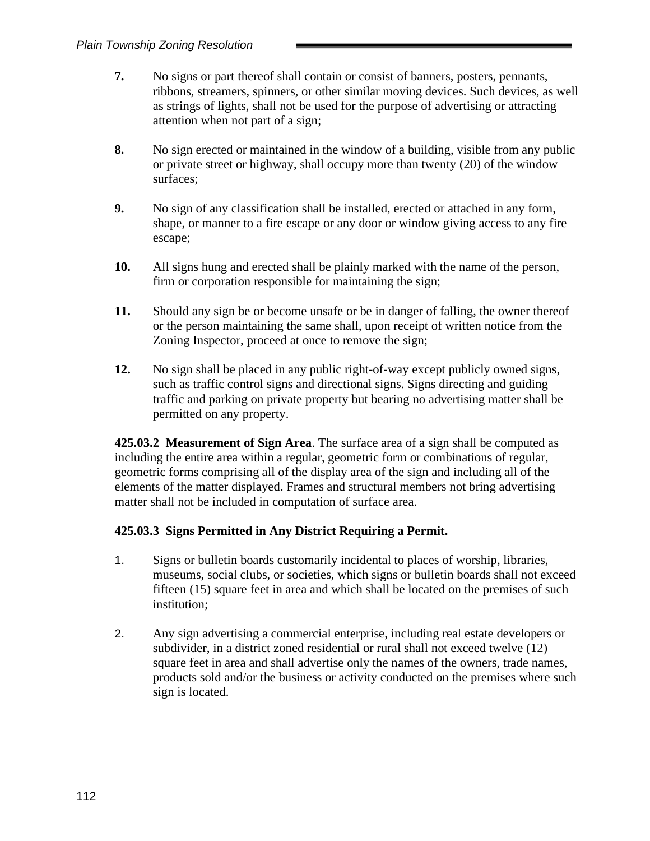- **7.** No signs or part thereof shall contain or consist of banners, posters, pennants, ribbons, streamers, spinners, or other similar moving devices. Such devices, as well as strings of lights, shall not be used for the purpose of advertising or attracting attention when not part of a sign;
- **8.** No sign erected or maintained in the window of a building, visible from any public or private street or highway, shall occupy more than twenty (20) of the window surfaces;
- **9.** No sign of any classification shall be installed, erected or attached in any form, shape, or manner to a fire escape or any door or window giving access to any fire escape;
- **10.** All signs hung and erected shall be plainly marked with the name of the person, firm or corporation responsible for maintaining the sign;
- **11.** Should any sign be or become unsafe or be in danger of falling, the owner thereof or the person maintaining the same shall, upon receipt of written notice from the Zoning Inspector, proceed at once to remove the sign;
- **12.** No sign shall be placed in any public right-of-way except publicly owned signs, such as traffic control signs and directional signs. Signs directing and guiding traffic and parking on private property but bearing no advertising matter shall be permitted on any property.

**425.03.2 Measurement of Sign Area**. The surface area of a sign shall be computed as including the entire area within a regular, geometric form or combinations of regular, geometric forms comprising all of the display area of the sign and including all of the elements of the matter displayed. Frames and structural members not bring advertising matter shall not be included in computation of surface area.

### **425.03.3 Signs Permitted in Any District Requiring a Permit.**

- 1. Signs or bulletin boards customarily incidental to places of worship, libraries, museums, social clubs, or societies, which signs or bulletin boards shall not exceed fifteen (15) square feet in area and which shall be located on the premises of such institution;
- 2. Any sign advertising a commercial enterprise, including real estate developers or subdivider, in a district zoned residential or rural shall not exceed twelve (12) square feet in area and shall advertise only the names of the owners, trade names, products sold and/or the business or activity conducted on the premises where such sign is located.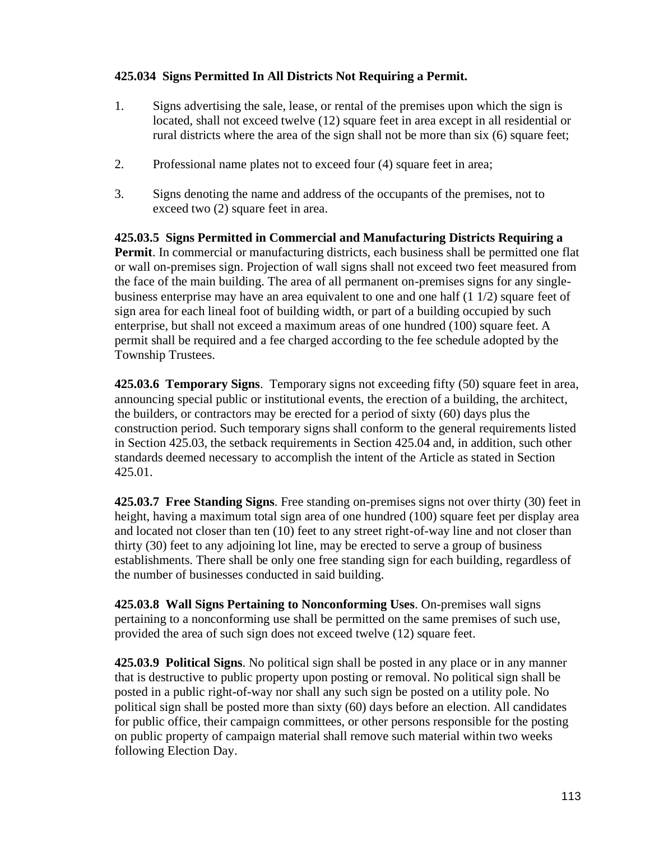### **425.034 Signs Permitted In All Districts Not Requiring a Permit.**

- 1. Signs advertising the sale, lease, or rental of the premises upon which the sign is located, shall not exceed twelve (12) square feet in area except in all residential or rural districts where the area of the sign shall not be more than six (6) square feet;
- 2. Professional name plates not to exceed four (4) square feet in area;
- 3. Signs denoting the name and address of the occupants of the premises, not to exceed two (2) square feet in area.

**425.03.5 Signs Permitted in Commercial and Manufacturing Districts Requiring a Permit**. In commercial or manufacturing districts, each business shall be permitted one flat or wall on-premises sign. Projection of wall signs shall not exceed two feet measured from the face of the main building. The area of all permanent on-premises signs for any singlebusiness enterprise may have an area equivalent to one and one half (1 1/2) square feet of sign area for each lineal foot of building width, or part of a building occupied by such enterprise, but shall not exceed a maximum areas of one hundred (100) square feet. A permit shall be required and a fee charged according to the fee schedule adopted by the Township Trustees.

**425.03.6 Temporary Signs**. Temporary signs not exceeding fifty (50) square feet in area, announcing special public or institutional events, the erection of a building, the architect, the builders, or contractors may be erected for a period of sixty (60) days plus the construction period. Such temporary signs shall conform to the general requirements listed in Section 425.03, the setback requirements in Section 425.04 and, in addition, such other standards deemed necessary to accomplish the intent of the Article as stated in Section 425.01.

**425.03.7 Free Standing Signs**. Free standing on-premises signs not over thirty (30) feet in height, having a maximum total sign area of one hundred (100) square feet per display area and located not closer than ten (10) feet to any street right-of-way line and not closer than thirty (30) feet to any adjoining lot line, may be erected to serve a group of business establishments. There shall be only one free standing sign for each building, regardless of the number of businesses conducted in said building.

**425.03.8 Wall Signs Pertaining to Nonconforming Uses**. On-premises wall signs pertaining to a nonconforming use shall be permitted on the same premises of such use, provided the area of such sign does not exceed twelve (12) square feet.

**425.03.9 Political Signs**. No political sign shall be posted in any place or in any manner that is destructive to public property upon posting or removal. No political sign shall be posted in a public right-of-way nor shall any such sign be posted on a utility pole. No political sign shall be posted more than sixty (60) days before an election. All candidates for public office, their campaign committees, or other persons responsible for the posting on public property of campaign material shall remove such material within two weeks following Election Day.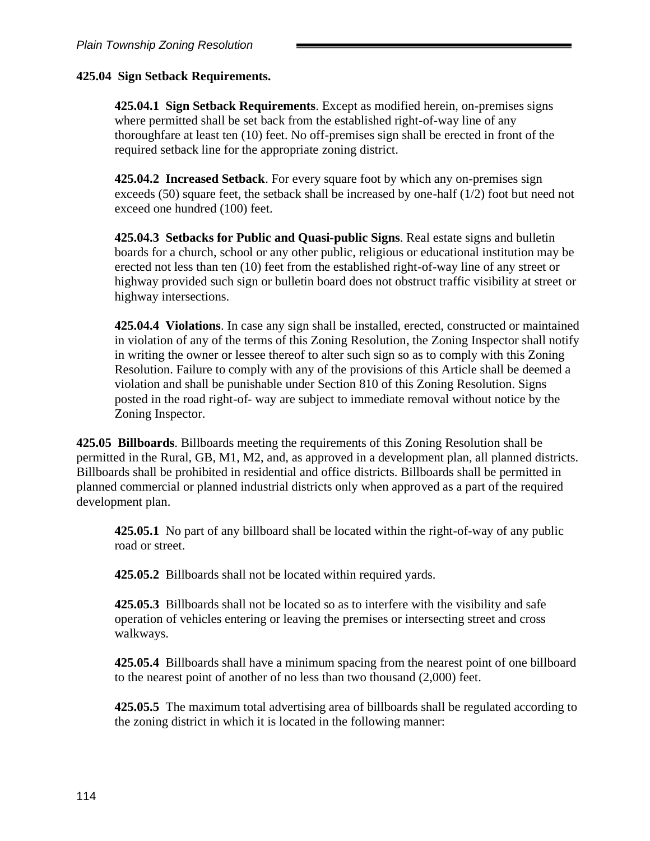### **425.04 Sign Setback Requirements.**

**425.04.1 Sign Setback Requirements**. Except as modified herein, on-premises signs where permitted shall be set back from the established right-of-way line of any thoroughfare at least ten (10) feet. No off-premises sign shall be erected in front of the required setback line for the appropriate zoning district.

**425.04.2 Increased Setback**. For every square foot by which any on-premises sign exceeds (50) square feet, the setback shall be increased by one-half (1/2) foot but need not exceed one hundred (100) feet.

**425.04.3 Setbacks for Public and Quasi-public Signs**. Real estate signs and bulletin boards for a church, school or any other public, religious or educational institution may be erected not less than ten (10) feet from the established right-of-way line of any street or highway provided such sign or bulletin board does not obstruct traffic visibility at street or highway intersections.

**425.04.4 Violations**. In case any sign shall be installed, erected, constructed or maintained in violation of any of the terms of this Zoning Resolution, the Zoning Inspector shall notify in writing the owner or lessee thereof to alter such sign so as to comply with this Zoning Resolution. Failure to comply with any of the provisions of this Article shall be deemed a violation and shall be punishable under Section 810 of this Zoning Resolution. Signs posted in the road right-of- way are subject to immediate removal without notice by the Zoning Inspector.

**425.05 Billboards**. Billboards meeting the requirements of this Zoning Resolution shall be permitted in the Rural, GB, M1, M2, and, as approved in a development plan, all planned districts. Billboards shall be prohibited in residential and office districts. Billboards shall be permitted in planned commercial or planned industrial districts only when approved as a part of the required development plan.

**425.05.1** No part of any billboard shall be located within the right-of-way of any public road or street.

**425.05.2** Billboards shall not be located within required yards.

**425.05.3** Billboards shall not be located so as to interfere with the visibility and safe operation of vehicles entering or leaving the premises or intersecting street and cross walkways.

**425.05.4** Billboards shall have a minimum spacing from the nearest point of one billboard to the nearest point of another of no less than two thousand (2,000) feet.

**425.05.5** The maximum total advertising area of billboards shall be regulated according to the zoning district in which it is located in the following manner: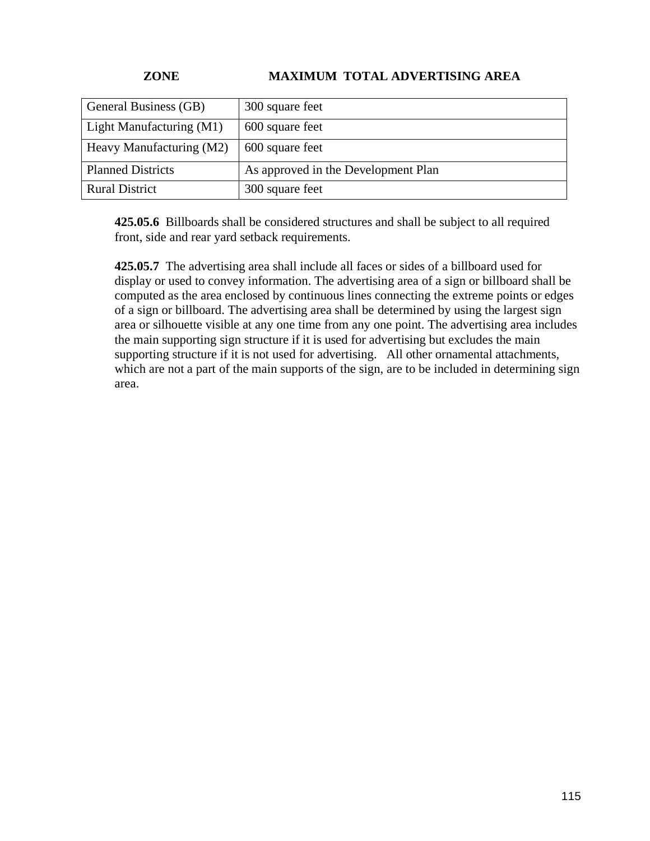# **ZONE MAXIMUM TOTAL ADVERTISING AREA**

| General Business (GB)    | 300 square feet                     |
|--------------------------|-------------------------------------|
| Light Manufacturing (M1) | 600 square feet                     |
| Heavy Manufacturing (M2) | 600 square feet                     |
| <b>Planned Districts</b> | As approved in the Development Plan |
| <b>Rural District</b>    | 300 square feet                     |

**425.05.6** Billboards shall be considered structures and shall be subject to all required front, side and rear yard setback requirements.

**425.05.7** The advertising area shall include all faces or sides of a billboard used for display or used to convey information. The advertising area of a sign or billboard shall be computed as the area enclosed by continuous lines connecting the extreme points or edges of a sign or billboard. The advertising area shall be determined by using the largest sign area or silhouette visible at any one time from any one point. The advertising area includes the main supporting sign structure if it is used for advertising but excludes the main supporting structure if it is not used for advertising. All other ornamental attachments, which are not a part of the main supports of the sign, are to be included in determining sign area.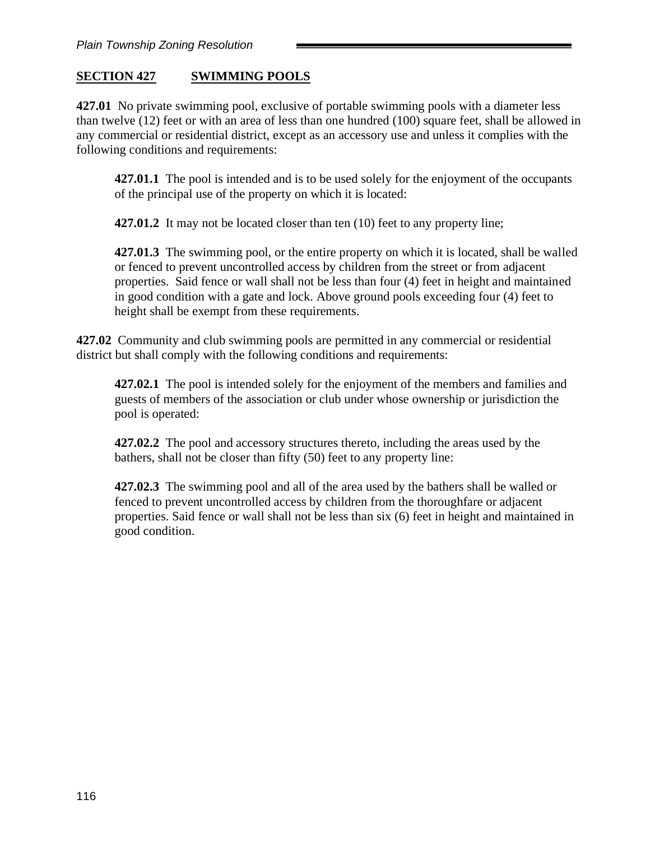# **SECTION 427 SWIMMING POOLS**

**427.01** No private swimming pool, exclusive of portable swimming pools with a diameter less than twelve (12) feet or with an area of less than one hundred (100) square feet, shall be allowed in any commercial or residential district, except as an accessory use and unless it complies with the following conditions and requirements:

**427.01.1** The pool is intended and is to be used solely for the enjoyment of the occupants of the principal use of the property on which it is located:

**427.01.2** It may not be located closer than ten (10) feet to any property line;

**427.01.3** The swimming pool, or the entire property on which it is located, shall be walled or fenced to prevent uncontrolled access by children from the street or from adjacent properties. Said fence or wall shall not be less than four (4) feet in height and maintained in good condition with a gate and lock. Above ground pools exceeding four (4) feet to height shall be exempt from these requirements.

**427.02** Community and club swimming pools are permitted in any commercial or residential district but shall comply with the following conditions and requirements:

**427.02.1** The pool is intended solely for the enjoyment of the members and families and guests of members of the association or club under whose ownership or jurisdiction the pool is operated:

**427.02.2** The pool and accessory structures thereto, including the areas used by the bathers, shall not be closer than fifty (50) feet to any property line:

**427.02.3** The swimming pool and all of the area used by the bathers shall be walled or fenced to prevent uncontrolled access by children from the thoroughfare or adjacent properties. Said fence or wall shall not be less than six (6) feet in height and maintained in good condition.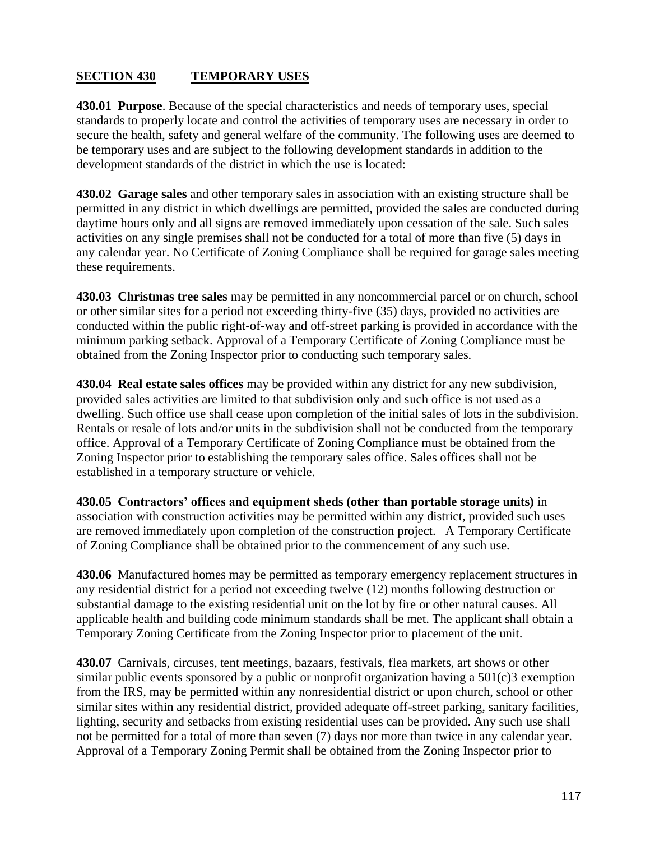# **SECTION 430 TEMPORARY USES**

**430.01 Purpose**. Because of the special characteristics and needs of temporary uses, special standards to properly locate and control the activities of temporary uses are necessary in order to secure the health, safety and general welfare of the community. The following uses are deemed to be temporary uses and are subject to the following development standards in addition to the development standards of the district in which the use is located:

**430.02 Garage sales** and other temporary sales in association with an existing structure shall be permitted in any district in which dwellings are permitted, provided the sales are conducted during daytime hours only and all signs are removed immediately upon cessation of the sale. Such sales activities on any single premises shall not be conducted for a total of more than five (5) days in any calendar year. No Certificate of Zoning Compliance shall be required for garage sales meeting these requirements.

**430.03 Christmas tree sales** may be permitted in any noncommercial parcel or on church, school or other similar sites for a period not exceeding thirty-five (35) days, provided no activities are conducted within the public right-of-way and off-street parking is provided in accordance with the minimum parking setback. Approval of a Temporary Certificate of Zoning Compliance must be obtained from the Zoning Inspector prior to conducting such temporary sales.

**430.04 Real estate sales offices** may be provided within any district for any new subdivision, provided sales activities are limited to that subdivision only and such office is not used as a dwelling. Such office use shall cease upon completion of the initial sales of lots in the subdivision. Rentals or resale of lots and/or units in the subdivision shall not be conducted from the temporary office. Approval of a Temporary Certificate of Zoning Compliance must be obtained from the Zoning Inspector prior to establishing the temporary sales office. Sales offices shall not be established in a temporary structure or vehicle.

**430.05 Contractors' offices and equipment sheds (other than portable storage units)** in association with construction activities may be permitted within any district, provided such uses are removed immediately upon completion of the construction project. A Temporary Certificate of Zoning Compliance shall be obtained prior to the commencement of any such use.

**430.06** Manufactured homes may be permitted as temporary emergency replacement structures in any residential district for a period not exceeding twelve (12) months following destruction or substantial damage to the existing residential unit on the lot by fire or other natural causes. All applicable health and building code minimum standards shall be met. The applicant shall obtain a Temporary Zoning Certificate from the Zoning Inspector prior to placement of the unit.

**430.07** Carnivals, circuses, tent meetings, bazaars, festivals, flea markets, art shows or other similar public events sponsored by a public or nonprofit organization having a 501(c)3 exemption from the IRS, may be permitted within any nonresidential district or upon church, school or other similar sites within any residential district, provided adequate off-street parking, sanitary facilities, lighting, security and setbacks from existing residential uses can be provided. Any such use shall not be permitted for a total of more than seven (7) days nor more than twice in any calendar year. Approval of a Temporary Zoning Permit shall be obtained from the Zoning Inspector prior to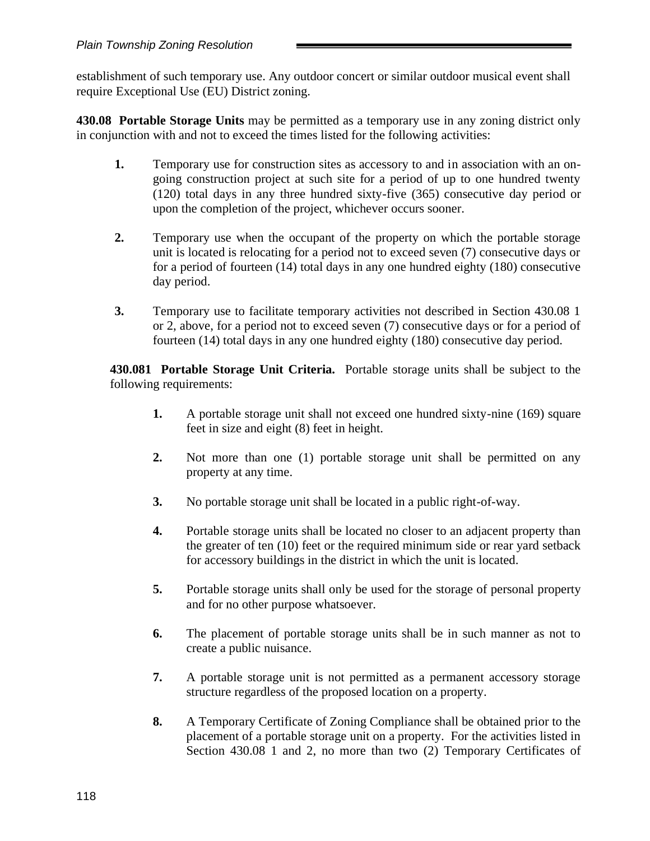establishment of such temporary use. Any outdoor concert or similar outdoor musical event shall require Exceptional Use (EU) District zoning.

**430.08 Portable Storage Units** may be permitted as a temporary use in any zoning district only in conjunction with and not to exceed the times listed for the following activities:

- **1.** Temporary use for construction sites as accessory to and in association with an ongoing construction project at such site for a period of up to one hundred twenty (120) total days in any three hundred sixty-five (365) consecutive day period or upon the completion of the project, whichever occurs sooner.
- **2.** Temporary use when the occupant of the property on which the portable storage unit is located is relocating for a period not to exceed seven (7) consecutive days or for a period of fourteen (14) total days in any one hundred eighty (180) consecutive day period.
- **3.** Temporary use to facilitate temporary activities not described in Section 430.08 1 or 2, above, for a period not to exceed seven (7) consecutive days or for a period of fourteen (14) total days in any one hundred eighty (180) consecutive day period.

**430.081 Portable Storage Unit Criteria.** Portable storage units shall be subject to the following requirements:

- **1.** A portable storage unit shall not exceed one hundred sixty-nine (169) square feet in size and eight (8) feet in height.
- **2.** Not more than one (1) portable storage unit shall be permitted on any property at any time.
- **3.** No portable storage unit shall be located in a public right-of-way.
- **4.** Portable storage units shall be located no closer to an adjacent property than the greater of ten (10) feet or the required minimum side or rear yard setback for accessory buildings in the district in which the unit is located.
- **5.** Portable storage units shall only be used for the storage of personal property and for no other purpose whatsoever.
- **6.** The placement of portable storage units shall be in such manner as not to create a public nuisance.
- **7.** A portable storage unit is not permitted as a permanent accessory storage structure regardless of the proposed location on a property.
- **8.** A Temporary Certificate of Zoning Compliance shall be obtained prior to the placement of a portable storage unit on a property. For the activities listed in Section 430.08 1 and 2, no more than two (2) Temporary Certificates of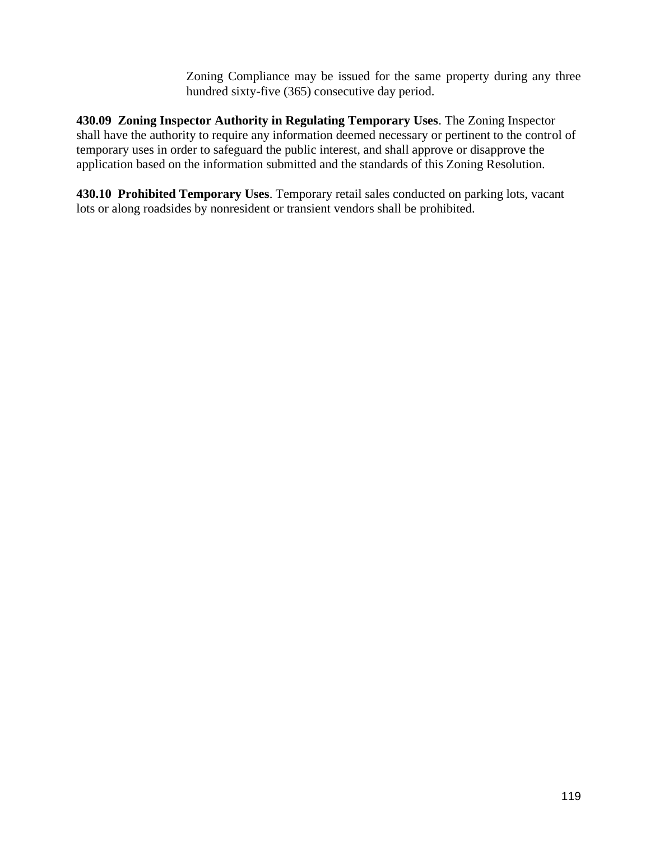Zoning Compliance may be issued for the same property during any three hundred sixty-five (365) consecutive day period.

**430.09 Zoning Inspector Authority in Regulating Temporary Uses**. The Zoning Inspector shall have the authority to require any information deemed necessary or pertinent to the control of temporary uses in order to safeguard the public interest, and shall approve or disapprove the application based on the information submitted and the standards of this Zoning Resolution.

**430.10 Prohibited Temporary Uses**. Temporary retail sales conducted on parking lots, vacant lots or along roadsides by nonresident or transient vendors shall be prohibited.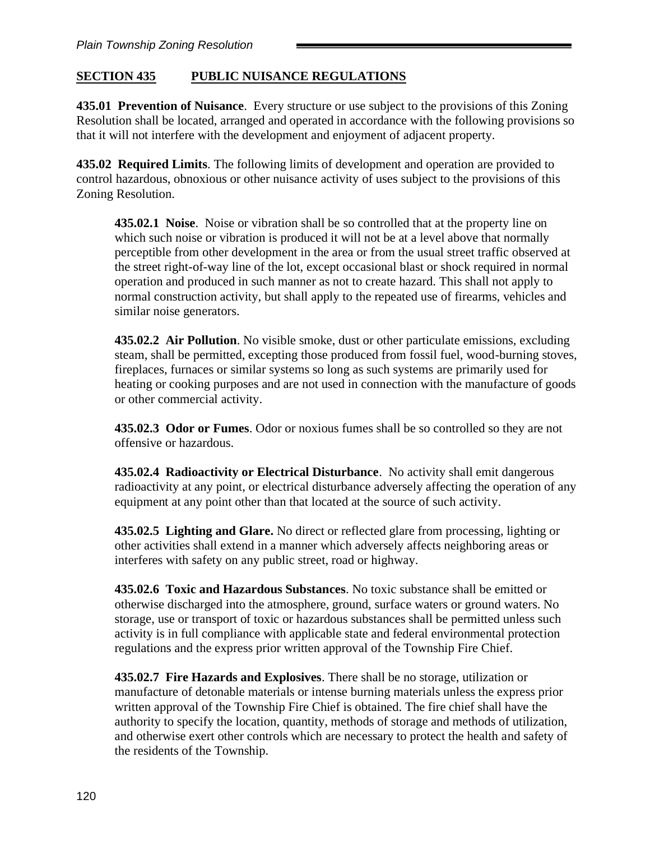# **SECTION 435 PUBLIC NUISANCE REGULATIONS**

**435.01 Prevention of Nuisance**. Every structure or use subject to the provisions of this Zoning Resolution shall be located, arranged and operated in accordance with the following provisions so that it will not interfere with the development and enjoyment of adjacent property.

**435.02 Required Limits**. The following limits of development and operation are provided to control hazardous, obnoxious or other nuisance activity of uses subject to the provisions of this Zoning Resolution.

**435.02.1 Noise**. Noise or vibration shall be so controlled that at the property line on which such noise or vibration is produced it will not be at a level above that normally perceptible from other development in the area or from the usual street traffic observed at the street right-of-way line of the lot, except occasional blast or shock required in normal operation and produced in such manner as not to create hazard. This shall not apply to normal construction activity, but shall apply to the repeated use of firearms, vehicles and similar noise generators.

**435.02.2 Air Pollution**. No visible smoke, dust or other particulate emissions, excluding steam, shall be permitted, excepting those produced from fossil fuel, wood-burning stoves, fireplaces, furnaces or similar systems so long as such systems are primarily used for heating or cooking purposes and are not used in connection with the manufacture of goods or other commercial activity.

**435.02.3 Odor or Fumes**. Odor or noxious fumes shall be so controlled so they are not offensive or hazardous.

**435.02.4 Radioactivity or Electrical Disturbance**. No activity shall emit dangerous radioactivity at any point, or electrical disturbance adversely affecting the operation of any equipment at any point other than that located at the source of such activity.

**435.02.5 Lighting and Glare.** No direct or reflected glare from processing, lighting or other activities shall extend in a manner which adversely affects neighboring areas or interferes with safety on any public street, road or highway.

**435.02.6 Toxic and Hazardous Substances**. No toxic substance shall be emitted or otherwise discharged into the atmosphere, ground, surface waters or ground waters. No storage, use or transport of toxic or hazardous substances shall be permitted unless such activity is in full compliance with applicable state and federal environmental protection regulations and the express prior written approval of the Township Fire Chief.

**435.02.7 Fire Hazards and Explosives**. There shall be no storage, utilization or manufacture of detonable materials or intense burning materials unless the express prior written approval of the Township Fire Chief is obtained. The fire chief shall have the authority to specify the location, quantity, methods of storage and methods of utilization, and otherwise exert other controls which are necessary to protect the health and safety of the residents of the Township.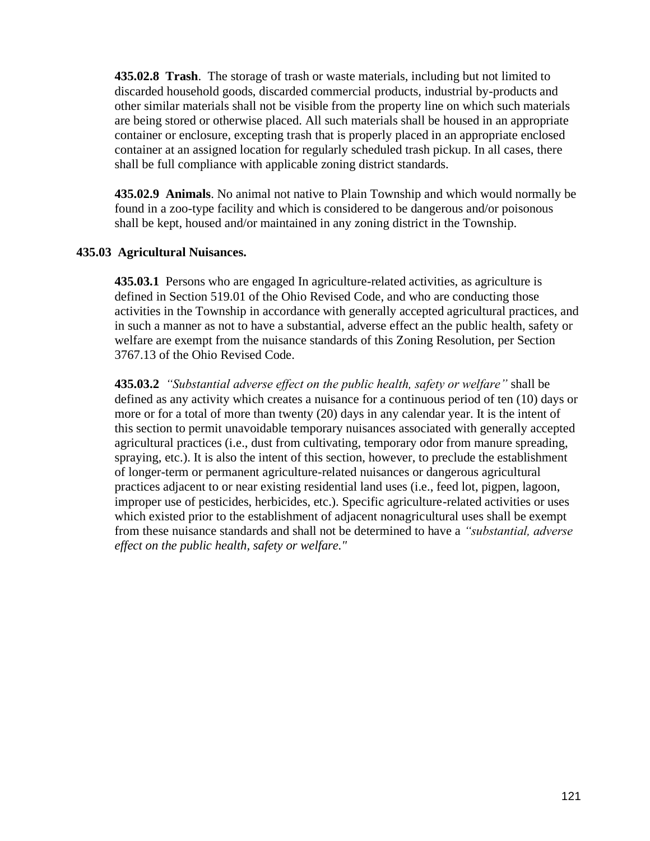**435.02.8 Trash**. The storage of trash or waste materials, including but not limited to discarded household goods, discarded commercial products, industrial by-products and other similar materials shall not be visible from the property line on which such materials are being stored or otherwise placed. All such materials shall be housed in an appropriate container or enclosure, excepting trash that is properly placed in an appropriate enclosed container at an assigned location for regularly scheduled trash pickup. In all cases, there shall be full compliance with applicable zoning district standards.

**435.02.9 Animals**. No animal not native to Plain Township and which would normally be found in a zoo-type facility and which is considered to be dangerous and/or poisonous shall be kept, housed and/or maintained in any zoning district in the Township.

### **435.03 Agricultural Nuisances.**

**435.03.1** Persons who are engaged In agriculture-related activities, as agriculture is defined in Section 519.01 of the Ohio Revised Code, and who are conducting those activities in the Township in accordance with generally accepted agricultural practices, and in such a manner as not to have a substantial, adverse effect an the public health, safety or welfare are exempt from the nuisance standards of this Zoning Resolution, per Section 3767.13 of the Ohio Revised Code.

**435.03.2** *"Substantial adverse effect on the public health, safety or welfare"* shall be defined as any activity which creates a nuisance for a continuous period of ten (10) days or more or for a total of more than twenty (20) days in any calendar year. It is the intent of this section to permit unavoidable temporary nuisances associated with generally accepted agricultural practices (i.e., dust from cultivating, temporary odor from manure spreading, spraying, etc.). It is also the intent of this section, however, to preclude the establishment of longer-term or permanent agriculture-related nuisances or dangerous agricultural practices adjacent to or near existing residential land uses (i.e., feed lot, pigpen, lagoon, improper use of pesticides, herbicides, etc.). Specific agriculture-related activities or uses which existed prior to the establishment of adjacent nonagricultural uses shall be exempt from these nuisance standards and shall not be determined to have a *"substantial, adverse effect on the public health, safety or welfare."*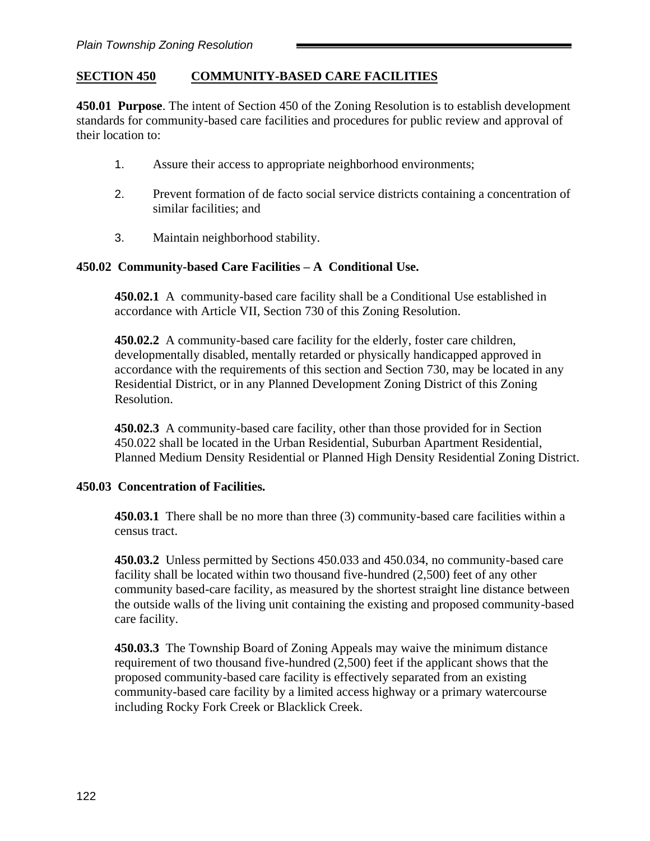# **SECTION 450 COMMUNITY-BASED CARE FACILITIES**

**450.01 Purpose**. The intent of Section 450 of the Zoning Resolution is to establish development standards for community-based care facilities and procedures for public review and approval of their location to:

- 1. Assure their access to appropriate neighborhood environments;
- 2. Prevent formation of de facto social service districts containing a concentration of similar facilities; and
- 3. Maintain neighborhood stability.

### **450.02 Community-based Care Facilities – A Conditional Use.**

**450.02.1** A community-based care facility shall be a Conditional Use established in accordance with Article VII, Section 730 of this Zoning Resolution.

**450.02.2** A community-based care facility for the elderly, foster care children, developmentally disabled, mentally retarded or physically handicapped approved in accordance with the requirements of this section and Section 730, may be located in any Residential District, or in any Planned Development Zoning District of this Zoning Resolution.

**450.02.3** A community-based care facility, other than those provided for in Section 450.022 shall be located in the Urban Residential, Suburban Apartment Residential, Planned Medium Density Residential or Planned High Density Residential Zoning District.

#### **450.03 Concentration of Facilities.**

**450.03.1** There shall be no more than three (3) community-based care facilities within a census tract.

**450.03.2** Unless permitted by Sections 450.033 and 450.034, no community-based care facility shall be located within two thousand five-hundred (2,500) feet of any other community based-care facility, as measured by the shortest straight line distance between the outside walls of the living unit containing the existing and proposed community-based care facility.

**450.03.3** The Township Board of Zoning Appeals may waive the minimum distance requirement of two thousand five-hundred (2,500) feet if the applicant shows that the proposed community-based care facility is effectively separated from an existing community-based care facility by a limited access highway or a primary watercourse including Rocky Fork Creek or Blacklick Creek.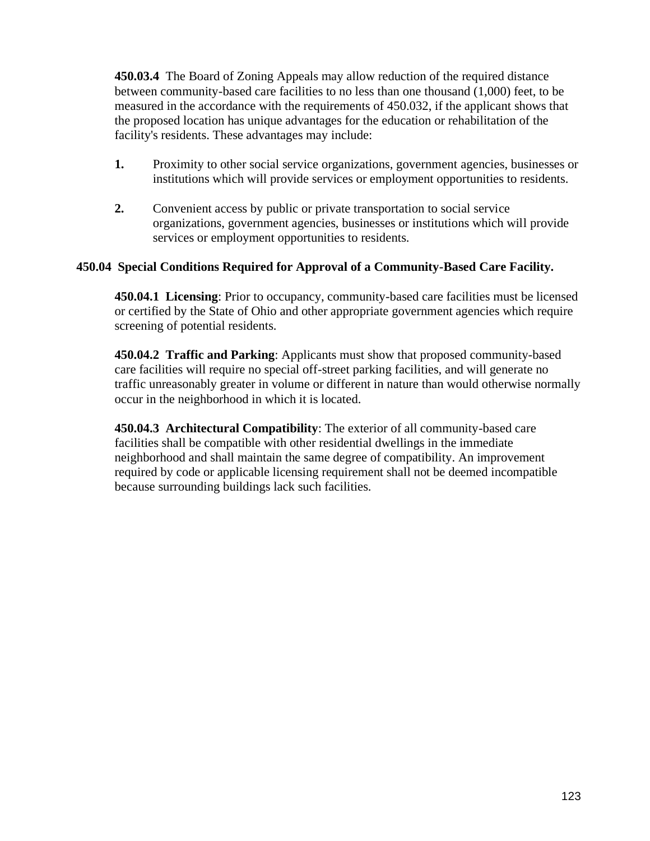**450.03.4** The Board of Zoning Appeals may allow reduction of the required distance between community-based care facilities to no less than one thousand (1,000) feet, to be measured in the accordance with the requirements of 450.032, if the applicant shows that the proposed location has unique advantages for the education or rehabilitation of the facility's residents. These advantages may include:

- **1.** Proximity to other social service organizations, government agencies, businesses or institutions which will provide services or employment opportunities to residents.
- **2.** Convenient access by public or private transportation to social service organizations, government agencies, businesses or institutions which will provide services or employment opportunities to residents.

### **450.04 Special Conditions Required for Approval of a Community-Based Care Facility.**

**450.04.1 Licensing**: Prior to occupancy, community-based care facilities must be licensed or certified by the State of Ohio and other appropriate government agencies which require screening of potential residents.

**450.04.2 Traffic and Parking**: Applicants must show that proposed community-based care facilities will require no special off-street parking facilities, and will generate no traffic unreasonably greater in volume or different in nature than would otherwise normally occur in the neighborhood in which it is located.

**450.04.3 Architectural Compatibility**: The exterior of all community-based care facilities shall be compatible with other residential dwellings in the immediate neighborhood and shall maintain the same degree of compatibility. An improvement required by code or applicable licensing requirement shall not be deemed incompatible because surrounding buildings lack such facilities.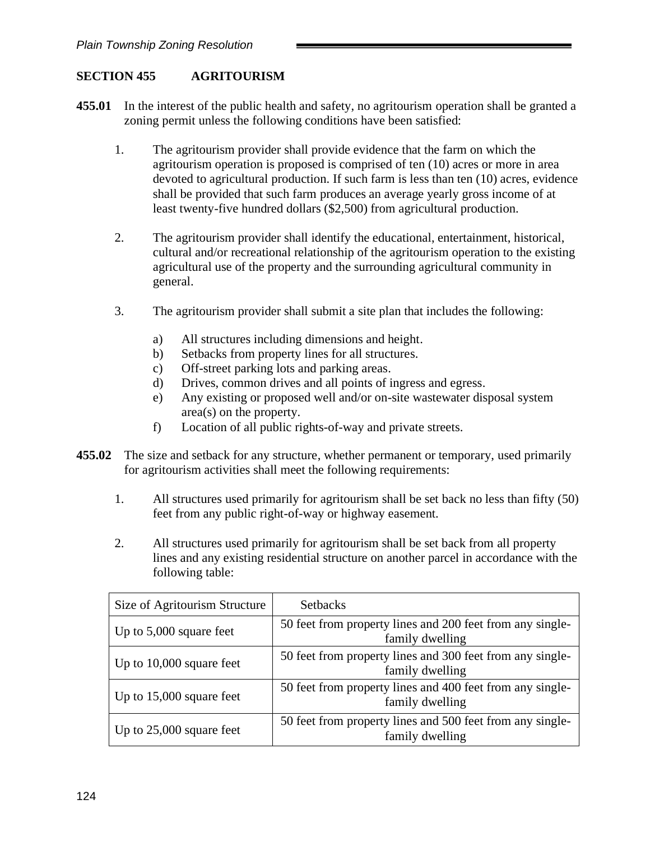## **SECTION 455 AGRITOURISM**

- **455.01** In the interest of the public health and safety, no agritourism operation shall be granted a zoning permit unless the following conditions have been satisfied:
	- 1. The agritourism provider shall provide evidence that the farm on which the agritourism operation is proposed is comprised of ten (10) acres or more in area devoted to agricultural production. If such farm is less than ten (10) acres, evidence shall be provided that such farm produces an average yearly gross income of at least twenty-five hundred dollars (\$2,500) from agricultural production.
	- 2. The agritourism provider shall identify the educational, entertainment, historical, cultural and/or recreational relationship of the agritourism operation to the existing agricultural use of the property and the surrounding agricultural community in general.
	- 3. The agritourism provider shall submit a site plan that includes the following:
		- a) All structures including dimensions and height.
		- b) Setbacks from property lines for all structures.
		- c) Off-street parking lots and parking areas.
		- d) Drives, common drives and all points of ingress and egress.
		- e) Any existing or proposed well and/or on-site wastewater disposal system area(s) on the property.
		- f) Location of all public rights-of-way and private streets.
- **455.02** The size and setback for any structure, whether permanent or temporary, used primarily for agritourism activities shall meet the following requirements:
	- 1. All structures used primarily for agritourism shall be set back no less than fifty (50) feet from any public right-of-way or highway easement.
	- 2. All structures used primarily for agritourism shall be set back from all property lines and any existing residential structure on another parcel in accordance with the following table:

| Size of Agritourism Structure | <b>Setbacks</b>                                                              |
|-------------------------------|------------------------------------------------------------------------------|
| Up to $5,000$ square feet     | 50 feet from property lines and 200 feet from any single-<br>family dwelling |
| Up to $10,000$ square feet    | 50 feet from property lines and 300 feet from any single-<br>family dwelling |
| Up to $15,000$ square feet    | 50 feet from property lines and 400 feet from any single-<br>family dwelling |
| Up to $25,000$ square feet    | 50 feet from property lines and 500 feet from any single-<br>family dwelling |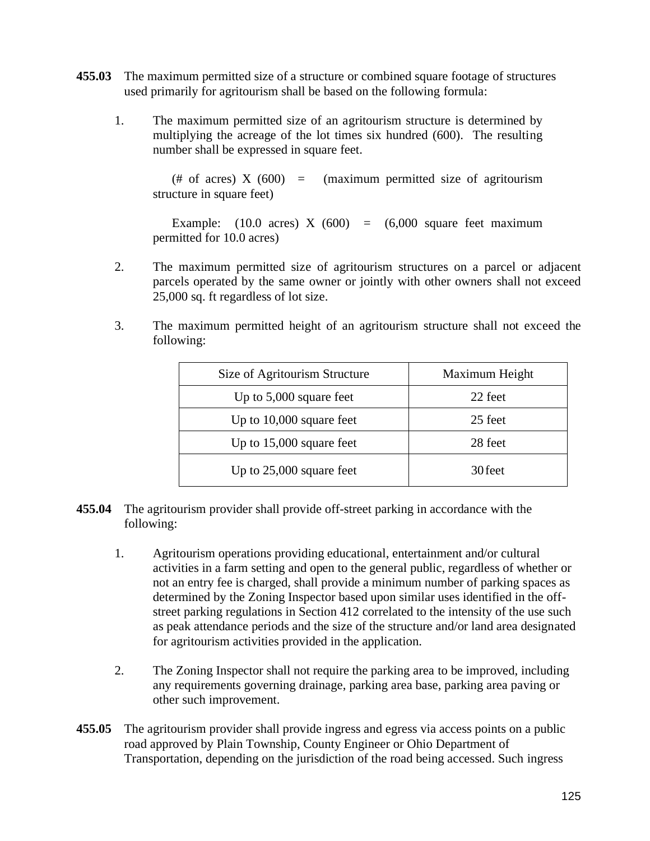- **455.03** The maximum permitted size of a structure or combined square footage of structures used primarily for agritourism shall be based on the following formula:
	- 1. The maximum permitted size of an agritourism structure is determined by multiplying the acreage of the lot times six hundred (600). The resulting number shall be expressed in square feet.

(# of acres)  $X(600) = (maximum permitted size of the$ structure in square feet)

Example:  $(10.0 \text{ acres}) \times (600) = (6,000 \text{ square feet maximum})$ permitted for 10.0 acres)

- 2. The maximum permitted size of agritourism structures on a parcel or adjacent parcels operated by the same owner or jointly with other owners shall not exceed 25,000 sq. ft regardless of lot size.
- 3. The maximum permitted height of an agritourism structure shall not exceed the following:

| Size of Agritourism Structure | Maximum Height |
|-------------------------------|----------------|
| Up to $5,000$ square feet     | 22 feet        |
| Up to $10,000$ square feet    | 25 feet        |
| Up to $15,000$ square feet    | 28 feet        |
| Up to $25,000$ square feet    | 30 feet        |

- **455.04** The agritourism provider shall provide off-street parking in accordance with the following:
	- 1. Agritourism operations providing educational, entertainment and/or cultural activities in a farm setting and open to the general public, regardless of whether or not an entry fee is charged, shall provide a minimum number of parking spaces as determined by the Zoning Inspector based upon similar uses identified in the offstreet parking regulations in Section 412 correlated to the intensity of the use such as peak attendance periods and the size of the structure and/or land area designated for agritourism activities provided in the application.
	- 2. The Zoning Inspector shall not require the parking area to be improved, including any requirements governing drainage, parking area base, parking area paving or other such improvement.
- **455.05** The agritourism provider shall provide ingress and egress via access points on a public road approved by Plain Township, County Engineer or Ohio Department of Transportation, depending on the jurisdiction of the road being accessed. Such ingress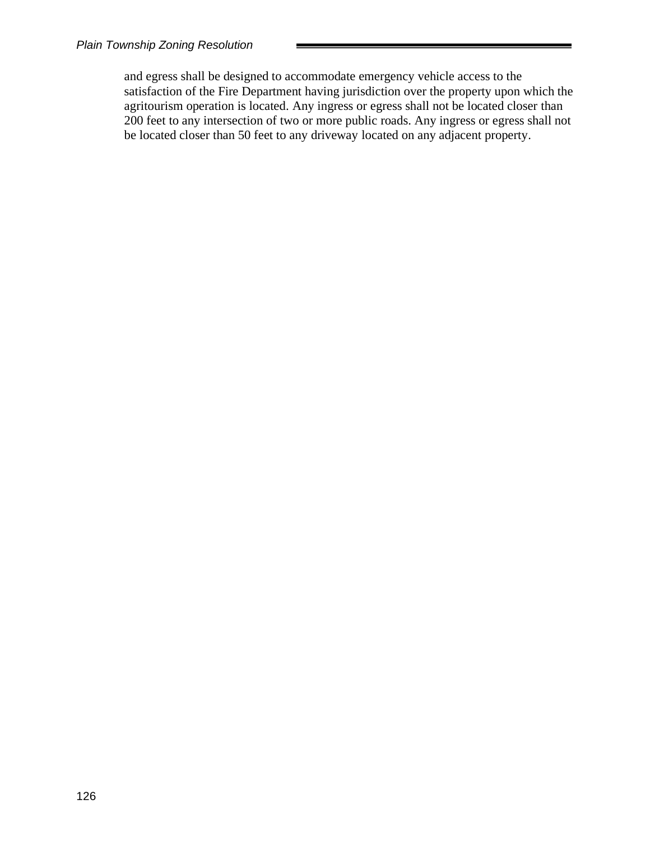and egress shall be designed to accommodate emergency vehicle access to the satisfaction of the Fire Department having jurisdiction over the property upon which the agritourism operation is located. Any ingress or egress shall not be located closer than 200 feet to any intersection of two or more public roads. Any ingress or egress shall not be located closer than 50 feet to any driveway located on any adjacent property.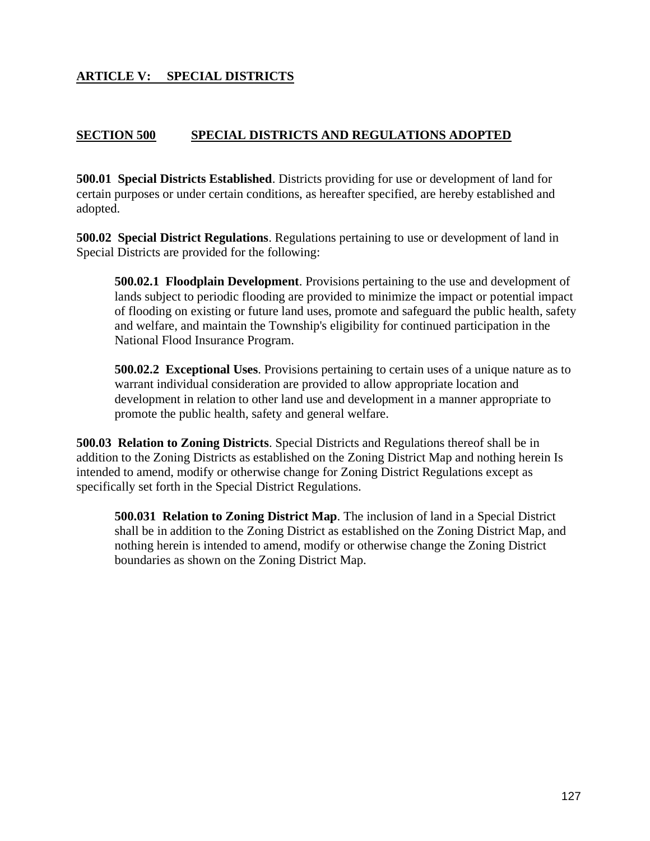# **ARTICLE V: SPECIAL DISTRICTS**

### **SECTION 500 SPECIAL DISTRICTS AND REGULATIONS ADOPTED**

**500.01 Special Districts Established**. Districts providing for use or development of land for certain purposes or under certain conditions, as hereafter specified, are hereby established and adopted.

**500.02 Special District Regulations**. Regulations pertaining to use or development of land in Special Districts are provided for the following:

**500.02.1 Floodplain Development**. Provisions pertaining to the use and development of lands subject to periodic flooding are provided to minimize the impact or potential impact of flooding on existing or future land uses, promote and safeguard the public health, safety and welfare, and maintain the Township's eligibility for continued participation in the National Flood Insurance Program.

**500.02.2 Exceptional Uses**. Provisions pertaining to certain uses of a unique nature as to warrant individual consideration are provided to allow appropriate location and development in relation to other land use and development in a manner appropriate to promote the public health, safety and general welfare.

**500.03 Relation to Zoning Districts**. Special Districts and Regulations thereof shall be in addition to the Zoning Districts as established on the Zoning District Map and nothing herein Is intended to amend, modify or otherwise change for Zoning District Regulations except as specifically set forth in the Special District Regulations.

**500.031 Relation to Zoning District Map**. The inclusion of land in a Special District shall be in addition to the Zoning District as established on the Zoning District Map, and nothing herein is intended to amend, modify or otherwise change the Zoning District boundaries as shown on the Zoning District Map.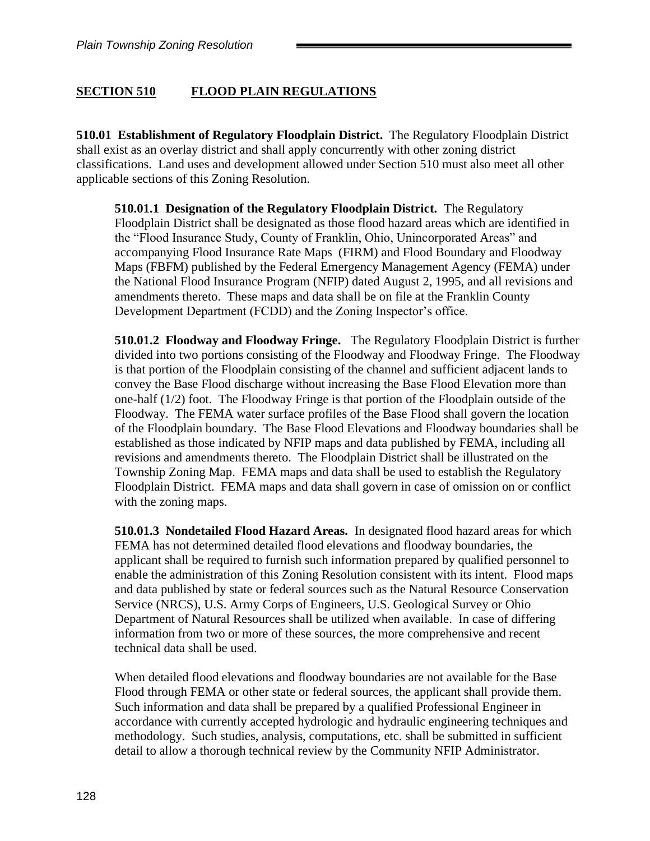## **SECTION 510 FLOOD PLAIN REGULATIONS**

**510.01 Establishment of Regulatory Floodplain District.** The Regulatory Floodplain District shall exist as an overlay district and shall apply concurrently with other zoning district classifications. Land uses and development allowed under Section 510 must also meet all other applicable sections of this Zoning Resolution.

**510.01.1 Designation of the Regulatory Floodplain District.** The Regulatory Floodplain District shall be designated as those flood hazard areas which are identified in the "Flood Insurance Study, County of Franklin, Ohio, Unincorporated Areas" and accompanying Flood Insurance Rate Maps (FIRM) and Flood Boundary and Floodway Maps (FBFM) published by the Federal Emergency Management Agency (FEMA) under the National Flood Insurance Program (NFIP) dated August 2, 1995, and all revisions and amendments thereto. These maps and data shall be on file at the Franklin County Development Department (FCDD) and the Zoning Inspector's office.

**510.01.2 Floodway and Floodway Fringe.** The Regulatory Floodplain District is further divided into two portions consisting of the Floodway and Floodway Fringe. The Floodway is that portion of the Floodplain consisting of the channel and sufficient adjacent lands to convey the Base Flood discharge without increasing the Base Flood Elevation more than one-half (1/2) foot. The Floodway Fringe is that portion of the Floodplain outside of the Floodway. The FEMA water surface profiles of the Base Flood shall govern the location of the Floodplain boundary. The Base Flood Elevations and Floodway boundaries shall be established as those indicated by NFIP maps and data published by FEMA, including all revisions and amendments thereto. The Floodplain District shall be illustrated on the Township Zoning Map. FEMA maps and data shall be used to establish the Regulatory Floodplain District. FEMA maps and data shall govern in case of omission on or conflict with the zoning maps.

**510.01.3 Nondetailed Flood Hazard Areas.** In designated flood hazard areas for which FEMA has not determined detailed flood elevations and floodway boundaries, the applicant shall be required to furnish such information prepared by qualified personnel to enable the administration of this Zoning Resolution consistent with its intent. Flood maps and data published by state or federal sources such as the Natural Resource Conservation Service (NRCS), U.S. Army Corps of Engineers, U.S. Geological Survey or Ohio Department of Natural Resources shall be utilized when available. In case of differing information from two or more of these sources, the more comprehensive and recent technical data shall be used.

When detailed flood elevations and floodway boundaries are not available for the Base Flood through FEMA or other state or federal sources, the applicant shall provide them. Such information and data shall be prepared by a qualified Professional Engineer in accordance with currently accepted hydrologic and hydraulic engineering techniques and methodology. Such studies, analysis, computations, etc. shall be submitted in sufficient detail to allow a thorough technical review by the Community NFIP Administrator.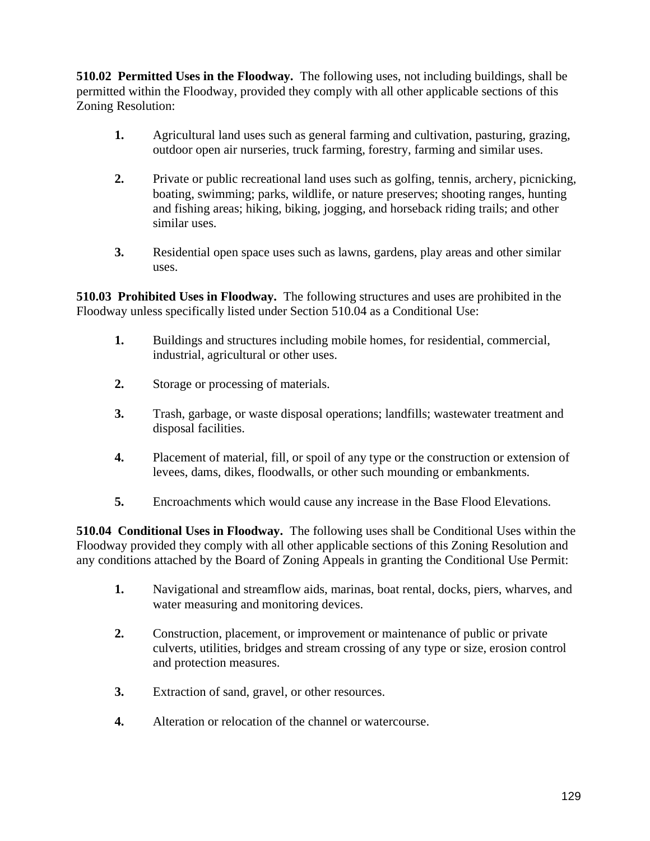**510.02 Permitted Uses in the Floodway.** The following uses, not including buildings, shall be permitted within the Floodway, provided they comply with all other applicable sections of this Zoning Resolution:

- **1.** Agricultural land uses such as general farming and cultivation, pasturing, grazing, outdoor open air nurseries, truck farming, forestry, farming and similar uses.
- **2.** Private or public recreational land uses such as golfing, tennis, archery, picnicking, boating, swimming; parks, wildlife, or nature preserves; shooting ranges, hunting and fishing areas; hiking, biking, jogging, and horseback riding trails; and other similar uses.
- **3.** Residential open space uses such as lawns, gardens, play areas and other similar uses.

**510.03 Prohibited Uses in Floodway.** The following structures and uses are prohibited in the Floodway unless specifically listed under Section 510.04 as a Conditional Use:

- **1.** Buildings and structures including mobile homes, for residential, commercial, industrial, agricultural or other uses.
- **2.** Storage or processing of materials.
- **3.** Trash, garbage, or waste disposal operations; landfills; wastewater treatment and disposal facilities.
- **4.** Placement of material, fill, or spoil of any type or the construction or extension of levees, dams, dikes, floodwalls, or other such mounding or embankments.
- **5.** Encroachments which would cause any increase in the Base Flood Elevations.

**510.04 Conditional Uses in Floodway.** The following uses shall be Conditional Uses within the Floodway provided they comply with all other applicable sections of this Zoning Resolution and any conditions attached by the Board of Zoning Appeals in granting the Conditional Use Permit:

- **1.** Navigational and streamflow aids, marinas, boat rental, docks, piers, wharves, and water measuring and monitoring devices.
- **2.** Construction, placement, or improvement or maintenance of public or private culverts, utilities, bridges and stream crossing of any type or size, erosion control and protection measures.
- **3.** Extraction of sand, gravel, or other resources.
- **4.** Alteration or relocation of the channel or watercourse.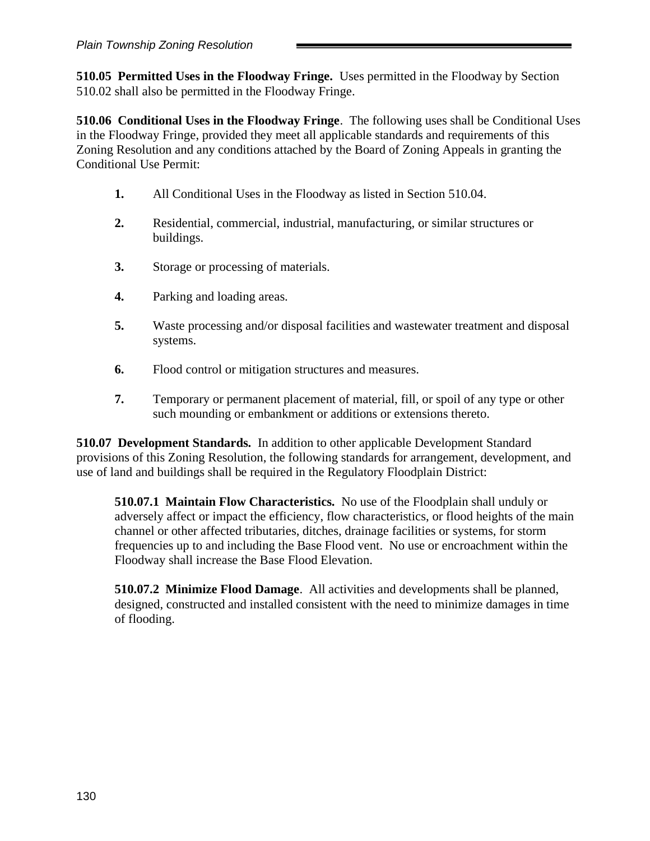**510.05 Permitted Uses in the Floodway Fringe.** Uses permitted in the Floodway by Section 510.02 shall also be permitted in the Floodway Fringe.

**510.06 Conditional Uses in the Floodway Fringe**. The following uses shall be Conditional Uses in the Floodway Fringe, provided they meet all applicable standards and requirements of this Zoning Resolution and any conditions attached by the Board of Zoning Appeals in granting the Conditional Use Permit:

- **1.** All Conditional Uses in the Floodway as listed in Section 510.04.
- **2.** Residential, commercial, industrial, manufacturing, or similar structures or buildings.
- **3.** Storage or processing of materials.
- **4.** Parking and loading areas.
- **5.** Waste processing and/or disposal facilities and wastewater treatment and disposal systems.
- **6.** Flood control or mitigation structures and measures.
- **7.** Temporary or permanent placement of material, fill, or spoil of any type or other such mounding or embankment or additions or extensions thereto.

**510.07 Development Standards.** In addition to other applicable Development Standard provisions of this Zoning Resolution, the following standards for arrangement, development, and use of land and buildings shall be required in the Regulatory Floodplain District:

**510.07.1 Maintain Flow Characteristics.** No use of the Floodplain shall unduly or adversely affect or impact the efficiency, flow characteristics, or flood heights of the main channel or other affected tributaries, ditches, drainage facilities or systems, for storm frequencies up to and including the Base Flood vent. No use or encroachment within the Floodway shall increase the Base Flood Elevation.

**510.07.2 Minimize Flood Damage**. All activities and developments shall be planned, designed, constructed and installed consistent with the need to minimize damages in time of flooding.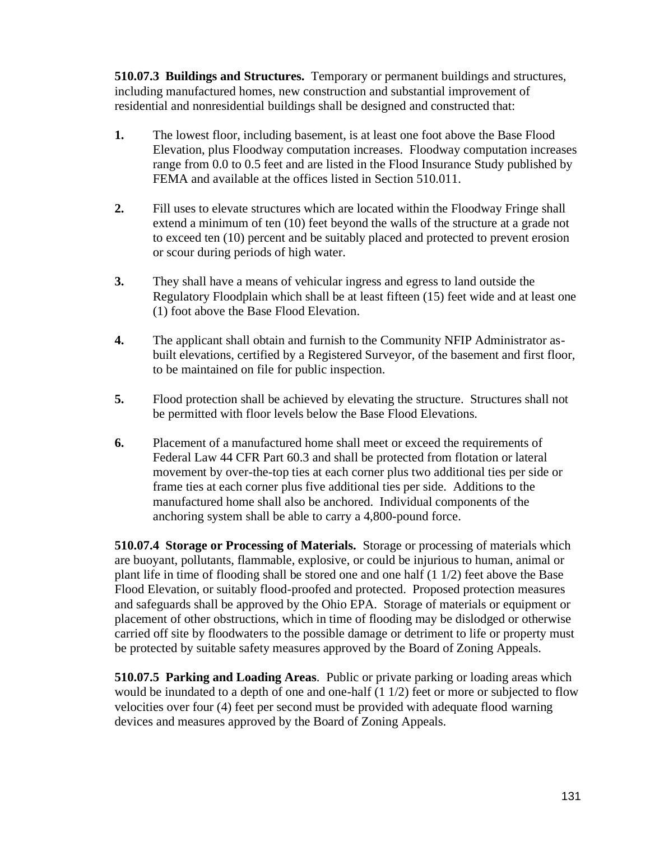**510.07.3 Buildings and Structures.** Temporary or permanent buildings and structures, including manufactured homes, new construction and substantial improvement of residential and nonresidential buildings shall be designed and constructed that:

- **1.** The lowest floor, including basement, is at least one foot above the Base Flood Elevation, plus Floodway computation increases. Floodway computation increases range from 0.0 to 0.5 feet and are listed in the Flood Insurance Study published by FEMA and available at the offices listed in Section 510.011.
- **2.** Fill uses to elevate structures which are located within the Floodway Fringe shall extend a minimum of ten (10) feet beyond the walls of the structure at a grade not to exceed ten (10) percent and be suitably placed and protected to prevent erosion or scour during periods of high water.
- **3.** They shall have a means of vehicular ingress and egress to land outside the Regulatory Floodplain which shall be at least fifteen (15) feet wide and at least one (1) foot above the Base Flood Elevation.
- **4.** The applicant shall obtain and furnish to the Community NFIP Administrator asbuilt elevations, certified by a Registered Surveyor, of the basement and first floor, to be maintained on file for public inspection.
- **5.** Flood protection shall be achieved by elevating the structure. Structures shall not be permitted with floor levels below the Base Flood Elevations.
- **6.** Placement of a manufactured home shall meet or exceed the requirements of Federal Law 44 CFR Part 60.3 and shall be protected from flotation or lateral movement by over-the-top ties at each corner plus two additional ties per side or frame ties at each corner plus five additional ties per side. Additions to the manufactured home shall also be anchored. Individual components of the anchoring system shall be able to carry a 4,800-pound force.

**510.07.4 Storage or Processing of Materials.** Storage or processing of materials which are buoyant, pollutants, flammable, explosive, or could be injurious to human, animal or plant life in time of flooding shall be stored one and one half (1 1/2) feet above the Base Flood Elevation, or suitably flood-proofed and protected. Proposed protection measures and safeguards shall be approved by the Ohio EPA. Storage of materials or equipment or placement of other obstructions, which in time of flooding may be dislodged or otherwise carried off site by floodwaters to the possible damage or detriment to life or property must be protected by suitable safety measures approved by the Board of Zoning Appeals.

**510.07.5 Parking and Loading Areas**. Public or private parking or loading areas which would be inundated to a depth of one and one-half (1 1/2) feet or more or subjected to flow velocities over four (4) feet per second must be provided with adequate flood warning devices and measures approved by the Board of Zoning Appeals.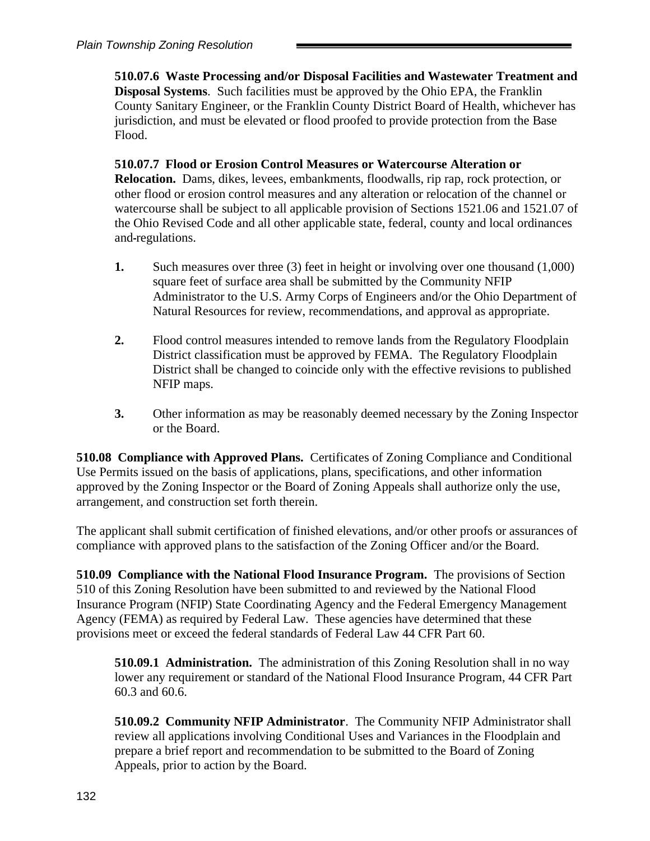**510.07.6 Waste Processing and/or Disposal Facilities and Wastewater Treatment and Disposal Systems**. Such facilities must be approved by the Ohio EPA, the Franklin County Sanitary Engineer, or the Franklin County District Board of Health, whichever has jurisdiction, and must be elevated or flood proofed to provide protection from the Base Flood.

**510.07.7 Flood or Erosion Control Measures or Watercourse Alteration or Relocation.** Dams, dikes, levees, embankments, floodwalls, rip rap, rock protection, or other flood or erosion control measures and any alteration or relocation of the channel or watercourse shall be subject to all applicable provision of Sections 1521.06 and 1521.07 of the Ohio Revised Code and all other applicable state, federal, county and local ordinances and regulations.

- **1.** Such measures over three (3) feet in height or involving over one thousand (1,000) square feet of surface area shall be submitted by the Community NFIP Administrator to the U.S. Army Corps of Engineers and/or the Ohio Department of Natural Resources for review, recommendations, and approval as appropriate.
- **2.** Flood control measures intended to remove lands from the Regulatory Floodplain District classification must be approved by FEMA. The Regulatory Floodplain District shall be changed to coincide only with the effective revisions to published NFIP maps.
- **3.** Other information as may be reasonably deemed necessary by the Zoning Inspector or the Board.

**510.08 Compliance with Approved Plans.** Certificates of Zoning Compliance and Conditional Use Permits issued on the basis of applications, plans, specifications, and other information approved by the Zoning Inspector or the Board of Zoning Appeals shall authorize only the use, arrangement, and construction set forth therein.

The applicant shall submit certification of finished elevations, and/or other proofs or assurances of compliance with approved plans to the satisfaction of the Zoning Officer and/or the Board.

**510.09 Compliance with the National Flood Insurance Program.** The provisions of Section 510 of this Zoning Resolution have been submitted to and reviewed by the National Flood Insurance Program (NFIP) State Coordinating Agency and the Federal Emergency Management Agency (FEMA) as required by Federal Law. These agencies have determined that these provisions meet or exceed the federal standards of Federal Law 44 CFR Part 60.

**510.09.1 Administration.** The administration of this Zoning Resolution shall in no way lower any requirement or standard of the National Flood Insurance Program, 44 CFR Part 60.3 and 60.6.

**510.09.2 Community NFIP Administrator**. The Community NFIP Administrator shall review all applications involving Conditional Uses and Variances in the Floodplain and prepare a brief report and recommendation to be submitted to the Board of Zoning Appeals, prior to action by the Board.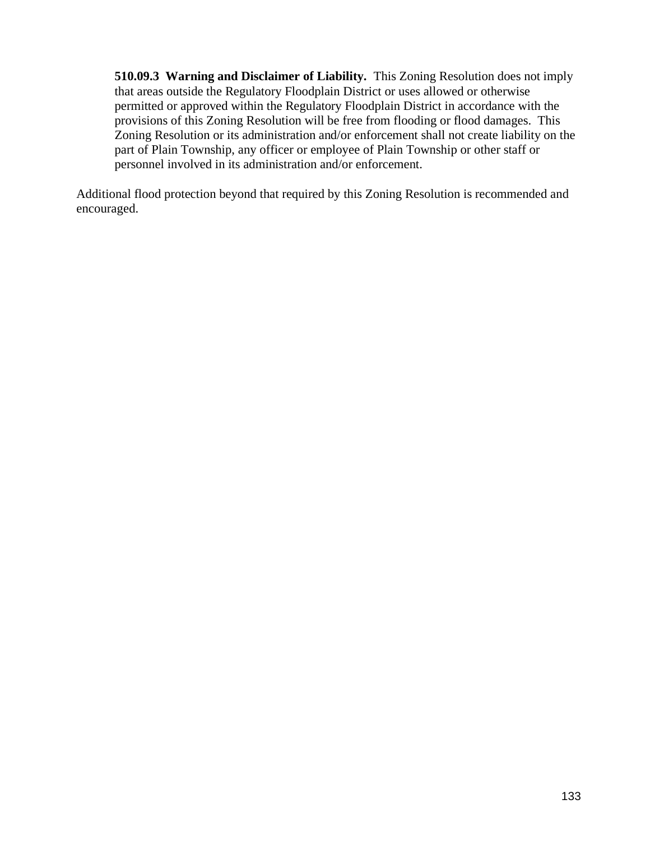**510.09.3 Warning and Disclaimer of Liability.** This Zoning Resolution does not imply that areas outside the Regulatory Floodplain District or uses allowed or otherwise permitted or approved within the Regulatory Floodplain District in accordance with the provisions of this Zoning Resolution will be free from flooding or flood damages. This Zoning Resolution or its administration and/or enforcement shall not create liability on the part of Plain Township, any officer or employee of Plain Township or other staff or personnel involved in its administration and/or enforcement.

Additional flood protection beyond that required by this Zoning Resolution is recommended and encouraged.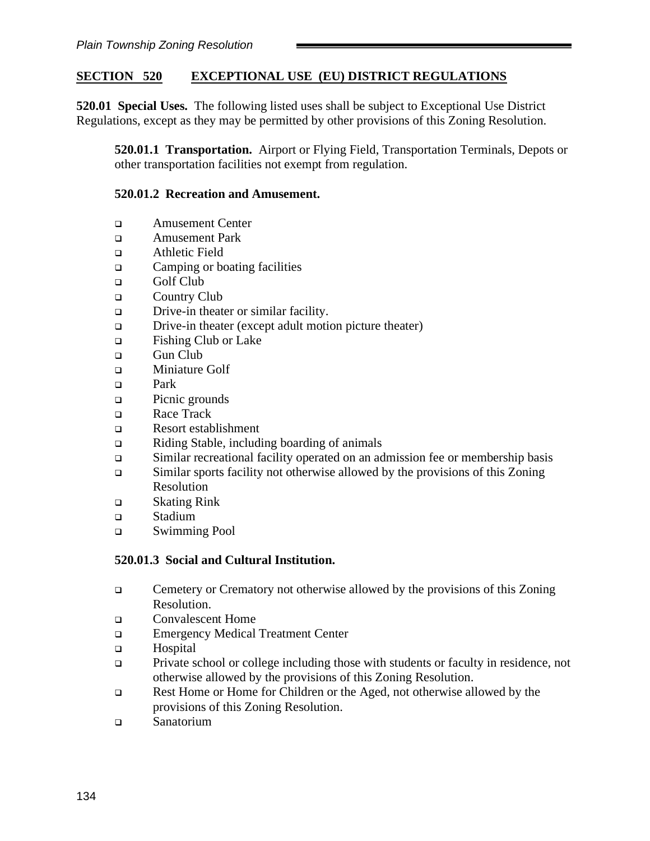## **SECTION 520 EXCEPTIONAL USE (EU) DISTRICT REGULATIONS**

**520.01 Special Uses.** The following listed uses shall be subject to Exceptional Use District Regulations, except as they may be permitted by other provisions of this Zoning Resolution.

**520.01.1 Transportation.** Airport or Flying Field, Transportation Terminals, Depots or other transportation facilities not exempt from regulation.

#### **520.01.2 Recreation and Amusement.**

- ❑ Amusement Center
- ❑ Amusement Park
- ❑ Athletic Field
- ❑ Camping or boating facilities
- ❑ Golf Club
- ❑ Country Club
- ❑ Drive-in theater or similar facility.
- ❑ Drive-in theater (except adult motion picture theater)
- ❑ Fishing Club or Lake
- ❑ Gun Club
- ❑ Miniature Golf
- ❑ Park
- ❑ Picnic grounds
- ❑ Race Track
- ❑ Resort establishment
- ❑ Riding Stable, including boarding of animals
- ❑ Similar recreational facility operated on an admission fee or membership basis
- ❑ Similar sports facility not otherwise allowed by the provisions of this Zoning Resolution
- ❑ Skating Rink
- ❑ Stadium
- ❑ Swimming Pool

### **520.01.3 Social and Cultural Institution.**

- ❑ Cemetery or Crematory not otherwise allowed by the provisions of this Zoning Resolution.
- ❑ Convalescent Home
- ❑ Emergency Medical Treatment Center
- ❑ Hospital
- ❑ Private school or college including those with students or faculty in residence, not otherwise allowed by the provisions of this Zoning Resolution.
- ❑ Rest Home or Home for Children or the Aged, not otherwise allowed by the provisions of this Zoning Resolution.
- ❑ Sanatorium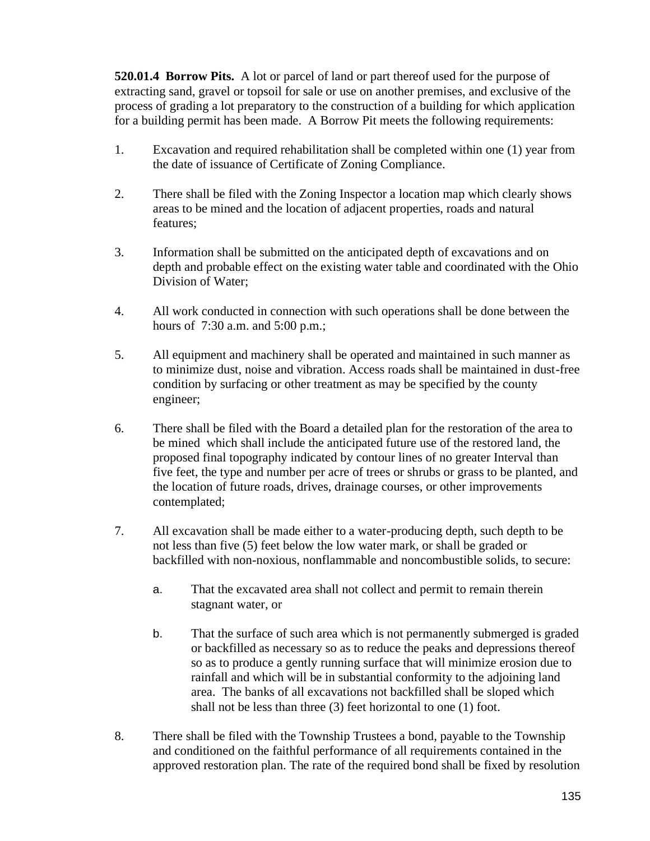**520.01.4 Borrow Pits.** A lot or parcel of land or part thereof used for the purpose of extracting sand, gravel or topsoil for sale or use on another premises, and exclusive of the process of grading a lot preparatory to the construction of a building for which application for a building permit has been made. A Borrow Pit meets the following requirements:

- 1. Excavation and required rehabilitation shall be completed within one (1) year from the date of issuance of Certificate of Zoning Compliance.
- 2. There shall be filed with the Zoning Inspector a location map which clearly shows areas to be mined and the location of adjacent properties, roads and natural features;
- 3. Information shall be submitted on the anticipated depth of excavations and on depth and probable effect on the existing water table and coordinated with the Ohio Division of Water;
- 4. All work conducted in connection with such operations shall be done between the hours of 7:30 a.m. and 5:00 p.m.;
- 5. All equipment and machinery shall be operated and maintained in such manner as to minimize dust, noise and vibration. Access roads shall be maintained in dust-free condition by surfacing or other treatment as may be specified by the county engineer;
- 6. There shall be filed with the Board a detailed plan for the restoration of the area to be mined which shall include the anticipated future use of the restored land, the proposed final topography indicated by contour lines of no greater Interval than five feet, the type and number per acre of trees or shrubs or grass to be planted, and the location of future roads, drives, drainage courses, or other improvements contemplated;
- 7. All excavation shall be made either to a water-producing depth, such depth to be not less than five (5) feet below the low water mark, or shall be graded or backfilled with non-noxious, nonflammable and noncombustible solids, to secure:
	- a. That the excavated area shall not collect and permit to remain therein stagnant water, or
	- b. That the surface of such area which is not permanently submerged is graded or backfilled as necessary so as to reduce the peaks and depressions thereof so as to produce a gently running surface that will minimize erosion due to rainfall and which will be in substantial conformity to the adjoining land area. The banks of all excavations not backfilled shall be sloped which shall not be less than three (3) feet horizontal to one (1) foot.
- 8. There shall be filed with the Township Trustees a bond, payable to the Township and conditioned on the faithful performance of all requirements contained in the approved restoration plan. The rate of the required bond shall be fixed by resolution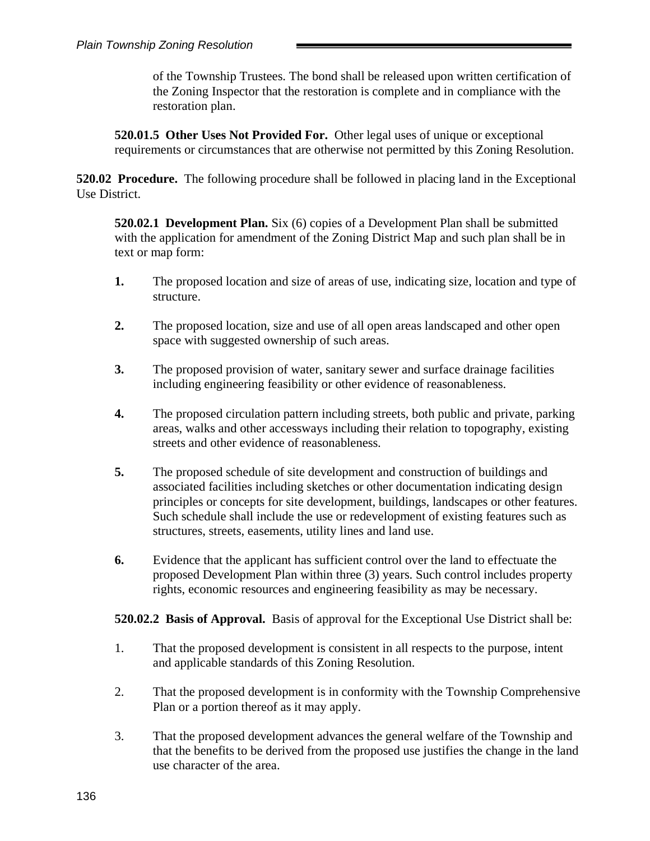of the Township Trustees. The bond shall be released upon written certification of the Zoning Inspector that the restoration is complete and in compliance with the restoration plan.

**520.01.5 Other Uses Not Provided For.** Other legal uses of unique or exceptional requirements or circumstances that are otherwise not permitted by this Zoning Resolution.

**520.02 Procedure.** The following procedure shall be followed in placing land in the Exceptional Use District.

**520.02.1 Development Plan.** Six (6) copies of a Development Plan shall be submitted with the application for amendment of the Zoning District Map and such plan shall be in text or map form:

- **1.** The proposed location and size of areas of use, indicating size, location and type of structure.
- **2.** The proposed location, size and use of all open areas landscaped and other open space with suggested ownership of such areas.
- **3.** The proposed provision of water, sanitary sewer and surface drainage facilities including engineering feasibility or other evidence of reasonableness.
- **4.** The proposed circulation pattern including streets, both public and private, parking areas, walks and other accessways including their relation to topography, existing streets and other evidence of reasonableness.
- **5.** The proposed schedule of site development and construction of buildings and associated facilities including sketches or other documentation indicating design principles or concepts for site development, buildings, landscapes or other features. Such schedule shall include the use or redevelopment of existing features such as structures, streets, easements, utility lines and land use.
- **6.** Evidence that the applicant has sufficient control over the land to effectuate the proposed Development Plan within three (3) years. Such control includes property rights, economic resources and engineering feasibility as may be necessary.

### **520.02.2 Basis of Approval.** Basis of approval for the Exceptional Use District shall be:

- 1. That the proposed development is consistent in all respects to the purpose, intent and applicable standards of this Zoning Resolution.
- 2. That the proposed development is in conformity with the Township Comprehensive Plan or a portion thereof as it may apply.
- 3. That the proposed development advances the general welfare of the Township and that the benefits to be derived from the proposed use justifies the change in the land use character of the area.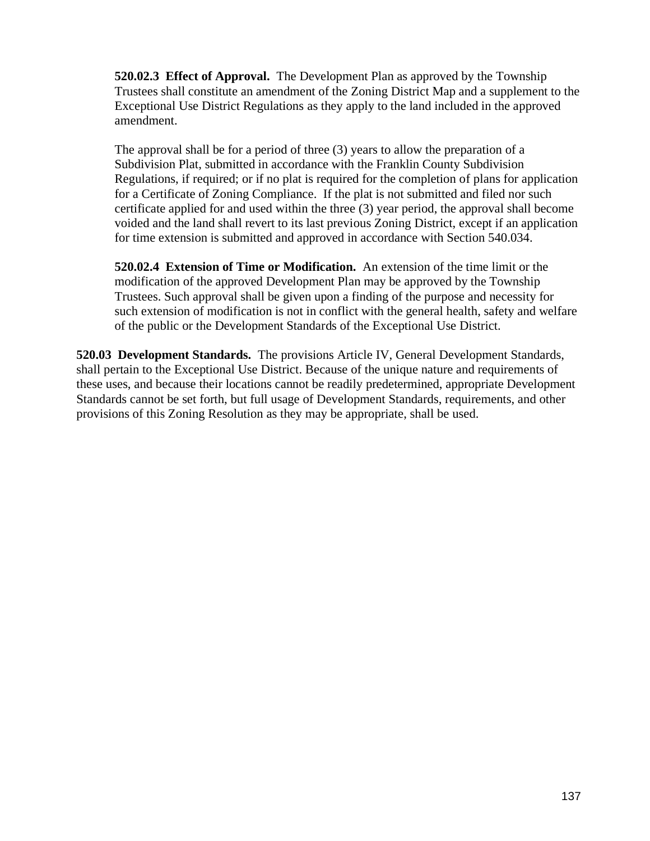**520.02.3 Effect of Approval.** The Development Plan as approved by the Township Trustees shall constitute an amendment of the Zoning District Map and a supplement to the Exceptional Use District Regulations as they apply to the land included in the approved amendment.

The approval shall be for a period of three (3) years to allow the preparation of a Subdivision Plat, submitted in accordance with the Franklin County Subdivision Regulations, if required; or if no plat is required for the completion of plans for application for a Certificate of Zoning Compliance. If the plat is not submitted and filed nor such certificate applied for and used within the three (3) year period, the approval shall become voided and the land shall revert to its last previous Zoning District, except if an application for time extension is submitted and approved in accordance with Section 540.034.

**520.02.4 Extension of Time or Modification.** An extension of the time limit or the modification of the approved Development Plan may be approved by the Township Trustees. Such approval shall be given upon a finding of the purpose and necessity for such extension of modification is not in conflict with the general health, safety and welfare of the public or the Development Standards of the Exceptional Use District.

**520.03 Development Standards.** The provisions Article IV, General Development Standards, shall pertain to the Exceptional Use District. Because of the unique nature and requirements of these uses, and because their locations cannot be readily predetermined, appropriate Development Standards cannot be set forth, but full usage of Development Standards, requirements, and other provisions of this Zoning Resolution as they may be appropriate, shall be used.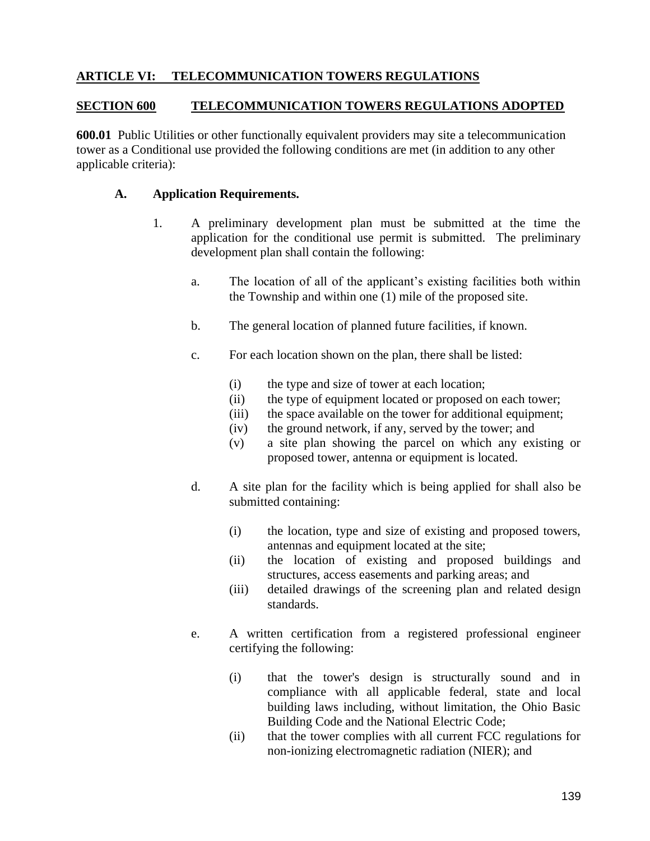## **ARTICLE VI: TELECOMMUNICATION TOWERS REGULATIONS**

#### **SECTION 600 TELECOMMUNICATION TOWERS REGULATIONS ADOPTED**

**600.01** Public Utilities or other functionally equivalent providers may site a telecommunication tower as a Conditional use provided the following conditions are met (in addition to any other applicable criteria):

#### **A. Application Requirements.**

- 1. A preliminary development plan must be submitted at the time the application for the conditional use permit is submitted. The preliminary development plan shall contain the following:
	- a. The location of all of the applicant's existing facilities both within the Township and within one (1) mile of the proposed site.
	- b. The general location of planned future facilities, if known.
	- c. For each location shown on the plan, there shall be listed:
		- (i) the type and size of tower at each location;
		- (ii) the type of equipment located or proposed on each tower;
		- (iii) the space available on the tower for additional equipment;
		- (iv) the ground network, if any, served by the tower; and
		- (v) a site plan showing the parcel on which any existing or proposed tower, antenna or equipment is located.
	- d. A site plan for the facility which is being applied for shall also be submitted containing:
		- (i) the location, type and size of existing and proposed towers, antennas and equipment located at the site;
		- (ii) the location of existing and proposed buildings and structures, access easements and parking areas; and
		- (iii) detailed drawings of the screening plan and related design standards.
	- e. A written certification from a registered professional engineer certifying the following:
		- (i) that the tower's design is structurally sound and in compliance with all applicable federal, state and local building laws including, without limitation, the Ohio Basic Building Code and the National Electric Code;
		- (ii) that the tower complies with all current FCC regulations for non-ionizing electromagnetic radiation (NIER); and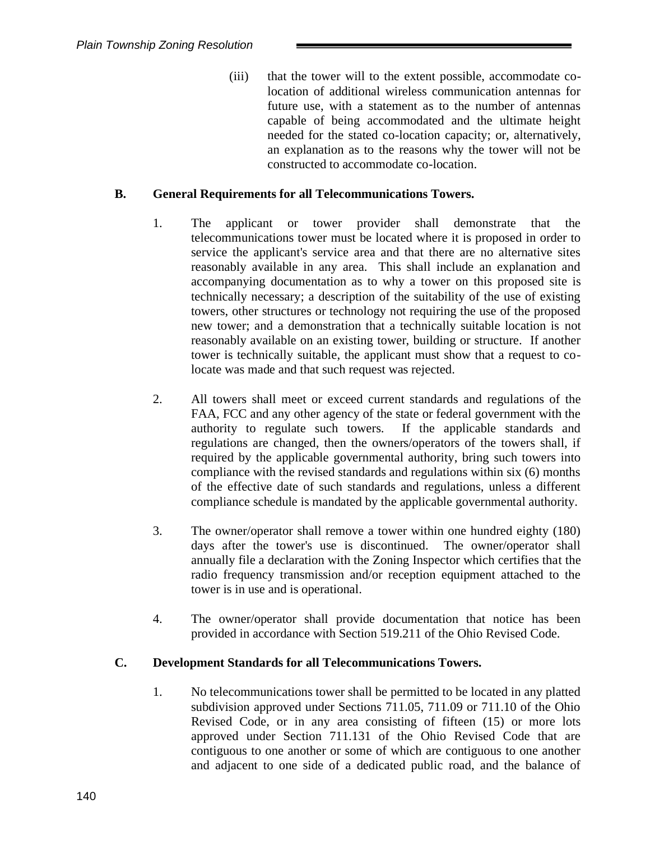(iii) that the tower will to the extent possible, accommodate colocation of additional wireless communication antennas for future use, with a statement as to the number of antennas capable of being accommodated and the ultimate height needed for the stated co-location capacity; or, alternatively, an explanation as to the reasons why the tower will not be constructed to accommodate co-location.

## **B. General Requirements for all Telecommunications Towers.**

- 1. The applicant or tower provider shall demonstrate that the telecommunications tower must be located where it is proposed in order to service the applicant's service area and that there are no alternative sites reasonably available in any area. This shall include an explanation and accompanying documentation as to why a tower on this proposed site is technically necessary; a description of the suitability of the use of existing towers, other structures or technology not requiring the use of the proposed new tower; and a demonstration that a technically suitable location is not reasonably available on an existing tower, building or structure. If another tower is technically suitable, the applicant must show that a request to colocate was made and that such request was rejected.
- 2. All towers shall meet or exceed current standards and regulations of the FAA, FCC and any other agency of the state or federal government with the authority to regulate such towers. If the applicable standards and regulations are changed, then the owners/operators of the towers shall, if required by the applicable governmental authority, bring such towers into compliance with the revised standards and regulations within six (6) months of the effective date of such standards and regulations, unless a different compliance schedule is mandated by the applicable governmental authority.
- 3. The owner/operator shall remove a tower within one hundred eighty (180) days after the tower's use is discontinued. The owner/operator shall annually file a declaration with the Zoning Inspector which certifies that the radio frequency transmission and/or reception equipment attached to the tower is in use and is operational.
- 4. The owner/operator shall provide documentation that notice has been provided in accordance with Section 519.211 of the Ohio Revised Code.

### **C. Development Standards for all Telecommunications Towers.**

1. No telecommunications tower shall be permitted to be located in any platted subdivision approved under Sections 711.05, 711.09 or 711.10 of the Ohio Revised Code, or in any area consisting of fifteen (15) or more lots approved under Section 711.131 of the Ohio Revised Code that are contiguous to one another or some of which are contiguous to one another and adjacent to one side of a dedicated public road, and the balance of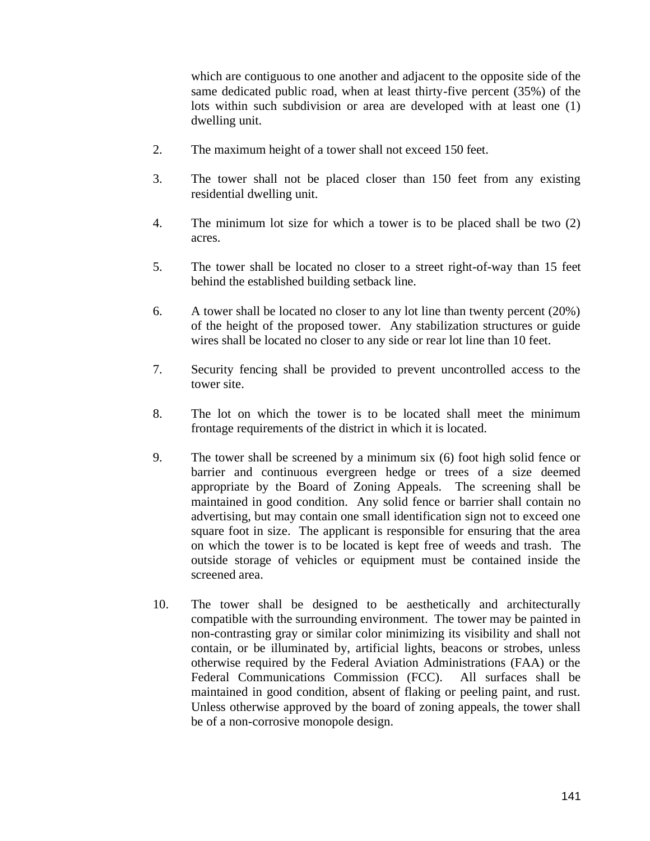which are contiguous to one another and adjacent to the opposite side of the same dedicated public road, when at least thirty-five percent (35%) of the lots within such subdivision or area are developed with at least one (1) dwelling unit.

- 2. The maximum height of a tower shall not exceed 150 feet.
- 3. The tower shall not be placed closer than 150 feet from any existing residential dwelling unit.
- 4. The minimum lot size for which a tower is to be placed shall be two (2) acres.
- 5. The tower shall be located no closer to a street right-of-way than 15 feet behind the established building setback line.
- 6. A tower shall be located no closer to any lot line than twenty percent (20%) of the height of the proposed tower. Any stabilization structures or guide wires shall be located no closer to any side or rear lot line than 10 feet.
- 7. Security fencing shall be provided to prevent uncontrolled access to the tower site.
- 8. The lot on which the tower is to be located shall meet the minimum frontage requirements of the district in which it is located.
- 9. The tower shall be screened by a minimum six (6) foot high solid fence or barrier and continuous evergreen hedge or trees of a size deemed appropriate by the Board of Zoning Appeals. The screening shall be maintained in good condition. Any solid fence or barrier shall contain no advertising, but may contain one small identification sign not to exceed one square foot in size. The applicant is responsible for ensuring that the area on which the tower is to be located is kept free of weeds and trash. The outside storage of vehicles or equipment must be contained inside the screened area.
- 10. The tower shall be designed to be aesthetically and architecturally compatible with the surrounding environment. The tower may be painted in non-contrasting gray or similar color minimizing its visibility and shall not contain, or be illuminated by, artificial lights, beacons or strobes, unless otherwise required by the Federal Aviation Administrations (FAA) or the Federal Communications Commission (FCC). All surfaces shall be maintained in good condition, absent of flaking or peeling paint, and rust. Unless otherwise approved by the board of zoning appeals, the tower shall be of a non-corrosive monopole design.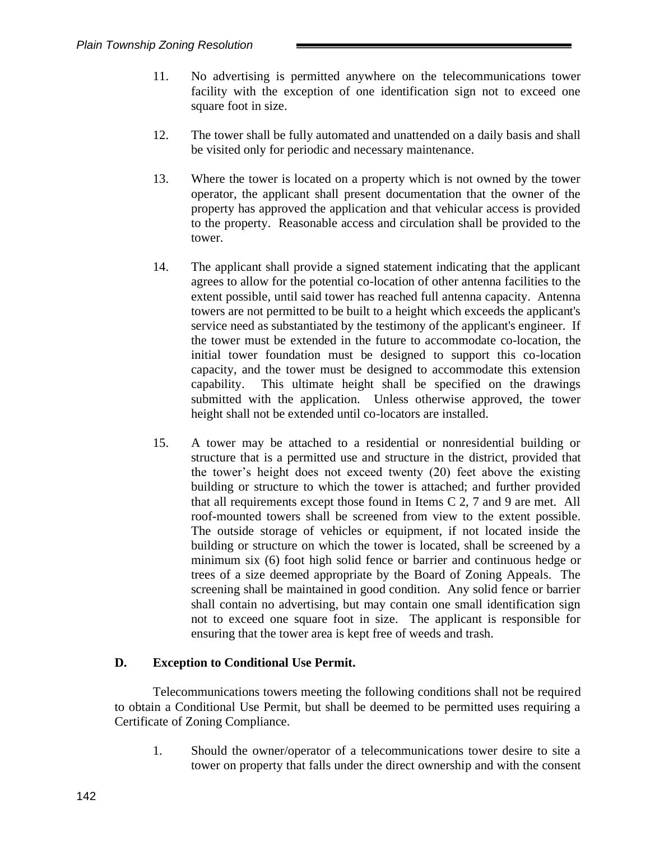- 11. No advertising is permitted anywhere on the telecommunications tower facility with the exception of one identification sign not to exceed one square foot in size.
- 12. The tower shall be fully automated and unattended on a daily basis and shall be visited only for periodic and necessary maintenance.
- 13. Where the tower is located on a property which is not owned by the tower operator, the applicant shall present documentation that the owner of the property has approved the application and that vehicular access is provided to the property. Reasonable access and circulation shall be provided to the tower.
- 14. The applicant shall provide a signed statement indicating that the applicant agrees to allow for the potential co-location of other antenna facilities to the extent possible, until said tower has reached full antenna capacity. Antenna towers are not permitted to be built to a height which exceeds the applicant's service need as substantiated by the testimony of the applicant's engineer. If the tower must be extended in the future to accommodate co-location, the initial tower foundation must be designed to support this co-location capacity, and the tower must be designed to accommodate this extension capability. This ultimate height shall be specified on the drawings submitted with the application. Unless otherwise approved, the tower height shall not be extended until co-locators are installed.
- 15. A tower may be attached to a residential or nonresidential building or structure that is a permitted use and structure in the district, provided that the tower's height does not exceed twenty (20) feet above the existing building or structure to which the tower is attached; and further provided that all requirements except those found in Items C 2, 7 and 9 are met. All roof-mounted towers shall be screened from view to the extent possible. The outside storage of vehicles or equipment, if not located inside the building or structure on which the tower is located, shall be screened by a minimum six (6) foot high solid fence or barrier and continuous hedge or trees of a size deemed appropriate by the Board of Zoning Appeals. The screening shall be maintained in good condition. Any solid fence or barrier shall contain no advertising, but may contain one small identification sign not to exceed one square foot in size. The applicant is responsible for ensuring that the tower area is kept free of weeds and trash.

### **D. Exception to Conditional Use Permit.**

Telecommunications towers meeting the following conditions shall not be required to obtain a Conditional Use Permit, but shall be deemed to be permitted uses requiring a Certificate of Zoning Compliance.

1. Should the owner/operator of a telecommunications tower desire to site a tower on property that falls under the direct ownership and with the consent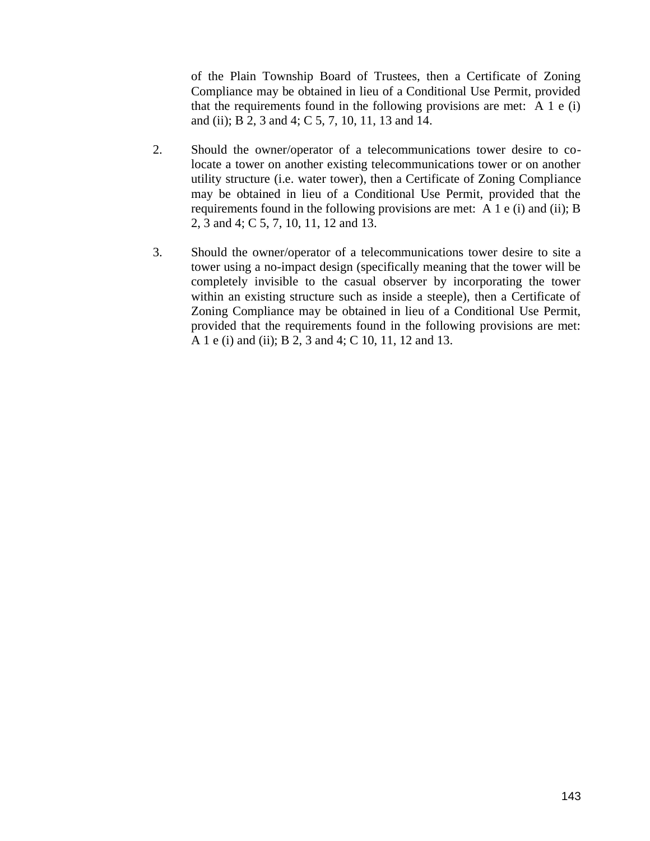of the Plain Township Board of Trustees, then a Certificate of Zoning Compliance may be obtained in lieu of a Conditional Use Permit, provided that the requirements found in the following provisions are met: A 1 e (i) and (ii); B 2, 3 and 4; C 5, 7, 10, 11, 13 and 14.

- 2. Should the owner/operator of a telecommunications tower desire to colocate a tower on another existing telecommunications tower or on another utility structure (i.e. water tower), then a Certificate of Zoning Compliance may be obtained in lieu of a Conditional Use Permit, provided that the requirements found in the following provisions are met: A 1 e (i) and (ii); B 2, 3 and 4; C 5, 7, 10, 11, 12 and 13.
- 3. Should the owner/operator of a telecommunications tower desire to site a tower using a no-impact design (specifically meaning that the tower will be completely invisible to the casual observer by incorporating the tower within an existing structure such as inside a steeple), then a Certificate of Zoning Compliance may be obtained in lieu of a Conditional Use Permit, provided that the requirements found in the following provisions are met: A 1 e (i) and (ii); B 2, 3 and 4; C 10, 11, 12 and 13.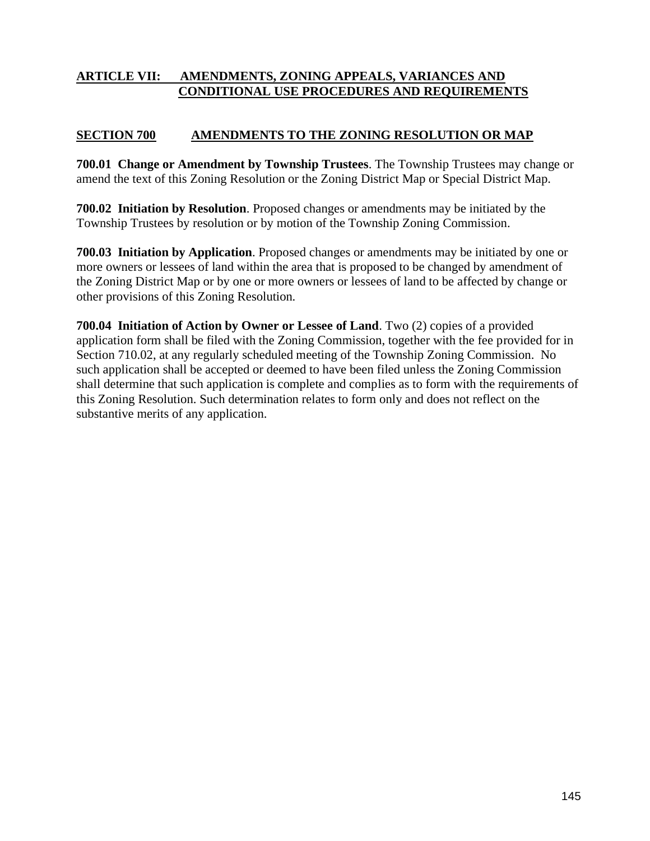## **ARTICLE VII: AMENDMENTS, ZONING APPEALS, VARIANCES AND CONDITIONAL USE PROCEDURES AND REQUIREMENTS**

## **SECTION 700 AMENDMENTS TO THE ZONING RESOLUTION OR MAP**

**700.01 Change or Amendment by Township Trustees**. The Township Trustees may change or amend the text of this Zoning Resolution or the Zoning District Map or Special District Map.

**700.02 Initiation by Resolution**. Proposed changes or amendments may be initiated by the Township Trustees by resolution or by motion of the Township Zoning Commission.

**700.03 Initiation by Application**. Proposed changes or amendments may be initiated by one or more owners or lessees of land within the area that is proposed to be changed by amendment of the Zoning District Map or by one or more owners or lessees of land to be affected by change or other provisions of this Zoning Resolution.

**700.04 Initiation of Action by Owner or Lessee of Land**. Two (2) copies of a provided application form shall be filed with the Zoning Commission, together with the fee provided for in Section 710.02, at any regularly scheduled meeting of the Township Zoning Commission. No such application shall be accepted or deemed to have been filed unless the Zoning Commission shall determine that such application is complete and complies as to form with the requirements of this Zoning Resolution. Such determination relates to form only and does not reflect on the substantive merits of any application.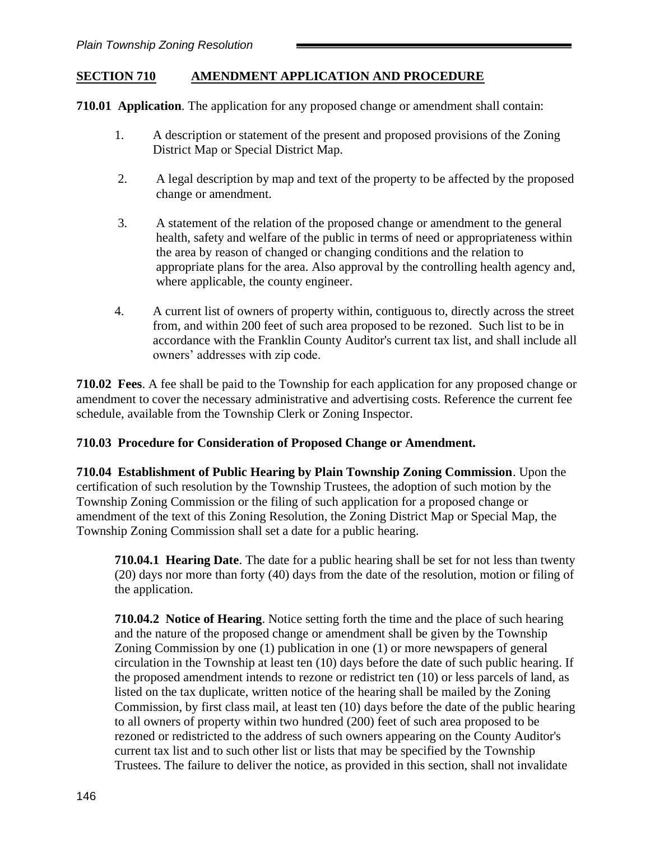## **SECTION 710 AMENDMENT APPLICATION AND PROCEDURE**

**710.01 Application**. The application for any proposed change or amendment shall contain:

- 1. A description or statement of the present and proposed provisions of the Zoning District Map or Special District Map.
- 2. A legal description by map and text of the property to be affected by the proposed change or amendment.
- 3. A statement of the relation of the proposed change or amendment to the general health, safety and welfare of the public in terms of need or appropriateness within the area by reason of changed or changing conditions and the relation to appropriate plans for the area. Also approval by the controlling health agency and, where applicable, the county engineer.
- 4. A current list of owners of property within, contiguous to, directly across the street from, and within 200 feet of such area proposed to be rezoned. Such list to be in accordance with the Franklin County Auditor's current tax list, and shall include all owners' addresses with zip code.

**710.02 Fees**. A fee shall be paid to the Township for each application for any proposed change or amendment to cover the necessary administrative and advertising costs. Reference the current fee schedule, available from the Township Clerk or Zoning Inspector.

### **710.03 Procedure for Consideration of Proposed Change or Amendment.**

**710.04 Establishment of Public Hearing by Plain Township Zoning Commission**. Upon the certification of such resolution by the Township Trustees, the adoption of such motion by the Township Zoning Commission or the filing of such application for a proposed change or amendment of the text of this Zoning Resolution, the Zoning District Map or Special Map, the Township Zoning Commission shall set a date for a public hearing.

**710.04.1 Hearing Date**. The date for a public hearing shall be set for not less than twenty (20) days nor more than forty (40) days from the date of the resolution, motion or filing of the application.

**710.04.2 Notice of Hearing**. Notice setting forth the time and the place of such hearing and the nature of the proposed change or amendment shall be given by the Township Zoning Commission by one (1) publication in one (1) or more newspapers of general circulation in the Township at least ten (10) days before the date of such public hearing. If the proposed amendment intends to rezone or redistrict ten (10) or less parcels of land, as listed on the tax duplicate, written notice of the hearing shall be mailed by the Zoning Commission, by first class mail, at least ten (10) days before the date of the public hearing to all owners of property within two hundred (200) feet of such area proposed to be rezoned or redistricted to the address of such owners appearing on the County Auditor's current tax list and to such other list or lists that may be specified by the Township Trustees. The failure to deliver the notice, as provided in this section, shall not invalidate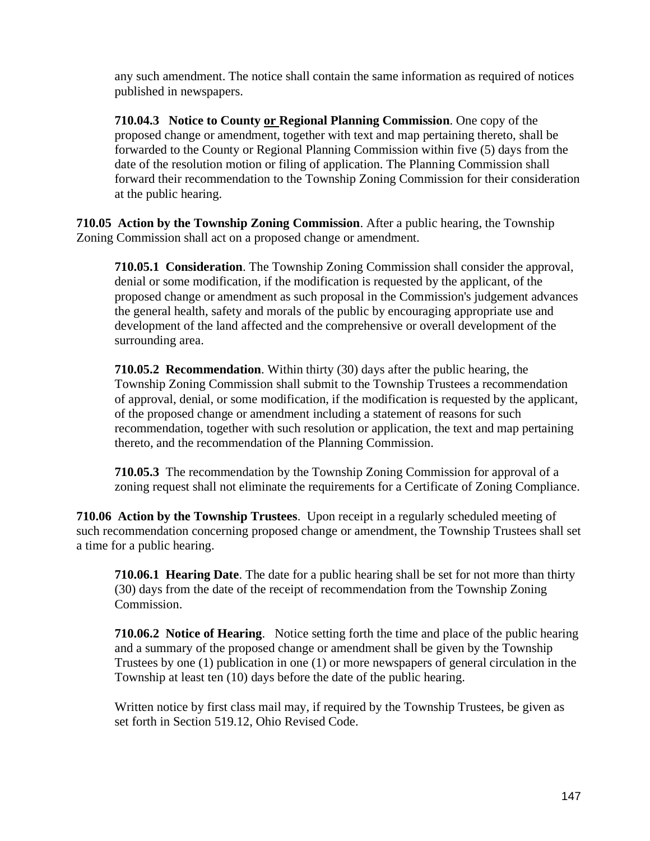any such amendment. The notice shall contain the same information as required of notices published in newspapers.

**710.04.3 Notice to County or Regional Planning Commission**. One copy of the proposed change or amendment, together with text and map pertaining thereto, shall be forwarded to the County or Regional Planning Commission within five (5) days from the date of the resolution motion or filing of application. The Planning Commission shall forward their recommendation to the Township Zoning Commission for their consideration at the public hearing.

**710.05 Action by the Township Zoning Commission**. After a public hearing, the Township Zoning Commission shall act on a proposed change or amendment.

**710.05.1 Consideration**. The Township Zoning Commission shall consider the approval, denial or some modification, if the modification is requested by the applicant, of the proposed change or amendment as such proposal in the Commission's judgement advances the general health, safety and morals of the public by encouraging appropriate use and development of the land affected and the comprehensive or overall development of the surrounding area.

**710.05.2 Recommendation**. Within thirty (30) days after the public hearing, the Township Zoning Commission shall submit to the Township Trustees a recommendation of approval, denial, or some modification, if the modification is requested by the applicant, of the proposed change or amendment including a statement of reasons for such recommendation, together with such resolution or application, the text and map pertaining thereto, and the recommendation of the Planning Commission.

**710.05.3** The recommendation by the Township Zoning Commission for approval of a zoning request shall not eliminate the requirements for a Certificate of Zoning Compliance.

**710.06 Action by the Township Trustees**. Upon receipt in a regularly scheduled meeting of such recommendation concerning proposed change or amendment, the Township Trustees shall set a time for a public hearing.

**710.06.1 Hearing Date**. The date for a public hearing shall be set for not more than thirty (30) days from the date of the receipt of recommendation from the Township Zoning Commission.

**710.06.2 Notice of Hearing**. Notice setting forth the time and place of the public hearing and a summary of the proposed change or amendment shall be given by the Township Trustees by one (1) publication in one (1) or more newspapers of general circulation in the Township at least ten (10) days before the date of the public hearing.

Written notice by first class mail may, if required by the Township Trustees, be given as set forth in Section 519.12, Ohio Revised Code.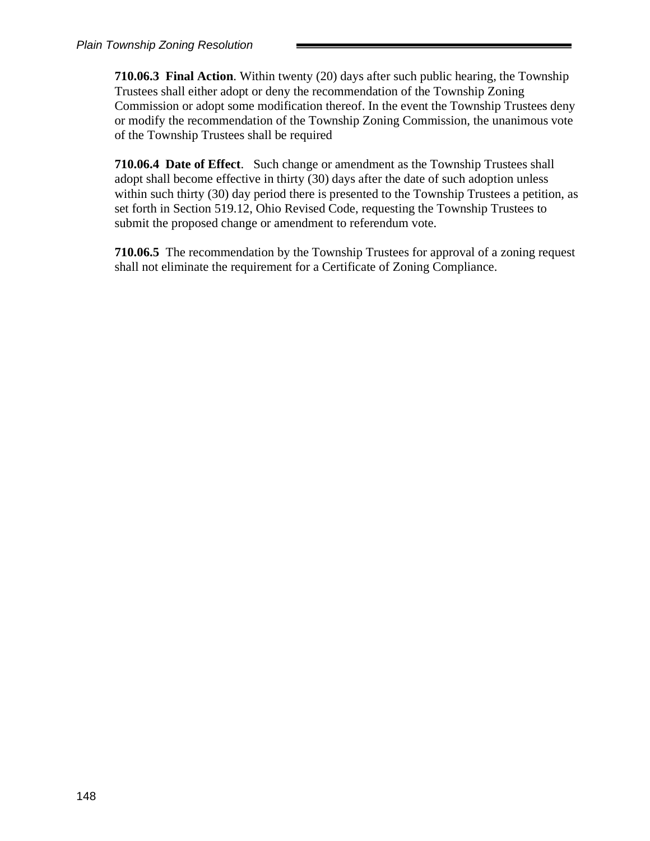**710.06.3 Final Action**. Within twenty (20) days after such public hearing, the Township Trustees shall either adopt or deny the recommendation of the Township Zoning Commission or adopt some modification thereof. In the event the Township Trustees deny or modify the recommendation of the Township Zoning Commission, the unanimous vote of the Township Trustees shall be required

**710.06.4 Date of Effect**. Such change or amendment as the Township Trustees shall adopt shall become effective in thirty (30) days after the date of such adoption unless within such thirty (30) day period there is presented to the Township Trustees a petition, as set forth in Section 519.12, Ohio Revised Code, requesting the Township Trustees to submit the proposed change or amendment to referendum vote.

**710.06.5** The recommendation by the Township Trustees for approval of a zoning request shall not eliminate the requirement for a Certificate of Zoning Compliance.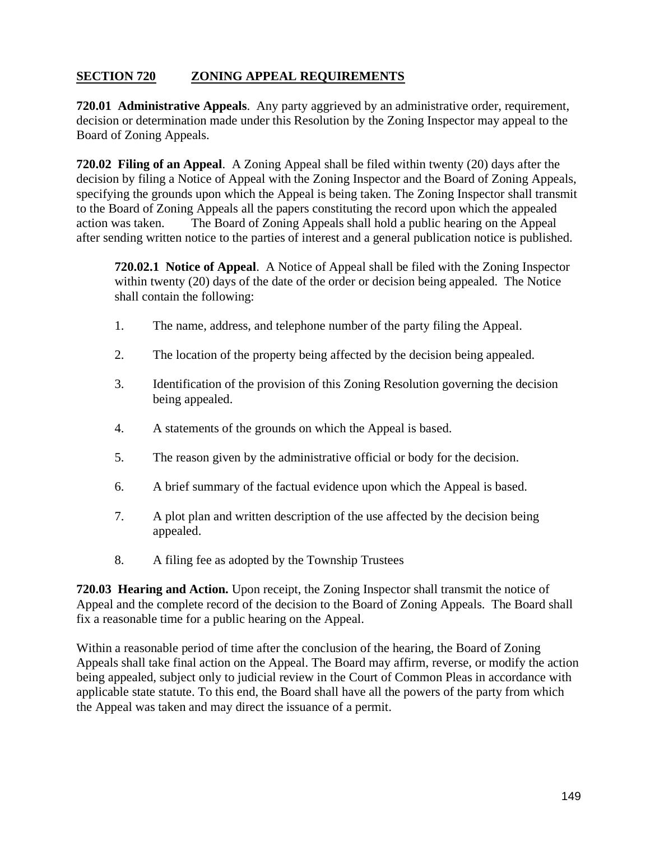# **SECTION 720 ZONING APPEAL REQUIREMENTS**

**720.01 Administrative Appeals**. Any party aggrieved by an administrative order, requirement, decision or determination made under this Resolution by the Zoning Inspector may appeal to the Board of Zoning Appeals.

**720.02 Filing of an Appeal**. A Zoning Appeal shall be filed within twenty (20) days after the decision by filing a Notice of Appeal with the Zoning Inspector and the Board of Zoning Appeals, specifying the grounds upon which the Appeal is being taken. The Zoning Inspector shall transmit to the Board of Zoning Appeals all the papers constituting the record upon which the appealed action was taken. The Board of Zoning Appeals shall hold a public hearing on the Appeal after sending written notice to the parties of interest and a general publication notice is published.

**720.02.1 Notice of Appeal**. A Notice of Appeal shall be filed with the Zoning Inspector within twenty (20) days of the date of the order or decision being appealed. The Notice shall contain the following:

- 1. The name, address, and telephone number of the party filing the Appeal.
- 2. The location of the property being affected by the decision being appealed.
- 3. Identification of the provision of this Zoning Resolution governing the decision being appealed.
- 4. A statements of the grounds on which the Appeal is based.
- 5. The reason given by the administrative official or body for the decision.
- 6. A brief summary of the factual evidence upon which the Appeal is based.
- 7. A plot plan and written description of the use affected by the decision being appealed.
- 8. A filing fee as adopted by the Township Trustees

**720.03 Hearing and Action.** Upon receipt, the Zoning Inspector shall transmit the notice of Appeal and the complete record of the decision to the Board of Zoning Appeals. The Board shall fix a reasonable time for a public hearing on the Appeal.

Within a reasonable period of time after the conclusion of the hearing, the Board of Zoning Appeals shall take final action on the Appeal. The Board may affirm, reverse, or modify the action being appealed, subject only to judicial review in the Court of Common Pleas in accordance with applicable state statute. To this end, the Board shall have all the powers of the party from which the Appeal was taken and may direct the issuance of a permit.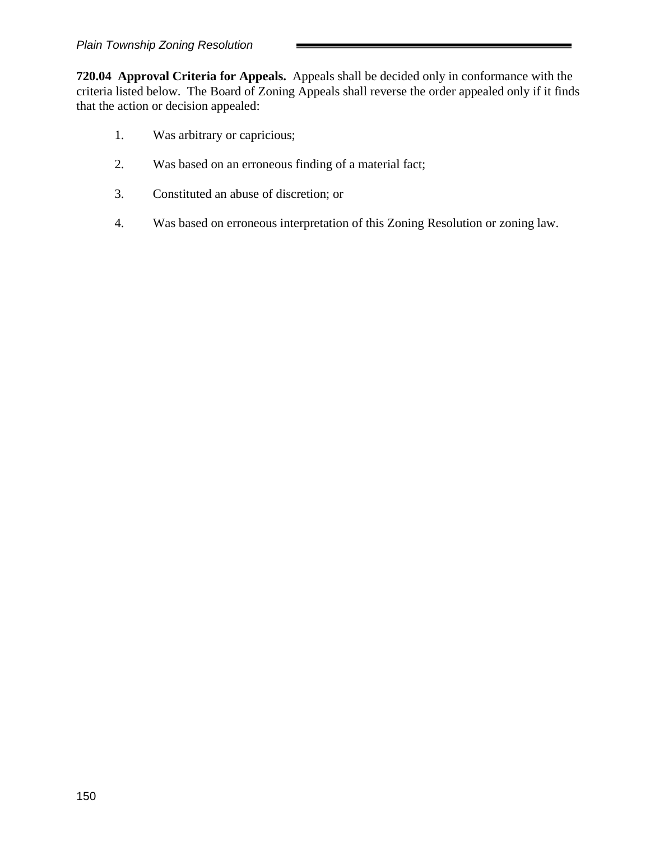**720.04 Approval Criteria for Appeals.** Appeals shall be decided only in conformance with the criteria listed below. The Board of Zoning Appeals shall reverse the order appealed only if it finds that the action or decision appealed:

- 1. Was arbitrary or capricious;
- 2. Was based on an erroneous finding of a material fact;
- 3. Constituted an abuse of discretion; or
- 4. Was based on erroneous interpretation of this Zoning Resolution or zoning law.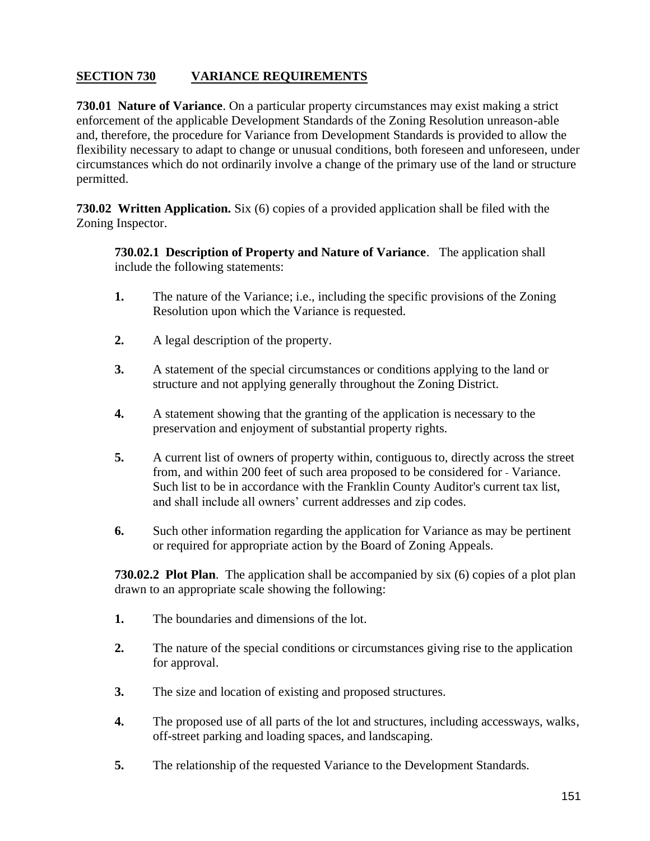# **SECTION 730 VARIANCE REQUIREMENTS**

**730.01 Nature of Variance**. On a particular property circumstances may exist making a strict enforcement of the applicable Development Standards of the Zoning Resolution unreason-able and, therefore, the procedure for Variance from Development Standards is provided to allow the flexibility necessary to adapt to change or unusual conditions, both foreseen and unforeseen, under circumstances which do not ordinarily involve a change of the primary use of the land or structure permitted.

**730.02 Written Application.** Six (6) copies of a provided application shall be filed with the Zoning Inspector.

**730.02.1 Description of Property and Nature of Variance**. The application shall include the following statements:

- **1.** The nature of the Variance; i.e., including the specific provisions of the Zoning Resolution upon which the Variance is requested.
- **2.** A legal description of the property.
- **3.** A statement of the special circumstances or conditions applying to the land or structure and not applying generally throughout the Zoning District.
- **4.** A statement showing that the granting of the application is necessary to the preservation and enjoyment of substantial property rights.
- **5.** A current list of owners of property within, contiguous to, directly across the street from, and within 200 feet of such area proposed to be considered for - Variance. Such list to be in accordance with the Franklin County Auditor's current tax list, and shall include all owners' current addresses and zip codes.
- **6.** Such other information regarding the application for Variance as may be pertinent or required for appropriate action by the Board of Zoning Appeals.

**730.02.2 Plot Plan**. The application shall be accompanied by six (6) copies of a plot plan drawn to an appropriate scale showing the following:

- **1.** The boundaries and dimensions of the lot.
- **2.** The nature of the special conditions or circumstances giving rise to the application for approval.
- **3.** The size and location of existing and proposed structures.
- **4.** The proposed use of all parts of the lot and structures, including accessways, walks, off-street parking and loading spaces, and landscaping.
- **5.** The relationship of the requested Variance to the Development Standards.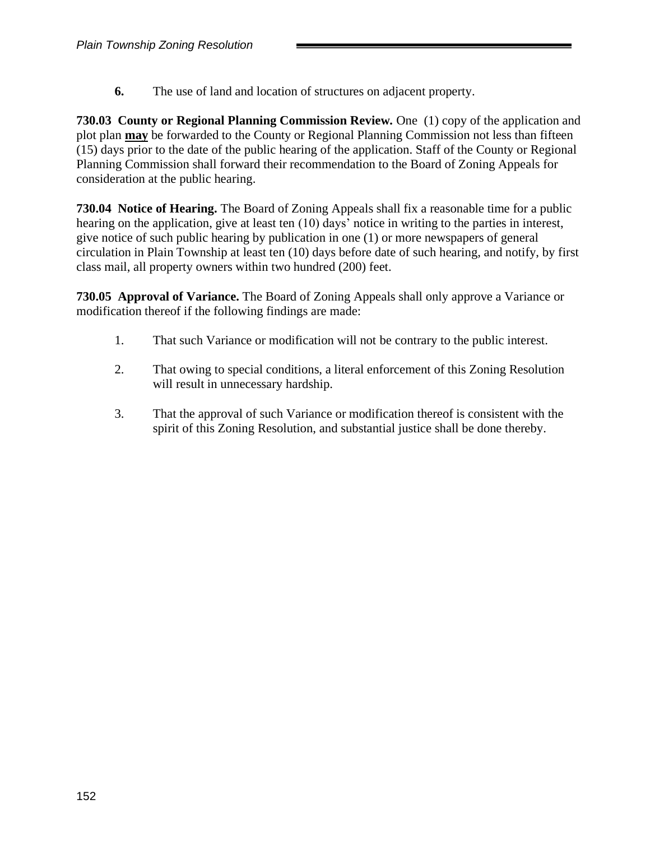**6.** The use of land and location of structures on adjacent property.

**730.03 County or Regional Planning Commission Review***.* One (1) copy of the application and plot plan **may** be forwarded to the County or Regional Planning Commission not less than fifteen (15) days prior to the date of the public hearing of the application. Staff of the County or Regional Planning Commission shall forward their recommendation to the Board of Zoning Appeals for consideration at the public hearing.

**730.04 Notice of Hearing.** The Board of Zoning Appeals shall fix a reasonable time for a public hearing on the application, give at least ten (10) days' notice in writing to the parties in interest, give notice of such public hearing by publication in one (1) or more newspapers of general circulation in Plain Township at least ten (10) days before date of such hearing, and notify, by first class mail, all property owners within two hundred (200) feet.

**730.05 Approval of Variance.** The Board of Zoning Appeals shall only approve a Variance or modification thereof if the following findings are made:

- 1. That such Variance or modification will not be contrary to the public interest.
- 2. That owing to special conditions, a literal enforcement of this Zoning Resolution will result in unnecessary hardship.
- 3. That the approval of such Variance or modification thereof is consistent with the spirit of this Zoning Resolution, and substantial justice shall be done thereby.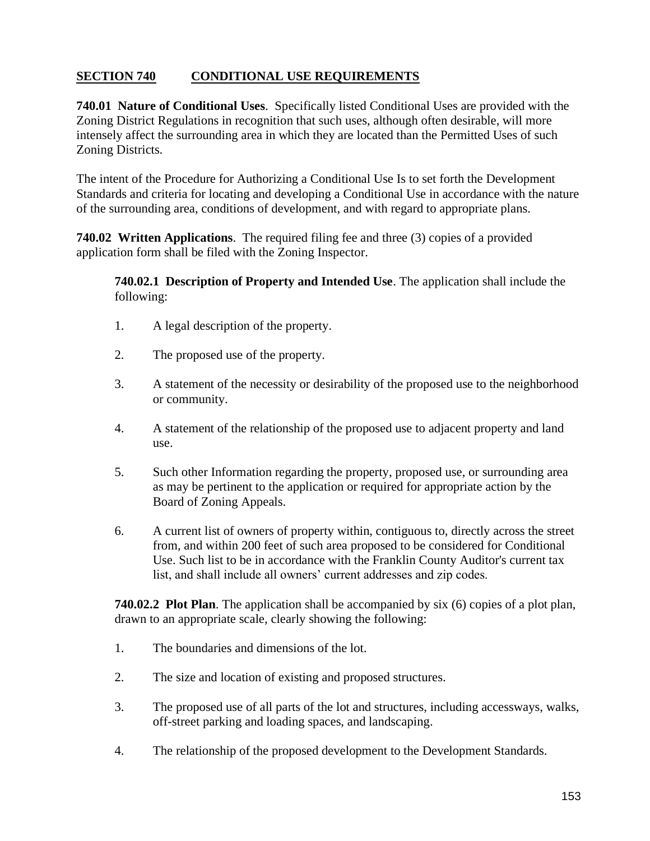# **SECTION 740 CONDITIONAL USE REQUIREMENTS**

**740.01 Nature of Conditional Uses**. Specifically listed Conditional Uses are provided with the Zoning District Regulations in recognition that such uses, although often desirable, will more intensely affect the surrounding area in which they are located than the Permitted Uses of such Zoning Districts.

The intent of the Procedure for Authorizing a Conditional Use Is to set forth the Development Standards and criteria for locating and developing a Conditional Use in accordance with the nature of the surrounding area, conditions of development, and with regard to appropriate plans.

**740.02 Written Applications**. The required filing fee and three (3) copies of a provided application form shall be filed with the Zoning Inspector.

**740.02.1 Description of Property and Intended Use**. The application shall include the following:

- 1. A legal description of the property.
- 2. The proposed use of the property.
- 3. A statement of the necessity or desirability of the proposed use to the neighborhood or community.
- 4. A statement of the relationship of the proposed use to adjacent property and land use.
- 5. Such other Information regarding the property, proposed use, or surrounding area as may be pertinent to the application or required for appropriate action by the Board of Zoning Appeals.
- 6. A current list of owners of property within, contiguous to, directly across the street from, and within 200 feet of such area proposed to be considered for Conditional Use. Such list to be in accordance with the Franklin County Auditor's current tax list, and shall include all owners' current addresses and zip codes.

**740.02.2 Plot Plan**. The application shall be accompanied by six (6) copies of a plot plan, drawn to an appropriate scale, clearly showing the following:

- 1. The boundaries and dimensions of the lot.
- 2. The size and location of existing and proposed structures.
- 3. The proposed use of all parts of the lot and structures, including accessways, walks, off-street parking and loading spaces, and landscaping.
- 4. The relationship of the proposed development to the Development Standards.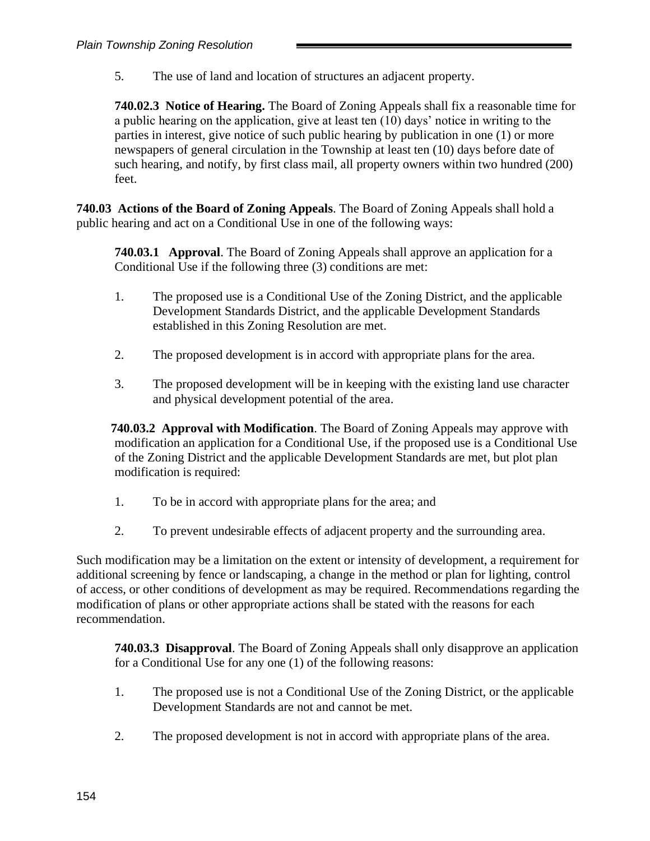5. The use of land and location of structures an adjacent property.

**740.02.3 Notice of Hearing.** The Board of Zoning Appeals shall fix a reasonable time for a public hearing on the application, give at least ten (10) days' notice in writing to the parties in interest, give notice of such public hearing by publication in one (1) or more newspapers of general circulation in the Township at least ten (10) days before date of such hearing, and notify, by first class mail, all property owners within two hundred (200) feet.

**740.03 Actions of the Board of Zoning Appeals**. The Board of Zoning Appeals shall hold a public hearing and act on a Conditional Use in one of the following ways:

**740.03.1 Approval**. The Board of Zoning Appeals shall approve an application for a Conditional Use if the following three (3) conditions are met:

- 1. The proposed use is a Conditional Use of the Zoning District, and the applicable Development Standards District, and the applicable Development Standards established in this Zoning Resolution are met.
- 2. The proposed development is in accord with appropriate plans for the area.
- 3. The proposed development will be in keeping with the existing land use character and physical development potential of the area.

**740.03.2 Approval with Modification**. The Board of Zoning Appeals may approve with modification an application for a Conditional Use, if the proposed use is a Conditional Use of the Zoning District and the applicable Development Standards are met, but plot plan modification is required:

- 1. To be in accord with appropriate plans for the area; and
- 2. To prevent undesirable effects of adjacent property and the surrounding area.

Such modification may be a limitation on the extent or intensity of development, a requirement for additional screening by fence or landscaping, a change in the method or plan for lighting, control of access, or other conditions of development as may be required. Recommendations regarding the modification of plans or other appropriate actions shall be stated with the reasons for each recommendation.

**740.03.3 Disapproval**. The Board of Zoning Appeals shall only disapprove an application for a Conditional Use for any one (1) of the following reasons:

- 1. The proposed use is not a Conditional Use of the Zoning District, or the applicable Development Standards are not and cannot be met.
- 2. The proposed development is not in accord with appropriate plans of the area.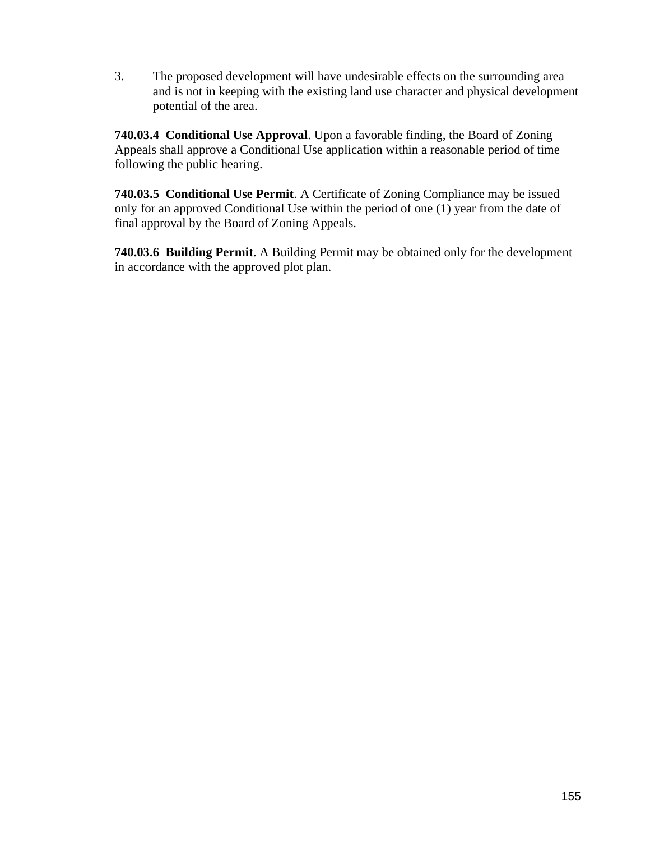3. The proposed development will have undesirable effects on the surrounding area and is not in keeping with the existing land use character and physical development potential of the area.

**740.03.4 Conditional Use Approval**. Upon a favorable finding, the Board of Zoning Appeals shall approve a Conditional Use application within a reasonable period of time following the public hearing.

**740.03.5 Conditional Use Permit**. A Certificate of Zoning Compliance may be issued only for an approved Conditional Use within the period of one (1) year from the date of final approval by the Board of Zoning Appeals.

**740.03.6 Building Permit**. A Building Permit may be obtained only for the development in accordance with the approved plot plan.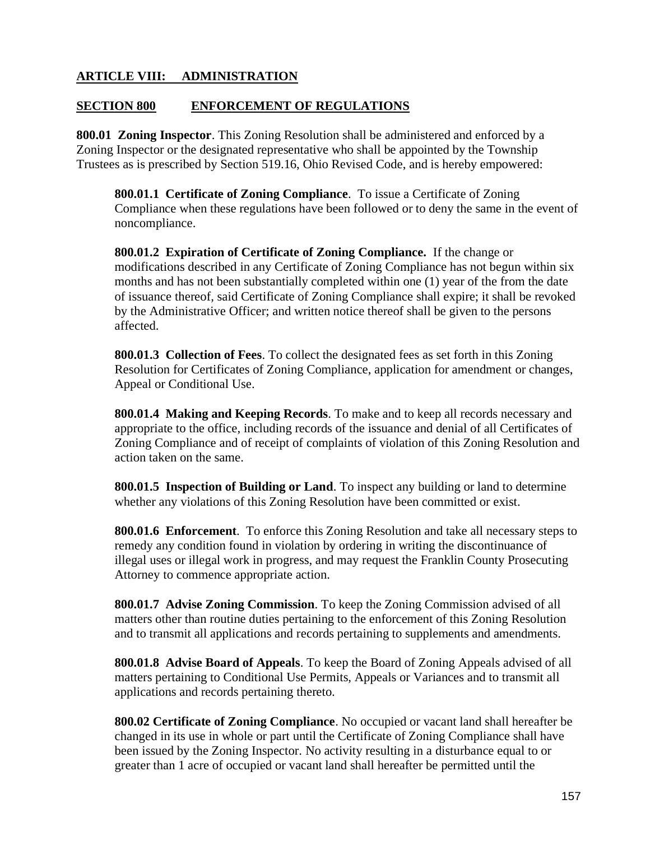## **ARTICLE VIII: ADMINISTRATION**

#### **SECTION 800 ENFORCEMENT OF REGULATIONS**

**800.01 Zoning Inspector**. This Zoning Resolution shall be administered and enforced by a Zoning Inspector or the designated representative who shall be appointed by the Township Trustees as is prescribed by Section 519.16, Ohio Revised Code, and is hereby empowered:

**800.01.1 Certificate of Zoning Compliance**. To issue a Certificate of Zoning Compliance when these regulations have been followed or to deny the same in the event of noncompliance.

**800.01.2 Expiration of Certificate of Zoning Compliance.** If the change or modifications described in any Certificate of Zoning Compliance has not begun within six months and has not been substantially completed within one (1) year of the from the date of issuance thereof, said Certificate of Zoning Compliance shall expire; it shall be revoked by the Administrative Officer; and written notice thereof shall be given to the persons affected.

**800.01.3 Collection of Fees**. To collect the designated fees as set forth in this Zoning Resolution for Certificates of Zoning Compliance, application for amendment or changes, Appeal or Conditional Use.

**800.01.4 Making and Keeping Records**. To make and to keep all records necessary and appropriate to the office, including records of the issuance and denial of all Certificates of Zoning Compliance and of receipt of complaints of violation of this Zoning Resolution and action taken on the same.

**800.01.5 Inspection of Building or Land**. To inspect any building or land to determine whether any violations of this Zoning Resolution have been committed or exist.

**800.01.6 Enforcement**. To enforce this Zoning Resolution and take all necessary steps to remedy any condition found in violation by ordering in writing the discontinuance of illegal uses or illegal work in progress, and may request the Franklin County Prosecuting Attorney to commence appropriate action.

**800.01.7 Advise Zoning Commission**. To keep the Zoning Commission advised of all matters other than routine duties pertaining to the enforcement of this Zoning Resolution and to transmit all applications and records pertaining to supplements and amendments.

**800.01.8 Advise Board of Appeals**. To keep the Board of Zoning Appeals advised of all matters pertaining to Conditional Use Permits, Appeals or Variances and to transmit all applications and records pertaining thereto.

**800.02 Certificate of Zoning Compliance**. No occupied or vacant land shall hereafter be changed in its use in whole or part until the Certificate of Zoning Compliance shall have been issued by the Zoning Inspector. No activity resulting in a disturbance equal to or greater than 1 acre of occupied or vacant land shall hereafter be permitted until the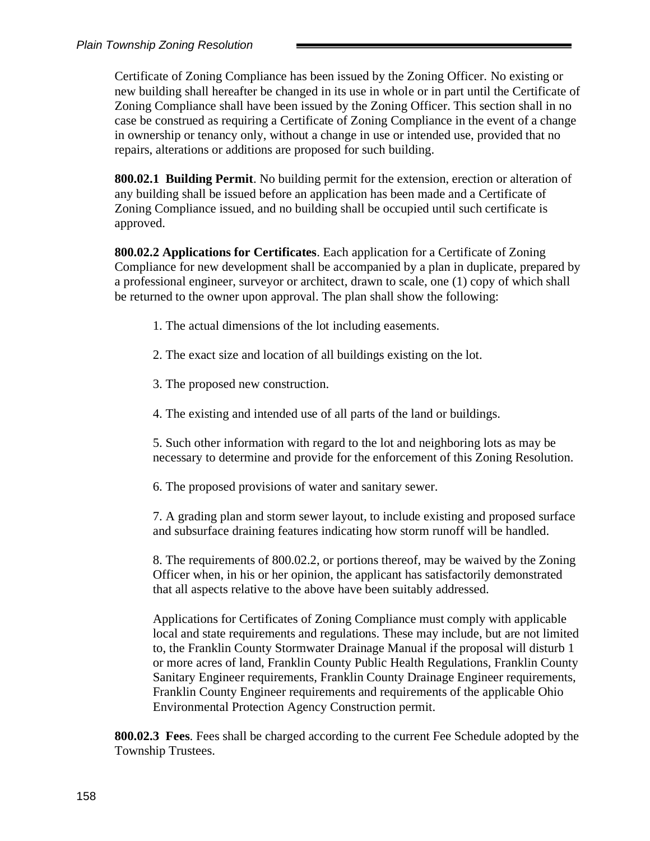Certificate of Zoning Compliance has been issued by the Zoning Officer. No existing or new building shall hereafter be changed in its use in whole or in part until the Certificate of Zoning Compliance shall have been issued by the Zoning Officer. This section shall in no case be construed as requiring a Certificate of Zoning Compliance in the event of a change in ownership or tenancy only, without a change in use or intended use, provided that no repairs, alterations or additions are proposed for such building.

**800.02.1 Building Permit**. No building permit for the extension, erection or alteration of any building shall be issued before an application has been made and a Certificate of Zoning Compliance issued, and no building shall be occupied until such certificate is approved.

**800.02.2 Applications for Certificates**. Each application for a Certificate of Zoning Compliance for new development shall be accompanied by a plan in duplicate, prepared by a professional engineer, surveyor or architect, drawn to scale, one (1) copy of which shall be returned to the owner upon approval. The plan shall show the following:

- 1. The actual dimensions of the lot including easements.
- 2. The exact size and location of all buildings existing on the lot.
- 3. The proposed new construction.
- 4. The existing and intended use of all parts of the land or buildings.

5. Such other information with regard to the lot and neighboring lots as may be necessary to determine and provide for the enforcement of this Zoning Resolution.

6. The proposed provisions of water and sanitary sewer.

7. A grading plan and storm sewer layout, to include existing and proposed surface and subsurface draining features indicating how storm runoff will be handled.

8. The requirements of 800.02.2, or portions thereof, may be waived by the Zoning Officer when, in his or her opinion, the applicant has satisfactorily demonstrated that all aspects relative to the above have been suitably addressed.

Applications for Certificates of Zoning Compliance must comply with applicable local and state requirements and regulations. These may include, but are not limited to, the Franklin County Stormwater Drainage Manual if the proposal will disturb 1 or more acres of land, Franklin County Public Health Regulations, Franklin County Sanitary Engineer requirements, Franklin County Drainage Engineer requirements, Franklin County Engineer requirements and requirements of the applicable Ohio Environmental Protection Agency Construction permit.

**800.02.3 Fees**. Fees shall be charged according to the current Fee Schedule adopted by the Township Trustees.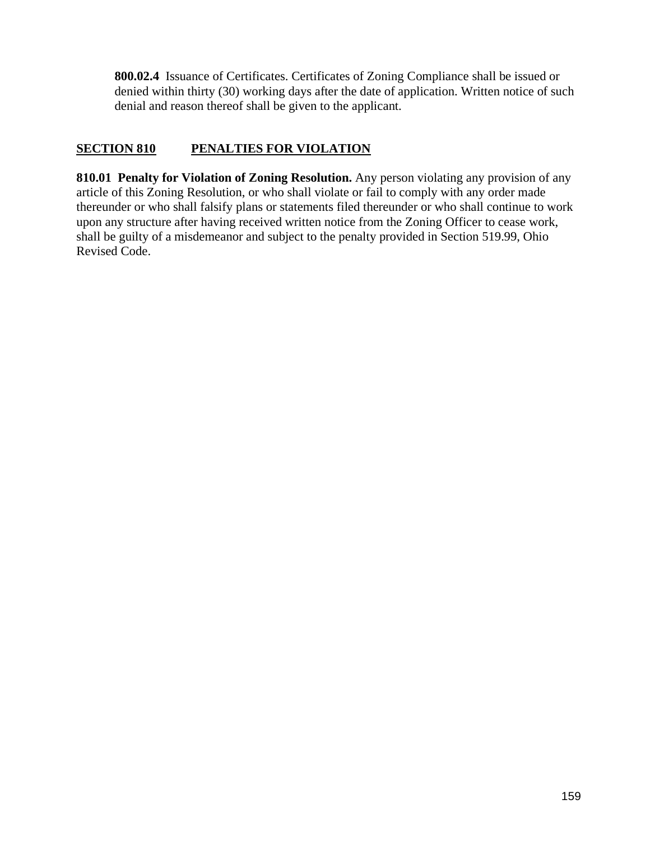**800.02.4** Issuance of Certificates. Certificates of Zoning Compliance shall be issued or denied within thirty (30) working days after the date of application. Written notice of such denial and reason thereof shall be given to the applicant.

# **SECTION 810 PENALTIES FOR VIOLATION**

**810.01 Penalty for Violation of Zoning Resolution.** Any person violating any provision of any article of this Zoning Resolution, or who shall violate or fail to comply with any order made thereunder or who shall falsify plans or statements filed thereunder or who shall continue to work upon any structure after having received written notice from the Zoning Officer to cease work, shall be guilty of a misdemeanor and subject to the penalty provided in Section 519.99, Ohio Revised Code.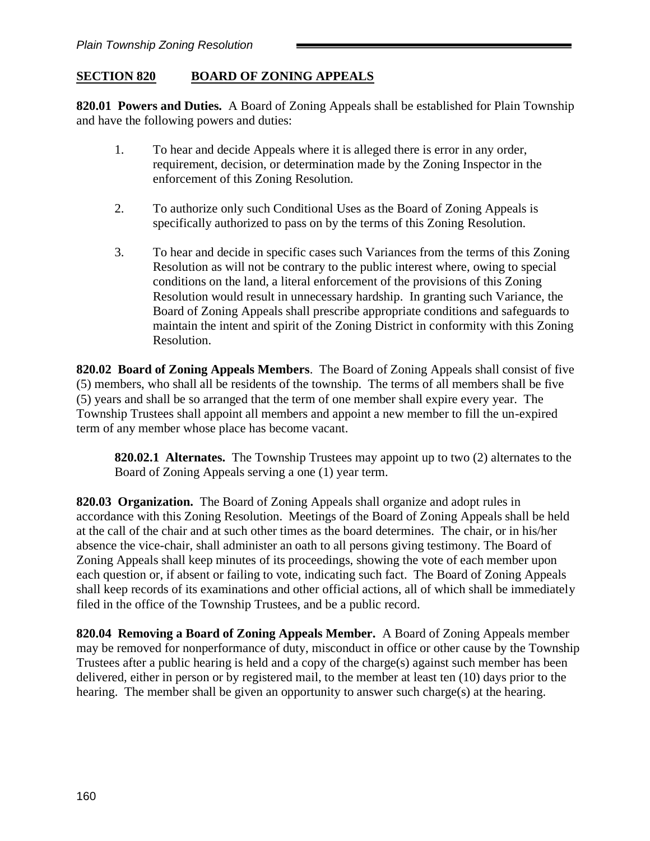# **SECTION 820 BOARD OF ZONING APPEALS**

**820.01 Powers and Duties.** A Board of Zoning Appeals shall be established for Plain Township and have the following powers and duties:

- 1. To hear and decide Appeals where it is alleged there is error in any order, requirement, decision, or determination made by the Zoning Inspector in the enforcement of this Zoning Resolution.
- 2. To authorize only such Conditional Uses as the Board of Zoning Appeals is specifically authorized to pass on by the terms of this Zoning Resolution.
- 3. To hear and decide in specific cases such Variances from the terms of this Zoning Resolution as will not be contrary to the public interest where, owing to special conditions on the land, a literal enforcement of the provisions of this Zoning Resolution would result in unnecessary hardship. In granting such Variance, the Board of Zoning Appeals shall prescribe appropriate conditions and safeguards to maintain the intent and spirit of the Zoning District in conformity with this Zoning Resolution.

**820.02 Board of Zoning Appeals Members**. The Board of Zoning Appeals shall consist of five (5) members, who shall all be residents of the township. The terms of all members shall be five (5) years and shall be so arranged that the term of one member shall expire every year. The Township Trustees shall appoint all members and appoint a new member to fill the un-expired term of any member whose place has become vacant.

**820.02.1 Alternates.** The Township Trustees may appoint up to two (2) alternates to the Board of Zoning Appeals serving a one (1) year term.

**820.03 Organization.** The Board of Zoning Appeals shall organize and adopt rules in accordance with this Zoning Resolution. Meetings of the Board of Zoning Appeals shall be held at the call of the chair and at such other times as the board determines. The chair, or in his/her absence the vice-chair, shall administer an oath to all persons giving testimony. The Board of Zoning Appeals shall keep minutes of its proceedings, showing the vote of each member upon each question or, if absent or failing to vote, indicating such fact. The Board of Zoning Appeals shall keep records of its examinations and other official actions, all of which shall be immediately filed in the office of the Township Trustees, and be a public record.

**820.04 Removing a Board of Zoning Appeals Member.** A Board of Zoning Appeals member may be removed for nonperformance of duty, misconduct in office or other cause by the Township Trustees after a public hearing is held and a copy of the charge(s) against such member has been delivered, either in person or by registered mail, to the member at least ten (10) days prior to the hearing. The member shall be given an opportunity to answer such charge(s) at the hearing.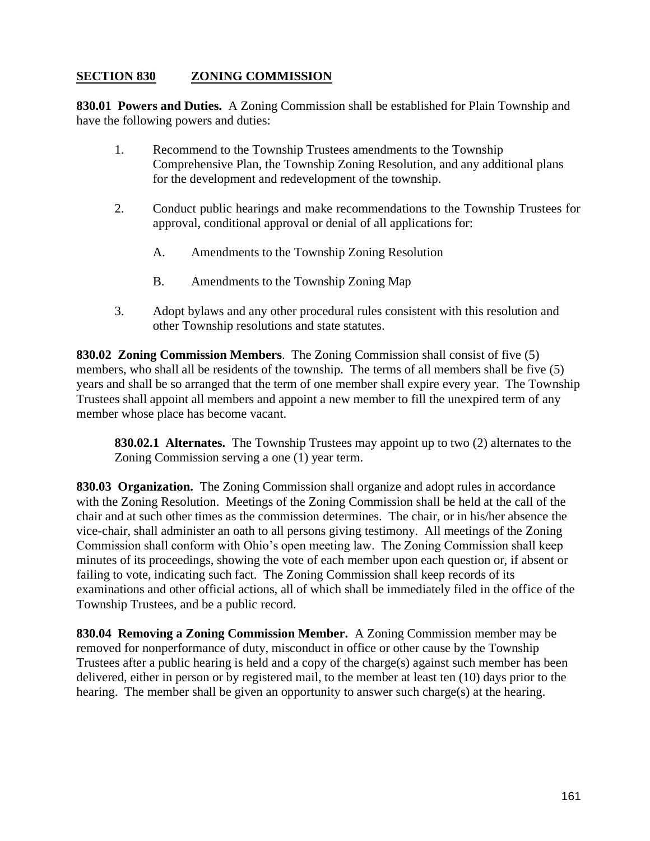# **SECTION 830 ZONING COMMISSION**

**830.01 Powers and Duties.** A Zoning Commission shall be established for Plain Township and have the following powers and duties:

- 1. Recommend to the Township Trustees amendments to the Township Comprehensive Plan, the Township Zoning Resolution, and any additional plans for the development and redevelopment of the township.
- 2. Conduct public hearings and make recommendations to the Township Trustees for approval, conditional approval or denial of all applications for:
	- A. Amendments to the Township Zoning Resolution
	- B. Amendments to the Township Zoning Map
- 3. Adopt bylaws and any other procedural rules consistent with this resolution and other Township resolutions and state statutes.

**830.02 Zoning Commission Members**. The Zoning Commission shall consist of five (5) members, who shall all be residents of the township. The terms of all members shall be five (5) years and shall be so arranged that the term of one member shall expire every year. The Township Trustees shall appoint all members and appoint a new member to fill the unexpired term of any member whose place has become vacant.

**830.02.1 Alternates.** The Township Trustees may appoint up to two (2) alternates to the Zoning Commission serving a one (1) year term.

**830.03 Organization.** The Zoning Commission shall organize and adopt rules in accordance with the Zoning Resolution. Meetings of the Zoning Commission shall be held at the call of the chair and at such other times as the commission determines. The chair, or in his/her absence the vice-chair, shall administer an oath to all persons giving testimony. All meetings of the Zoning Commission shall conform with Ohio's open meeting law. The Zoning Commission shall keep minutes of its proceedings, showing the vote of each member upon each question or, if absent or failing to vote, indicating such fact. The Zoning Commission shall keep records of its examinations and other official actions, all of which shall be immediately filed in the office of the Township Trustees, and be a public record.

**830.04 Removing a Zoning Commission Member.** A Zoning Commission member may be removed for nonperformance of duty, misconduct in office or other cause by the Township Trustees after a public hearing is held and a copy of the charge(s) against such member has been delivered, either in person or by registered mail, to the member at least ten (10) days prior to the hearing. The member shall be given an opportunity to answer such charge(s) at the hearing.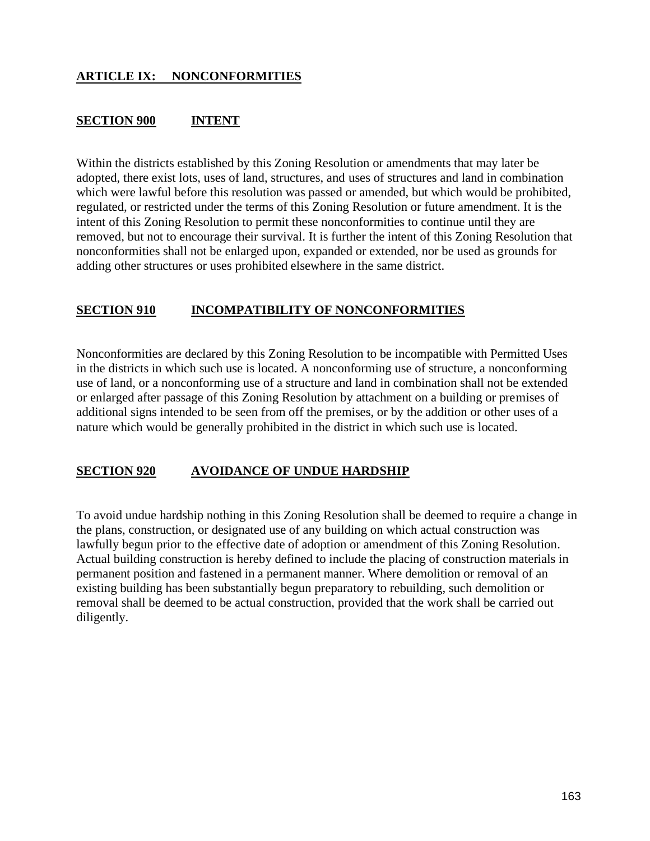## **SECTION 900 INTENT**

Within the districts established by this Zoning Resolution or amendments that may later be adopted, there exist lots, uses of land, structures, and uses of structures and land in combination which were lawful before this resolution was passed or amended, but which would be prohibited, regulated, or restricted under the terms of this Zoning Resolution or future amendment. It is the intent of this Zoning Resolution to permit these nonconformities to continue until they are removed, but not to encourage their survival. It is further the intent of this Zoning Resolution that nonconformities shall not be enlarged upon, expanded or extended, nor be used as grounds for adding other structures or uses prohibited elsewhere in the same district.

## **SECTION 910 INCOMPATIBILITY OF NONCONFORMITIES**

Nonconformities are declared by this Zoning Resolution to be incompatible with Permitted Uses in the districts in which such use is located. A nonconforming use of structure, a nonconforming use of land, or a nonconforming use of a structure and land in combination shall not be extended or enlarged after passage of this Zoning Resolution by attachment on a building or premises of additional signs intended to be seen from off the premises, or by the addition or other uses of a nature which would be generally prohibited in the district in which such use is located.

### **SECTION 920 AVOIDANCE OF UNDUE HARDSHIP**

To avoid undue hardship nothing in this Zoning Resolution shall be deemed to require a change in the plans, construction, or designated use of any building on which actual construction was lawfully begun prior to the effective date of adoption or amendment of this Zoning Resolution. Actual building construction is hereby defined to include the placing of construction materials in permanent position and fastened in a permanent manner. Where demolition or removal of an existing building has been substantially begun preparatory to rebuilding, such demolition or removal shall be deemed to be actual construction, provided that the work shall be carried out diligently.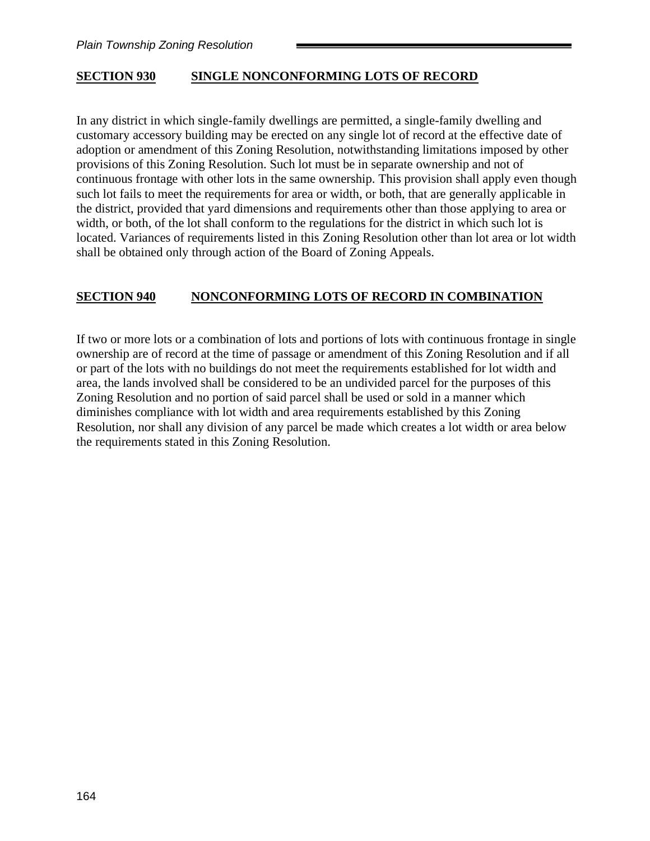#### **SECTION 930 SINGLE NONCONFORMING LOTS OF RECORD**

In any district in which single-family dwellings are permitted, a single-family dwelling and customary accessory building may be erected on any single lot of record at the effective date of adoption or amendment of this Zoning Resolution, notwithstanding limitations imposed by other provisions of this Zoning Resolution. Such lot must be in separate ownership and not of continuous frontage with other lots in the same ownership. This provision shall apply even though such lot fails to meet the requirements for area or width, or both, that are generally applicable in the district, provided that yard dimensions and requirements other than those applying to area or width, or both, of the lot shall conform to the regulations for the district in which such lot is located. Variances of requirements listed in this Zoning Resolution other than lot area or lot width shall be obtained only through action of the Board of Zoning Appeals.

#### **SECTION 940 NONCONFORMING LOTS OF RECORD IN COMBINATION**

If two or more lots or a combination of lots and portions of lots with continuous frontage in single ownership are of record at the time of passage or amendment of this Zoning Resolution and if all or part of the lots with no buildings do not meet the requirements established for lot width and area, the lands involved shall be considered to be an undivided parcel for the purposes of this Zoning Resolution and no portion of said parcel shall be used or sold in a manner which diminishes compliance with lot width and area requirements established by this Zoning Resolution, nor shall any division of any parcel be made which creates a lot width or area below the requirements stated in this Zoning Resolution.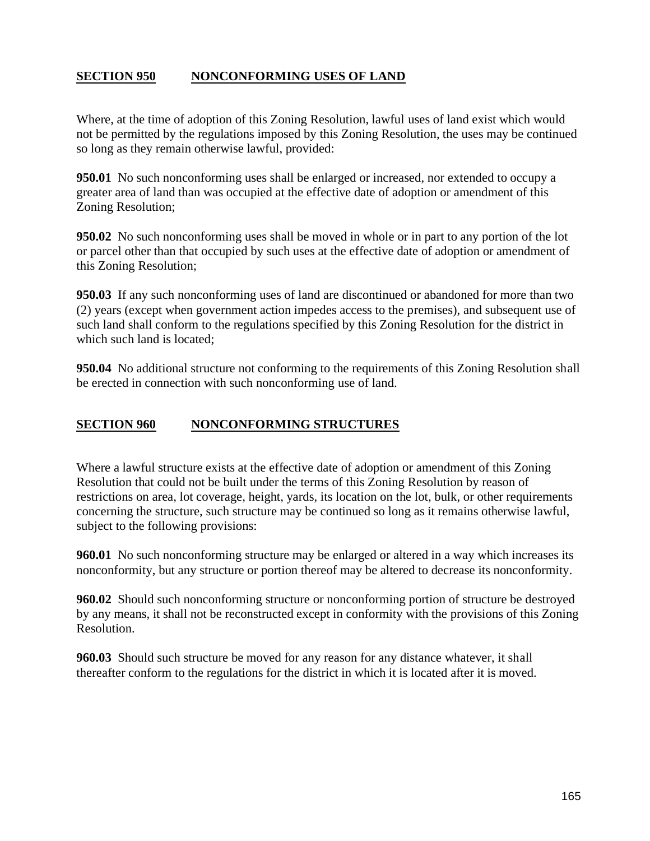# **SECTION 950 NONCONFORMING USES OF LAND**

Where, at the time of adoption of this Zoning Resolution, lawful uses of land exist which would not be permitted by the regulations imposed by this Zoning Resolution, the uses may be continued so long as they remain otherwise lawful, provided:

**950.01** No such nonconforming uses shall be enlarged or increased, nor extended to occupy a greater area of land than was occupied at the effective date of adoption or amendment of this Zoning Resolution;

**950.02** No such nonconforming uses shall be moved in whole or in part to any portion of the lot or parcel other than that occupied by such uses at the effective date of adoption or amendment of this Zoning Resolution;

**950.03** If any such nonconforming uses of land are discontinued or abandoned for more than two (2) years (except when government action impedes access to the premises), and subsequent use of such land shall conform to the regulations specified by this Zoning Resolution for the district in which such land is located:

**950.04** No additional structure not conforming to the requirements of this Zoning Resolution shall be erected in connection with such nonconforming use of land.

#### **SECTION 960 NONCONFORMING STRUCTURES**

Where a lawful structure exists at the effective date of adoption or amendment of this Zoning Resolution that could not be built under the terms of this Zoning Resolution by reason of restrictions on area, lot coverage, height, yards, its location on the lot, bulk, or other requirements concerning the structure, such structure may be continued so long as it remains otherwise lawful, subject to the following provisions:

**960.01** No such nonconforming structure may be enlarged or altered in a way which increases its nonconformity, but any structure or portion thereof may be altered to decrease its nonconformity.

**960.02** Should such nonconforming structure or nonconforming portion of structure be destroyed by any means, it shall not be reconstructed except in conformity with the provisions of this Zoning Resolution.

**960.03** Should such structure be moved for any reason for any distance whatever, it shall thereafter conform to the regulations for the district in which it is located after it is moved.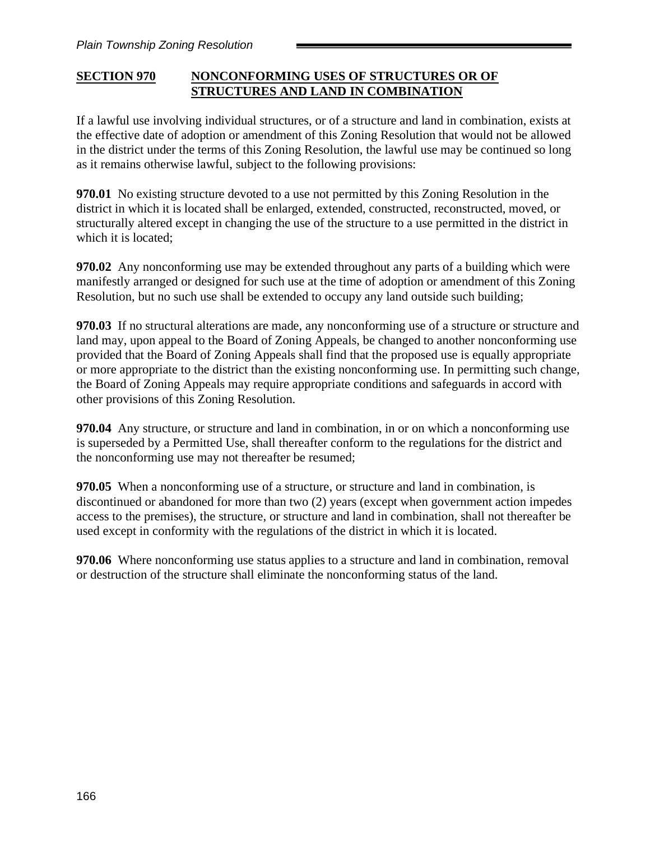## **SECTION 970 NONCONFORMING USES OF STRUCTURES OR OF STRUCTURES AND LAND IN COMBINATION**

If a lawful use involving individual structures, or of a structure and land in combination, exists at the effective date of adoption or amendment of this Zoning Resolution that would not be allowed in the district under the terms of this Zoning Resolution, the lawful use may be continued so long as it remains otherwise lawful, subject to the following provisions:

**970.01** No existing structure devoted to a use not permitted by this Zoning Resolution in the district in which it is located shall be enlarged, extended, constructed, reconstructed, moved, or structurally altered except in changing the use of the structure to a use permitted in the district in which it is located:

**970.02** Any nonconforming use may be extended throughout any parts of a building which were manifestly arranged or designed for such use at the time of adoption or amendment of this Zoning Resolution, but no such use shall be extended to occupy any land outside such building;

**970.03** If no structural alterations are made, any nonconforming use of a structure or structure and land may, upon appeal to the Board of Zoning Appeals, be changed to another nonconforming use provided that the Board of Zoning Appeals shall find that the proposed use is equally appropriate or more appropriate to the district than the existing nonconforming use. In permitting such change, the Board of Zoning Appeals may require appropriate conditions and safeguards in accord with other provisions of this Zoning Resolution.

**970.04** Any structure, or structure and land in combination, in or on which a nonconforming use is superseded by a Permitted Use, shall thereafter conform to the regulations for the district and the nonconforming use may not thereafter be resumed;

**970.05** When a nonconforming use of a structure, or structure and land in combination, is discontinued or abandoned for more than two (2) years (except when government action impedes access to the premises), the structure, or structure and land in combination, shall not thereafter be used except in conformity with the regulations of the district in which it is located.

**970.06** Where nonconforming use status applies to a structure and land in combination, removal or destruction of the structure shall eliminate the nonconforming status of the land.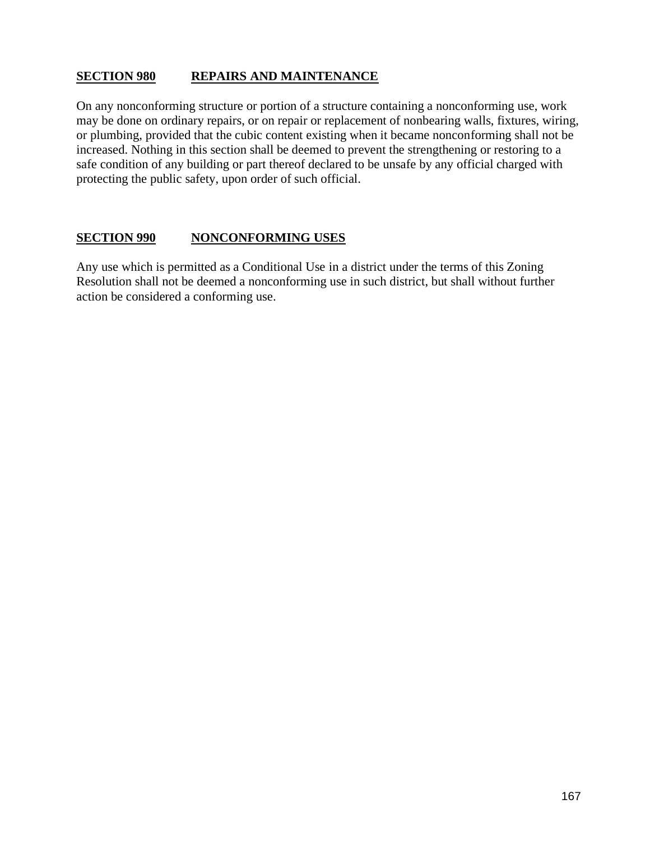### **SECTION 980 REPAIRS AND MAINTENANCE**

On any nonconforming structure or portion of a structure containing a nonconforming use, work may be done on ordinary repairs, or on repair or replacement of nonbearing walls, fixtures, wiring, or plumbing, provided that the cubic content existing when it became nonconforming shall not be increased. Nothing in this section shall be deemed to prevent the strengthening or restoring to a safe condition of any building or part thereof declared to be unsafe by any official charged with protecting the public safety, upon order of such official.

### **SECTION 990 NONCONFORMING USES**

Any use which is permitted as a Conditional Use in a district under the terms of this Zoning Resolution shall not be deemed a nonconforming use in such district, but shall without further action be considered a conforming use.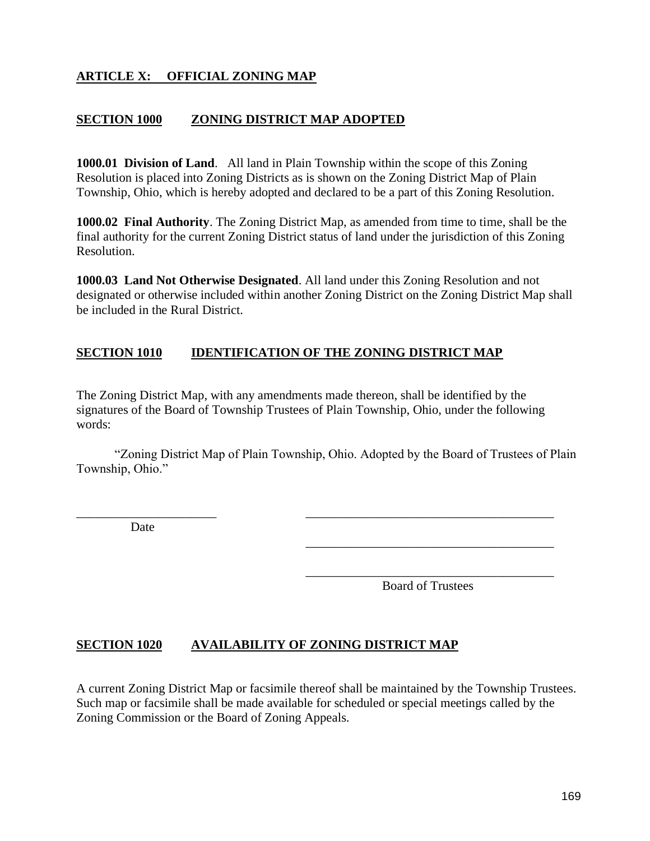# **ARTICLE X: OFFICIAL ZONING MAP**

#### **SECTION 1000 ZONING DISTRICT MAP ADOPTED**

**1000.01 Division of Land**. All land in Plain Township within the scope of this Zoning Resolution is placed into Zoning Districts as is shown on the Zoning District Map of Plain Township, Ohio, which is hereby adopted and declared to be a part of this Zoning Resolution.

**1000.02 Final Authority**. The Zoning District Map, as amended from time to time, shall be the final authority for the current Zoning District status of land under the jurisdiction of this Zoning Resolution.

**1000.03 Land Not Otherwise Designated**. All land under this Zoning Resolution and not designated or otherwise included within another Zoning District on the Zoning District Map shall be included in the Rural District.

#### **SECTION 1010 IDENTIFICATION OF THE ZONING DISTRICT MAP**

The Zoning District Map, with any amendments made thereon, shall be identified by the signatures of the Board of Township Trustees of Plain Township, Ohio, under the following words:

"Zoning District Map of Plain Township, Ohio. Adopted by the Board of Trustees of Plain Township, Ohio."

\_\_\_\_\_\_\_\_\_\_\_\_\_\_\_\_\_\_\_\_\_\_ \_\_\_\_\_\_\_\_\_\_\_\_\_\_\_\_\_\_\_\_\_\_\_\_\_\_\_\_\_\_\_\_\_\_\_\_\_\_\_

Date

\_\_\_\_\_\_\_\_\_\_\_\_\_\_\_\_\_\_\_\_\_\_\_\_\_\_\_\_\_\_\_\_\_\_\_\_\_\_\_ Board of Trustees

\_\_\_\_\_\_\_\_\_\_\_\_\_\_\_\_\_\_\_\_\_\_\_\_\_\_\_\_\_\_\_\_\_\_\_\_\_\_\_

#### **SECTION 1020 AVAILABILITY OF ZONING DISTRICT MAP**

A current Zoning District Map or facsimile thereof shall be maintained by the Township Trustees. Such map or facsimile shall be made available for scheduled or special meetings called by the Zoning Commission or the Board of Zoning Appeals.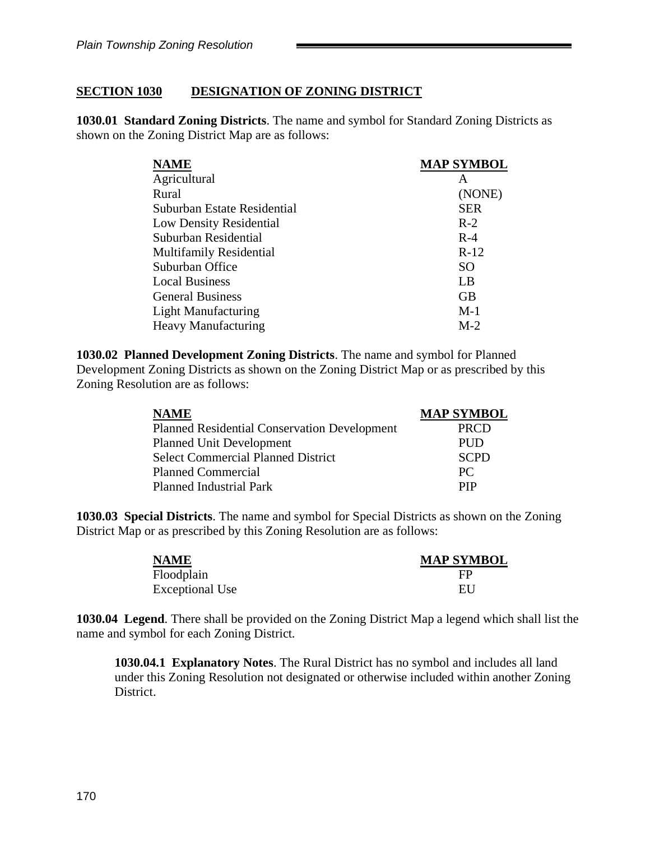### **SECTION 1030 DESIGNATION OF ZONING DISTRICT**

**1030.01 Standard Zoning Districts**. The name and symbol for Standard Zoning Districts as shown on the Zoning District Map are as follows:

| <b>NAME</b>                    | <b>MAP SYMBOL</b> |
|--------------------------------|-------------------|
| Agricultural                   | A                 |
| Rural                          | (NONE)            |
| Suburban Estate Residential    | <b>SER</b>        |
| Low Density Residential        | $R-2$             |
| Suburban Residential           | $R-4$             |
| <b>Multifamily Residential</b> | $R-12$            |
| Suburban Office                | SO.               |
| <b>Local Business</b>          | LB                |
| <b>General Business</b>        | <b>GB</b>         |
| <b>Light Manufacturing</b>     | $M-1$             |
| <b>Heavy Manufacturing</b>     | $M-2$             |

**1030.02 Planned Development Zoning Districts**. The name and symbol for Planned Development Zoning Districts as shown on the Zoning District Map or as prescribed by this Zoning Resolution are as follows:

| <b>NAME</b>                                  | <b>MAP SYMBOL</b> |
|----------------------------------------------|-------------------|
| Planned Residential Conservation Development | <b>PRCD</b>       |
| <b>Planned Unit Development</b>              | <b>PUD</b>        |
| <b>Select Commercial Planned District</b>    | <b>SCPD</b>       |
| <b>Planned Commercial</b>                    | PC.               |
| <b>Planned Industrial Park</b>               | PIP               |

**1030.03 Special Districts**. The name and symbol for Special Districts as shown on the Zoning District Map or as prescribed by this Zoning Resolution are as follows:

| <b>NAME</b>            | <b>MAP SYMBOL</b> |
|------------------------|-------------------|
| Floodplain             | FP                |
| <b>Exceptional Use</b> | EU                |

**1030.04 Legend**. There shall be provided on the Zoning District Map a legend which shall list the name and symbol for each Zoning District.

**1030.04.1 Explanatory Notes**. The Rural District has no symbol and includes all land under this Zoning Resolution not designated or otherwise included within another Zoning District.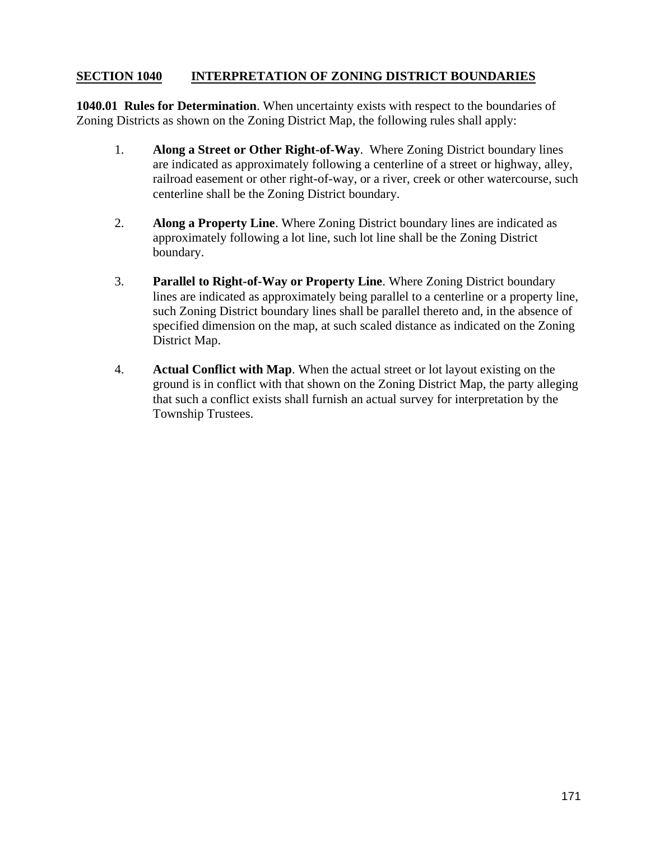### **SECTION 1040 INTERPRETATION OF ZONING DISTRICT BOUNDARIES**

**1040.01 Rules for Determination**. When uncertainty exists with respect to the boundaries of Zoning Districts as shown on the Zoning District Map, the following rules shall apply:

- 1. **Along a Street or Other Right-of-Way**. Where Zoning District boundary lines are indicated as approximately following a centerline of a street or highway, alley, railroad easement or other right-of-way, or a river, creek or other watercourse, such centerline shall be the Zoning District boundary.
- 2. **Along a Property Line**. Where Zoning District boundary lines are indicated as approximately following a lot line, such lot line shall be the Zoning District boundary.
- 3. **Parallel to Right-of-Way or Property Line**. Where Zoning District boundary lines are indicated as approximately being parallel to a centerline or a property line, such Zoning District boundary lines shall be parallel thereto and, in the absence of specified dimension on the map, at such scaled distance as indicated on the Zoning District Map.
- 4. **Actual Conflict with Map**. When the actual street or lot layout existing on the ground is in conflict with that shown on the Zoning District Map, the party alleging that such a conflict exists shall furnish an actual survey for interpretation by the Township Trustees.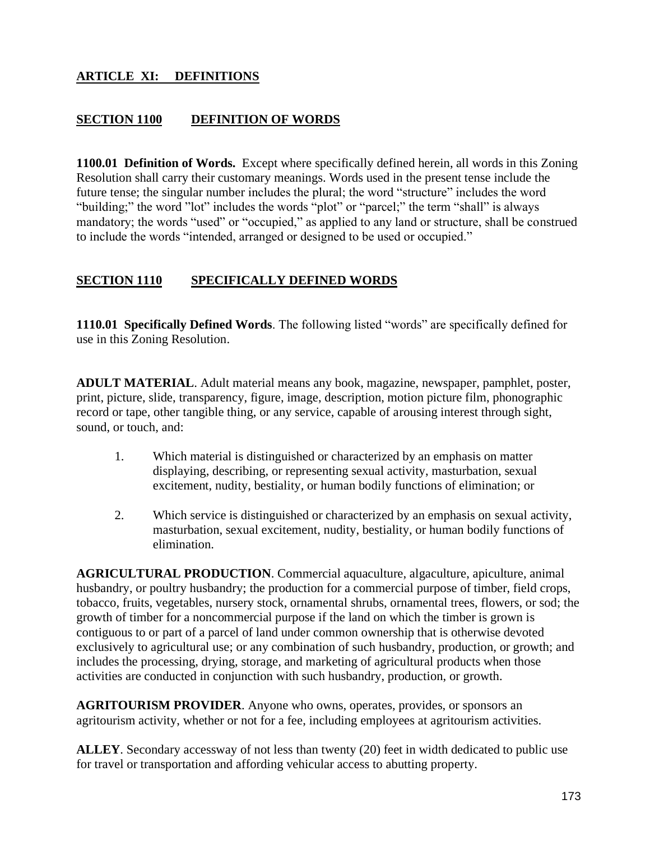# **ARTICLE XI: DEFINITIONS**

#### **SECTION 1100 DEFINITION OF WORDS**

**1100.01 Definition of Words.** Except where specifically defined herein, all words in this Zoning Resolution shall carry their customary meanings. Words used in the present tense include the future tense; the singular number includes the plural; the word "structure" includes the word "building;" the word "lot" includes the words "plot" or "parcel;" the term "shall" is always mandatory; the words "used" or "occupied," as applied to any land or structure, shall be construed to include the words "intended, arranged or designed to be used or occupied."

#### **SECTION 1110 SPECIFICALLY DEFINED WORDS**

**1110.01 Specifically Defined Words**. The following listed "words" are specifically defined for use in this Zoning Resolution.

**ADULT MATERIAL**. Adult material means any book, magazine, newspaper, pamphlet, poster, print, picture, slide, transparency, figure, image, description, motion picture film, phonographic record or tape, other tangible thing, or any service, capable of arousing interest through sight, sound, or touch, and:

- 1. Which material is distinguished or characterized by an emphasis on matter displaying, describing, or representing sexual activity, masturbation, sexual excitement, nudity, bestiality, or human bodily functions of elimination; or
- 2. Which service is distinguished or characterized by an emphasis on sexual activity, masturbation, sexual excitement, nudity, bestiality, or human bodily functions of elimination.

**AGRICULTURAL PRODUCTION**. Commercial aquaculture, algaculture, apiculture, animal husbandry, or poultry husbandry; the production for a commercial purpose of timber, field crops, tobacco, fruits, vegetables, nursery stock, ornamental shrubs, ornamental trees, flowers, or sod; the growth of timber for a noncommercial purpose if the land on which the timber is grown is contiguous to or part of a parcel of land under common ownership that is otherwise devoted exclusively to agricultural use; or any combination of such husbandry, production, or growth; and includes the processing, drying, storage, and marketing of agricultural products when those activities are conducted in conjunction with such husbandry, production, or growth.

**AGRITOURISM PROVIDER**. Anyone who owns, operates, provides, or sponsors an agritourism activity, whether or not for a fee, including employees at agritourism activities.

**ALLEY**. Secondary accessway of not less than twenty (20) feet in width dedicated to public use for travel or transportation and affording vehicular access to abutting property.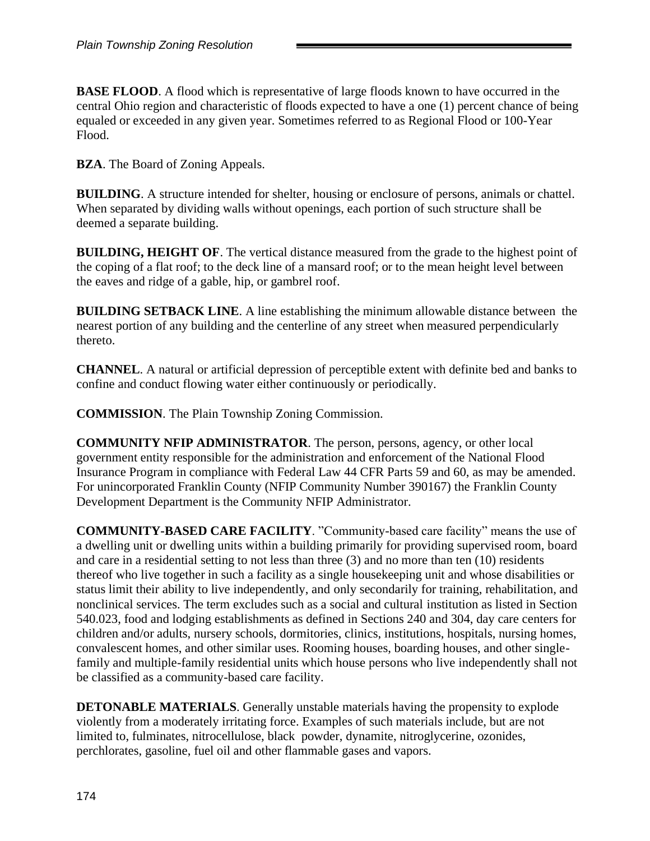**BASE FLOOD.** A flood which is representative of large floods known to have occurred in the central Ohio region and characteristic of floods expected to have a one (1) percent chance of being equaled or exceeded in any given year. Sometimes referred to as Regional Flood or 100-Year Flood.

**BZA**. The Board of Zoning Appeals.

**BUILDING**. A structure intended for shelter, housing or enclosure of persons, animals or chattel. When separated by dividing walls without openings, each portion of such structure shall be deemed a separate building.

**BUILDING, HEIGHT OF**. The vertical distance measured from the grade to the highest point of the coping of a flat roof; to the deck line of a mansard roof; or to the mean height level between the eaves and ridge of a gable, hip, or gambrel roof.

**BUILDING SETBACK LINE**. A line establishing the minimum allowable distance between the nearest portion of any building and the centerline of any street when measured perpendicularly thereto.

**CHANNEL**. A natural or artificial depression of perceptible extent with definite bed and banks to confine and conduct flowing water either continuously or periodically.

**COMMISSION**. The Plain Township Zoning Commission.

**COMMUNITY NFIP ADMINISTRATOR**. The person, persons, agency, or other local government entity responsible for the administration and enforcement of the National Flood Insurance Program in compliance with Federal Law 44 CFR Parts 59 and 60, as may be amended. For unincorporated Franklin County (NFIP Community Number 390167) the Franklin County Development Department is the Community NFIP Administrator.

**COMMUNITY-BASED CARE FACILITY**. "Community-based care facility" means the use of a dwelling unit or dwelling units within a building primarily for providing supervised room, board and care in a residential setting to not less than three (3) and no more than ten (10) residents thereof who live together in such a facility as a single housekeeping unit and whose disabilities or status limit their ability to live independently, and only secondarily for training, rehabilitation, and nonclinical services. The term excludes such as a social and cultural institution as listed in Section 540.023, food and lodging establishments as defined in Sections 240 and 304, day care centers for children and/or adults, nursery schools, dormitories, clinics, institutions, hospitals, nursing homes, convalescent homes, and other similar uses. Rooming houses, boarding houses, and other singlefamily and multiple-family residential units which house persons who live independently shall not be classified as a community-based care facility.

**DETONABLE MATERIALS**. Generally unstable materials having the propensity to explode violently from a moderately irritating force. Examples of such materials include, but are not limited to, fulminates, nitrocellulose, black powder, dynamite, nitroglycerine, ozonides, perchlorates, gasoline, fuel oil and other flammable gases and vapors.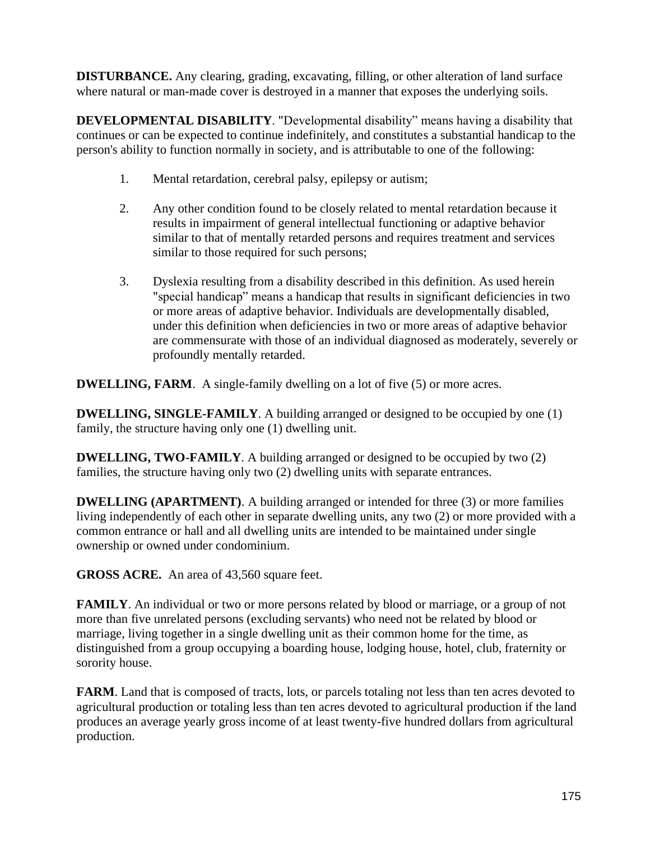**DISTURBANCE.** Any clearing, grading, excavating, filling, or other alteration of land surface where natural or man-made cover is destroyed in a manner that exposes the underlying soils.

**DEVELOPMENTAL DISABILITY**. "Developmental disability" means having a disability that continues or can be expected to continue indefinitely, and constitutes a substantial handicap to the person's ability to function normally in society, and is attributable to one of the following:

- 1. Mental retardation, cerebral palsy, epilepsy or autism;
- 2. Any other condition found to be closely related to mental retardation because it results in impairment of general intellectual functioning or adaptive behavior similar to that of mentally retarded persons and requires treatment and services similar to those required for such persons;
- 3. Dyslexia resulting from a disability described in this definition. As used herein "special handicap" means a handicap that results in significant deficiencies in two or more areas of adaptive behavior. Individuals are developmentally disabled, under this definition when deficiencies in two or more areas of adaptive behavior are commensurate with those of an individual diagnosed as moderately, severely or profoundly mentally retarded.

**DWELLING, FARM.** A single-family dwelling on a lot of five (5) or more acres.

**DWELLING, SINGLE-FAMILY**. A building arranged or designed to be occupied by one (1) family, the structure having only one (1) dwelling unit.

**DWELLING, TWO-FAMILY**. A building arranged or designed to be occupied by two (2) families, the structure having only two (2) dwelling units with separate entrances.

**DWELLING (APARTMENT).** A building arranged or intended for three (3) or more families living independently of each other in separate dwelling units, any two (2) or more provided with a common entrance or hall and all dwelling units are intended to be maintained under single ownership or owned under condominium.

**GROSS ACRE.** An area of 43,560 square feet.

**FAMILY**. An individual or two or more persons related by blood or marriage, or a group of not more than five unrelated persons (excluding servants) who need not be related by blood or marriage, living together in a single dwelling unit as their common home for the time, as distinguished from a group occupying a boarding house, lodging house, hotel, club, fraternity or sorority house.

**FARM**. Land that is composed of tracts, lots, or parcels totaling not less than ten acres devoted to agricultural production or totaling less than ten acres devoted to agricultural production if the land produces an average yearly gross income of at least twenty-five hundred dollars from agricultural production.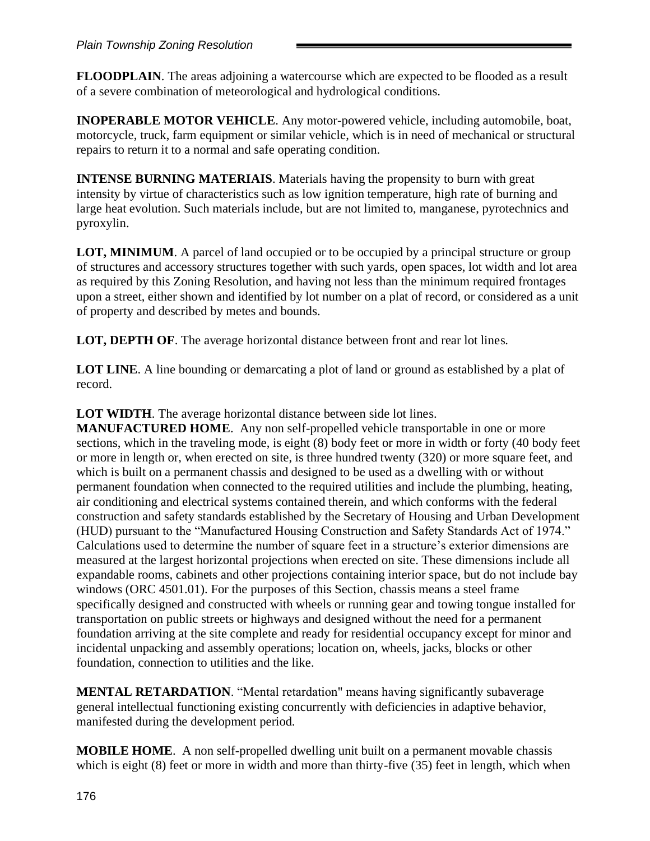#### *Plain Township Zoning Resolution*

**FLOODPLAIN**. The areas adjoining a watercourse which are expected to be flooded as a result of a severe combination of meteorological and hydrological conditions.

**INOPERABLE MOTOR VEHICLE**. Any motor-powered vehicle, including automobile, boat, motorcycle, truck, farm equipment or similar vehicle, which is in need of mechanical or structural repairs to return it to a normal and safe operating condition.

**INTENSE BURNING MATERIAIS**. Materials having the propensity to burn with great intensity by virtue of characteristics such as low ignition temperature, high rate of burning and large heat evolution. Such materials include, but are not limited to, manganese, pyrotechnics and pyroxylin.

**LOT, MINIMUM**. A parcel of land occupied or to be occupied by a principal structure or group of structures and accessory structures together with such yards, open spaces, lot width and lot area as required by this Zoning Resolution, and having not less than the minimum required frontages upon a street, either shown and identified by lot number on a plat of record, or considered as a unit of property and described by metes and bounds.

**LOT, DEPTH OF**. The average horizontal distance between front and rear lot lines.

**LOT LINE.** A line bounding or demarcating a plot of land or ground as established by a plat of record.

**LOT WIDTH**. The average horizontal distance between side lot lines.

**MANUFACTURED HOME**. Any non self-propelled vehicle transportable in one or more sections, which in the traveling mode, is eight (8) body feet or more in width or forty (40 body feet or more in length or, when erected on site, is three hundred twenty (320) or more square feet, and which is built on a permanent chassis and designed to be used as a dwelling with or without permanent foundation when connected to the required utilities and include the plumbing, heating, air conditioning and electrical systems contained therein, and which conforms with the federal construction and safety standards established by the Secretary of Housing and Urban Development (HUD) pursuant to the "Manufactured Housing Construction and Safety Standards Act of 1974." Calculations used to determine the number of square feet in a structure's exterior dimensions are measured at the largest horizontal projections when erected on site. These dimensions include all expandable rooms, cabinets and other projections containing interior space, but do not include bay windows (ORC 4501.01). For the purposes of this Section, chassis means a steel frame specifically designed and constructed with wheels or running gear and towing tongue installed for transportation on public streets or highways and designed without the need for a permanent foundation arriving at the site complete and ready for residential occupancy except for minor and incidental unpacking and assembly operations; location on, wheels, jacks, blocks or other foundation, connection to utilities and the like.

**MENTAL RETARDATION**. "Mental retardation" means having significantly subaverage general intellectual functioning existing concurrently with deficiencies in adaptive behavior, manifested during the development period.

**MOBILE HOME**. A non self-propelled dwelling unit built on a permanent movable chassis which is eight (8) feet or more in width and more than thirty-five (35) feet in length, which when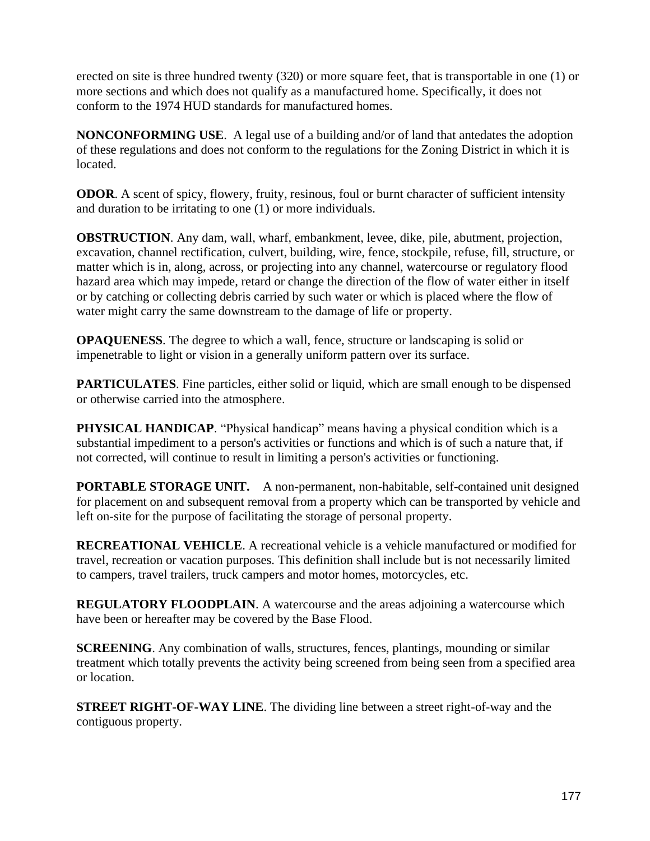erected on site is three hundred twenty (320) or more square feet, that is transportable in one (1) or more sections and which does not qualify as a manufactured home. Specifically, it does not conform to the 1974 HUD standards for manufactured homes.

**NONCONFORMING USE**. A legal use of a building and/or of land that antedates the adoption of these regulations and does not conform to the regulations for the Zoning District in which it is located.

**ODOR.** A scent of spicy, flowery, fruity, resinous, foul or burnt character of sufficient intensity and duration to be irritating to one (1) or more individuals.

**OBSTRUCTION**. Any dam, wall, wharf, embankment, levee, dike, pile, abutment, projection, excavation, channel rectification, culvert, building, wire, fence, stockpile, refuse, fill, structure, or matter which is in, along, across, or projecting into any channel, watercourse or regulatory flood hazard area which may impede, retard or change the direction of the flow of water either in itself or by catching or collecting debris carried by such water or which is placed where the flow of water might carry the same downstream to the damage of life or property.

**OPAQUENESS**. The degree to which a wall, fence, structure or landscaping is solid or impenetrable to light or vision in a generally uniform pattern over its surface.

**PARTICULATES**. Fine particles, either solid or liquid, which are small enough to be dispensed or otherwise carried into the atmosphere.

**PHYSICAL HANDICAP**. "Physical handicap" means having a physical condition which is a substantial impediment to a person's activities or functions and which is of such a nature that, if not corrected, will continue to result in limiting a person's activities or functioning.

**PORTABLE STORAGE UNIT.** A non-permanent, non-habitable, self-contained unit designed for placement on and subsequent removal from a property which can be transported by vehicle and left on-site for the purpose of facilitating the storage of personal property.

**RECREATIONAL VEHICLE**. A recreational vehicle is a vehicle manufactured or modified for travel, recreation or vacation purposes. This definition shall include but is not necessarily limited to campers, travel trailers, truck campers and motor homes, motorcycles, etc.

**REGULATORY FLOODPLAIN.** A watercourse and the areas adjoining a watercourse which have been or hereafter may be covered by the Base Flood.

**SCREENING**. Any combination of walls, structures, fences, plantings, mounding or similar treatment which totally prevents the activity being screened from being seen from a specified area or location.

**STREET RIGHT-OF-WAY LINE**. The dividing line between a street right-of-way and the contiguous property.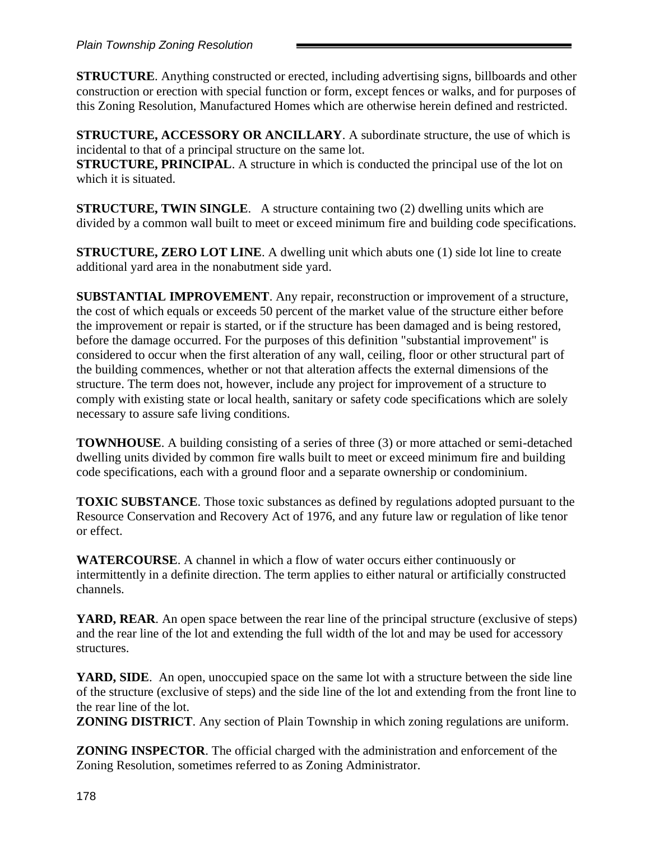**STRUCTURE**. Anything constructed or erected, including advertising signs, billboards and other construction or erection with special function or form, except fences or walks, and for purposes of this Zoning Resolution, Manufactured Homes which are otherwise herein defined and restricted.

**STRUCTURE, ACCESSORY OR ANCILLARY**. A subordinate structure, the use of which is incidental to that of a principal structure on the same lot.

**STRUCTURE, PRINCIPAL.** A structure in which is conducted the principal use of the lot on which it is situated.

**STRUCTURE, TWIN SINGLE**. A structure containing two (2) dwelling units which are divided by a common wall built to meet or exceed minimum fire and building code specifications.

**STRUCTURE, ZERO LOT LINE**. A dwelling unit which abuts one (1) side lot line to create additional yard area in the nonabutment side yard.

**SUBSTANTIAL IMPROVEMENT**. Any repair, reconstruction or improvement of a structure, the cost of which equals or exceeds 50 percent of the market value of the structure either before the improvement or repair is started, or if the structure has been damaged and is being restored, before the damage occurred. For the purposes of this definition "substantial improvement" is considered to occur when the first alteration of any wall, ceiling, floor or other structural part of the building commences, whether or not that alteration affects the external dimensions of the structure. The term does not, however, include any project for improvement of a structure to comply with existing state or local health, sanitary or safety code specifications which are solely necessary to assure safe living conditions.

**TOWNHOUSE.** A building consisting of a series of three (3) or more attached or semi-detached dwelling units divided by common fire walls built to meet or exceed minimum fire and building code specifications, each with a ground floor and a separate ownership or condominium.

**TOXIC SUBSTANCE**. Those toxic substances as defined by regulations adopted pursuant to the Resource Conservation and Recovery Act of 1976, and any future law or regulation of like tenor or effect.

**WATERCOURSE**. A channel in which a flow of water occurs either continuously or intermittently in a definite direction. The term applies to either natural or artificially constructed channels.

**YARD, REAR**. An open space between the rear line of the principal structure (exclusive of steps) and the rear line of the lot and extending the full width of the lot and may be used for accessory structures.

YARD, SIDE. An open, unoccupied space on the same lot with a structure between the side line of the structure (exclusive of steps) and the side line of the lot and extending from the front line to the rear line of the lot.

**ZONING DISTRICT**. Any section of Plain Township in which zoning regulations are uniform.

**ZONING INSPECTOR**. The official charged with the administration and enforcement of the Zoning Resolution, sometimes referred to as Zoning Administrator.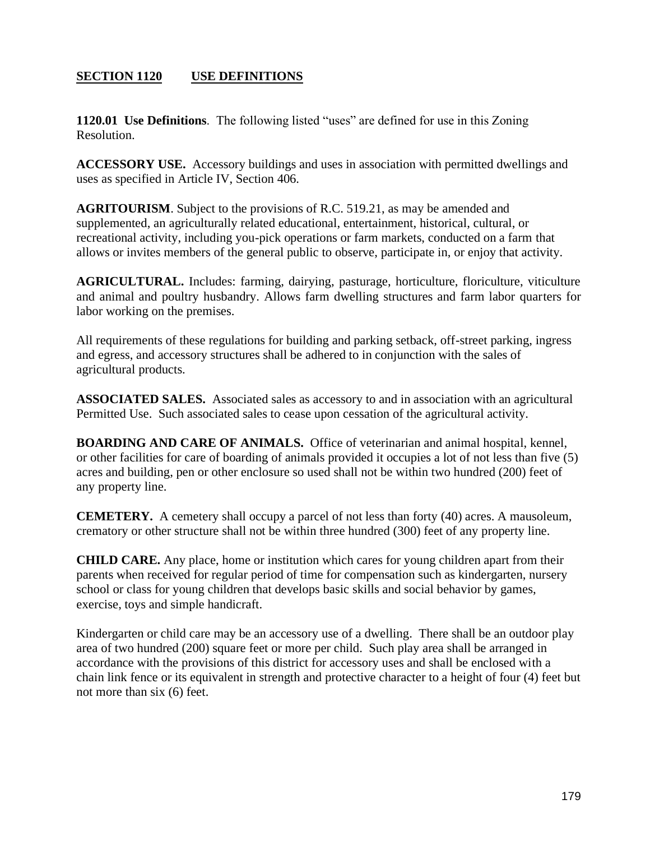# **SECTION 1120 USE DEFINITIONS**

**1120.01 Use Definitions**. The following listed "uses" are defined for use in this Zoning Resolution.

**ACCESSORY USE.** Accessory buildings and uses in association with permitted dwellings and uses as specified in Article IV, Section 406.

**AGRITOURISM**. Subject to the provisions of R.C. 519.21, as may be amended and supplemented, an agriculturally related educational, entertainment, historical, cultural, or recreational activity, including you-pick operations or farm markets, conducted on a farm that allows or invites members of the general public to observe, participate in, or enjoy that activity.

**AGRICULTURAL.** Includes: farming, dairying, pasturage, horticulture, floriculture, viticulture and animal and poultry husbandry. Allows farm dwelling structures and farm labor quarters for labor working on the premises.

All requirements of these regulations for building and parking setback, off-street parking, ingress and egress, and accessory structures shall be adhered to in conjunction with the sales of agricultural products.

**ASSOCIATED SALES.** Associated sales as accessory to and in association with an agricultural Permitted Use. Such associated sales to cease upon cessation of the agricultural activity.

**BOARDING AND CARE OF ANIMALS.** Office of veterinarian and animal hospital, kennel, or other facilities for care of boarding of animals provided it occupies a lot of not less than five (5) acres and building, pen or other enclosure so used shall not be within two hundred (200) feet of any property line.

**CEMETERY.** A cemetery shall occupy a parcel of not less than forty (40) acres. A mausoleum, crematory or other structure shall not be within three hundred (300) feet of any property line.

**CHILD CARE.** Any place, home or institution which cares for young children apart from their parents when received for regular period of time for compensation such as kindergarten, nursery school or class for young children that develops basic skills and social behavior by games, exercise, toys and simple handicraft.

Kindergarten or child care may be an accessory use of a dwelling. There shall be an outdoor play area of two hundred (200) square feet or more per child. Such play area shall be arranged in accordance with the provisions of this district for accessory uses and shall be enclosed with a chain link fence or its equivalent in strength and protective character to a height of four (4) feet but not more than six (6) feet.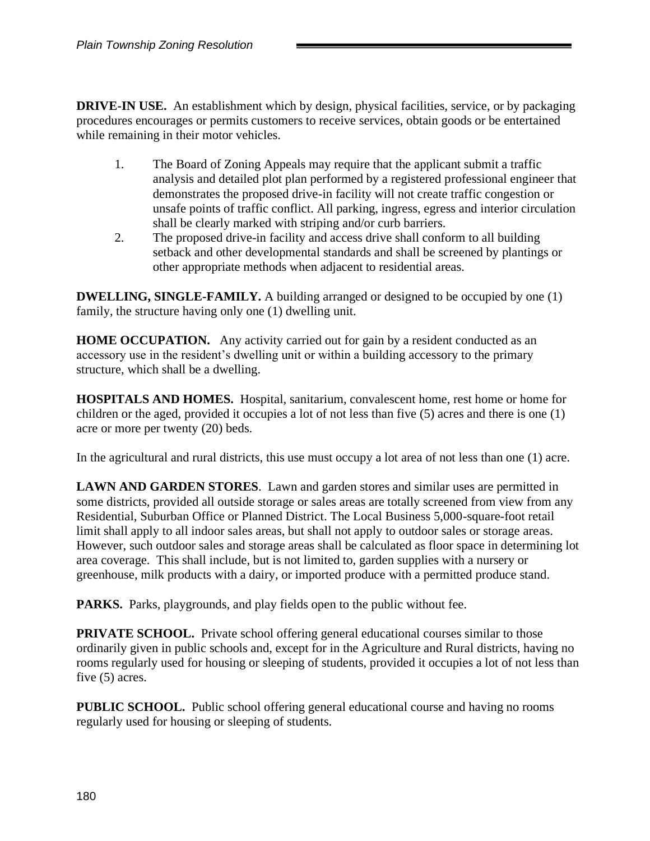**DRIVE-IN USE.** An establishment which by design, physical facilities, service, or by packaging procedures encourages or permits customers to receive services, obtain goods or be entertained while remaining in their motor vehicles.

- 1. The Board of Zoning Appeals may require that the applicant submit a traffic analysis and detailed plot plan performed by a registered professional engineer that demonstrates the proposed drive-in facility will not create traffic congestion or unsafe points of traffic conflict. All parking, ingress, egress and interior circulation shall be clearly marked with striping and/or curb barriers.
- 2. The proposed drive-in facility and access drive shall conform to all building setback and other developmental standards and shall be screened by plantings or other appropriate methods when adjacent to residential areas.

**DWELLING, SINGLE-FAMILY.** A building arranged or designed to be occupied by one (1) family, the structure having only one (1) dwelling unit.

**HOME OCCUPATION.** Any activity carried out for gain by a resident conducted as an accessory use in the resident's dwelling unit or within a building accessory to the primary structure, which shall be a dwelling.

**HOSPITALS AND HOMES.** Hospital, sanitarium, convalescent home, rest home or home for children or the aged, provided it occupies a lot of not less than five (5) acres and there is one (1) acre or more per twenty (20) beds.

In the agricultural and rural districts, this use must occupy a lot area of not less than one (1) acre.

**LAWN AND GARDEN STORES**. Lawn and garden stores and similar uses are permitted in some districts, provided all outside storage or sales areas are totally screened from view from any Residential, Suburban Office or Planned District. The Local Business 5,000-square-foot retail limit shall apply to all indoor sales areas, but shall not apply to outdoor sales or storage areas. However, such outdoor sales and storage areas shall be calculated as floor space in determining lot area coverage. This shall include, but is not limited to, garden supplies with a nursery or greenhouse, milk products with a dairy, or imported produce with a permitted produce stand.

**PARKS.** Parks, playgrounds, and play fields open to the public without fee.

**PRIVATE SCHOOL.** Private school offering general educational courses similar to those ordinarily given in public schools and, except for in the Agriculture and Rural districts, having no rooms regularly used for housing or sleeping of students, provided it occupies a lot of not less than five (5) acres.

**PUBLIC SCHOOL.** Public school offering general educational course and having no rooms regularly used for housing or sleeping of students.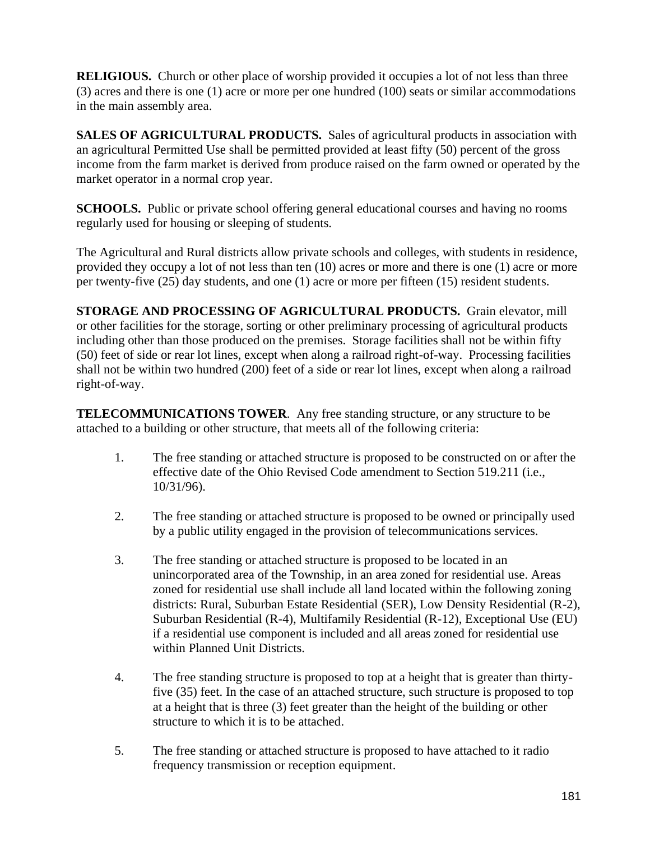**RELIGIOUS.** Church or other place of worship provided it occupies a lot of not less than three (3) acres and there is one (1) acre or more per one hundred (100) seats or similar accommodations in the main assembly area.

**SALES OF AGRICULTURAL PRODUCTS.** Sales of agricultural products in association with an agricultural Permitted Use shall be permitted provided at least fifty (50) percent of the gross income from the farm market is derived from produce raised on the farm owned or operated by the market operator in a normal crop year.

**SCHOOLS.** Public or private school offering general educational courses and having no rooms regularly used for housing or sleeping of students.

The Agricultural and Rural districts allow private schools and colleges, with students in residence, provided they occupy a lot of not less than ten (10) acres or more and there is one (1) acre or more per twenty-five (25) day students, and one (1) acre or more per fifteen (15) resident students.

**STORAGE AND PROCESSING OF AGRICULTURAL PRODUCTS.** Grain elevator, mill or other facilities for the storage, sorting or other preliminary processing of agricultural products including other than those produced on the premises. Storage facilities shall not be within fifty (50) feet of side or rear lot lines, except when along a railroad right-of-way. Processing facilities shall not be within two hundred (200) feet of a side or rear lot lines, except when along a railroad right-of-way.

**TELECOMMUNICATIONS TOWER**. Any free standing structure, or any structure to be attached to a building or other structure, that meets all of the following criteria:

- 1. The free standing or attached structure is proposed to be constructed on or after the effective date of the Ohio Revised Code amendment to Section 519.211 (i.e., 10/31/96).
- 2. The free standing or attached structure is proposed to be owned or principally used by a public utility engaged in the provision of telecommunications services.
- 3. The free standing or attached structure is proposed to be located in an unincorporated area of the Township, in an area zoned for residential use. Areas zoned for residential use shall include all land located within the following zoning districts: Rural, Suburban Estate Residential (SER), Low Density Residential (R-2), Suburban Residential (R-4), Multifamily Residential (R-12), Exceptional Use (EU) if a residential use component is included and all areas zoned for residential use within Planned Unit Districts.
- 4. The free standing structure is proposed to top at a height that is greater than thirtyfive (35) feet. In the case of an attached structure, such structure is proposed to top at a height that is three (3) feet greater than the height of the building or other structure to which it is to be attached.
- 5. The free standing or attached structure is proposed to have attached to it radio frequency transmission or reception equipment.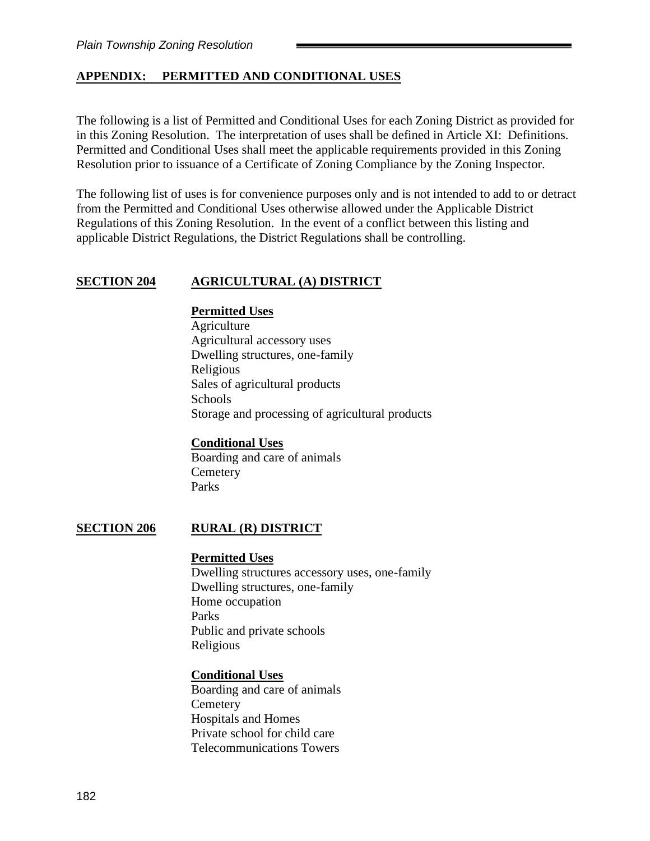## **APPENDIX: PERMITTED AND CONDITIONAL USES**

The following is a list of Permitted and Conditional Uses for each Zoning District as provided for in this Zoning Resolution. The interpretation of uses shall be defined in Article XI: Definitions. Permitted and Conditional Uses shall meet the applicable requirements provided in this Zoning Resolution prior to issuance of a Certificate of Zoning Compliance by the Zoning Inspector.

The following list of uses is for convenience purposes only and is not intended to add to or detract from the Permitted and Conditional Uses otherwise allowed under the Applicable District Regulations of this Zoning Resolution. In the event of a conflict between this listing and applicable District Regulations, the District Regulations shall be controlling.

### **SECTION 204 AGRICULTURAL (A) DISTRICT**

## **Permitted Uses**

Agriculture Agricultural accessory uses Dwelling structures, one-family Religious Sales of agricultural products **Schools** Storage and processing of agricultural products

### **Conditional Uses**

Boarding and care of animals **Cemetery** Parks

### **SECTION 206 RURAL (R) DISTRICT**

#### **Permitted Uses**

Dwelling structures accessory uses, one-family Dwelling structures, one-family Home occupation Parks Public and private schools Religious

### **Conditional Uses**

Boarding and care of animals **Cemetery** Hospitals and Homes Private school for child care Telecommunications Towers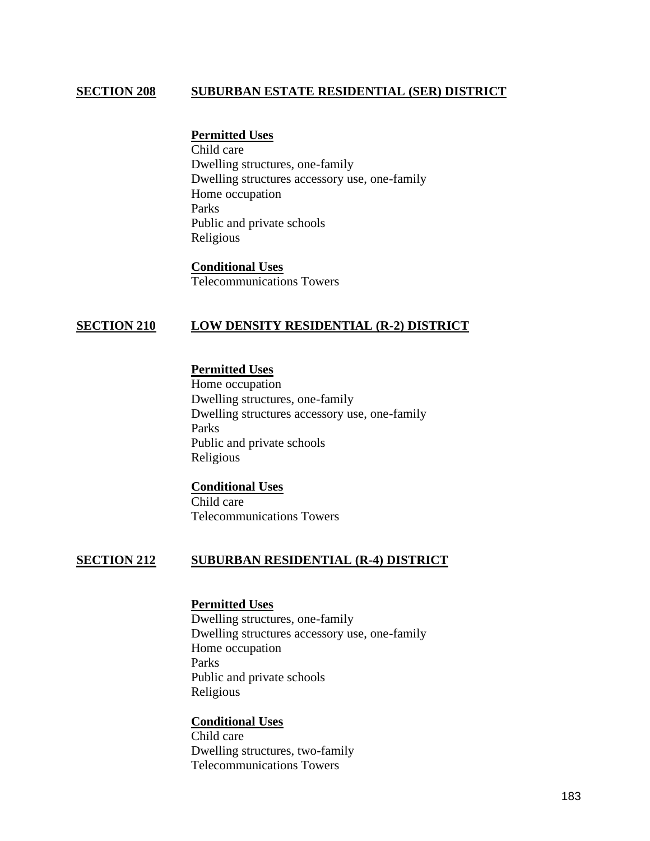## **SECTION 208 SUBURBAN ESTATE RESIDENTIAL (SER) DISTRICT**

#### **Permitted Uses**

Child care Dwelling structures, one-family Dwelling structures accessory use, one-family Home occupation Parks Public and private schools Religious

**Conditional Uses** Telecommunications Towers

### **SECTION 210 LOW DENSITY RESIDENTIAL (R-2) DISTRICT**

### **Permitted Uses**

Home occupation Dwelling structures, one-family Dwelling structures accessory use, one-family Parks Public and private schools Religious

# **Conditional Uses** Child care

Telecommunications Towers

## **SECTION 212 SUBURBAN RESIDENTIAL (R-4) DISTRICT**

#### **Permitted Uses**

Dwelling structures, one-family Dwelling structures accessory use, one-family Home occupation Parks Public and private schools Religious

#### **Conditional Uses**

Child care Dwelling structures, two-family Telecommunications Towers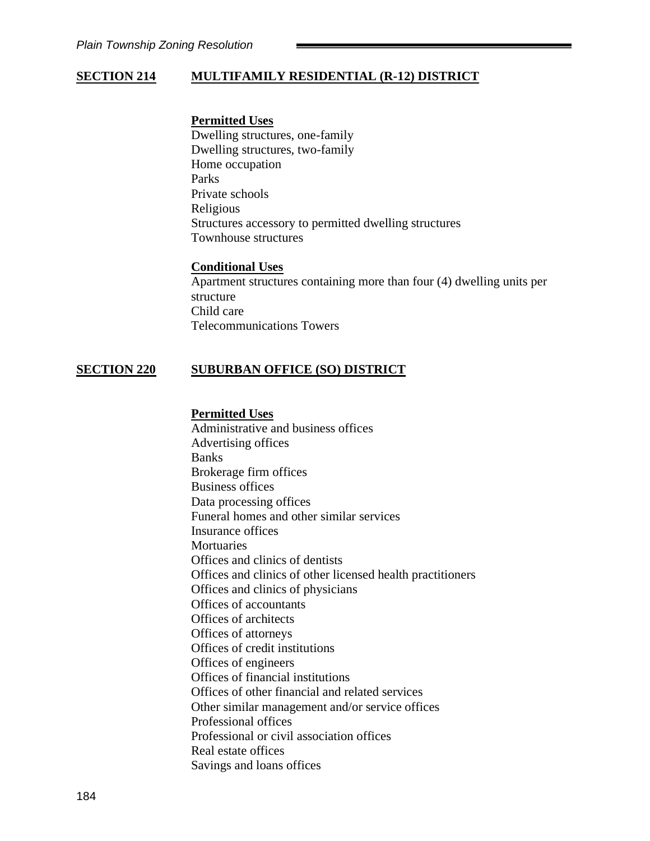# **SECTION 214 MULTIFAMILY RESIDENTIAL (R-12) DISTRICT**

### **Permitted Uses**

Dwelling structures, one-family Dwelling structures, two-family Home occupation Parks Private schools Religious Structures accessory to permitted dwelling structures Townhouse structures

#### **Conditional Uses**

Apartment structures containing more than four (4) dwelling units per structure Child care Telecommunications Towers

### **SECTION 220 SUBURBAN OFFICE (SO) DISTRICT**

#### **Permitted Uses**

Administrative and business offices Advertising offices Banks Brokerage firm offices Business offices Data processing offices Funeral homes and other similar services Insurance offices **Mortuaries** Offices and clinics of dentists Offices and clinics of other licensed health practitioners Offices and clinics of physicians Offices of accountants Offices of architects Offices of attorneys Offices of credit institutions Offices of engineers Offices of financial institutions Offices of other financial and related services Other similar management and/or service offices Professional offices Professional or civil association offices Real estate offices Savings and loans offices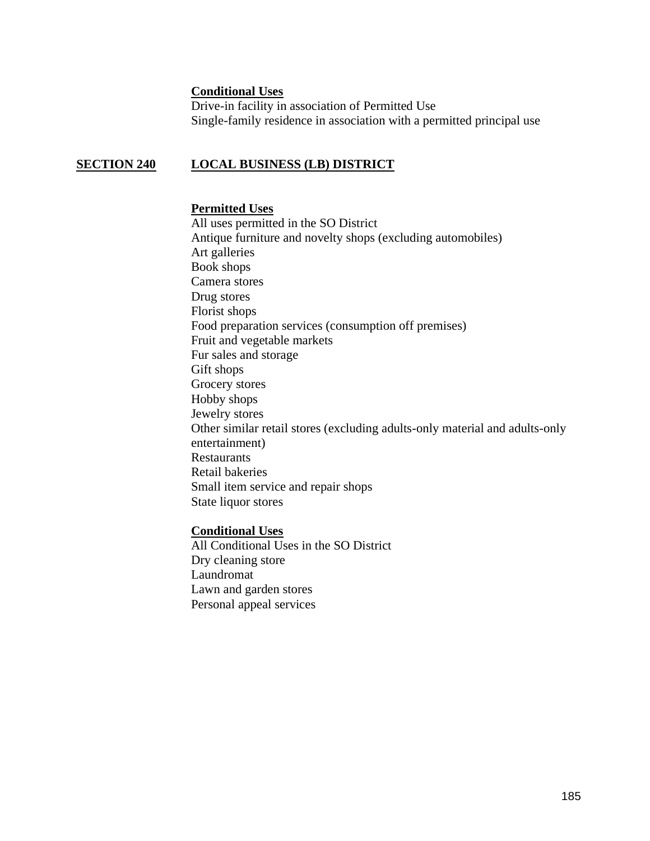### **Conditional Uses**

Drive-in facility in association of Permitted Use Single-family residence in association with a permitted principal use

## **SECTION 240 LOCAL BUSINESS (LB) DISTRICT**

### **Permitted Uses**

All uses permitted in the SO District Antique furniture and novelty shops (excluding automobiles) Art galleries Book shops Camera stores Drug stores Florist shops Food preparation services (consumption off premises) Fruit and vegetable markets Fur sales and storage Gift shops Grocery stores Hobby shops Jewelry stores Other similar retail stores (excluding adults-only material and adults-only entertainment) Restaurants Retail bakeries Small item service and repair shops State liquor stores

### **Conditional Uses**

All Conditional Uses in the SO District Dry cleaning store Laundromat Lawn and garden stores Personal appeal services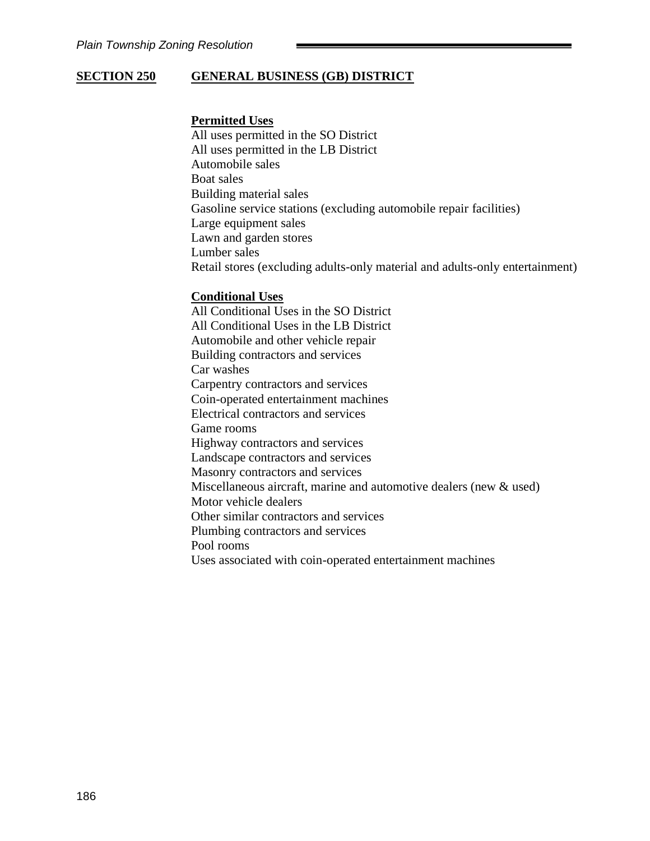## **SECTION 250 GENERAL BUSINESS (GB) DISTRICT**

### **Permitted Uses**

All uses permitted in the SO District All uses permitted in the LB District Automobile sales Boat sales Building material sales Gasoline service stations (excluding automobile repair facilities) Large equipment sales Lawn and garden stores Lumber sales Retail stores (excluding adults-only material and adults-only entertainment)

### **Conditional Uses**

All Conditional Uses in the SO District All Conditional Uses in the LB District Automobile and other vehicle repair Building contractors and services Car washes Carpentry contractors and services Coin-operated entertainment machines Electrical contractors and services Game rooms Highway contractors and services Landscape contractors and services Masonry contractors and services Miscellaneous aircraft, marine and automotive dealers (new & used) Motor vehicle dealers Other similar contractors and services Plumbing contractors and services Pool rooms Uses associated with coin-operated entertainment machines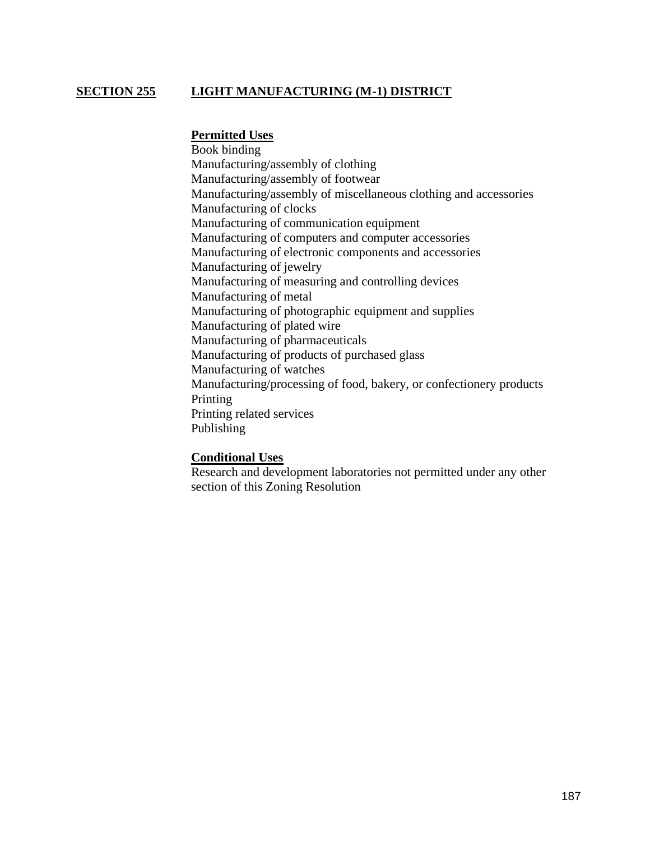# **SECTION 255 LIGHT MANUFACTURING (M-1) DISTRICT**

### **Permitted Uses**

Book binding Manufacturing/assembly of clothing Manufacturing/assembly of footwear Manufacturing/assembly of miscellaneous clothing and accessories Manufacturing of clocks Manufacturing of communication equipment Manufacturing of computers and computer accessories Manufacturing of electronic components and accessories Manufacturing of jewelry Manufacturing of measuring and controlling devices Manufacturing of metal Manufacturing of photographic equipment and supplies Manufacturing of plated wire Manufacturing of pharmaceuticals Manufacturing of products of purchased glass Manufacturing of watches Manufacturing/processing of food, bakery, or confectionery products Printing Printing related services Publishing

#### **Conditional Uses**

Research and development laboratories not permitted under any other section of this Zoning Resolution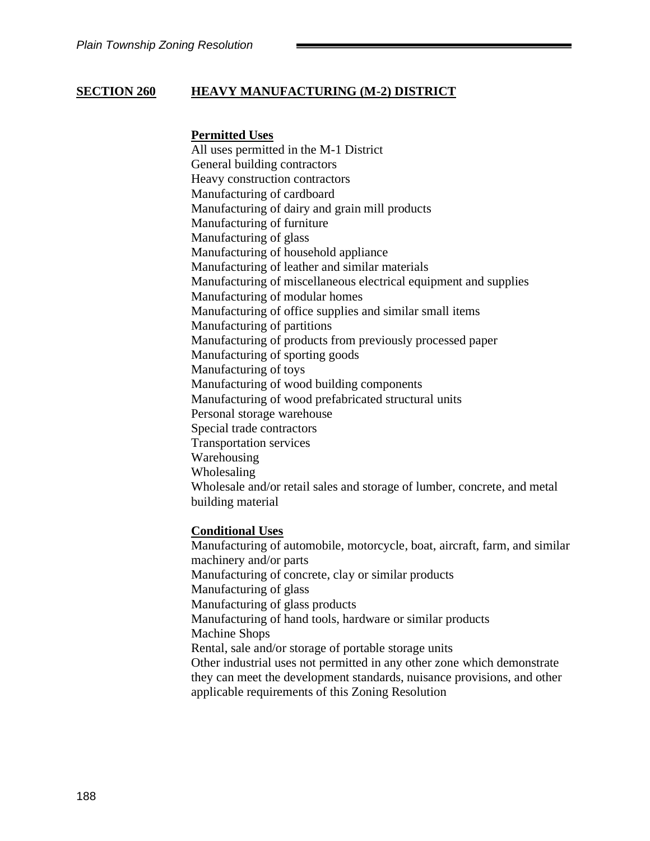## **SECTION 260 HEAVY MANUFACTURING (M-2) DISTRICT**

### **Permitted Uses**

All uses permitted in the M-1 District General building contractors Heavy construction contractors Manufacturing of cardboard Manufacturing of dairy and grain mill products Manufacturing of furniture Manufacturing of glass Manufacturing of household appliance Manufacturing of leather and similar materials Manufacturing of miscellaneous electrical equipment and supplies Manufacturing of modular homes Manufacturing of office supplies and similar small items Manufacturing of partitions Manufacturing of products from previously processed paper Manufacturing of sporting goods Manufacturing of toys Manufacturing of wood building components Manufacturing of wood prefabricated structural units Personal storage warehouse Special trade contractors Transportation services Warehousing Wholesaling Wholesale and/or retail sales and storage of lumber, concrete, and metal building material

#### **Conditional Uses**

Manufacturing of automobile, motorcycle, boat, aircraft, farm, and similar machinery and/or parts Manufacturing of concrete, clay or similar products Manufacturing of glass Manufacturing of glass products Manufacturing of hand tools, hardware or similar products Machine Shops Rental, sale and/or storage of portable storage units Other industrial uses not permitted in any other zone which demonstrate they can meet the development standards, nuisance provisions, and other applicable requirements of this Zoning Resolution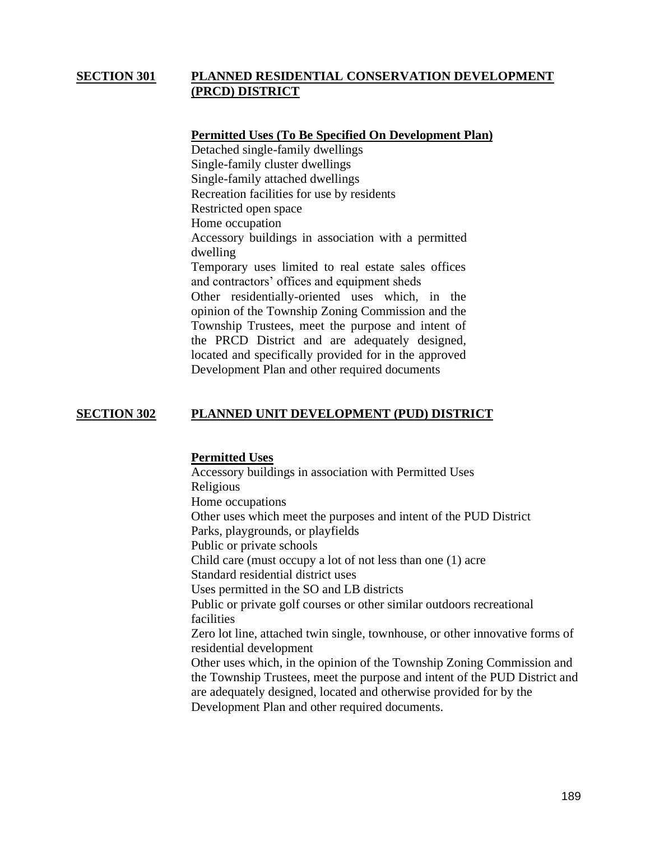## **SECTION 301 PLANNED RESIDENTIAL CONSERVATION DEVELOPMENT (PRCD) DISTRICT**

## **Permitted Uses (To Be Specified On Development Plan)**

Detached single-family dwellings Single-family cluster dwellings Single-family attached dwellings Recreation facilities for use by residents Restricted open space Home occupation Accessory buildings in association with a permitted dwelling Temporary uses limited to real estate sales offices and contractors' offices and equipment sheds Other residentially-oriented uses which, in the opinion of the Township Zoning Commission and the Township Trustees, meet the purpose and intent of the PRCD District and are adequately designed, located and specifically provided for in the approved Development Plan and other required documents

## **SECTION 302 PLANNED UNIT DEVELOPMENT (PUD) DISTRICT**

### **Permitted Uses**

Accessory buildings in association with Permitted Uses Religious Home occupations Other uses which meet the purposes and intent of the PUD District Parks, playgrounds, or playfields Public or private schools Child care (must occupy a lot of not less than one (1) acre Standard residential district uses Uses permitted in the SO and LB districts Public or private golf courses or other similar outdoors recreational facilities Zero lot line, attached twin single, townhouse, or other innovative forms of residential development Other uses which, in the opinion of the Township Zoning Commission and the Township Trustees, meet the purpose and intent of the PUD District and are adequately designed, located and otherwise provided for by the Development Plan and other required documents.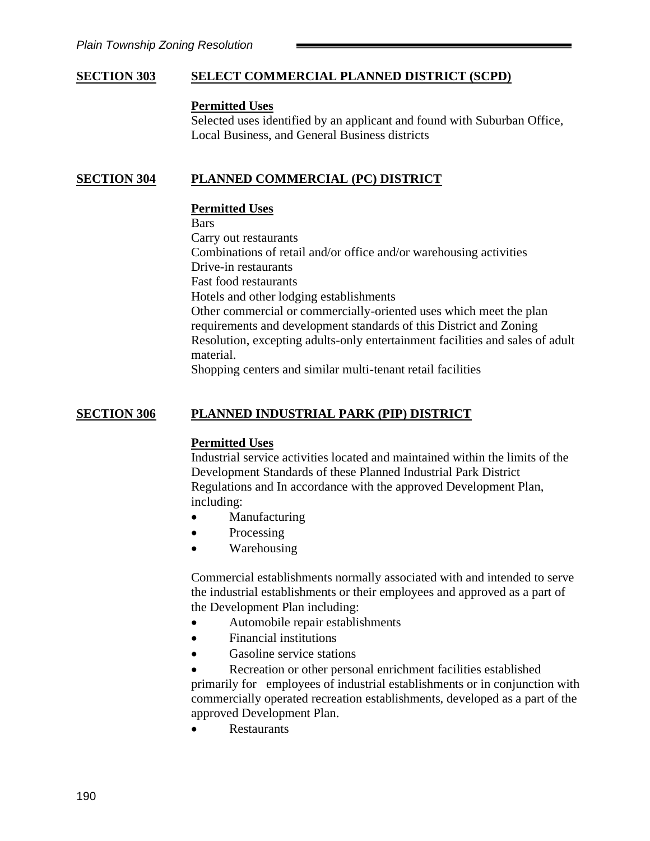## **SECTION 303 SELECT COMMERCIAL PLANNED DISTRICT (SCPD)**

#### **Permitted Uses**

Selected uses identified by an applicant and found with Suburban Office, Local Business, and General Business districts

## **SECTION 304 PLANNED COMMERCIAL (PC) DISTRICT**

#### **Permitted Uses**

Bars

Carry out restaurants

Combinations of retail and/or office and/or warehousing activities

Drive-in restaurants

Fast food restaurants

Hotels and other lodging establishments

Other commercial or commercially-oriented uses which meet the plan requirements and development standards of this District and Zoning Resolution, excepting adults-only entertainment facilities and sales of adult material.

Shopping centers and similar multi-tenant retail facilities

## **SECTION 306 PLANNED INDUSTRIAL PARK (PIP) DISTRICT**

### **Permitted Uses**

Industrial service activities located and maintained within the limits of the Development Standards of these Planned Industrial Park District Regulations and In accordance with the approved Development Plan, including:

- Manufacturing
- Processing
- Warehousing

Commercial establishments normally associated with and intended to serve the industrial establishments or their employees and approved as a part of the Development Plan including:

- Automobile repair establishments
- Financial institutions
- Gasoline service stations

Recreation or other personal enrichment facilities established primarily for employees of industrial establishments or in conjunction with commercially operated recreation establishments, developed as a part of the approved Development Plan.

• Restaurants